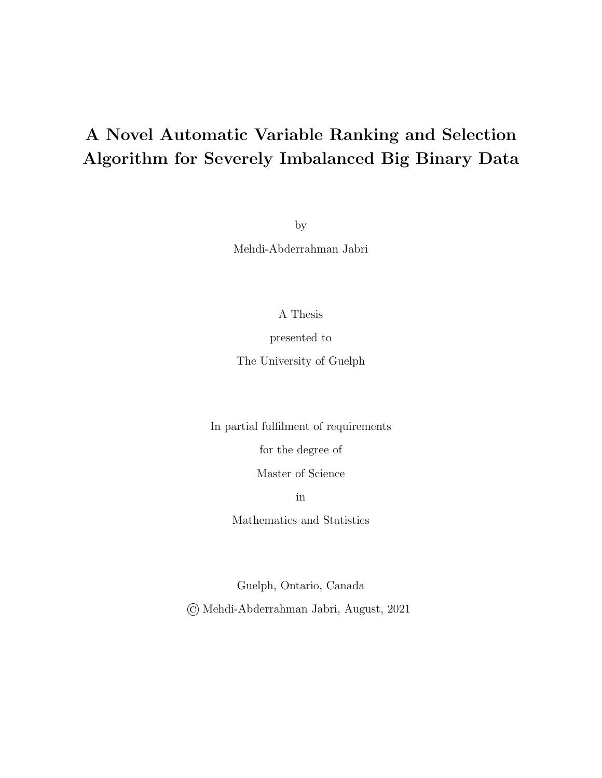## A Novel Automatic Variable Ranking and Selection Algorithm for Severely Imbalanced Big Binary Data

by

Mehdi-Abderrahman Jabri

A Thesis

presented to

The University of Guelph

In partial fulfilment of requirements

for the degree of

Master of Science

in

Mathematics and Statistics

Guelph, Ontario, Canada

© Mehdi-Abderrahman Jabri, August, 2021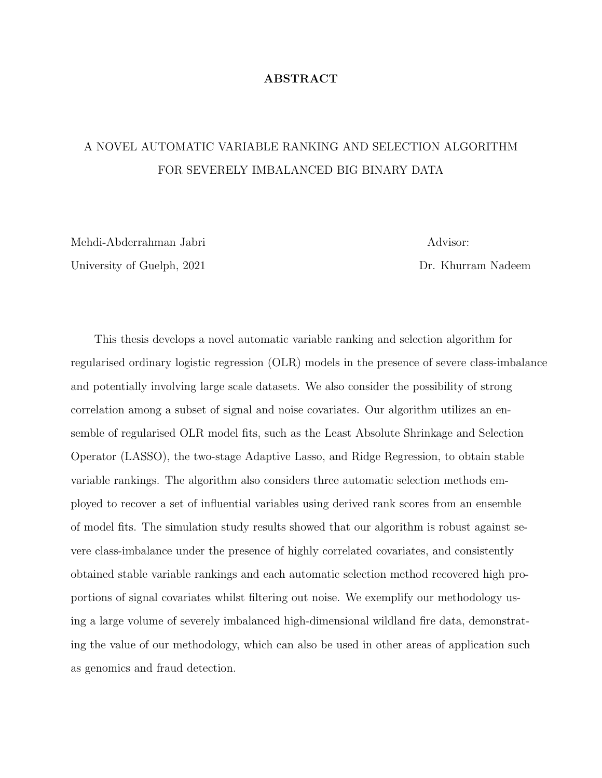### ABSTRACT

### A NOVEL AUTOMATIC VARIABLE RANKING AND SELECTION ALGORITHM FOR SEVERELY IMBALANCED BIG BINARY DATA

Mehdi-Abderrahman Jabri Advisor: University of Guelph, 2021 **Dr. Khurram Nadeem** 

This thesis develops a novel automatic variable ranking and selection algorithm for regularised ordinary logistic regression (OLR) models in the presence of severe class-imbalance and potentially involving large scale datasets. We also consider the possibility of strong correlation among a subset of signal and noise covariates. Our algorithm utilizes an ensemble of regularised OLR model fits, such as the Least Absolute Shrinkage and Selection Operator (LASSO), the two-stage Adaptive Lasso, and Ridge Regression, to obtain stable variable rankings. The algorithm also considers three automatic selection methods employed to recover a set of influential variables using derived rank scores from an ensemble of model fits. The simulation study results showed that our algorithm is robust against severe class-imbalance under the presence of highly correlated covariates, and consistently obtained stable variable rankings and each automatic selection method recovered high proportions of signal covariates whilst filtering out noise. We exemplify our methodology using a large volume of severely imbalanced high-dimensional wildland fire data, demonstrating the value of our methodology, which can also be used in other areas of application such as genomics and fraud detection.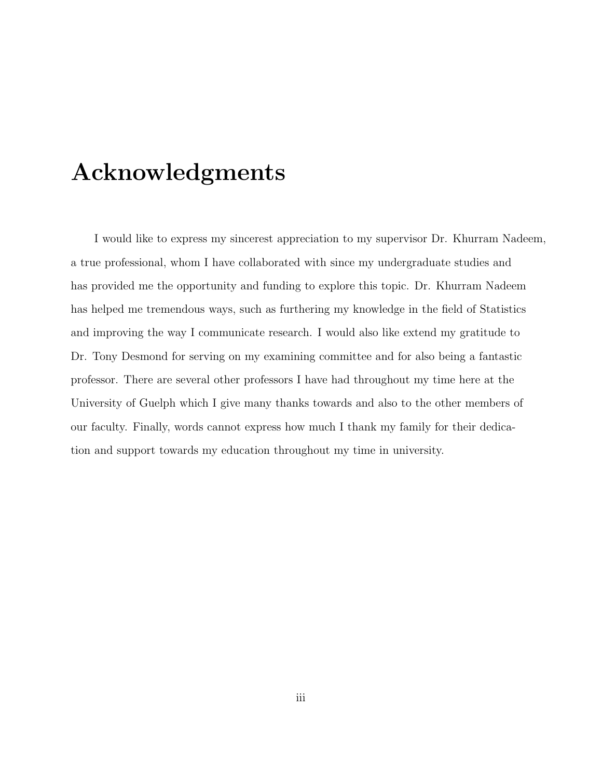## Acknowledgments

I would like to express my sincerest appreciation to my supervisor Dr. Khurram Nadeem, a true professional, whom I have collaborated with since my undergraduate studies and has provided me the opportunity and funding to explore this topic. Dr. Khurram Nadeem has helped me tremendous ways, such as furthering my knowledge in the field of Statistics and improving the way I communicate research. I would also like extend my gratitude to Dr. Tony Desmond for serving on my examining committee and for also being a fantastic professor. There are several other professors I have had throughout my time here at the University of Guelph which I give many thanks towards and also to the other members of our faculty. Finally, words cannot express how much I thank my family for their dedication and support towards my education throughout my time in university.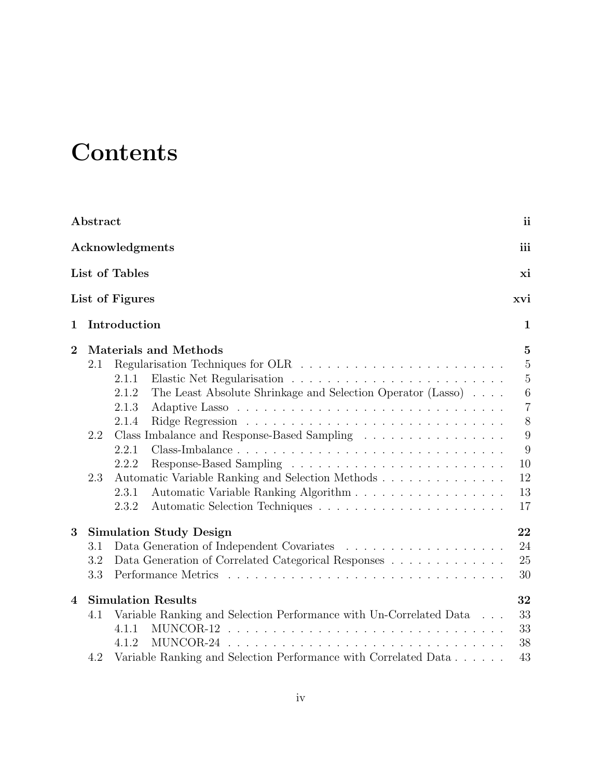# **Contents**

|                  | Abstract |                                                                      | ii             |
|------------------|----------|----------------------------------------------------------------------|----------------|
|                  |          | Acknowledgments                                                      | iii            |
|                  |          | List of Tables                                                       | xi             |
|                  |          | List of Figures                                                      | xvi            |
| $\mathbf 1$      |          | Introduction                                                         | $\mathbf{1}$   |
| $\overline{2}$   |          | <b>Materials and Methods</b>                                         | $\mathbf{5}$   |
|                  | 2.1      |                                                                      | 5              |
|                  |          | 2.1.1                                                                | $\mathbf 5$    |
|                  |          | The Least Absolute Shrinkage and Selection Operator (Lasso)<br>2.1.2 | $\,6\,$        |
|                  |          | 2.1.3                                                                | $\overline{7}$ |
|                  |          | 2.1.4                                                                | 8              |
|                  | 2.2      | Class Imbalance and Response-Based Sampling                          | 9              |
|                  |          | 2.2.1                                                                | 9              |
|                  |          | 2.2.2                                                                | 10             |
|                  | 2.3      | Automatic Variable Ranking and Selection Methods                     | 12             |
|                  |          | Automatic Variable Ranking Algorithm<br>2.3.1                        | 13             |
|                  |          | 2.3.2                                                                | 17             |
| 3                |          | <b>Simulation Study Design</b>                                       | 22             |
|                  | 3.1      |                                                                      | 24             |
|                  | 3.2      | Data Generation of Correlated Categorical Responses                  | 25             |
|                  | 3.3      |                                                                      | 30             |
| $\boldsymbol{4}$ |          | <b>Simulation Results</b>                                            | 32             |
|                  | 4.1      | Variable Ranking and Selection Performance with Un-Correlated Data   | 33             |
|                  |          | 4.1.1                                                                | 33             |
|                  |          | 4.1.2                                                                | 38             |
|                  | 4.2      | Variable Ranking and Selection Performance with Correlated Data      | 43             |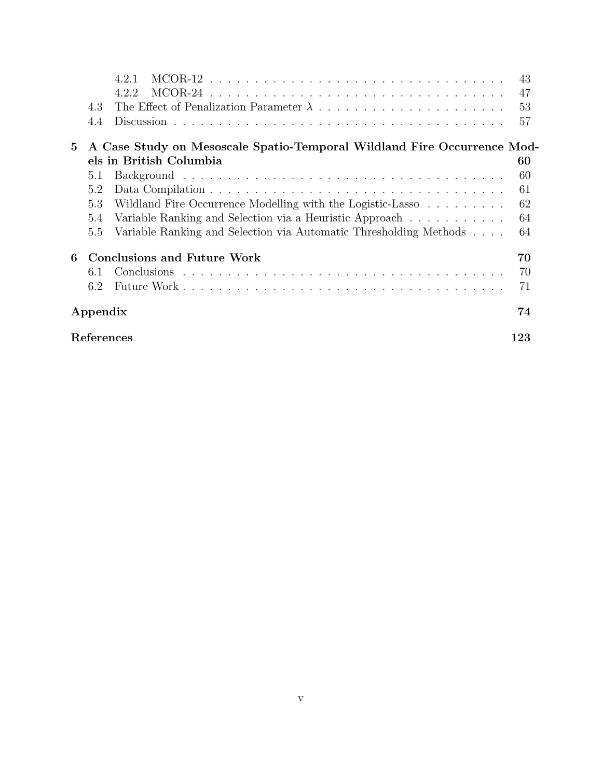|              |                   | 421                                                                     | 43 |
|--------------|-------------------|-------------------------------------------------------------------------|----|
|              |                   | 4.2.2                                                                   | 47 |
|              | 4.3               |                                                                         | 53 |
|              | 4.4               |                                                                         | 57 |
| $\mathbf{5}$ |                   | A Case Study on Mesoscale Spatio-Temporal Wildland Fire Occurrence Mod- |    |
|              |                   | els in British Columbia                                                 | 60 |
|              | 5.1               |                                                                         | 60 |
|              | 5.2               |                                                                         | 61 |
|              | 5.3               | Wildland Fire Occurrence Modelling with the Logistic-Lasso              | 62 |
|              | 5.4               | Variable Ranking and Selection via a Heuristic Approach                 | 64 |
|              | 5.5               | Variable Ranking and Selection via Automatic Thresholding Methods       | 64 |
| 6            |                   | <b>Conclusions and Future Work</b>                                      | 70 |
|              | 6.1               |                                                                         | 70 |
|              | 6.2               |                                                                         | 71 |
|              | Appendix          |                                                                         | 74 |
|              | References<br>123 |                                                                         |    |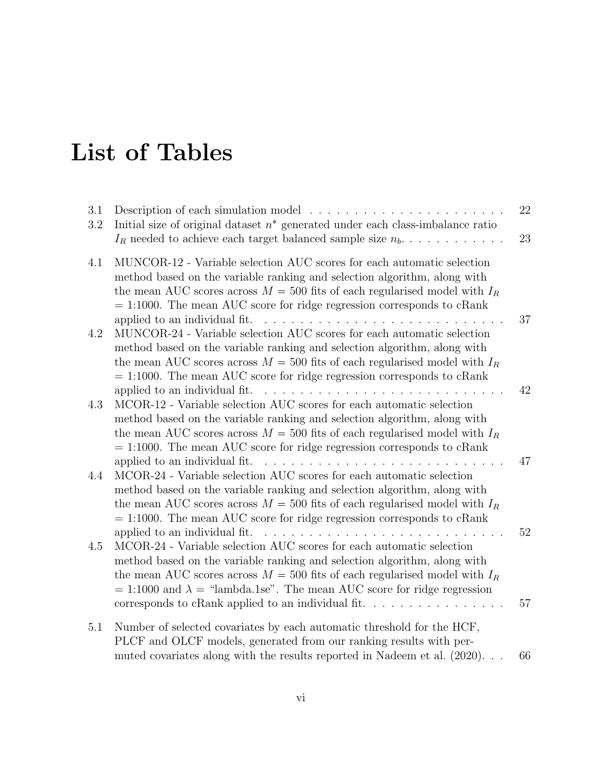# List of Tables

| 3.1<br>3.2 | Description of each simulation model<br>Initial size of original dataset $n^*$ generated under each class-imbalance ratio<br>$I_R$ needed to achieve each target balanced sample size $n_b$                                                                                                                                                                                                                                                                                                                                                                                        | 22<br>23 |
|------------|------------------------------------------------------------------------------------------------------------------------------------------------------------------------------------------------------------------------------------------------------------------------------------------------------------------------------------------------------------------------------------------------------------------------------------------------------------------------------------------------------------------------------------------------------------------------------------|----------|
| 4.1        | MUNCOR-12 - Variable selection AUC scores for each automatic selection<br>method based on the variable ranking and selection algorithm, along with<br>the mean AUC scores across $M = 500$ fits of each regularised model with $I_R$<br>$= 1:1000$ . The mean AUC score for ridge regression corresponds to cRank                                                                                                                                                                                                                                                                  | 37       |
| 4.2        | applied to an individual fit.<br>MUNCOR-24 - Variable selection AUC scores for each automatic selection<br>method based on the variable ranking and selection algorithm, along with<br>the mean AUC scores across $M = 500$ fits of each regularised model with $I_R$<br>$= 1:1000$ . The mean AUC score for ridge regression corresponds to cRank                                                                                                                                                                                                                                 |          |
| 4.3        | applied to an individual fit.<br>and the contract of the contract of the contract of the contract of the contract of the contract of the contract of the contract of the contract of the contract of the contract of the contract of the contract of the contra<br>MCOR-12 - Variable selection AUC scores for each automatic selection<br>method based on the variable ranking and selection algorithm, along with<br>the mean AUC scores across $M = 500$ fits of each regularised model with $I_R$<br>$= 1:1000$ . The mean AUC score for ridge regression corresponds to cRank | 42       |
| 4.4        | applied to an individual fit.<br>and a series of the contract of the contract of the contract of the contract of the contract of the contract of<br>$\rm{MCOR}\text{-}24$ - Variable selection AUC scores for each automatic selection<br>method based on the variable ranking and selection algorithm, along with<br>the mean AUC scores across $M = 500$ fits of each regularised model with $I_R$<br>$= 1:1000$ . The mean AUC score for ridge regression corresponds to cRank                                                                                                  | 47       |
| 4.5        | MCOR-24 - Variable selection AUC scores for each automatic selection<br>method based on the variable ranking and selection algorithm, along with<br>the mean AUC scores across $M = 500$ fits of each regularised model with $I_R$<br>$= 1:1000$ and $\lambda =$ "lambda.1se". The mean AUC score for ridge regression<br>corresponds to cRank applied to an individual fit. $\ldots \ldots \ldots \ldots \ldots$                                                                                                                                                                  | 52<br>57 |
| 5.1        | Number of selected covariates by each automatic threshold for the HCF,<br>PLCF and OLCF models, generated from our ranking results with per-<br>muted covariates along with the results reported in Nadeem et al. $(2020)$                                                                                                                                                                                                                                                                                                                                                         | 66       |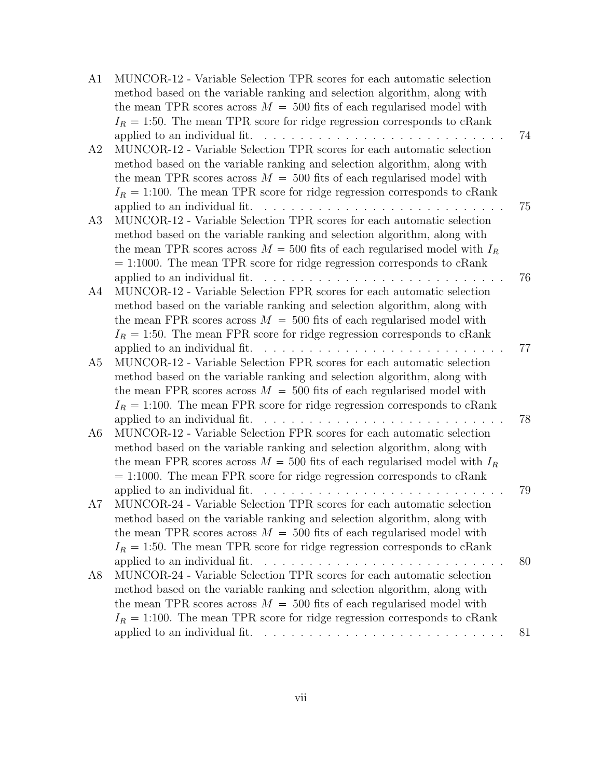| A1             | MUNCOR-12 - Variable Selection TPR scores for each automatic selection                                                                                   |    |
|----------------|----------------------------------------------------------------------------------------------------------------------------------------------------------|----|
|                | method based on the variable ranking and selection algorithm, along with                                                                                 |    |
|                | the mean TPR scores across $M = 500$ fits of each regularised model with                                                                                 |    |
|                | $I_R = 1.50$ . The mean TPR score for ridge regression corresponds to cRank                                                                              |    |
|                |                                                                                                                                                          | 74 |
| A2             | MUNCOR-12 - Variable Selection TPR scores for each automatic selection                                                                                   |    |
|                | method based on the variable ranking and selection algorithm, along with                                                                                 |    |
|                | the mean TPR scores across $M = 500$ fits of each regularised model with                                                                                 |    |
|                | $I_R = 1:100$ . The mean TPR score for ridge regression corresponds to cRank                                                                             |    |
|                | applied to an individual fit. $\ldots \ldots \ldots \ldots \ldots \ldots$                                                                                | 75 |
| A3             | MUNCOR-12 - Variable Selection TPR scores for each automatic selection                                                                                   |    |
|                | method based on the variable ranking and selection algorithm, along with                                                                                 |    |
|                | the mean TPR scores across $M = 500$ fits of each regularised model with $I_R$                                                                           |    |
|                | $= 1:1000$ . The mean TPR score for ridge regression corresponds to cRank                                                                                |    |
|                |                                                                                                                                                          | 76 |
| A4             | MUNCOR-12 - Variable Selection FPR scores for each automatic selection                                                                                   |    |
|                | method based on the variable ranking and selection algorithm, along with                                                                                 |    |
|                | the mean FPR scores across $M = 500$ fits of each regularised model with                                                                                 |    |
|                | $I_R = 1.50$ . The mean FPR score for ridge regression corresponds to cRank                                                                              |    |
|                |                                                                                                                                                          | 77 |
| A5             | MUNCOR-12 - Variable Selection FPR scores for each automatic selection                                                                                   |    |
|                | method based on the variable ranking and selection algorithm, along with                                                                                 |    |
|                | the mean FPR scores across $M = 500$ fits of each regularised model with<br>$I_R = 1:100$ . The mean FPR score for ridge regression corresponds to cRank |    |
|                | applied to an individual fit. $\ldots \ldots \ldots \ldots \ldots$                                                                                       | 78 |
| A <sub>6</sub> | MUNCOR-12 - Variable Selection FPR scores for each automatic selection                                                                                   |    |
|                | method based on the variable ranking and selection algorithm, along with                                                                                 |    |
|                | the mean FPR scores across $M = 500$ fits of each regularised model with $I_R$                                                                           |    |
|                | $= 1:1000$ . The mean FPR score for ridge regression corresponds to cRank                                                                                |    |
|                | applied to an individual fit.<br><u>. </u>                                                                                                               | 79 |
| A7             | MUNCOR-24 - Variable Selection TPR scores for each automatic selection                                                                                   |    |
|                | method based on the variable ranking and selection algorithm, along with                                                                                 |    |
|                | the mean TPR scores across $M = 500$ fits of each regularised model with                                                                                 |    |
|                | $I_R = 1:50$ . The mean TPR score for ridge regression corresponds to cRank                                                                              |    |
|                |                                                                                                                                                          | 80 |
| A8             | $\rm MUNCOR\text{-}24$ - Variable Selection TPR scores for each automatic selection                                                                      |    |
|                | method based on the variable ranking and selection algorithm, along with                                                                                 |    |
|                | the mean TPR scores across $M = 500$ fits of each regularised model with                                                                                 |    |
|                | $I_R = 1:100$ . The mean TPR score for ridge regression corresponds to cRank                                                                             |    |
|                |                                                                                                                                                          | 81 |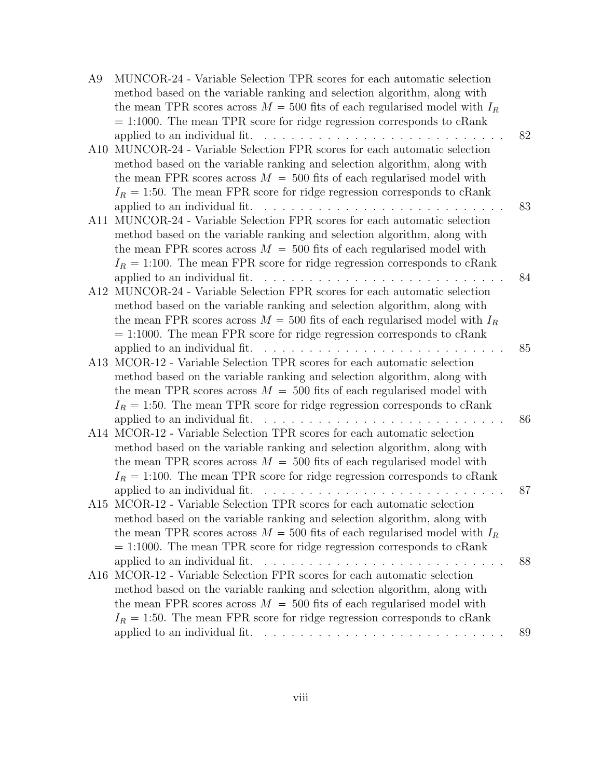| A9  | MUNCOR-24 - Variable Selection TPR scores for each automatic selection                                         |
|-----|----------------------------------------------------------------------------------------------------------------|
|     | method based on the variable ranking and selection algorithm, along with                                       |
|     | the mean TPR scores across $M = 500$ fits of each regularised model with $I_R$                                 |
|     | $= 1:1000$ . The mean TPR score for ridge regression corresponds to cRank                                      |
|     | 82                                                                                                             |
| A10 | MUNCOR-24 - Variable Selection FPR scores for each automatic selection                                         |
|     | method based on the variable ranking and selection algorithm, along with                                       |
|     | the mean FPR scores across $M = 500$ fits of each regularised model with                                       |
|     | $I_R = 1.50$ . The mean FPR score for ridge regression corresponds to cRank                                    |
|     | applied to an individual fit. $\ldots \ldots \ldots \ldots \ldots \ldots$<br>83                                |
| A11 | MUNCOR-24 - Variable Selection FPR scores for each automatic selection                                         |
|     | method based on the variable ranking and selection algorithm, along with                                       |
|     | the mean FPR scores across $M = 500$ fits of each regularised model with                                       |
|     | $I_R = 1:100$ . The mean FPR score for ridge regression corresponds to cRank                                   |
|     | applied to an individual fit. $\ldots$ , $\ldots$ , $\ldots$ , $\ldots$ , $\ldots$ , $\ldots$ , $\ldots$<br>84 |
| A12 | MUNCOR-24 - Variable Selection FPR scores for each automatic selection                                         |
|     | method based on the variable ranking and selection algorithm, along with                                       |
|     | the mean FPR scores across $M = 500$ fits of each regularised model with $I_R$                                 |
|     | $= 1:1000$ . The mean FPR score for ridge regression corresponds to cRank                                      |
|     | applied to an individual fit. $\ldots$ , $\ldots$ , $\ldots$ , $\ldots$ , $\ldots$<br>85                       |
|     | A13 MCOR-12 - Variable Selection TPR scores for each automatic selection                                       |
|     | method based on the variable ranking and selection algorithm, along with                                       |
|     | the mean TPR scores across $M = 500$ fits of each regularised model with                                       |
|     | $I_R = 1:50$ . The mean TPR score for ridge regression corresponds to cRank<br>86                              |
|     | A14 MCOR-12 - Variable Selection TPR scores for each automatic selection                                       |
|     | method based on the variable ranking and selection algorithm, along with                                       |
|     | the mean TPR scores across $M = 500$ fits of each regularised model with                                       |
|     | $I_R = 1:100$ . The mean TPR score for ridge regression corresponds to cRank                                   |
|     | 87                                                                                                             |
|     | A15 MCOR-12 - Variable Selection TPR scores for each automatic selection                                       |
|     | method based on the variable ranking and selection algorithm, along with                                       |
|     | the mean TPR scores across $M = 500$ fits of each regularised model with $I_R$                                 |
|     | $= 1:1000$ . The mean TPR score for ridge regression corresponds to cRank                                      |
|     | 88                                                                                                             |
| A16 | MCOR-12 - Variable Selection FPR scores for each automatic selection                                           |
|     | method based on the variable ranking and selection algorithm, along with                                       |
|     | the mean FPR scores across $M = 500$ fits of each regularised model with                                       |
|     | $I_R = 1:50$ . The mean FPR score for ridge regression corresponds to cRank                                    |
|     | 89                                                                                                             |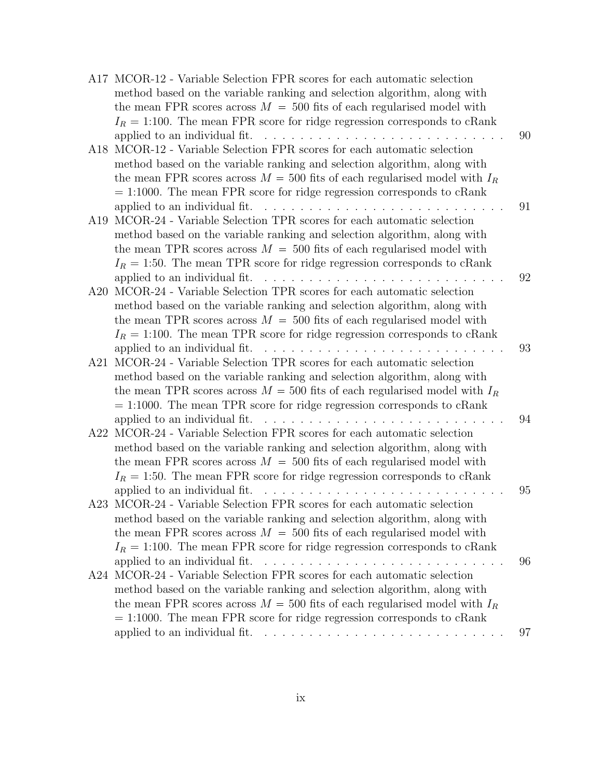|     | A17 MCOR-12 - Variable Selection FPR scores for each automatic selection                                                                                   |
|-----|------------------------------------------------------------------------------------------------------------------------------------------------------------|
|     | method based on the variable ranking and selection algorithm, along with                                                                                   |
|     | the mean FPR scores across $M = 500$ fits of each regularised model with                                                                                   |
|     | $I_R = 1:100$ . The mean FPR score for ridge regression corresponds to cRank                                                                               |
|     | 90                                                                                                                                                         |
| A18 | MCOR-12 - Variable Selection FPR scores for each automatic selection                                                                                       |
|     | method based on the variable ranking and selection algorithm, along with                                                                                   |
|     | the mean FPR scores across $M = 500$ fits of each regularised model with $I_R$                                                                             |
|     | $= 1:1000$ . The mean FPR score for ridge regression corresponds to cRank                                                                                  |
|     | 91                                                                                                                                                         |
| A19 | MCOR-24 - Variable Selection TPR scores for each automatic selection                                                                                       |
|     | method based on the variable ranking and selection algorithm, along with                                                                                   |
|     | the mean TPR scores across $M = 500$ fits of each regularised model with                                                                                   |
|     | $I_R = 1.50$ . The mean TPR score for ridge regression corresponds to cRank                                                                                |
|     | 92                                                                                                                                                         |
| A20 | MCOR-24 - Variable Selection TPR scores for each automatic selection                                                                                       |
|     | method based on the variable ranking and selection algorithm, along with                                                                                   |
|     | the mean TPR scores across $M = 500$ fits of each regularised model with                                                                                   |
|     | $I_R = 1:100$ . The mean TPR score for ridge regression corresponds to cRank                                                                               |
|     | applied to an individual fit. $\ldots$ , $\ldots$ , $\ldots$ , $\ldots$ , $\ldots$<br>93                                                                   |
| A21 | MCOR-24 - Variable Selection TPR scores for each automatic selection                                                                                       |
|     | method based on the variable ranking and selection algorithm, along with<br>the mean TPR scores across $M = 500$ fits of each regularised model with $I_R$ |
|     | $= 1:1000$ . The mean TPR score for ridge regression corresponds to cRank                                                                                  |
|     | applied to an individual fit. $\ldots$ , $\ldots$ , $\ldots$ , $\ldots$ , $\ldots$<br>94                                                                   |
| A22 | MCOR-24 - Variable Selection FPR scores for each automatic selection                                                                                       |
|     | method based on the variable ranking and selection algorithm, along with                                                                                   |
|     | the mean FPR scores across $M = 500$ fits of each regularised model with                                                                                   |
|     | $I_R = 1:50$ . The mean FPR score for ridge regression corresponds to cRank                                                                                |
|     | 95                                                                                                                                                         |
|     | A23 MCOR-24 - Variable Selection FPR scores for each automatic selection                                                                                   |
|     | method based on the variable ranking and selection algorithm, along with                                                                                   |
|     | the mean FPR scores across $M = 500$ fits of each regularised model with                                                                                   |
|     | $I_R = 1:100$ . The mean FPR score for ridge regression corresponds to cRank                                                                               |
|     | 96                                                                                                                                                         |
|     | A24 MCOR-24 - Variable Selection FPR scores for each automatic selection                                                                                   |
|     | method based on the variable ranking and selection algorithm, along with                                                                                   |
|     | the mean FPR scores across $M = 500$ fits of each regularised model with $I_R$                                                                             |
|     | $= 1:1000$ . The mean FPR score for ridge regression corresponds to cRank                                                                                  |
|     | applied to an individual fit. $\ldots \ldots \ldots \ldots \ldots \ldots \ldots \ldots \ldots$<br>97                                                       |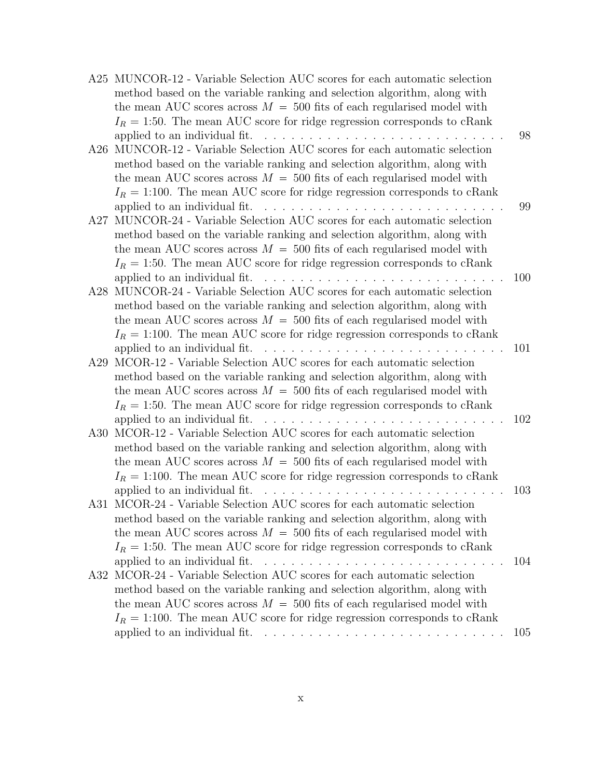|     | A25 MUNCOR-12 - Variable Selection AUC scores for each automatic selection                                          |     |
|-----|---------------------------------------------------------------------------------------------------------------------|-----|
|     | method based on the variable ranking and selection algorithm, along with                                            |     |
|     | the mean AUC scores across $M = 500$ fits of each regularised model with                                            |     |
|     | $I_R = 1.50$ . The mean AUC score for ridge regression corresponds to cRank                                         |     |
|     |                                                                                                                     | 98  |
| A26 | MUNCOR-12 - Variable Selection AUC scores for each automatic selection                                              |     |
|     | method based on the variable ranking and selection algorithm, along with                                            |     |
|     | the mean AUC scores across $M = 500$ fits of each regularised model with                                            |     |
|     | $I_R = 1:100$ . The mean AUC score for ridge regression corresponds to cRank                                        |     |
|     | applied to an individual fit. $\ldots$ , $\ldots$ , $\ldots$ , $\ldots$ , $\ldots$ , $\ldots$ , $\ldots$ , $\ldots$ | 99  |
| A27 | MUNCOR-24 - Variable Selection AUC scores for each automatic selection                                              |     |
|     | method based on the variable ranking and selection algorithm, along with                                            |     |
|     | the mean AUC scores across $M = 500$ fits of each regularised model with                                            |     |
|     | $I_R = 1.50$ . The mean AUC score for ridge regression corresponds to cRank                                         |     |
|     | applied to an individual fit. $\ldots \ldots \ldots \ldots \ldots \ldots \ldots \ldots \ldots$                      | 100 |
| A28 | MUNCOR-24 - Variable Selection AUC scores for each automatic selection                                              |     |
|     | method based on the variable ranking and selection algorithm, along with                                            |     |
|     | the mean AUC scores across $M = 500$ fits of each regularised model with                                            |     |
|     | $I_R = 1:100$ . The mean AUC score for ridge regression corresponds to cRank                                        |     |
|     |                                                                                                                     | 101 |
| A29 | MCOR-12 - Variable Selection AUC scores for each automatic selection                                                |     |
|     | method based on the variable ranking and selection algorithm, along with                                            |     |
|     | the mean AUC scores across $M = 500$ fits of each regularised model with                                            |     |
|     | $I_R = 1.50$ . The mean AUC score for ridge regression corresponds to cRank                                         |     |
|     |                                                                                                                     | 102 |
| A30 | MCOR-12 - Variable Selection AUC scores for each automatic selection                                                |     |
|     | method based on the variable ranking and selection algorithm, along with                                            |     |
|     | the mean AUC scores across $M = 500$ fits of each regularised model with                                            |     |
|     | $I_R = 1:100$ . The mean AUC score for ridge regression corresponds to cRank                                        | 103 |
|     | A31 MCOR-24 - Variable Selection AUC scores for each automatic selection                                            |     |
|     | method based on the variable ranking and selection algorithm, along with                                            |     |
|     | the mean AUC scores across $M = 500$ fits of each regularised model with                                            |     |
|     | $I_R = 1:50$ . The mean AUC score for ridge regression corresponds to cRank                                         |     |
|     |                                                                                                                     | 104 |
|     | A32 MCOR-24 - Variable Selection AUC scores for each automatic selection                                            |     |
|     | method based on the variable ranking and selection algorithm, along with                                            |     |
|     | the mean AUC scores across $M = 500$ fits of each regularised model with                                            |     |
|     | $I_R = 1:100$ . The mean AUC score for ridge regression corresponds to cRank                                        |     |
|     | applied to an individual fit. $\ldots \ldots \ldots \ldots \ldots \ldots \ldots \ldots \ldots$                      | 105 |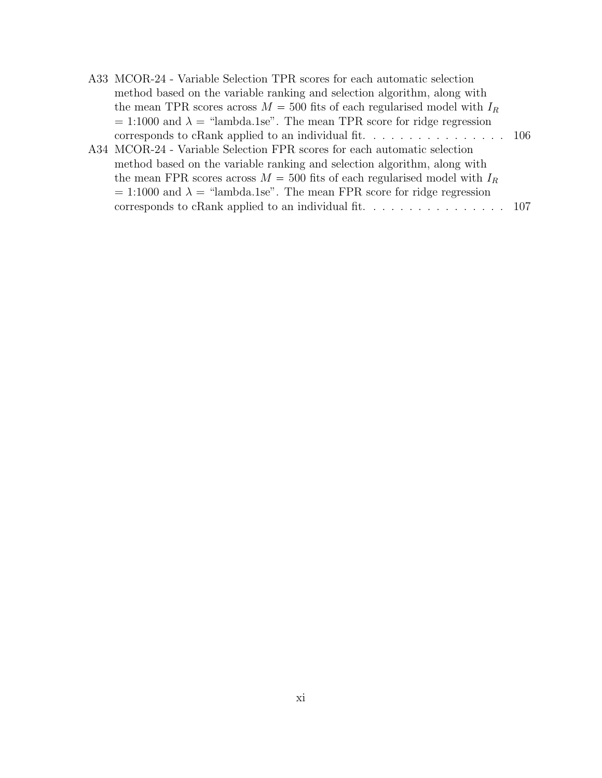| A33 MCOR-24 - Variable Selection TPR scores for each automatic selection                                                                                                                                                                                                                                                                                                                                                                                     |  |
|--------------------------------------------------------------------------------------------------------------------------------------------------------------------------------------------------------------------------------------------------------------------------------------------------------------------------------------------------------------------------------------------------------------------------------------------------------------|--|
| method based on the variable ranking and selection algorithm, along with                                                                                                                                                                                                                                                                                                                                                                                     |  |
| the mean TPR scores across $M = 500$ fits of each regularised model with $I_R$                                                                                                                                                                                                                                                                                                                                                                               |  |
| $= 1:1000$ and $\lambda =$ "lambda.1se". The mean TPR score for ridge regression                                                                                                                                                                                                                                                                                                                                                                             |  |
|                                                                                                                                                                                                                                                                                                                                                                                                                                                              |  |
| A34 MCOR-24 - Variable Selection FPR scores for each automatic selection                                                                                                                                                                                                                                                                                                                                                                                     |  |
| $\mathcal{A} = \mathcal{A} + \mathcal{A} + \mathcal{A} + \mathcal{A} + \mathcal{A} + \mathcal{A} + \mathcal{A} + \mathcal{A} + \mathcal{A} + \mathcal{A} + \mathcal{A} + \mathcal{A} + \mathcal{A} + \mathcal{A} + \mathcal{A} + \mathcal{A} + \mathcal{A} + \mathcal{A} + \mathcal{A} + \mathcal{A} + \mathcal{A} + \mathcal{A} + \mathcal{A} + \mathcal{A} + \mathcal{A} + \mathcal{A} + \mathcal{A} + \mathcal{A} + \mathcal{A} + \mathcal{A} + \mathcal$ |  |

method based on the variable ranking and selection algorithm, along with the mean FPR scores across  $M = 500$  fits of each regularised model with  $I_R$  $= 1:1000$  and  $\lambda =$  "lambda.1se". The mean FPR score for ridge regression corresponds to cRank applied to an individual fit.  $\dots \dots \dots \dots \dots \dots \dots$  107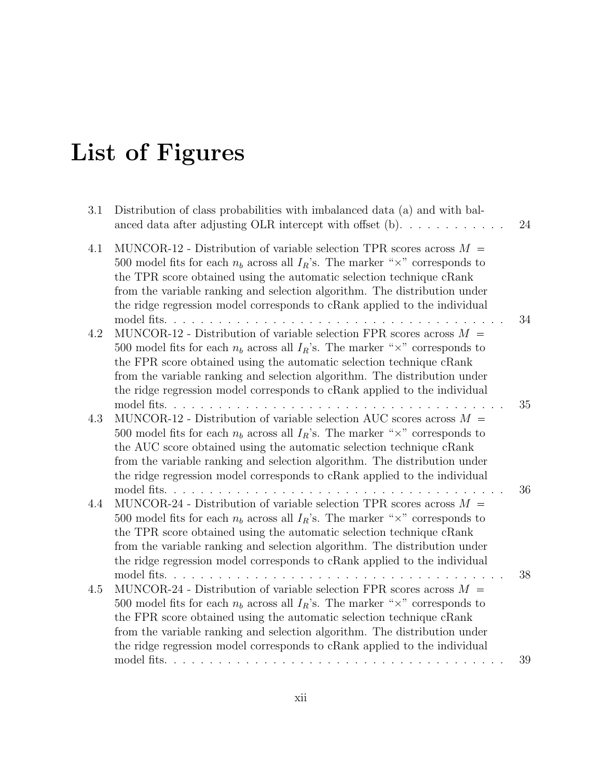# List of Figures

| 3.1 | Distribution of class probabilities with imbalanced data (a) and with bal-<br>anced data after adjusting OLR intercept with offset $(b)$                                                                                                                                                                                                                                                                                             | 24 |
|-----|--------------------------------------------------------------------------------------------------------------------------------------------------------------------------------------------------------------------------------------------------------------------------------------------------------------------------------------------------------------------------------------------------------------------------------------|----|
| 4.1 | MUNCOR-12 - Distribution of variable selection TPR scores across $M =$<br>500 model fits for each $n_b$ across all $I_R$ 's. The marker " $\times$ " corresponds to<br>the TPR score obtained using the automatic selection technique cRank<br>from the variable ranking and selection algorithm. The distribution under<br>the ridge regression model corresponds to cRank applied to the individual                                |    |
| 4.2 | model fits.<br>.<br>MUNCOR-12 - Distribution of variable selection FPR scores across $M =$<br>500 model fits for each $n_b$ across all $I_R$ 's. The marker " $\times$ " corresponds to<br>the FPR score obtained using the automatic selection technique cRank<br>from the variable ranking and selection algorithm. The distribution under<br>the ridge regression model corresponds to cRank applied to the individual            | 34 |
| 4.3 | model fits<br>and a control<br>MUNCOR-12 - Distribution of variable selection AUC scores across $M =$<br>500 model fits for each $n_b$ across all $I_R$ 's. The marker " $\times$ " corresponds to<br>the AUC score obtained using the automatic selection technique cRank<br>from the variable ranking and selection algorithm. The distribution under<br>the ridge regression model corresponds to cRank applied to the individual | 35 |
| 4.4 | MUNCOR-24 - Distribution of variable selection TPR scores across $M =$<br>500 model fits for each $n_b$ across all $I_R$ 's. The marker " $\times$ " corresponds to<br>the TPR score obtained using the automatic selection technique cRank<br>from the variable ranking and selection algorithm. The distribution under<br>the ridge regression model corresponds to cRank applied to the individual                                | 36 |
| 4.5 | model fits. $\ldots$<br>MUNCOR-24 - Distribution of variable selection FPR scores across $M =$<br>500 model fits for each $n_b$ across all $I_R$ 's. The marker " $\times$ " corresponds to<br>the FPR score obtained using the automatic selection technique cRank<br>from the variable ranking and selection algorithm. The distribution under<br>the ridge regression model corresponds to cRank applied to the individual        | 38 |
|     | model fits. $\ldots$ $\ldots$ $\ldots$ $\ldots$ $\ldots$                                                                                                                                                                                                                                                                                                                                                                             | 39 |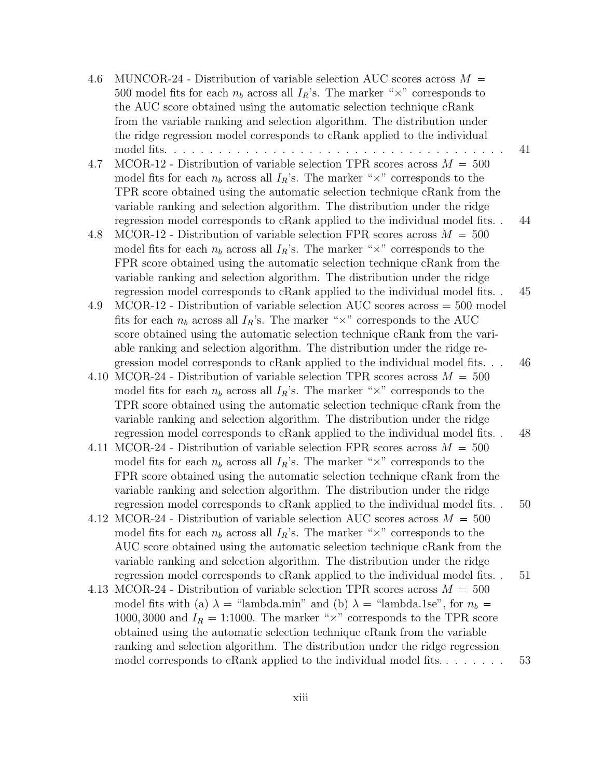| 4.6  | MUNCOR-24 - Distribution of variable selection AUC scores across $M =$<br>500 model fits for each $n_b$ across all $I_R$ 's. The marker " $\times$ " corresponds to<br>the AUC score obtained using the automatic selection technique cRank<br>from the variable ranking and selection algorithm. The distribution under                                                                                                                                                                         |    |
|------|--------------------------------------------------------------------------------------------------------------------------------------------------------------------------------------------------------------------------------------------------------------------------------------------------------------------------------------------------------------------------------------------------------------------------------------------------------------------------------------------------|----|
| 4.7  | the ridge regression model corresponds to cRank applied to the individual<br>MCOR-12 - Distribution of variable selection TPR scores across $M = 500$<br>model fits for each $n_b$ across all $I_R$ 's. The marker " $\times$ " corresponds to the                                                                                                                                                                                                                                               | 41 |
| 4.8  | TPR score obtained using the automatic selection technique cRank from the<br>variable ranking and selection algorithm. The distribution under the ridge<br>regression model corresponds to cRank applied to the individual model fits<br>MCOR-12 - Distribution of variable selection FPR scores across $M = 500$<br>model fits for each $n_b$ across all $I_R$ 's. The marker " $\times$ " corresponds to the                                                                                   | 44 |
| 4.9  | FPR score obtained using the automatic selection technique cRank from the<br>variable ranking and selection algorithm. The distribution under the ridge<br>regression model corresponds to cRank applied to the individual model fits<br>$MCOR-12$ - Distribution of variable selection AUC scores across = 500 model<br>fits for each $n_b$ across all $I_R$ 's. The marker " $\times$ " corresponds to the AUC                                                                                 | 45 |
| 4.10 | score obtained using the automatic selection technique cRank from the vari-<br>able ranking and selection algorithm. The distribution under the ridge re-<br>gression model corresponds to cRank applied to the individual model fits<br>MCOR-24 - Distribution of variable selection TPR scores across $M = 500$<br>model fits for each $n_b$ across all $I_R$ 's. The marker " $\times$ " corresponds to the<br>TPR score obtained using the automatic selection technique cRank from the      | 46 |
|      | variable ranking and selection algorithm. The distribution under the ridge<br>regression model corresponds to cRank applied to the individual model fits<br>4.11 MCOR-24 - Distribution of variable selection FPR scores across $M = 500$<br>model fits for each $n_b$ across all $I_R$ 's. The marker " $\times$ " corresponds to the                                                                                                                                                           | 48 |
|      | FPR score obtained using the automatic selection technique cRank from the<br>variable ranking and selection algorithm. The distribution under the ridge<br>regression model corresponds to cRank applied to the individual model fits<br>4.12 MCOR-24 - Distribution of variable selection AUC scores across $M = 500$<br>model fits for each $n_b$ across all $I_R$ 's. The marker " $\times$ " corresponds to the<br>AUC score obtained using the automatic selection technique cRank from the | 50 |
|      | variable ranking and selection algorithm. The distribution under the ridge<br>regression model corresponds to cRank applied to the individual model fits<br>4.13 MCOR-24 - Distribution of variable selection TPR scores across $M = 500$<br>model fits with (a) $\lambda$ = "lambda.min" and (b) $\lambda$ = "lambda.1se", for $n_b$ =<br>1000, 3000 and $I_R = 1:1000$ . The marker " $\times$ " corresponds to the TPR score                                                                  | 51 |
|      | obtained using the automatic selection technique cRank from the variable<br>ranking and selection algorithm. The distribution under the ridge regression<br>model corresponds to cRank applied to the individual model fits                                                                                                                                                                                                                                                                      | 53 |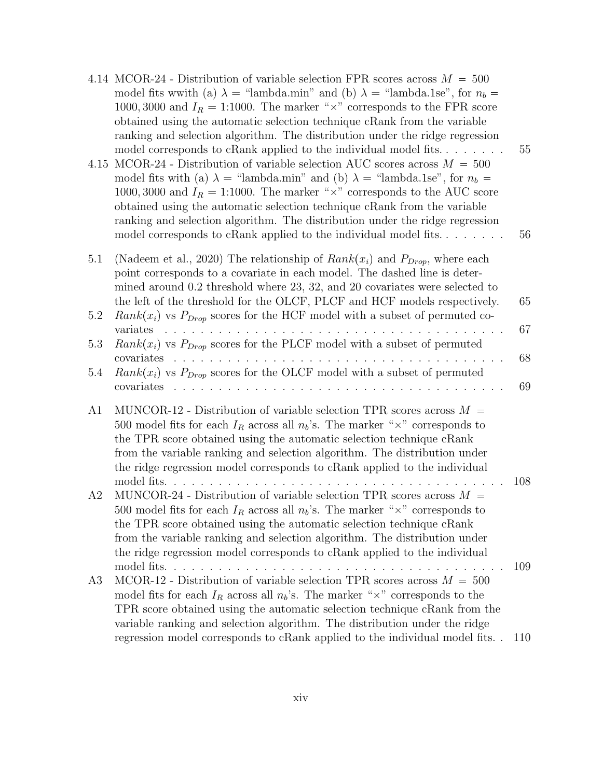| 4.15           | 4.14 MCOR-24 - Distribution of variable selection FPR scores across $M = 500$<br>model fits with (a) $\lambda =$ "lambda.min" and (b) $\lambda =$ "lambda.1se", for $n_b =$<br>1000, 3000 and $I_R = 1:1000$ . The marker " $\times$ " corresponds to the FPR score<br>obtained using the automatic selection technique cRank from the variable<br>ranking and selection algorithm. The distribution under the ridge regression<br>model corresponds to cRank applied to the individual model fits<br>MCOR-24 - Distribution of variable selection AUC scores across $M = 500$<br>model fits with (a) $\lambda$ = "lambda.min" and (b) $\lambda$ = "lambda.1se", for $n_b$ =<br>1000, 3000 and $I_R = 1:1000$ . The marker " $\times$ " corresponds to the AUC score<br>obtained using the automatic selection technique cRank from the variable<br>ranking and selection algorithm. The distribution under the ridge regression<br>model corresponds to cRank applied to the individual model fits | 55<br>56   |
|----------------|-----------------------------------------------------------------------------------------------------------------------------------------------------------------------------------------------------------------------------------------------------------------------------------------------------------------------------------------------------------------------------------------------------------------------------------------------------------------------------------------------------------------------------------------------------------------------------------------------------------------------------------------------------------------------------------------------------------------------------------------------------------------------------------------------------------------------------------------------------------------------------------------------------------------------------------------------------------------------------------------------------|------------|
| 5.1<br>5.2     | (Nadeem et al., 2020) The relationship of $Rank(x_i)$ and $P_{Drop}$ , where each<br>point corresponds to a covariate in each model. The dashed line is deter-<br>mined around $0.2$ threshold where $23, 32,$ and $20$ covariates were selected to<br>the left of the threshold for the OLCF, PLCF and HCF models respectively.<br>$Rank(x_i)$ vs $P_{Drop}$ scores for the HCF model with a subset of permuted co-                                                                                                                                                                                                                                                                                                                                                                                                                                                                                                                                                                                | 65         |
|                | variates                                                                                                                                                                                                                                                                                                                                                                                                                                                                                                                                                                                                                                                                                                                                                                                                                                                                                                                                                                                            | 67         |
| 5.3            | $Rank(x_i)$ vs $P_{Drop}$ scores for the PLCF model with a subset of permuted                                                                                                                                                                                                                                                                                                                                                                                                                                                                                                                                                                                                                                                                                                                                                                                                                                                                                                                       |            |
| 5.4            | <u> 1950 - Johann Johann Johann Johann Johann Johann Johann Johann Johann Johann Johann Johann Johann Johann Johann Johann Johann Johann Johann Johann Johann Johann Johann Johann Johann Johann Johann Johann Johann Johann Joh</u><br>covariates<br>$\mathbf{r}$ and $\mathbf{r}$ and $\mathbf{r}$ and $\mathbf{r}$<br>$Rank(x_i)$ vs $P_{Drop}$ scores for the OLCF model with a subset of permuted<br>covariates                                                                                                                                                                                                                                                                                                                                                                                                                                                                                                                                                                                | 68<br>69   |
| A <sub>1</sub> | MUNCOR-12 - Distribution of variable selection TPR scores across $M =$<br>500 model fits for each $I_R$ across all $n_b$ 's. The marker " $\times$ " corresponds to<br>the TPR score obtained using the automatic selection technique cRank<br>from the variable ranking and selection algorithm. The distribution under<br>the ridge regression model corresponds to cRank applied to the individual<br>model fits                                                                                                                                                                                                                                                                                                                                                                                                                                                                                                                                                                                 | 108        |
| A2             | MUNCOR-24 - Distribution of variable selection TPR scores across $M =$<br>500 model fits for each $I_R$ across all $n_b$ 's. The marker " $\times$ " corresponds to<br>the TPR score obtained using the automatic selection technique cRank<br>from the variable ranking and selection algorithm. The distribution under<br>the ridge regression model corresponds to cRank applied to the individual                                                                                                                                                                                                                                                                                                                                                                                                                                                                                                                                                                                               |            |
| A3             | MCOR-12 - Distribution of variable selection TPR scores across $M = 500$<br>model fits for each $I_R$ across all $n_b$ 's. The marker " $\times$ " corresponds to the<br>TPR score obtained using the automatic selection technique cRank from the<br>variable ranking and selection algorithm. The distribution under the ridge                                                                                                                                                                                                                                                                                                                                                                                                                                                                                                                                                                                                                                                                    | 109        |
|                | regression model corresponds to cRank applied to the individual model fits                                                                                                                                                                                                                                                                                                                                                                                                                                                                                                                                                                                                                                                                                                                                                                                                                                                                                                                          | <b>110</b> |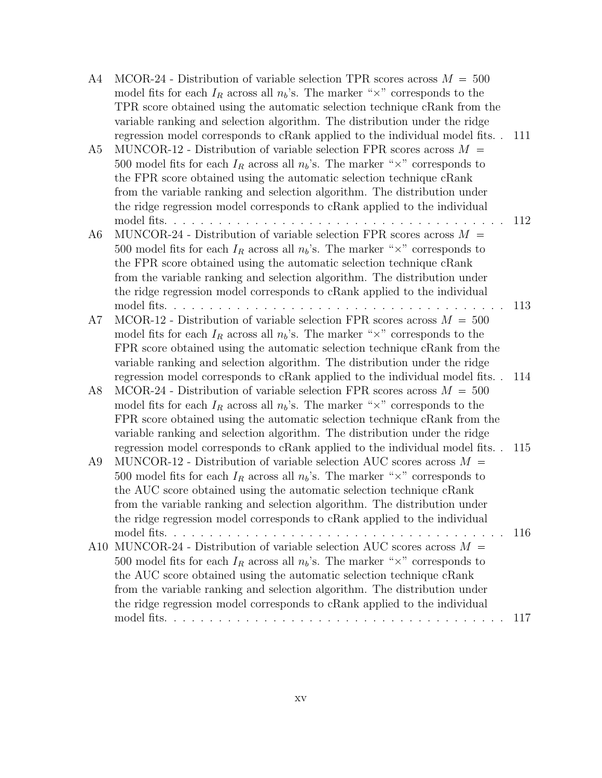| A4  | MCOR-24 - Distribution of variable selection TPR scores across $M = 500$                  |     |
|-----|-------------------------------------------------------------------------------------------|-----|
|     | model fits for each $I_R$ across all $n_b$ 's. The marker " $\times$ " corresponds to the |     |
|     | TPR score obtained using the automatic selection technique cRank from the                 |     |
|     | variable ranking and selection algorithm. The distribution under the ridge                |     |
|     | regression model corresponds to cRank applied to the individual model fits                | 111 |
| A5  | MUNCOR-12 - Distribution of variable selection FPR scores across $M =$                    |     |
|     | 500 model fits for each $I_R$ across all $n_b$ 's. The marker " $\times$ " corresponds to |     |
|     | the FPR score obtained using the automatic selection technique cRank                      |     |
|     | from the variable ranking and selection algorithm. The distribution under                 |     |
|     | the ridge regression model corresponds to cRank applied to the individual                 |     |
|     |                                                                                           | 112 |
| A6  | MUNCOR-24 - Distribution of variable selection FPR scores across $M =$                    |     |
|     | 500 model fits for each $I_R$ across all $n_b$ 's. The marker " $\times$ " corresponds to |     |
|     | the FPR score obtained using the automatic selection technique cRank                      |     |
|     | from the variable ranking and selection algorithm. The distribution under                 |     |
|     | the ridge regression model corresponds to cRank applied to the individual                 |     |
|     |                                                                                           | 113 |
| A7  | MCOR-12 - Distribution of variable selection FPR scores across $M = 500$                  |     |
|     | model fits for each $I_R$ across all $n_b$ 's. The marker " $\times$ " corresponds to the |     |
|     | FPR score obtained using the automatic selection technique cRank from the                 |     |
|     | variable ranking and selection algorithm. The distribution under the ridge                |     |
|     | regression model corresponds to cRank applied to the individual model fits                | 114 |
| A8  | MCOR-24 - Distribution of variable selection FPR scores across $M = 500$                  |     |
|     | model fits for each $I_R$ across all $n_b$ 's. The marker " $\times$ " corresponds to the |     |
|     | FPR score obtained using the automatic selection technique cRank from the                 |     |
|     | variable ranking and selection algorithm. The distribution under the ridge                |     |
|     | regression model corresponds to cRank applied to the individual model fits                | 115 |
| A9  | MUNCOR-12 - Distribution of variable selection AUC scores across $M =$                    |     |
|     | 500 model fits for each $I_R$ across all $n_b$ 's. The marker " $\times$ " corresponds to |     |
|     | the AUC score obtained using the automatic selection technique cRank                      |     |
|     | from the variable ranking and selection algorithm. The distribution under                 |     |
|     | the ridge regression model corresponds to cRank applied to the individual                 |     |
|     |                                                                                           | 116 |
| A10 | MUNCOR-24 - Distribution of variable selection AUC scores across $M =$                    |     |
|     | 500 model fits for each $I_R$ across all $n_b$ 's. The marker " $\times$ " corresponds to |     |
|     | the AUC score obtained using the automatic selection technique cRank                      |     |
|     | from the variable ranking and selection algorithm. The distribution under                 |     |
|     | the ridge regression model corresponds to cRank applied to the individual                 |     |
|     |                                                                                           | 117 |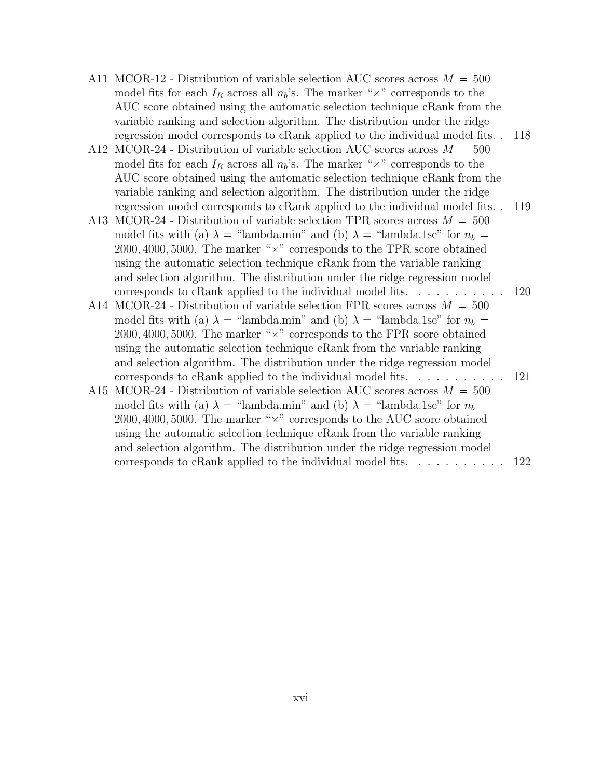- A11 MCOR-12 Distribution of variable selection AUC scores across  $M = 500$ model fits for each  $I_R$  across all  $n_b$ 's. The marker " $\times$ " corresponds to the AUC score obtained using the automatic selection technique cRank from the variable ranking and selection algorithm. The distribution under the ridge regression model corresponds to cRank applied to the individual model fits. . 118
- A12 MCOR-24 Distribution of variable selection AUC scores across  $M = 500$ model fits for each  $I_R$  across all  $n_b$ 's. The marker " $\times$ " corresponds to the AUC score obtained using the automatic selection technique cRank from the variable ranking and selection algorithm. The distribution under the ridge regression model corresponds to cRank applied to the individual model fits. . 119
- A13 MCOR-24 Distribution of variable selection TPR scores across  $M = 500$ model fits with (a)  $\lambda$  = "lambda.min" and (b)  $\lambda$  = "lambda.1se" for  $n_b$  =  $2000, 4000, 5000$ . The marker " $\times$ " corresponds to the TPR score obtained using the automatic selection technique cRank from the variable ranking and selection algorithm. The distribution under the ridge regression model corresponds to cRank applied to the individual model fits. . . . . . . . . . . 120
- A14 MCOR-24 Distribution of variable selection FPR scores across  $M = 500$ model fits with (a)  $\lambda$  = "lambda.min" and (b)  $\lambda$  = "lambda.1se" for  $n_b$  =  $2000, 4000, 5000$ . The marker " $\times$ " corresponds to the FPR score obtained using the automatic selection technique cRank from the variable ranking and selection algorithm. The distribution under the ridge regression model corresponds to cRank applied to the individual model fits. . . . . . . . . . . 121
- A15 MCOR-24 Distribution of variable selection AUC scores across  $M = 500$ model fits with (a)  $\lambda$  = "lambda.min" and (b)  $\lambda$  = "lambda.1se" for  $n_b$  =  $2000, 4000, 5000$ . The marker " $\times$ " corresponds to the AUC score obtained using the automatic selection technique cRank from the variable ranking and selection algorithm. The distribution under the ridge regression model corresponds to cRank applied to the individual model fits. . . . . . . . . . . 122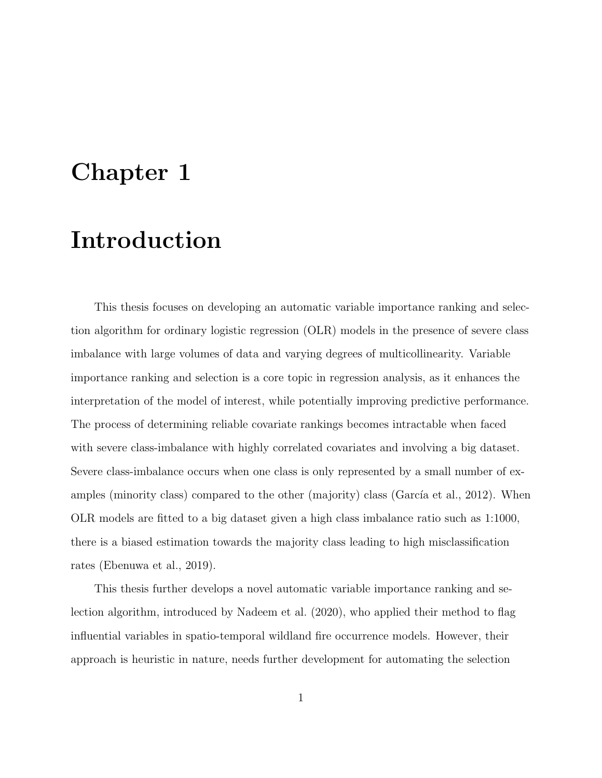## Chapter 1

## Introduction

This thesis focuses on developing an automatic variable importance ranking and selection algorithm for ordinary logistic regression (OLR) models in the presence of severe class imbalance with large volumes of data and varying degrees of multicollinearity. Variable importance ranking and selection is a core topic in regression analysis, as it enhances the interpretation of the model of interest, while potentially improving predictive performance. The process of determining reliable covariate rankings becomes intractable when faced with severe class-imbalance with highly correlated covariates and involving a big dataset. Severe class-imbalance occurs when one class is only represented by a small number of examples (minority class) compared to the other (majority) class (García et al., 2012). When OLR models are fitted to a big dataset given a high class imbalance ratio such as 1:1000, there is a biased estimation towards the majority class leading to high misclassification rates (Ebenuwa et al., 2019).

This thesis further develops a novel automatic variable importance ranking and selection algorithm, introduced by Nadeem et al. (2020), who applied their method to flag influential variables in spatio-temporal wildland fire occurrence models. However, their approach is heuristic in nature, needs further development for automating the selection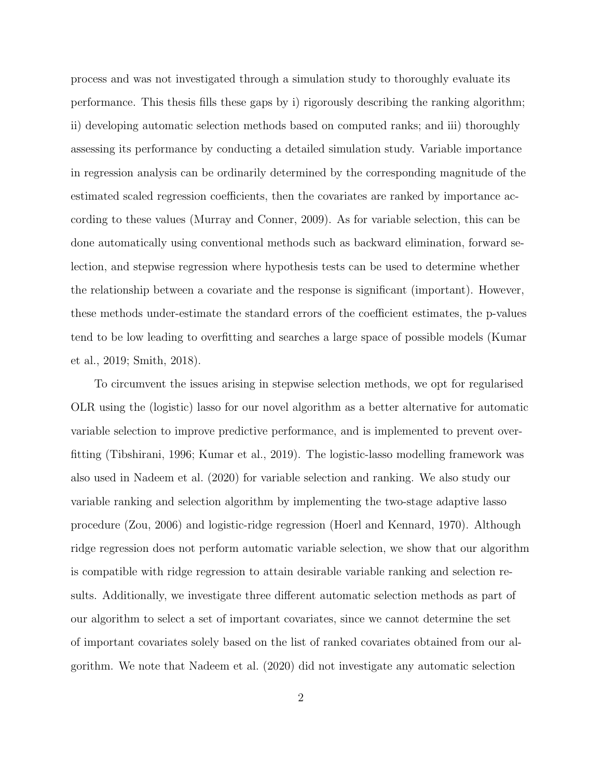process and was not investigated through a simulation study to thoroughly evaluate its performance. This thesis fills these gaps by i) rigorously describing the ranking algorithm; ii) developing automatic selection methods based on computed ranks; and iii) thoroughly assessing its performance by conducting a detailed simulation study. Variable importance in regression analysis can be ordinarily determined by the corresponding magnitude of the estimated scaled regression coefficients, then the covariates are ranked by importance according to these values (Murray and Conner, 2009). As for variable selection, this can be done automatically using conventional methods such as backward elimination, forward selection, and stepwise regression where hypothesis tests can be used to determine whether the relationship between a covariate and the response is significant (important). However, these methods under-estimate the standard errors of the coefficient estimates, the p-values tend to be low leading to overfitting and searches a large space of possible models (Kumar et al., 2019; Smith, 2018).

To circumvent the issues arising in stepwise selection methods, we opt for regularised OLR using the (logistic) lasso for our novel algorithm as a better alternative for automatic variable selection to improve predictive performance, and is implemented to prevent overfitting (Tibshirani, 1996; Kumar et al., 2019). The logistic-lasso modelling framework was also used in Nadeem et al. (2020) for variable selection and ranking. We also study our variable ranking and selection algorithm by implementing the two-stage adaptive lasso procedure (Zou, 2006) and logistic-ridge regression (Hoerl and Kennard, 1970). Although ridge regression does not perform automatic variable selection, we show that our algorithm is compatible with ridge regression to attain desirable variable ranking and selection results. Additionally, we investigate three different automatic selection methods as part of our algorithm to select a set of important covariates, since we cannot determine the set of important covariates solely based on the list of ranked covariates obtained from our algorithm. We note that Nadeem et al. (2020) did not investigate any automatic selection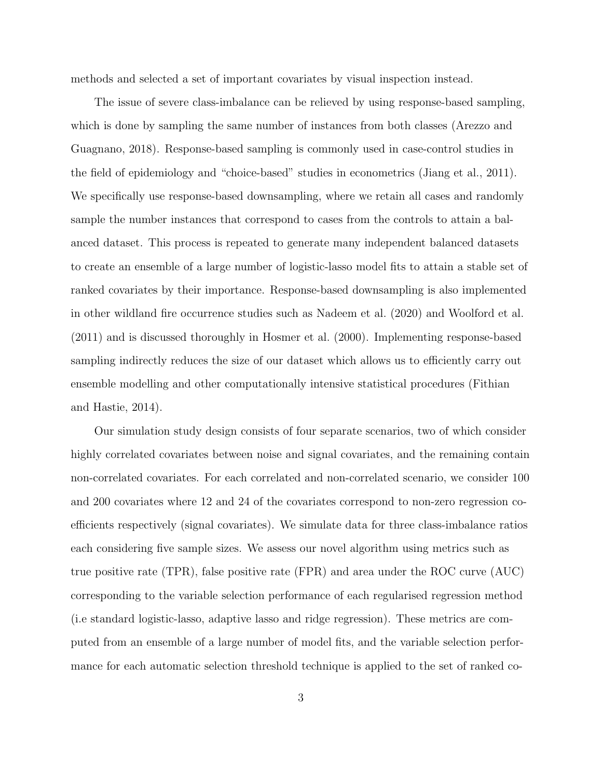methods and selected a set of important covariates by visual inspection instead.

The issue of severe class-imbalance can be relieved by using response-based sampling, which is done by sampling the same number of instances from both classes (Arezzo and Guagnano, 2018). Response-based sampling is commonly used in case-control studies in the field of epidemiology and "choice-based" studies in econometrics (Jiang et al., 2011). We specifically use response-based downsampling, where we retain all cases and randomly sample the number instances that correspond to cases from the controls to attain a balanced dataset. This process is repeated to generate many independent balanced datasets to create an ensemble of a large number of logistic-lasso model fits to attain a stable set of ranked covariates by their importance. Response-based downsampling is also implemented in other wildland fire occurrence studies such as Nadeem et al. (2020) and Woolford et al. (2011) and is discussed thoroughly in Hosmer et al. (2000). Implementing response-based sampling indirectly reduces the size of our dataset which allows us to efficiently carry out ensemble modelling and other computationally intensive statistical procedures (Fithian and Hastie, 2014).

Our simulation study design consists of four separate scenarios, two of which consider highly correlated covariates between noise and signal covariates, and the remaining contain non-correlated covariates. For each correlated and non-correlated scenario, we consider 100 and 200 covariates where 12 and 24 of the covariates correspond to non-zero regression coefficients respectively (signal covariates). We simulate data for three class-imbalance ratios each considering five sample sizes. We assess our novel algorithm using metrics such as true positive rate (TPR), false positive rate (FPR) and area under the ROC curve (AUC) corresponding to the variable selection performance of each regularised regression method (i.e standard logistic-lasso, adaptive lasso and ridge regression). These metrics are computed from an ensemble of a large number of model fits, and the variable selection performance for each automatic selection threshold technique is applied to the set of ranked co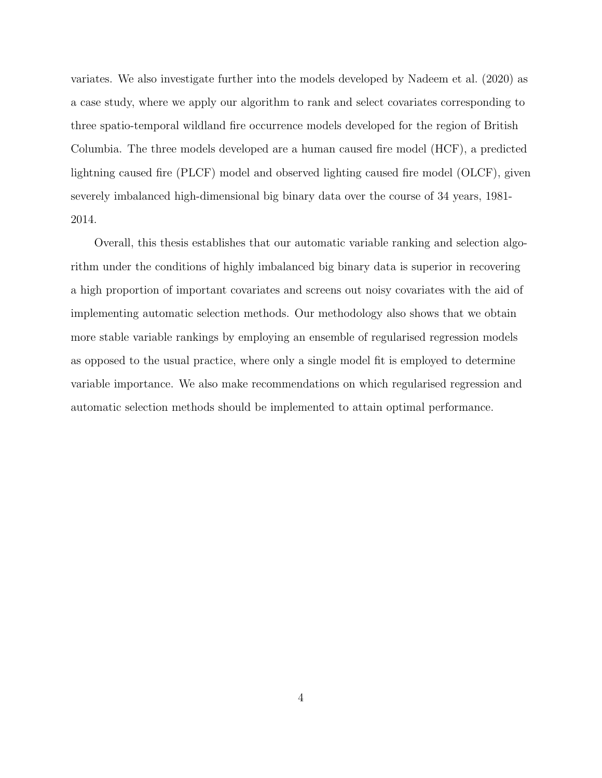variates. We also investigate further into the models developed by Nadeem et al. (2020) as a case study, where we apply our algorithm to rank and select covariates corresponding to three spatio-temporal wildland fire occurrence models developed for the region of British Columbia. The three models developed are a human caused fire model (HCF), a predicted lightning caused fire (PLCF) model and observed lighting caused fire model (OLCF), given severely imbalanced high-dimensional big binary data over the course of 34 years, 1981- 2014.

Overall, this thesis establishes that our automatic variable ranking and selection algorithm under the conditions of highly imbalanced big binary data is superior in recovering a high proportion of important covariates and screens out noisy covariates with the aid of implementing automatic selection methods. Our methodology also shows that we obtain more stable variable rankings by employing an ensemble of regularised regression models as opposed to the usual practice, where only a single model fit is employed to determine variable importance. We also make recommendations on which regularised regression and automatic selection methods should be implemented to attain optimal performance.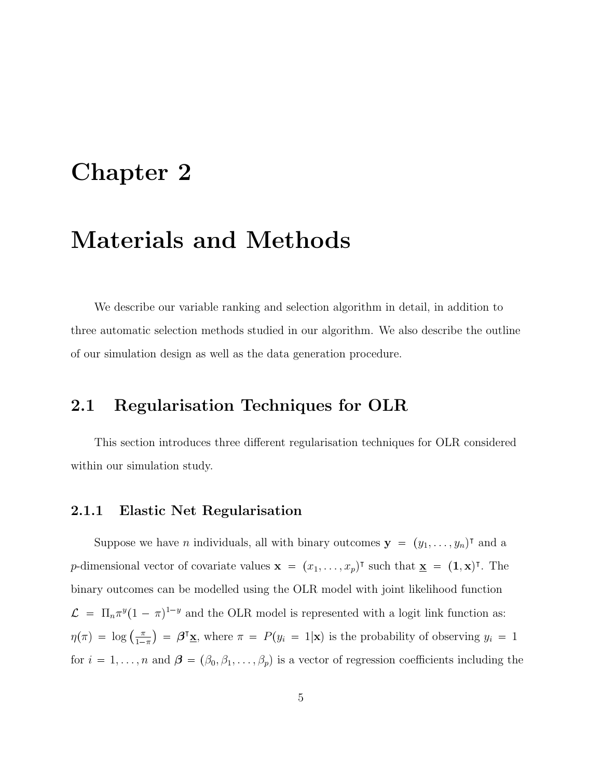## Chapter 2

## Materials and Methods

We describe our variable ranking and selection algorithm in detail, in addition to three automatic selection methods studied in our algorithm. We also describe the outline of our simulation design as well as the data generation procedure.

### 2.1 Regularisation Techniques for OLR

This section introduces three different regularisation techniques for OLR considered within our simulation study.

### 2.1.1 Elastic Net Regularisation

Suppose we have *n* individuals, all with binary outcomes  $\mathbf{y} = (y_1, \dots, y_n)^\intercal$  and a p-dimensional vector of covariate values  $\mathbf{x} = (x_1, \ldots, x_p)^\intercal$  such that  $\underline{\mathbf{x}} = (\mathbf{1}, \mathbf{x})^\intercal$ . The binary outcomes can be modelled using the OLR model with joint likelihood function  $\mathcal{L} = \Pi_n \pi^y (1 - \pi)^{1-y}$  and the OLR model is represented with a logit link function as:  $\eta(\pi) = \log \left( \frac{\pi}{1 - \pi} \right)$  $\frac{\pi}{1-\pi}$  =  $\beta^{\dagger}$ **x**, where  $\pi = P(y_i = 1|\mathbf{x})$  is the probability of observing  $y_i = 1$ for  $i = 1, \ldots, n$  and  $\boldsymbol{\beta} = (\beta_0, \beta_1, \ldots, \beta_p)$  is a vector of regression coefficients including the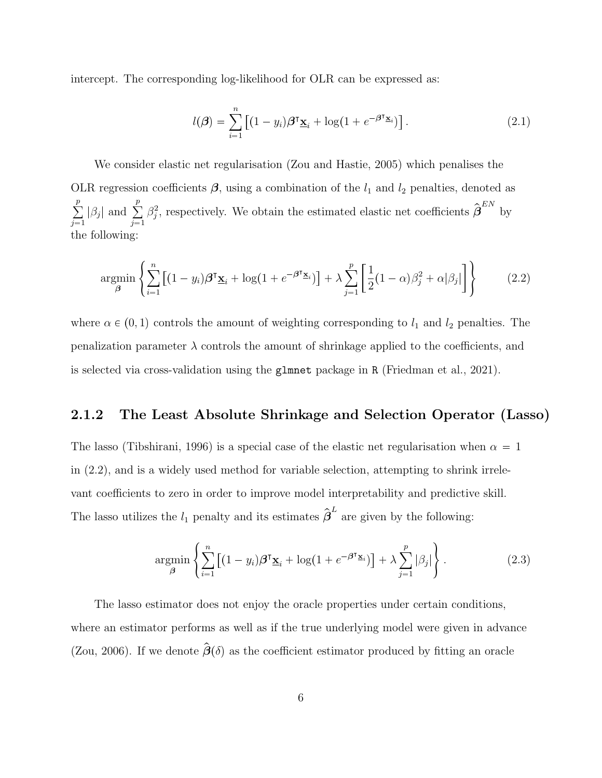intercept. The corresponding log-likelihood for OLR can be expressed as:

$$
l(\boldsymbol{\beta}) = \sum_{i=1}^{n} \left[ (1 - y_i) \boldsymbol{\beta}^{\mathsf{T}} \underline{\mathbf{x}}_i + \log(1 + e^{-\boldsymbol{\beta}^{\mathsf{T}} \underline{\mathbf{x}}_i}) \right]. \tag{2.1}
$$

We consider elastic net regularisation (Zou and Hastie, 2005) which penalises the OLR regression coefficients  $\beta$ , using a combination of the  $l_1$  and  $l_2$  penalties, denoted as  $\sum_{i=1}^{p}$  $\sum_{j=1}^p |\beta_j|$  and  $\sum_{j=1}^p$  $j=1$  $\beta_j^2$ , respectively. We obtain the estimated elastic net coefficients  $\hat{\boldsymbol{\beta}}^{EN}$  by the following:

$$
\underset{\beta}{\operatorname{argmin}} \left\{ \sum_{i=1}^{n} \left[ (1 - y_i) \beta^{\mathsf{T}} \underline{\mathbf{x}}_i + \log(1 + e^{-\beta^{\mathsf{T}} \underline{\mathbf{x}}_i}) \right] + \lambda \sum_{j=1}^{p} \left[ \frac{1}{2} (1 - \alpha) \beta_j^2 + \alpha |\beta_j| \right] \right\} \tag{2.2}
$$

where  $\alpha \in (0, 1)$  controls the amount of weighting corresponding to  $l_1$  and  $l_2$  penalties. The penalization parameter  $\lambda$  controls the amount of shrinkage applied to the coefficients, and is selected via cross-validation using the glmnet package in R (Friedman et al., 2021).

### 2.1.2 The Least Absolute Shrinkage and Selection Operator (Lasso)

The lasso (Tibshirani, 1996) is a special case of the elastic net regularisation when  $\alpha = 1$ in (2.2), and is a widely used method for variable selection, attempting to shrink irrelevant coefficients to zero in order to improve model interpretability and predictive skill. The lasso utilizes the  $l_1$  penalty and its estimates  $\hat{\boldsymbol{\beta}}^L$  are given by the following:

$$
\underset{\beta}{\operatorname{argmin}} \left\{ \sum_{i=1}^{n} \left[ (1 - y_i) \beta^{\mathsf{T}} \underline{\mathbf{x}}_i + \log(1 + e^{-\beta^{\mathsf{T}} \underline{\mathbf{x}}_i}) \right] + \lambda \sum_{j=1}^{p} |\beta_j| \right\}.
$$
 (2.3)

The lasso estimator does not enjoy the oracle properties under certain conditions, where an estimator performs as well as if the true underlying model were given in advance (Zou, 2006). If we denote  $\hat{\boldsymbol{\beta}}(\delta)$  as the coefficient estimator produced by fitting an oracle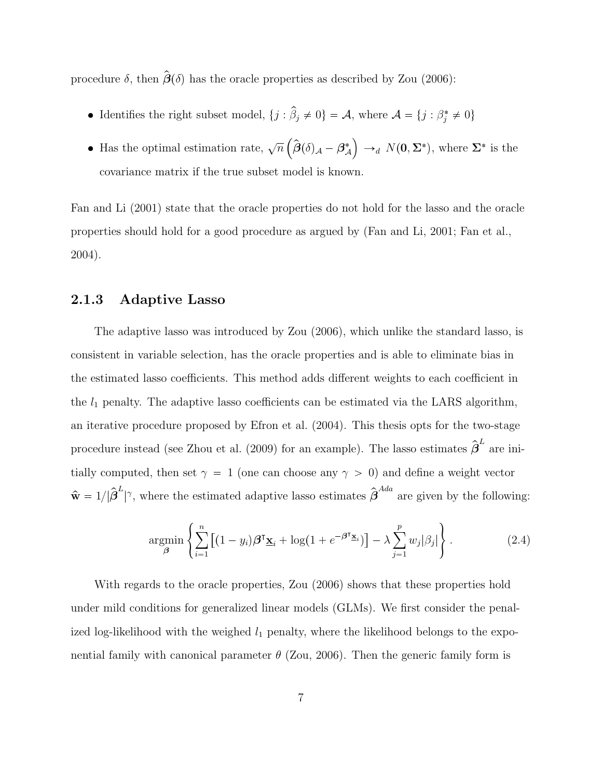procedure  $\delta$ , then  $\hat{\boldsymbol{\beta}}(\delta)$  has the oracle properties as described by Zou (2006):

- Identifies the right subset model,  $\{j : \hat{\beta}_j \neq 0\} = A$ , where  $\mathcal{A} = \{j : \beta_j^* \neq 0\}$
- Has the optimal estimation rate,  $\sqrt{n} \left( \hat{\boldsymbol{\beta}}(\delta)_{\mathcal{A}} \boldsymbol{\beta}_{\mathcal{A}}^* \right)$  $\Big) \rightarrow_d N(0, \Sigma^*),$  where  $\Sigma^*$  is the covariance matrix if the true subset model is known.

Fan and Li (2001) state that the oracle properties do not hold for the lasso and the oracle properties should hold for a good procedure as argued by (Fan and Li, 2001; Fan et al., 2004).

### 2.1.3 Adaptive Lasso

The adaptive lasso was introduced by Zou (2006), which unlike the standard lasso, is consistent in variable selection, has the oracle properties and is able to eliminate bias in the estimated lasso coefficients. This method adds different weights to each coefficient in the  $l_1$  penalty. The adaptive lasso coefficients can be estimated via the LARS algorithm, an iterative procedure proposed by Efron et al. (2004). This thesis opts for the two-stage procedure instead (see Zhou et al. (2009) for an example). The lasso estimates  $\hat{\boldsymbol{\beta}}^L$  are initially computed, then set  $\gamma = 1$  (one can choose any  $\gamma > 0$ ) and define a weight vector  $\hat{\mathbf{w}} = 1/|\hat{\boldsymbol{\beta}}^L|$ |<sup> $\gamma$ </sup>, where the estimated adaptive lasso estimates  $\hat{\boldsymbol{\beta}}^{Ada}$  are given by the following:

$$
\underset{\beta}{\operatorname{argmin}} \left\{ \sum_{i=1}^{n} \left[ (1 - y_i) \beta^{\mathsf{T}} \underline{\mathbf{x}}_i + \log(1 + e^{-\beta^{\mathsf{T}} \underline{\mathbf{x}}_i}) \right] - \lambda \sum_{j=1}^{p} w_j |\beta_j| \right\}.
$$
 (2.4)

With regards to the oracle properties, Zou (2006) shows that these properties hold under mild conditions for generalized linear models (GLMs). We first consider the penalized log-likelihood with the weighed  $l_1$  penalty, where the likelihood belongs to the exponential family with canonical parameter  $\theta$  (Zou, 2006). Then the generic family form is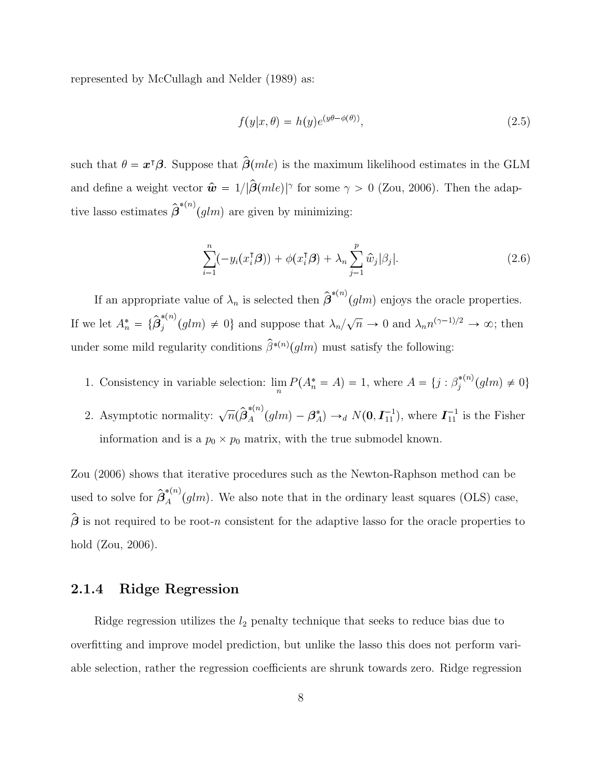represented by McCullagh and Nelder (1989) as:

$$
f(y|x,\theta) = h(y)e^{(y\theta - \phi(\theta))},
$$
\n(2.5)

such that  $\theta = \boldsymbol{x}^{\text{T}}\boldsymbol{\beta}$ . Suppose that  $\hat{\boldsymbol{\beta}}(mle)$  is the maximum likelihood estimates in the GLM and define a weight vector  $\hat{\boldsymbol{w}} = 1/|\hat{\boldsymbol{\beta}}(mle)|^{\gamma}$  for some  $\gamma > 0$  (Zou, 2006). Then the adaptive lasso estimates  $\hat{\boldsymbol{\beta}}^{*(n)}(glm)$  are given by minimizing:

$$
\sum_{i=1}^{n}(-y_i(x_i^{\mathsf{T}}\boldsymbol{\beta}))+\phi(x_i^{\mathsf{T}}\boldsymbol{\beta})+\lambda_n\sum_{j=1}^{p}\hat{w}_j|\beta_j|.
$$
 (2.6)

If an appropriate value of  $\lambda_n$  is selected then  $\hat{\boldsymbol{\beta}}^{*(n)}(glm)$  enjoys the oracle properties. If we let  $A_n^* = {\hat{\beta_j}^{*(n)}}$  $j_j^{*(n)}(glm) \neq 0$ } and suppose that  $\lambda_n/\sqrt{n} \to 0$  and  $\lambda_n n^{(\gamma-1)/2} \to \infty$ ; then under some mild regularity conditions  $\hat{\beta}^{*(n)}(glm)$  must satisfy the following:

- 1. Consistency in variable selection:  $\lim_{n} P(A_n^* = A) = 1$ , where  $A = \{j : \beta_j^{*(n)}\}$  $j^{*(n)}(glm) \neq 0$
- 2. Asymptotic normality:  $\sqrt{n}(\hat{\beta}_A^{*(n)}(glm) \beta_A^*) \rightarrow_d N(\mathbf{0}, \mathbf{I}_{11}^{-1})$ , where  $\mathbf{I}_{11}^{-1}$  is the Fisher information and is a  $p_0 \times p_0$  matrix, with the true submodel known.

Zou (2006) shows that iterative procedures such as the Newton-Raphson method can be used to solve for  $\hat{\beta}_{A}^{*(n)}(glm)$ . We also note that in the ordinary least squares (OLS) case,  $\hat{\boldsymbol{\beta}}$  is not required to be root-n consistent for the adaptive lasso for the oracle properties to hold (Zou, 2006).

### 2.1.4 Ridge Regression

Ridge regression utilizes the  $l_2$  penalty technique that seeks to reduce bias due to overfitting and improve model prediction, but unlike the lasso this does not perform variable selection, rather the regression coefficients are shrunk towards zero. Ridge regression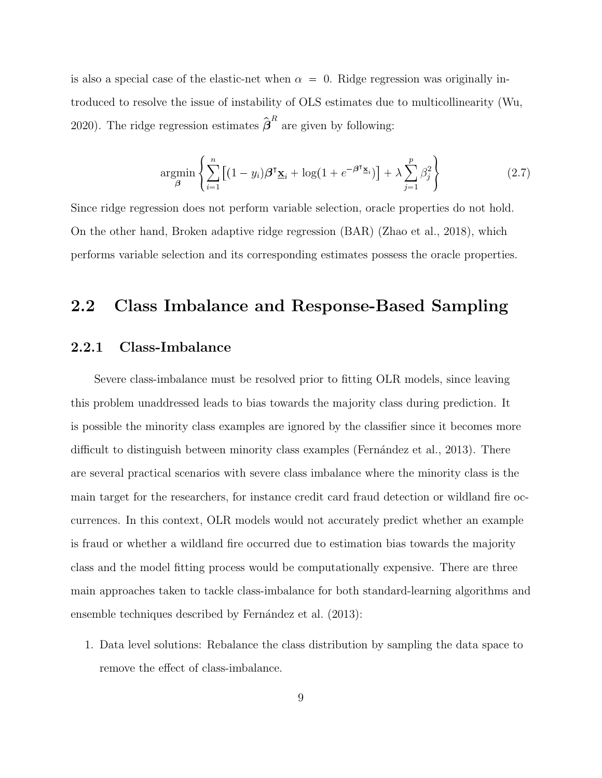is also a special case of the elastic-net when  $\alpha = 0$ . Ridge regression was originally introduced to resolve the issue of instability of OLS estimates due to multicollinearity (Wu, 2020). The ridge regression estimates  $\hat{\boldsymbol{\beta}}^R$  are given by following:

$$
\underset{\beta}{\operatorname{argmin}} \left\{ \sum_{i=1}^{n} \left[ (1 - y_i) \beta^{\mathsf{T}} \underline{\mathbf{x}}_i + \log(1 + e^{-\beta^{\mathsf{T}} \underline{\mathbf{x}}_i}) \right] + \lambda \sum_{j=1}^{p} \beta_j^2 \right\} \tag{2.7}
$$

Since ridge regression does not perform variable selection, oracle properties do not hold. On the other hand, Broken adaptive ridge regression (BAR) (Zhao et al., 2018), which performs variable selection and its corresponding estimates possess the oracle properties.

### 2.2 Class Imbalance and Response-Based Sampling

### 2.2.1 Class-Imbalance

Severe class-imbalance must be resolved prior to fitting OLR models, since leaving this problem unaddressed leads to bias towards the majority class during prediction. It is possible the minority class examples are ignored by the classifier since it becomes more difficult to distinguish between minority class examples (Fernandez et al., 2013). There are several practical scenarios with severe class imbalance where the minority class is the main target for the researchers, for instance credit card fraud detection or wildland fire occurrences. In this context, OLR models would not accurately predict whether an example is fraud or whether a wildland fire occurred due to estimation bias towards the majority class and the model fitting process would be computationally expensive. There are three main approaches taken to tackle class-imbalance for both standard-learning algorithms and ensemble techniques described by Fernández et al. (2013):

1. Data level solutions: Rebalance the class distribution by sampling the data space to remove the effect of class-imbalance.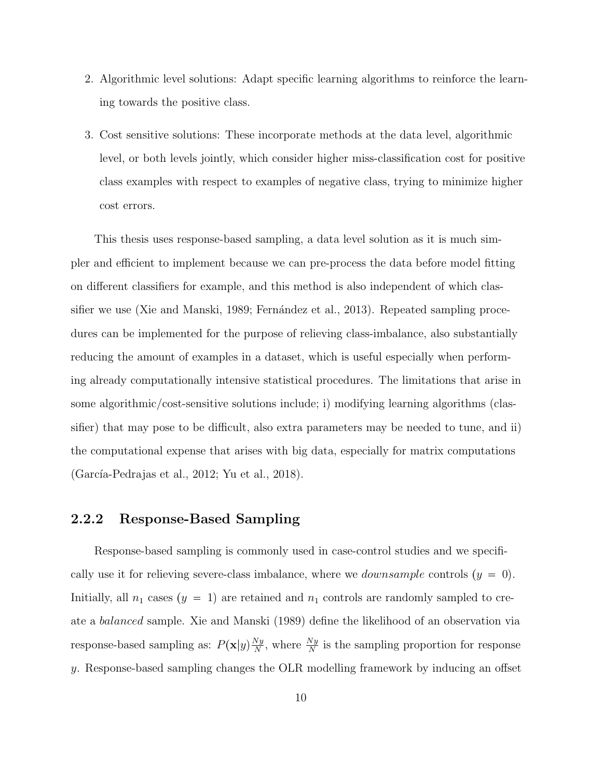- 2. Algorithmic level solutions: Adapt specific learning algorithms to reinforce the learning towards the positive class.
- 3. Cost sensitive solutions: These incorporate methods at the data level, algorithmic level, or both levels jointly, which consider higher miss-classification cost for positive class examples with respect to examples of negative class, trying to minimize higher cost errors.

This thesis uses response-based sampling, a data level solution as it is much simpler and efficient to implement because we can pre-process the data before model fitting on different classifiers for example, and this method is also independent of which classifier we use (Xie and Manski, 1989; Fernández et al., 2013). Repeated sampling procedures can be implemented for the purpose of relieving class-imbalance, also substantially reducing the amount of examples in a dataset, which is useful especially when performing already computationally intensive statistical procedures. The limitations that arise in some algorithmic/cost-sensitive solutions include; i) modifying learning algorithms (classifier) that may pose to be difficult, also extra parameters may be needed to tune, and ii) the computational expense that arises with big data, especially for matrix computations  $(García-Pedrajas et al., 2012; Yu et al., 2018).$ 

### 2.2.2 Response-Based Sampling

Response-based sampling is commonly used in case-control studies and we specifically use it for relieving severe-class imbalance, where we *downsample* controls  $(y = 0)$ . Initially, all  $n_1$  cases  $(y = 1)$  are retained and  $n_1$  controls are randomly sampled to create a balanced sample. Xie and Manski (1989) define the likelihood of an observation via response-based sampling as:  $P(\mathbf{x}|y)\frac{Ny}{N}$  $\frac{Ny}{N}$ , where  $\frac{Ny}{N}$  is the sampling proportion for response y. Response-based sampling changes the OLR modelling framework by inducing an offset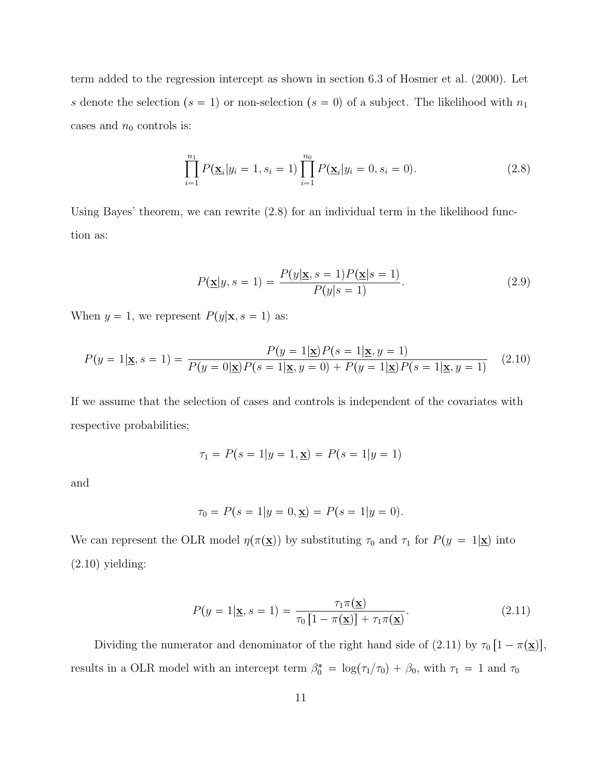term added to the regression intercept as shown in section 6.3 of Hosmer et al. (2000). Let s denote the selection  $(s = 1)$  or non-selection  $(s = 0)$  of a subject. The likelihood with  $n_1$ cases and  $n_0$  controls is:

$$
\prod_{i=1}^{n_1} P(\underline{\mathbf{x}}_i | y_i = 1, s_i = 1) \prod_{i=1}^{n_0} P(\underline{\mathbf{x}}_i | y_i = 0, s_i = 0).
$$
 (2.8)

Using Bayes' theorem, we can rewrite (2.8) for an individual term in the likelihood function as:

$$
P(\mathbf{\underline{x}}|y, s=1) = \frac{P(y|\mathbf{\underline{x}}, s=1)P(\mathbf{\underline{x}}|s=1)}{P(y|s=1)}.
$$
\n(2.9)

When  $y = 1$ , we represent  $P(y|\mathbf{x}, s = 1)$  as:

$$
P(y=1|\mathbf{\underline{x}}, s=1) = \frac{P(y=1|\mathbf{\underline{x}})P(s=1|\mathbf{\underline{x}}, y=1)}{P(y=0|\mathbf{\underline{x}})P(s=1|\mathbf{\underline{x}}, y=0) + P(y=1|\mathbf{\underline{x}})P(s=1|\mathbf{\underline{x}}, y=1)}
$$
(2.10)

If we assume that the selection of cases and controls is independent of the covariates with respective probabilities;

$$
\tau_1 = P(s = 1|y = 1, \mathbf{x}) = P(s = 1|y = 1)
$$

and

$$
\tau_0 = P(s=1|y=0,\mathbf{x}) = P(s=1|y=0).
$$

We can represent the OLR model  $\eta(\pi(\underline{\mathbf{x}}))$  by substituting  $\tau_0$  and  $\tau_1$  for  $P(y = 1|\underline{\mathbf{x}})$  into  $(2.10)$  yielding:

$$
P(y=1|\mathbf{\underline{x}}, s=1) = \frac{\tau_1 \pi(\mathbf{\underline{x}})}{\tau_0 \left[1 - \pi(\mathbf{\underline{x}})\right] + \tau_1 \pi(\mathbf{\underline{x}})}.
$$
\n(2.11)

Dividing the numerator and denominator of the right hand side of (2.11) by  $\tau_0$  [1 –  $\pi(\underline{\mathbf{x}})$ ], results in a OLR model with an intercept term  $\beta_0^* = \log(\tau_1/\tau_0) + \beta_0$ , with  $\tau_1 = 1$  and  $\tau_0$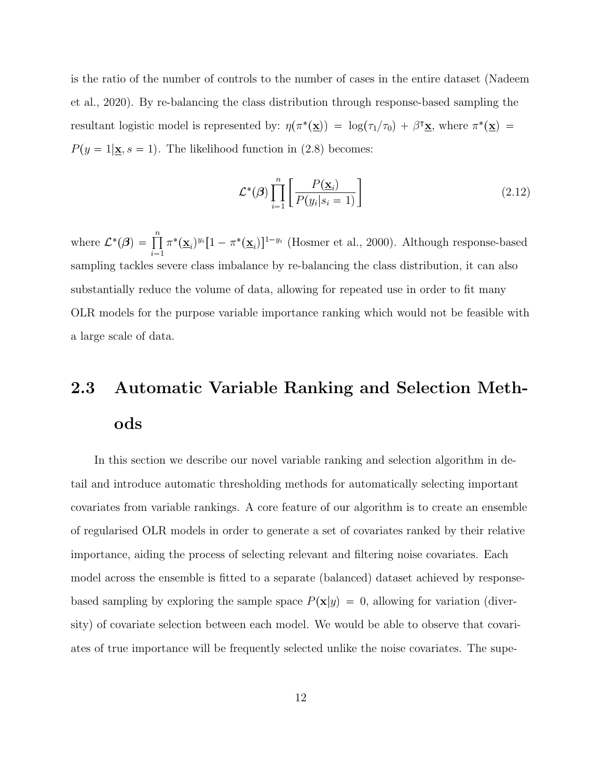is the ratio of the number of controls to the number of cases in the entire dataset (Nadeem et al., 2020). By re-balancing the class distribution through response-based sampling the resultant logistic model is represented by:  $\eta(\pi^*(\underline{\mathbf{x}})) = \log(\tau_1/\tau_0) + \beta^{\intercal}\underline{\mathbf{x}}$ , where  $\pi^*(\underline{\mathbf{x}}) =$  $P(y = 1 | \mathbf{x}, s = 1)$ . The likelihood function in (2.8) becomes:

$$
\mathcal{L}^*(\boldsymbol{\beta}) \prod_{i=1}^n \left[ \frac{P(\underline{\mathbf{x}}_i)}{P(y_i|s_i=1)} \right]
$$
 (2.12)

where  $\mathcal{L}^*(\boldsymbol{\beta}) = \prod_{i=1}^n$  $\pi^*(\underline{\mathbf{x}}_i)^{y_i}[1-\pi^*(\underline{\mathbf{x}}_i)]^{1-y_i}$  (Hosmer et al., 2000). Although response-based sampling tackles severe class imbalance by re-balancing the class distribution, it can also substantially reduce the volume of data, allowing for repeated use in order to fit many OLR models for the purpose variable importance ranking which would not be feasible with a large scale of data.

## 2.3 Automatic Variable Ranking and Selection Methods

In this section we describe our novel variable ranking and selection algorithm in detail and introduce automatic thresholding methods for automatically selecting important covariates from variable rankings. A core feature of our algorithm is to create an ensemble of regularised OLR models in order to generate a set of covariates ranked by their relative importance, aiding the process of selecting relevant and filtering noise covariates. Each model across the ensemble is fitted to a separate (balanced) dataset achieved by responsebased sampling by exploring the sample space  $P(\mathbf{x}|y) = 0$ , allowing for variation (diversity) of covariate selection between each model. We would be able to observe that covariates of true importance will be frequently selected unlike the noise covariates. The supe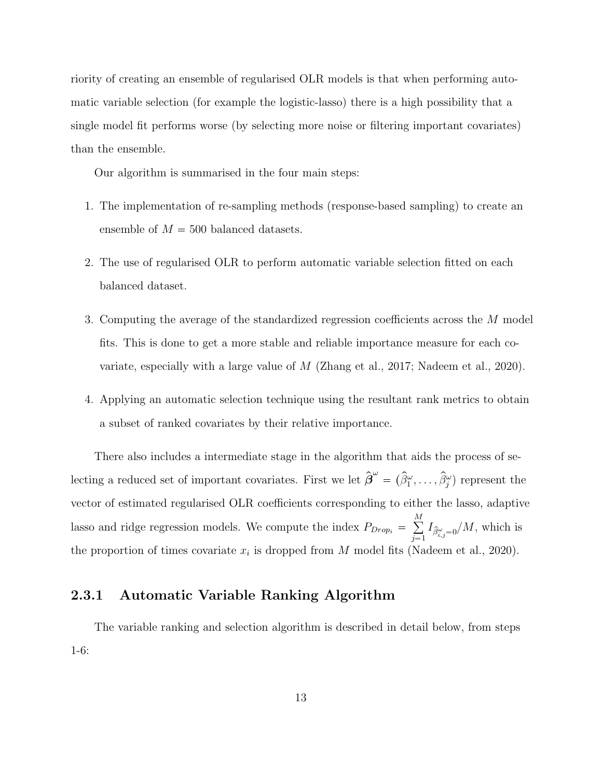riority of creating an ensemble of regularised OLR models is that when performing automatic variable selection (for example the logistic-lasso) there is a high possibility that a single model fit performs worse (by selecting more noise or filtering important covariates) than the ensemble.

Our algorithm is summarised in the four main steps:

- 1. The implementation of re-sampling methods (response-based sampling) to create an ensemble of  $M = 500$  balanced datasets.
- 2. The use of regularised OLR to perform automatic variable selection fitted on each balanced dataset.
- 3. Computing the average of the standardized regression coefficients across the M model fits. This is done to get a more stable and reliable importance measure for each covariate, especially with a large value of  $M$  (Zhang et al., 2017; Nadeem et al., 2020).
- 4. Applying an automatic selection technique using the resultant rank metrics to obtain a subset of ranked covariates by their relative importance.

There also includes a intermediate stage in the algorithm that aids the process of selecting a reduced set of important covariates. First we let  $\hat{\boldsymbol{\beta}}^{\omega} = (\hat{\beta}_1^{\omega}, \dots, \hat{\beta}_j^{\omega})$  represent the vector of estimated regularised OLR coefficients corresponding to either the lasso, adaptive lasso and ridge regression models. We compute the index  $P_{Drop_i} = \sum_{i=1}^{M}$  $\sum_{j=1} I_{\hat{\beta}^{\omega}_{i,j}=0} / M$ , which is the proportion of times covariate  $x_i$  is dropped from M model fits (Nadeem et al., 2020).

### 2.3.1 Automatic Variable Ranking Algorithm

The variable ranking and selection algorithm is described in detail below, from steps 1-6: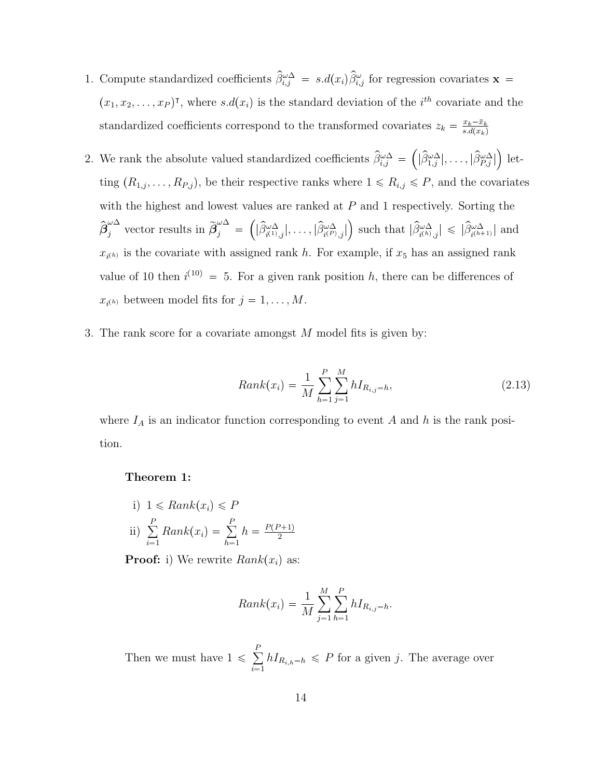- 1. Compute standardized coefficients  $\hat{\beta}_{i,j}^{\omega\Delta} = s.d(x_i)\hat{\beta}_{i,j}^{\omega}$  for regression covariates  $\mathbf{x} =$  $(x_1, x_2, \ldots, x_P)$ <sup>T</sup>, where  $s.d(x_i)$  is the standard deviation of the i<sup>th</sup> covariate and the standardized coefficients correspond to the transformed covariates  $z_k = \frac{x_k - \bar{x}_k}{s.d(x_k)}$  $s.d(x_k)$
- 2. We rank the absolute valued standardized coefficients  $\hat{\beta}_{i,j}^{\omega \Delta}$  =  $\left( |\widehat{\beta}_{1,j}^{\omega \Delta}|, \ldots, |\widehat{\beta}_{P,j}^{\omega \Delta}|\right.$  $\left( \right)$  letting  $(R_{1,j}, \ldots, R_{P,j})$ , be their respective ranks where  $1 \le R_{i,j} \le P$ , and the covariates with the highest and lowest values are ranked at P and 1 respectively. Sorting the  $\hat{\beta}_j^{\omega \Delta}$  vector results in  $\widetilde{\beta}_j^{\omega \Delta}$  $j =$  $\left(|\widehat{\beta}_{i^{(1)},j}^{\omega \Delta}|,\ldots,|\widehat{\beta}_{i^{(P)},j}^{\omega \Delta}|\right)$ ) such that  $|\hat{\beta}_{i^{(h)},j}^{\omega \Delta}| \leq |\hat{\beta}_{i^{(h+1)}}^{\omega \Delta}|$  and  $x_{i^{(h)}}$  is the covariate with assigned rank h. For example, if  $x_5$  has an assigned rank value of 10 then  $i^{(10)} = 5$ . For a given rank position h, there can be differences of  $x_{i^{(h)}}$  between model fits for  $j = 1, ..., M$ .
- 3. The rank score for a covariate amongst M model fits is given by:

$$
Rank(x_i) = \frac{1}{M} \sum_{h=1}^{P} \sum_{j=1}^{M} h I_{R_{i,j}=h},
$$
\n(2.13)

where  $I_A$  is an indicator function corresponding to event A and h is the rank position.

#### Theorem 1:

i)  $1 \leq Rank(x_i) \leq P$ ii)  $\sum_{i=1}^{P}$  $\sum_{i=1}^P Rank(x_i) = \sum_{h=1}^P$  $\sum_{h=1}^{1} h = \frac{P(P+1)}{2}$ 2

**Proof:** i) We rewrite  $Rank(x_i)$  as:

$$
Rank(x_i) = \frac{1}{M} \sum_{j=1}^{M} \sum_{h=1}^{P} hI_{R_{i,j}=h}.
$$

Then we must have  $1 \leqslant \sum_{i=1}^{P}$  $\sum_{i=1} h I_{R_{i,h}=h} \leq P$  for a given j. The average over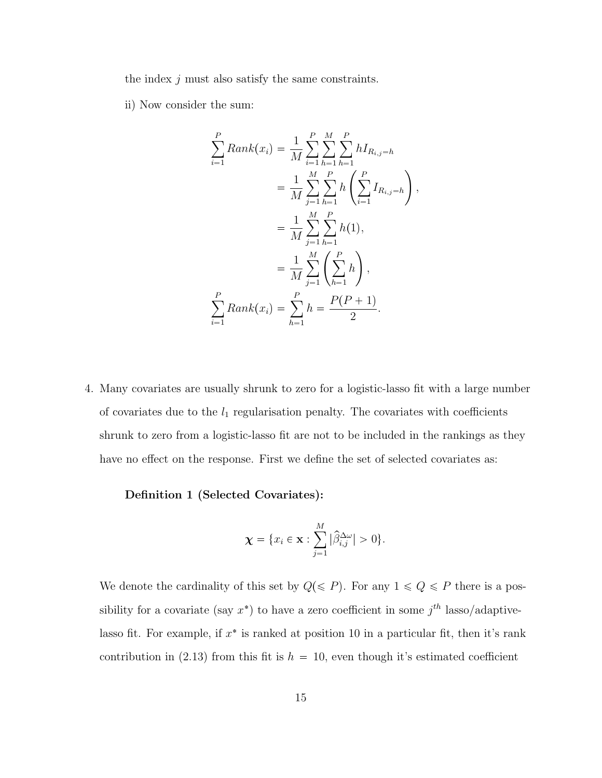the index  $j$  must also satisfy the same constraints.

ii) Now consider the sum:

$$
\sum_{i=1}^{P} Rank(x_i) = \frac{1}{M} \sum_{i=1}^{P} \sum_{h=1}^{M} \sum_{h=1}^{P} hI_{R_{i,j}=h}
$$
  

$$
= \frac{1}{M} \sum_{j=1}^{M} \sum_{h=1}^{P} h\left(\sum_{i=1}^{P} I_{R_{i,j}=h}\right),
$$
  

$$
= \frac{1}{M} \sum_{j=1}^{M} \sum_{h=1}^{P} h(1),
$$
  

$$
= \frac{1}{M} \sum_{j=1}^{M} \left(\sum_{h=1}^{P} h\right),
$$
  

$$
\sum_{i=1}^{P} Rank(x_i) = \sum_{h=1}^{P} h = \frac{P(P+1)}{2}.
$$

4. Many covariates are usually shrunk to zero for a logistic-lasso fit with a large number of covariates due to the  $l_1$  regularisation penalty. The covariates with coefficients shrunk to zero from a logistic-lasso fit are not to be included in the rankings as they have no effect on the response. First we define the set of selected covariates as:

### Definition 1 (Selected Covariates):

$$
\boldsymbol{\chi} = \{x_i \in \mathbf{x} : \sum_{j=1}^M |\widehat{\beta}_{i,j}^{\Delta \omega}| > 0\}.
$$

We denote the cardinality of this set by  $Q(\leq P)$ . For any  $1 \leq Q \leq P$  there is a possibility for a covariate (say  $x^*$ ) to have a zero coefficient in some  $j^{th}$  lasso/adaptivelasso fit. For example, if  $x^*$  is ranked at position 10 in a particular fit, then it's rank contribution in (2.13) from this fit is  $h = 10$ , even though it's estimated coefficient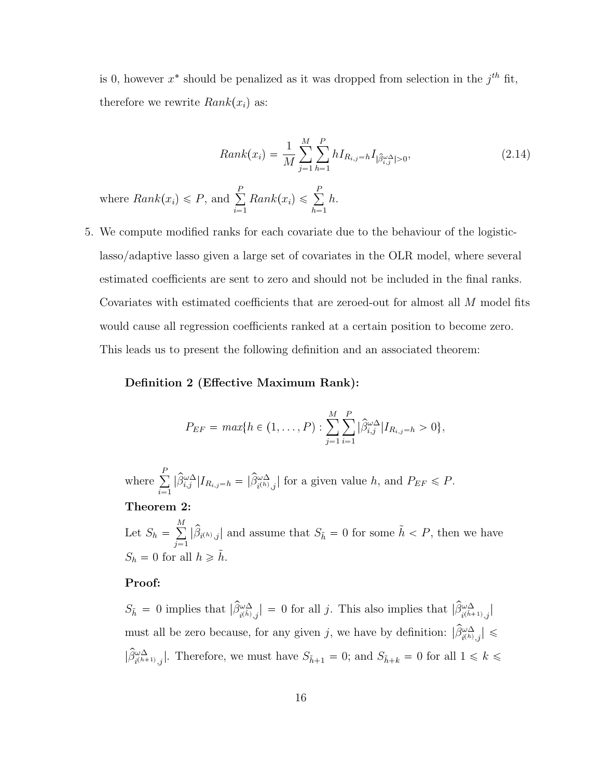is 0, however  $x^*$  should be penalized as it was dropped from selection in the  $j^{th}$  fit, therefore we rewrite  $Rank(x_i)$  as:

$$
Rank(x_i) = \frac{1}{M} \sum_{j=1}^{M} \sum_{h=1}^{P} h I_{R_{i,j}=h} I_{|\hat{\beta}_{i,j}^{\omega,\Delta}|>0},
$$
\n(2.14)

where  $Rank(x_i) \leq P$ , and  $\sum_{i=1}^{P}$  $\sum_{i=1}^{P} Rank(x_i) \leqslant \sum_{h=1}^{P}$  $h=1$ h.

5. We compute modified ranks for each covariate due to the behaviour of the logisticlasso/adaptive lasso given a large set of covariates in the OLR model, where several estimated coefficients are sent to zero and should not be included in the final ranks. Covariates with estimated coefficients that are zeroed-out for almost all M model fits would cause all regression coefficients ranked at a certain position to become zero. This leads us to present the following definition and an associated theorem:

### Definition 2 (Effective Maximum Rank):

$$
P_{EF} = max\{h \in (1, ..., P) : \sum_{j=1}^{M} \sum_{i=1}^{P} |\widehat{\beta}_{i,j}^{\omega \Delta}| I_{R_{i,j}=h} > 0\},\
$$

where  $\sum_{i=1}^{P}$  $\sum_{i=1} |\hat{\beta}_{i,j}^{\omega\Delta}| I_{R_{i,j}=h} = |\hat{\beta}_{i^{(h)},j}^{\omega\Delta}|$  for a given value h, and  $P_{EF} \leq P$ .

#### Theorem 2:

Let  $S_h = \sum_{n=1}^{M}$  $\sum_{j=1}^{m} |\hat{\beta}_{i^{(h)},j}|$  and assume that  $S_{\tilde{h}} = 0$  for some  $\tilde{h} < P$ , then we have  $S_h = 0$  for all  $h \geq \tilde{h}$ .

### Proof:

 $S_{\tilde{h}} = 0$  implies that  $|\hat{\beta}^{\omega\Delta}_{i(\tilde{h},j)}| = 0$  for all j. This also implies that  $|\hat{\beta}^{\omega\Delta}_{i(\tilde{h}+1),j}|$ must all be zero because, for any given j, we have by definition:  $|\hat{\beta}_{i^{(h)},j}^{\omega \Delta}| \leq$  $|\hat{\beta}_{i^{(h+1)},j}^{\omega \Delta}|$ . Therefore, we must have  $S_{\tilde{h}+1} = 0$ ; and  $S_{\tilde{h}+k} = 0$  for all  $1 \leq k \leq$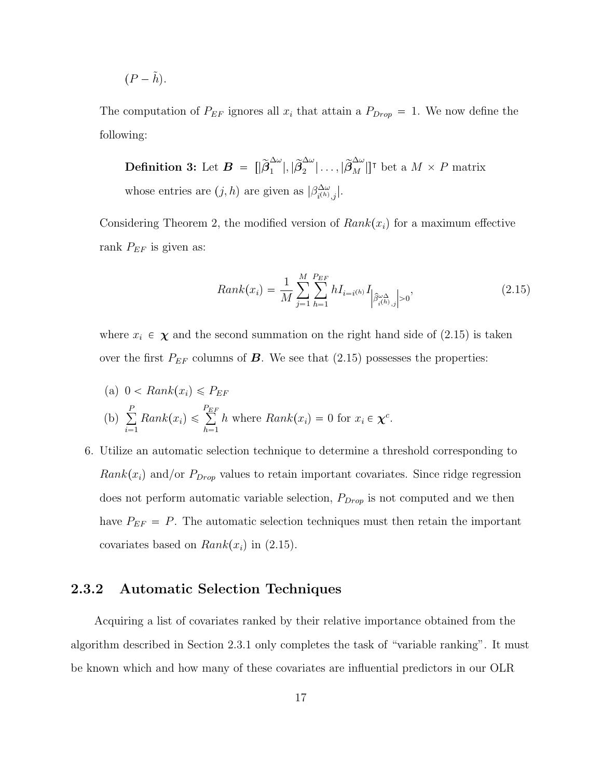$$
(P - \tilde{h}).
$$

The computation of  $P_{EF}$  ignores all  $x_i$  that attain a  $P_{Drop} = 1$ . We now define the following:

**Definition 3:** Let  $\boldsymbol{B}$  =  $\begin{bmatrix} |\widetilde{\beta}^{\Delta\omega}_1\end{bmatrix}$  $_{1}^{\Delta\omega}|,|\widetilde{\boldsymbol{\beta}}_{2}^{\Delta\omega}% =\mathcal{Y}_{1}\left( \lambda_{1}^{1}\right) ^{\Delta\omega}\mathcal{Y}_{2}\left( \lambda_{2}^{1}\right)$  $\left\{ \frac{\Delta \omega}{2} \middle| \ldots, \left| \widetilde{\beta}_{M}^{\Delta \omega} \right| \right\}^{\intercal}$  bet a  $M \times P$  matrix whose entries are  $(j, h)$  are given as  $|\beta^{\Delta \omega}_{i^{(h)}}\rangle$  $\frac{\Delta\omega}{i^{(h)},j}$ .

Considering Theorem 2, the modified version of  $Rank(x_i)$  for a maximum effective rank  $P_{EF}$  is given as:

$$
Rank(x_i) = \frac{1}{M} \sum_{j=1}^{M} \sum_{h=1}^{P_{EF}} h I_{i=i^{(h)}} I_{\left|\hat{\beta}_{i^{(h)},j}^{\omega_{\Delta}}\right|>0},
$$
\n(2.15)

where  $x_i \in \chi$  and the second summation on the right hand side of (2.15) is taken over the first  $P_{EF}$  columns of **B**. We see that (2.15) possesses the properties:

(a) 
$$
0 < Rank(x_i) \leq P_{EF}
$$
  
\n(b) 
$$
\sum_{i=1}^{P} Rank(x_i) \leq \sum_{h=1}^{P_{EF}} h \text{ where } Rank(x_i) = 0 \text{ for } x_i \in \chi^c.
$$

6. Utilize an automatic selection technique to determine a threshold corresponding to  $Rank(x_i)$  and/or  $P_{Drop}$  values to retain important covariates. Since ridge regression does not perform automatic variable selection,  $P_{Drop}$  is not computed and we then have  $P_{EF} = P$ . The automatic selection techniques must then retain the important covariates based on  $Rank(x_i)$  in (2.15).

### 2.3.2 Automatic Selection Techniques

Acquiring a list of covariates ranked by their relative importance obtained from the algorithm described in Section 2.3.1 only completes the task of "variable ranking". It must be known which and how many of these covariates are influential predictors in our OLR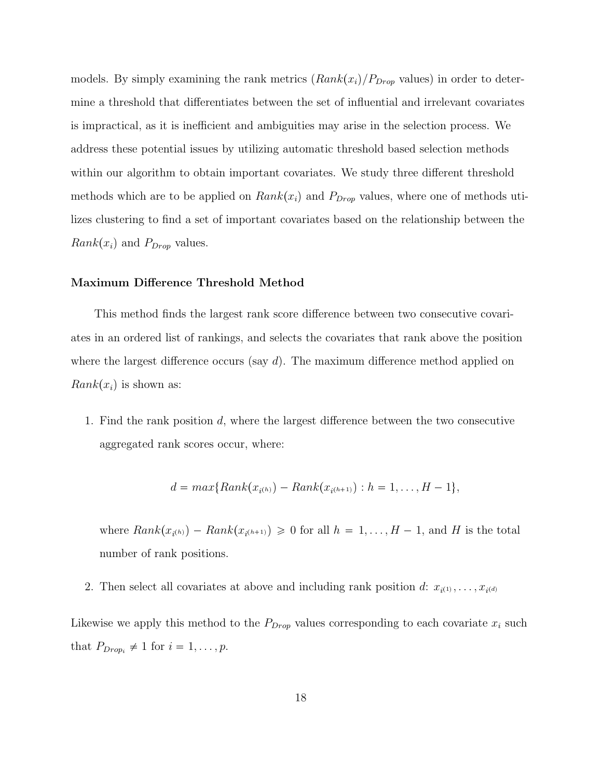models. By simply examining the rank metrics  $(Rank(x_i)/P_{Drop}$  values) in order to determine a threshold that differentiates between the set of influential and irrelevant covariates is impractical, as it is inefficient and ambiguities may arise in the selection process. We address these potential issues by utilizing automatic threshold based selection methods within our algorithm to obtain important covariates. We study three different threshold methods which are to be applied on  $Rank(x_i)$  and  $P_{Drop}$  values, where one of methods utilizes clustering to find a set of important covariates based on the relationship between the  $Rank(x_i)$  and  $P_{Drop}$  values.

#### Maximum Difference Threshold Method

This method finds the largest rank score difference between two consecutive covariates in an ordered list of rankings, and selects the covariates that rank above the position where the largest difference occurs (say  $d$ ). The maximum difference method applied on  $Rank(x_i)$  is shown as:

1. Find the rank position d, where the largest difference between the two consecutive aggregated rank scores occur, where:

$$
d = max\{Rank(x_{i^{(h)}}) - Rank(x_{i^{(h+1)}}) : h = 1, ..., H - 1\},\
$$

where  $Rank(x_{i^{(h)}}) - Rank(x_{i^{(h+1)}}) \geq 0$  for all  $h = 1, ..., H - 1$ , and H is the total number of rank positions.

2. Then select all covariates at above and including rank position d:  $x_{i^{(1)}}, \ldots, x_{i^{(d)}}$ 

Likewise we apply this method to the  $P_{Drop}$  values corresponding to each covariate  $x_i$  such that  $P_{Drop_i} \neq 1$  for  $i = 1, ..., p$ .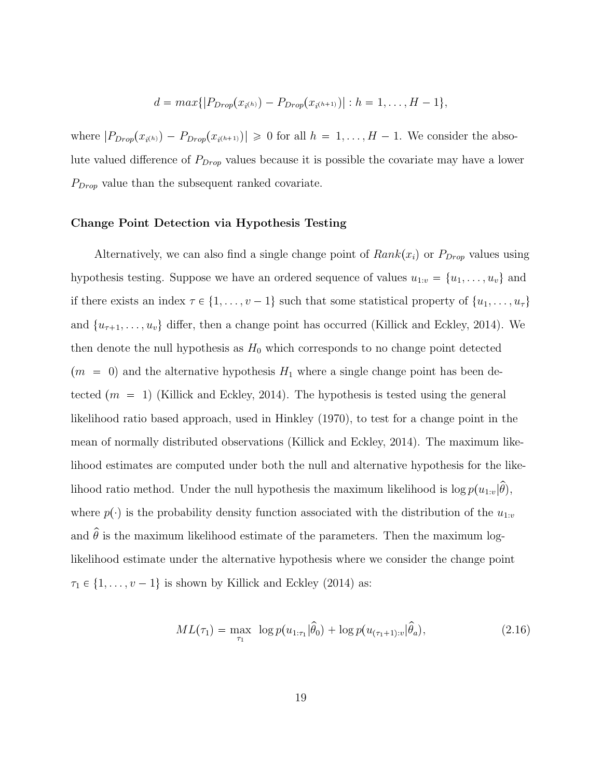$$
d = max\{|P_{Drop}(x_{i^{(h)}}) - P_{Drop}(x_{i^{(h+1)}})| : h = 1, ..., H - 1\},\
$$

where  $|P_{Drop}(x_{i^{(h)}}) - P_{Drop}(x_{i^{(h+1)}})| \geq 0$  for all  $h = 1, ..., H - 1$ . We consider the absolute valued difference of  $P_{Drop}$  values because it is possible the covariate may have a lower  $P_{Drop}$  value than the subsequent ranked covariate.

### Change Point Detection via Hypothesis Testing

Alternatively, we can also find a single change point of  $Rank(x_i)$  or  $P_{Drop}$  values using hypothesis testing. Suppose we have an ordered sequence of values  $u_{1:v} = \{u_1, \ldots, u_v\}$  and if there exists an index  $\tau \in \{1, \ldots, v - 1\}$  such that some statistical property of  $\{u_1, \ldots, u_{\tau}\}\$ and  $\{u_{\tau+1}, \ldots, u_v\}$  differ, then a change point has occurred (Killick and Eckley, 2014). We then denote the null hypothesis as  $H_0$  which corresponds to no change point detected  $(m = 0)$  and the alternative hypothesis  $H_1$  where a single change point has been detected  $(m = 1)$  (Killick and Eckley, 2014). The hypothesis is tested using the general likelihood ratio based approach, used in Hinkley (1970), to test for a change point in the mean of normally distributed observations (Killick and Eckley, 2014). The maximum likelihood estimates are computed under both the null and alternative hypothesis for the likelihood ratio method. Under the null hypothesis the maximum likelihood is  $\log p(u_{1:v}|\hat{\theta})$ , where  $p(\cdot)$  is the probability density function associated with the distribution of the  $u_{1:v}$ and  $\hat{\theta}$  is the maximum likelihood estimate of the parameters. Then the maximum loglikelihood estimate under the alternative hypothesis where we consider the change point  $\tau_1 \in \{1, \ldots, v - 1\}$  is shown by Killick and Eckley (2014) as:

$$
ML(\tau_1) = \max_{\tau_1} \ \log p(u_{1:\tau_1}|\hat{\theta}_0) + \log p(u_{(\tau_1+1):v}|\hat{\theta}_a), \tag{2.16}
$$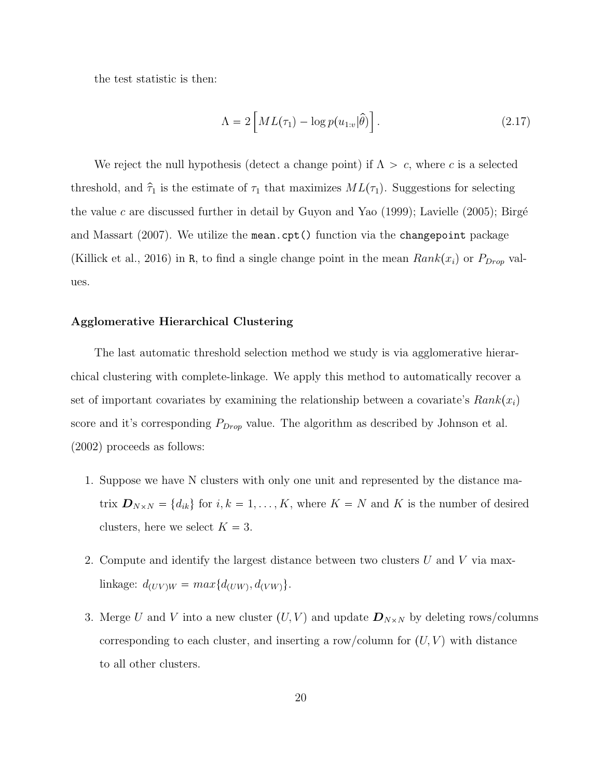the test statistic is then:

$$
\Lambda = 2 \left[ ML(\tau_1) - \log p(u_{1:v}|\hat{\theta}) \right]. \tag{2.17}
$$

We reject the null hypothesis (detect a change point) if  $\Lambda > c$ , where c is a selected threshold, and  $\hat{\tau}_1$  is the estimate of  $\tau_1$  that maximizes  $ML(\tau_1)$ . Suggestions for selecting the value c are discussed further in detail by Guyon and Yao (1999); Lavielle (2005); Birgé and Massart  $(2007)$ . We utilize the mean.cpt () function via the changepoint package (Killick et al., 2016) in R, to find a single change point in the mean  $Rank(x_i)$  or  $P_{Drop}$  values.

### Agglomerative Hierarchical Clustering

The last automatic threshold selection method we study is via agglomerative hierarchical clustering with complete-linkage. We apply this method to automatically recover a set of important covariates by examining the relationship between a covariate's  $Rank(x_i)$ score and it's corresponding  $P_{Drop}$  value. The algorithm as described by Johnson et al. (2002) proceeds as follows:

- 1. Suppose we have N clusters with only one unit and represented by the distance matrix  $\mathbf{D}_{N\times N} = \{d_{ik}\}\$ for  $i, k = 1, ..., K$ , where  $K = N$  and K is the number of desired clusters, here we select  $K = 3$ .
- 2. Compute and identify the largest distance between two clusters  $U$  and  $V$  via maxlinkage:  $d_{(UV)W} = max{d_{(UW)}, d_{(VW)}}$ .
- 3. Merge U and V into a new cluster  $(U, V)$  and update  $\mathbf{D}_{N \times N}$  by deleting rows/columns corresponding to each cluster, and inserting a row/column for  $(U, V)$  with distance to all other clusters.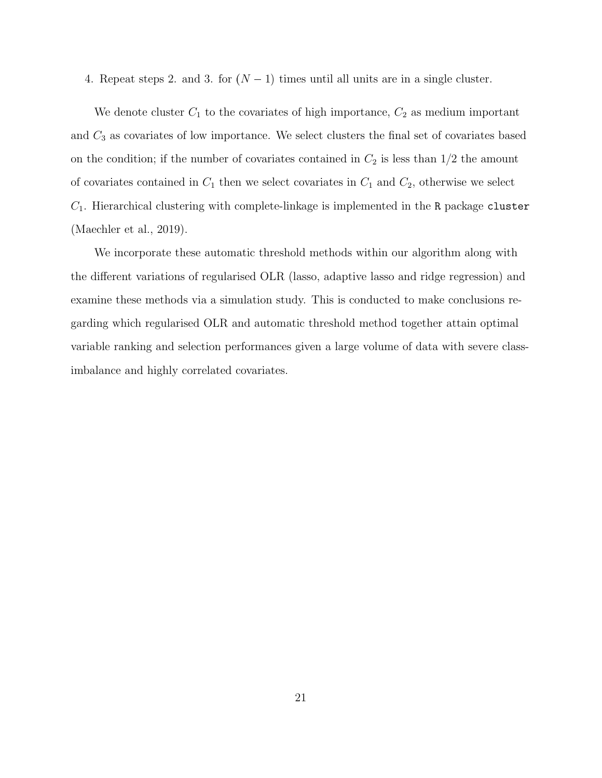4. Repeat steps 2. and 3. for  $(N - 1)$  times until all units are in a single cluster.

We denote cluster  $C_1$  to the covariates of high importance,  $C_2$  as medium important and  $C_3$  as covariates of low importance. We select clusters the final set of covariates based on the condition; if the number of covariates contained in  $C_2$  is less than  $1/2$  the amount of covariates contained in  $C_1$  then we select covariates in  $C_1$  and  $C_2$ , otherwise we select  $C_1$ . Hierarchical clustering with complete-linkage is implemented in the R package cluster (Maechler et al., 2019).

We incorporate these automatic threshold methods within our algorithm along with the different variations of regularised OLR (lasso, adaptive lasso and ridge regression) and examine these methods via a simulation study. This is conducted to make conclusions regarding which regularised OLR and automatic threshold method together attain optimal variable ranking and selection performances given a large volume of data with severe classimbalance and highly correlated covariates.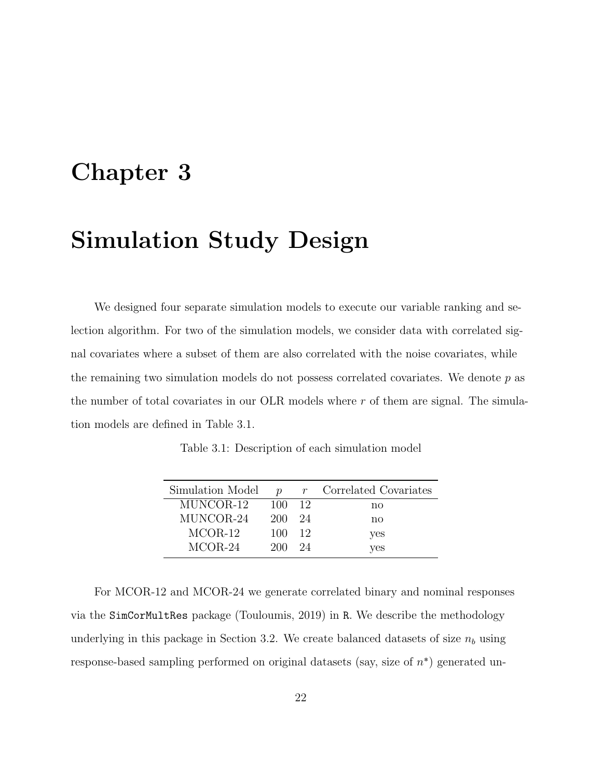# Chapter 3

## Simulation Study Design

We designed four separate simulation models to execute our variable ranking and selection algorithm. For two of the simulation models, we consider data with correlated signal covariates where a subset of them are also correlated with the noise covariates, while the remaining two simulation models do not possess correlated covariates. We denote  $p$  as the number of total covariates in our OLR models where r of them are signal. The simulation models are defined in Table 3.1.

Table 3.1: Description of each simulation model

| Simulation Model | $\boldsymbol{\eta}$ |     | $r$ Correlated Covariates |
|------------------|---------------------|-----|---------------------------|
| MUNCOR-12        | 100                 | -12 | no                        |
| MUNCOR-24        | 200                 | 24  | no                        |
| $MCOR-12$        | 100                 | -12 | yes                       |
| $MCOR-24$        | 200                 | 24  | yes                       |

For MCOR-12 and MCOR-24 we generate correlated binary and nominal responses via the SimCorMultRes package (Touloumis, 2019) in R. We describe the methodology underlying in this package in Section 3.2. We create balanced datasets of size  $n_b$  using response-based sampling performed on original datasets (say, size of  $n^*$ ) generated un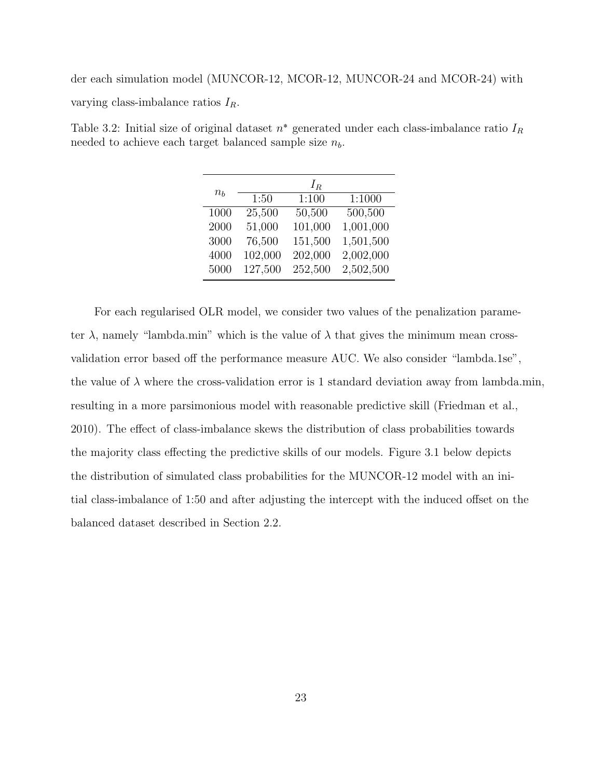der each simulation model (MUNCOR-12, MCOR-12, MUNCOR-24 and MCOR-24) with varying class-imbalance ratios  $I_R$ .

Table 3.2: Initial size of original dataset  $n^*$  generated under each class-imbalance ratio  $I_R$ needed to achieve each target balanced sample size  $n_b$ .

|         |         | $I_R$   |           |
|---------|---------|---------|-----------|
| $n_{h}$ | 1:50    | 1:100   | 1:1000    |
| 1000    | 25,500  | 50,500  | 500,500   |
| 2000    | 51,000  | 101,000 | 1,001,000 |
| 3000    | 76,500  | 151,500 | 1,501,500 |
| 4000    | 102,000 | 202,000 | 2,002,000 |
| 5000    | 127,500 | 252,500 | 2,502,500 |

For each regularised OLR model, we consider two values of the penalization parameter  $\lambda$ , namely "lambda.min" which is the value of  $\lambda$  that gives the minimum mean crossvalidation error based off the performance measure AUC. We also consider "lambda.1se", the value of  $\lambda$  where the cross-validation error is 1 standard deviation away from lambda.min, resulting in a more parsimonious model with reasonable predictive skill (Friedman et al., 2010). The effect of class-imbalance skews the distribution of class probabilities towards the majority class effecting the predictive skills of our models. Figure 3.1 below depicts the distribution of simulated class probabilities for the MUNCOR-12 model with an initial class-imbalance of 1:50 and after adjusting the intercept with the induced offset on the balanced dataset described in Section 2.2.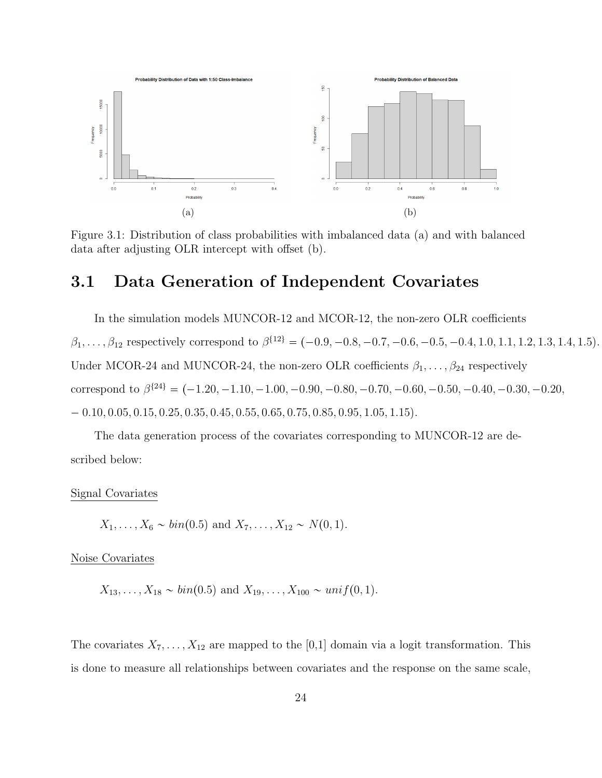

Figure 3.1: Distribution of class probabilities with imbalanced data (a) and with balanced data after adjusting OLR intercept with offset (b).

## 3.1 Data Generation of Independent Covariates

In the simulation models MUNCOR-12 and MCOR-12, the non-zero OLR coefficients  $\beta_1, \ldots, \beta_{12}$  respectively correspond to  $\beta^{\{12\}} = (-0.9, -0.8, -0.7, -0.6, -0.5, -0.4, 1.0, 1.1, 1.2, 1.3, 1.4, 1.5)$ . Under MCOR-24 and MUNCOR-24, the non-zero OLR coefficients  $\beta_1, \ldots, \beta_{24}$  respectively correspond to  $\beta^{\{24\}} = (-1.20, -1.10, -1.00, -0.90, -0.80, -0.70, -0.60, -0.50, -0.40, -0.30, -0.20,$  $0.10, 0.05, 0.15, 0.25, 0.35, 0.45, 0.55, 0.65, 0.75, 0.85, 0.95, 1.05, 1.15$ 

The data generation process of the covariates corresponding to MUNCOR-12 are described below:

### Signal Covariates

$$
X_1, \ldots, X_6 \sim bin(0.5)
$$
 and  $X_7, \ldots, X_{12} \sim N(0, 1)$ .

Noise Covariates

$$
X_{13},..., X_{18} \sim bin(0.5)
$$
 and  $X_{19},..., X_{100} \sim unif(0,1)$ .

The covariates  $X_7, \ldots, X_{12}$  are mapped to the [0,1] domain via a logit transformation. This is done to measure all relationships between covariates and the response on the same scale,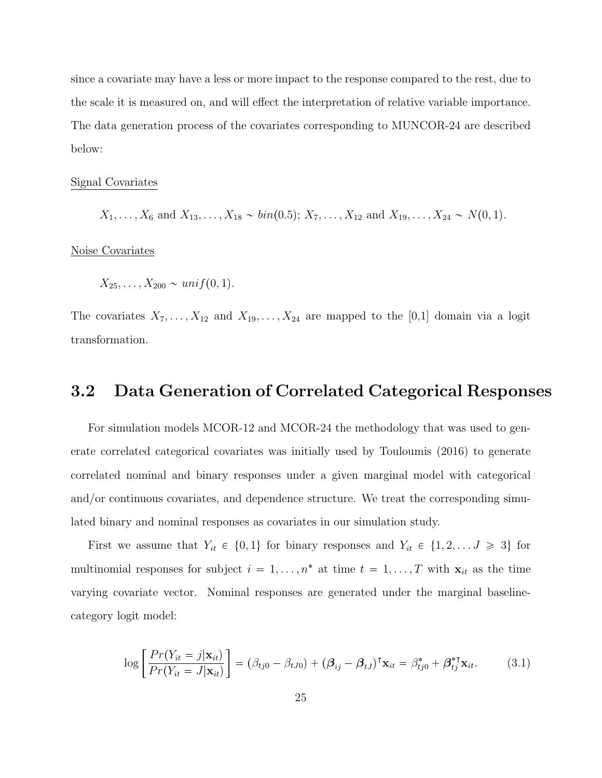since a covariate may have a less or more impact to the response compared to the rest, due to the scale it is measured on, and will effect the interpretation of relative variable importance. The data generation process of the covariates corresponding to MUNCOR-24 are described below:

#### Signal Covariates

$$
X_1, \ldots, X_6
$$
 and  $X_{13}, \ldots, X_{18} \sim bin(0.5); X_7, \ldots, X_{12}$  and  $X_{19}, \ldots, X_{24} \sim N(0, 1)$ .

Noise Covariates

$$
X_{25}, \ldots, X_{200} \sim \text{unif}(0, 1).
$$

The covariates  $X_7, \ldots, X_{12}$  and  $X_{19}, \ldots, X_{24}$  are mapped to the [0,1] domain via a logit transformation.

## 3.2 Data Generation of Correlated Categorical Responses

For simulation models MCOR-12 and MCOR-24 the methodology that was used to generate correlated categorical covariates was initially used by Touloumis (2016) to generate correlated nominal and binary responses under a given marginal model with categorical and/or continuous covariates, and dependence structure. We treat the corresponding simulated binary and nominal responses as covariates in our simulation study.

First we assume that  $Y_{it} \in \{0, 1\}$  for binary responses and  $Y_{it} \in \{1, 2, ..., J \geq 3\}$  for multinomial responses for subject  $i = 1, \ldots, n^*$  at time  $t = 1, \ldots, T$  with  $\mathbf{x}_{it}$  as the time varying covariate vector. Nominal responses are generated under the marginal baselinecategory logit model:

$$
\log \left[ \frac{Pr(Y_{it} = j | \mathbf{x}_{it})}{Pr(Y_{it} = J | \mathbf{x}_{it})} \right] = (\beta_{tj0} - \beta_{tJ0}) + (\boldsymbol{\beta}_{ij} - \boldsymbol{\beta}_{tJ})^{\mathsf{T}} \mathbf{x}_{it} = \beta_{tj0}^{*} + \boldsymbol{\beta}_{tj}^{* \mathsf{T}} \mathbf{x}_{it}.
$$
 (3.1)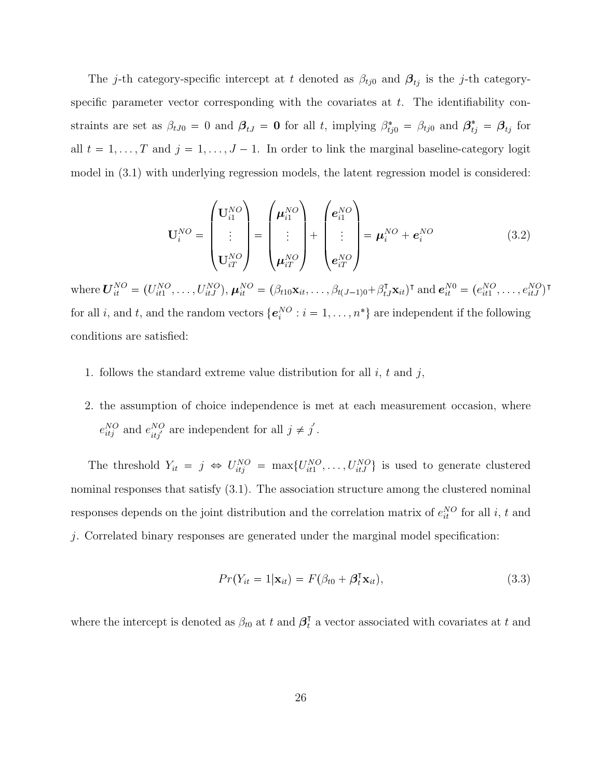The j-th category-specific intercept at t denoted as  $\beta_{tj0}$  and  $\beta_{tj}$  is the j-th categoryspecific parameter vector corresponding with the covariates at  $t$ . The identifiability constraints are set as  $\beta_{tJ0} = 0$  and  $\beta_{tJ} = 0$  for all t, implying  $\beta_{tj0}^* = \beta_{tj0}$  and  $\beta_{tj}^* = \beta_{tj}$  for all  $t = 1, ..., T$  and  $j = 1, ..., J - 1$ . In order to link the marginal baseline-category logit model in (3.1) with underlying regression models, the latent regression model is considered:

$$
\mathbf{U}_{i}^{NO} = \begin{pmatrix} \mathbf{U}_{i1}^{NO} \\ \vdots \\ \mathbf{U}_{iT}^{NO} \end{pmatrix} = \begin{pmatrix} \boldsymbol{\mu}_{i1}^{NO} \\ \vdots \\ \boldsymbol{\mu}_{iT}^{NO} \end{pmatrix} + \begin{pmatrix} \boldsymbol{e}_{i1}^{NO} \\ \vdots \\ \boldsymbol{e}_{iT}^{NO} \end{pmatrix} = \boldsymbol{\mu}_{i}^{NO} + \boldsymbol{e}_{i}^{NO}
$$
(3.2)

where  $\bm{U}_{it}^{NO} = (U_{it1}^{NO}, \ldots, U_{itJ}^{NO}), \bm{\mu}_{it}^{NO} = (\beta_{t10} \mathbf{x}_{it}, \ldots, \beta_{t(J-1)0} + \beta_{tJ}^{\mathsf{T}} \mathbf{x}_{it})^{\mathsf{T}}$  and  $\bm{e}_{it}^{NO} = (e_{it1}^{NO}, \ldots, e_{itJ}^{NO})^{\mathsf{T}}$ for all *i*, and *t*, and the random vectors  $\{e_i^{NO} : i = 1, ..., n^*\}$  are independent if the following conditions are satisfied:

- 1. follows the standard extreme value distribution for all  $i, t$  and  $j$ ,
- 2. the assumption of choice independence is met at each measurement occasion, where  $e_{itj}^{NO}$  and  $e_{itj'}^{NO}$  are independent for all  $j \neq j'$ .

The threshold  $Y_{it} = j \Leftrightarrow U_{itj}^{NO} = \max\{U_{it1}^{NO}, \ldots, U_{itJ}^{NO}\}\)$  is used to generate clustered nominal responses that satisfy  $(3.1)$ . The association structure among the clustered nominal responses depends on the joint distribution and the correlation matrix of  $e_{it}^{NO}$  for all i, t and j. Correlated binary responses are generated under the marginal model specification:

$$
Pr(Y_{it} = 1 | \mathbf{x}_{it}) = F(\beta_{t0} + \beta_t^{\mathsf{T}} \mathbf{x}_{it}),
$$
\n(3.3)

where the intercept is denoted as  $\beta_{t0}$  at t and  $\beta_t^{\dagger}$  a vector associated with covariates at t and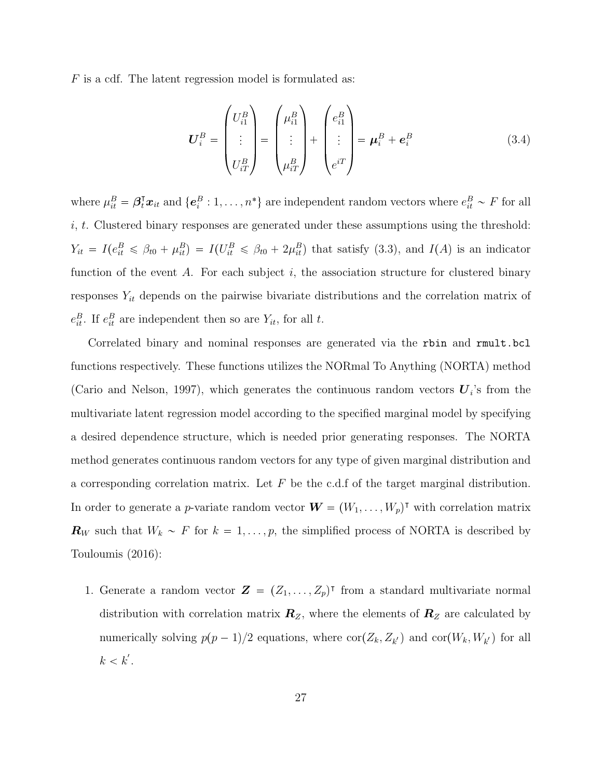F is a cdf. The latent regression model is formulated as:

$$
\boldsymbol{U}_{i}^{B} = \begin{pmatrix} U_{i1}^{B} \\ \vdots \\ U_{iT}^{B} \end{pmatrix} = \begin{pmatrix} \mu_{i1}^{B} \\ \vdots \\ \mu_{iT}^{B} \end{pmatrix} + \begin{pmatrix} e_{i1}^{B} \\ \vdots \\ e_{iT} \end{pmatrix} = \boldsymbol{\mu}_{i}^{B} + \boldsymbol{e}_{i}^{B}
$$
(3.4)

where  $\mu_{it}^B = \beta_i^{\mathsf{T}} x_{it}$  and  $\{e_i^B: 1, \ldots, n^*\}$  are independent random vectors where  $e_{it}^B \sim F$  for all  $i, t$ . Clustered binary responses are generated under these assumptions using the threshold:  $Y_{it} = I(e_{it}^B \leq \beta_{t0} + \mu_{it}^B) = I(U_{it}^B \leq \beta_{t0} + 2\mu_{it}^B)$  that satisfy (3.3), and  $I(A)$  is an indicator function of the event A. For each subject  $i$ , the association structure for clustered binary responses  $Y_{it}$  depends on the pairwise bivariate distributions and the correlation matrix of  $e_{it}^{B}$ . If  $e_{it}^{B}$  are independent then so are  $Y_{it}$ , for all t.

Correlated binary and nominal responses are generated via the rbin and rmult.bcl functions respectively. These functions utilizes the NORmal To Anything (NORTA) method (Cario and Nelson, 1997), which generates the continuous random vectors  $U_i$ 's from the multivariate latent regression model according to the specified marginal model by specifying a desired dependence structure, which is needed prior generating responses. The NORTA method generates continuous random vectors for any type of given marginal distribution and a corresponding correlation matrix. Let  $F$  be the c.d.f of the target marginal distribution. In order to generate a *p*-variate random vector  $\boldsymbol{W} = (W_1, \dots, W_p)^{\intercal}$  with correlation matrix  $\mathbf{R}_W$  such that  $W_k \sim F$  for  $k = 1, \ldots, p$ , the simplified process of NORTA is described by Touloumis (2016):

1. Generate a random vector  $\mathbf{Z} = (Z_1, \ldots, Z_p)^{\mathsf{T}}$  from a standard multivariate normal distribution with correlation matrix  $\mathbf{R}_z$ , where the elements of  $\mathbf{R}_z$  are calculated by numerically solving  $p(p-1)/2$  equations, where  $\text{cor}(Z_k, Z_{k'})$  and  $\text{cor}(W_k, W_{k'})$  for all  $k < k^{'}$ .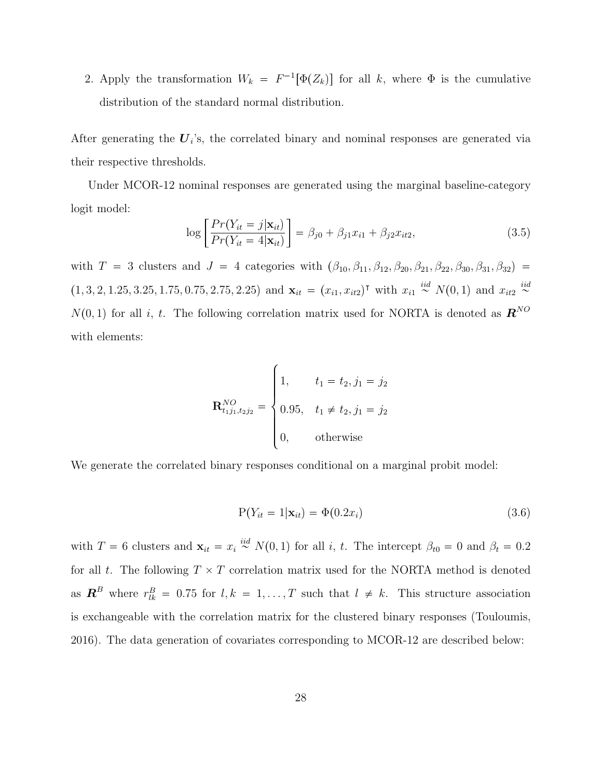2. Apply the transformation  $W_k = F^{-1}[\Phi(Z_k)]$  for all k, where  $\Phi$  is the cumulative distribution of the standard normal distribution.

After generating the  $U_i$ 's, the correlated binary and nominal responses are generated via their respective thresholds.

Under MCOR-12 nominal responses are generated using the marginal baseline-category logit model:

$$
\log \left[ \frac{Pr(Y_{it} = j | \mathbf{x}_{it})}{Pr(Y_{it} = 4 | \mathbf{x}_{it})} \right] = \beta_{j0} + \beta_{j1} x_{i1} + \beta_{j2} x_{it2}, \qquad (3.5)
$$

with  $T = 3$  clusters and  $J = 4$  categories with  $(\beta_{10}, \beta_{11}, \beta_{12}, \beta_{20}, \beta_{21}, \beta_{22}, \beta_{30}, \beta_{31}, \beta_{32}) =$  $(1, 3, 2, 1.25, 3.25, 1.75, 0.75, 2.75, 2.25)$  and  $\mathbf{x}_{it} = (x_{i1}, x_{it2})^{\dagger}$  with  $x_{i1} \stackrel{iid}{\sim} N(0, 1)$  and  $x_{it2} \stackrel{iid}{\sim}$  $N(0, 1)$  for all i, t. The following correlation matrix used for NORTA is denoted as  $\mathbf{R}^{NO}$ with elements:

$$
\mathbf{R}_{t_1 j_1, t_2 j_2}^{NO} = \begin{cases} 1, & t_1 = t_2, j_1 = j_2 \\ 0.95, & t_1 \neq t_2, j_1 = j_2 \\ 0, & \text{otherwise} \end{cases}
$$

We generate the correlated binary responses conditional on a marginal probit model:

$$
P(Y_{it} = 1 | \mathbf{x}_{it}) = \Phi(0.2x_i)
$$
\n
$$
(3.6)
$$

with  $T = 6$  clusters and  $\mathbf{x}_{it} = x_i \stackrel{iid}{\sim} N(0, 1)$  for all i, t. The intercept  $\beta_{t0} = 0$  and  $\beta_t = 0.2$ for all t. The following  $T \times T$  correlation matrix used for the NORTA method is denoted as  $\mathbf{R}^B$  where  $r_{lk}^B = 0.75$  for  $l, k = 1, ..., T$  such that  $l \neq k$ . This structure association is exchangeable with the correlation matrix for the clustered binary responses (Touloumis, 2016). The data generation of covariates corresponding to MCOR-12 are described below: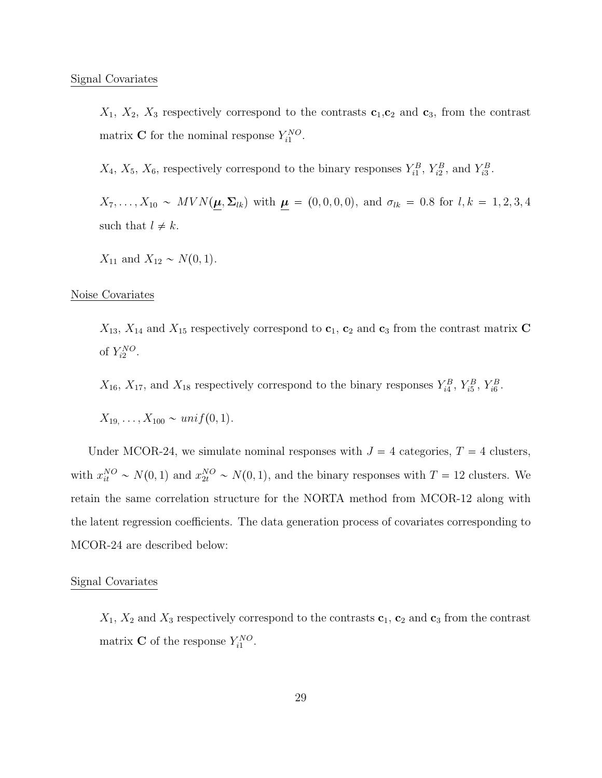$X_1, X_2, X_3$  respectively correspond to the contrasts  $c_1, c_2$  and  $c_3$ , from the contrast matrix **C** for the nominal response  $Y_{i1}^{NO}$ .

 $X_4$ ,  $X_5$ ,  $X_6$ , respectively correspond to the binary responses  $Y_{i1}^B$ ,  $Y_{i2}^B$ , and  $Y_{i3}^B$ .

 $X_7, \ldots, X_{10} \sim MVN(\mu, \Sigma_{lk})$  with  $\mu = (0, 0, 0, 0)$ , and  $\sigma_{lk} = 0.8$  for  $l, k = 1, 2, 3, 4$ such that  $l \neq k$ .

 $X_{11}$  and  $X_{12} \sim N(0, 1)$ .

#### Noise Covariates

 $X_{13}$ ,  $X_{14}$  and  $X_{15}$  respectively correspond to  $\mathbf{c}_1$ ,  $\mathbf{c}_2$  and  $\mathbf{c}_3$  from the contrast matrix C of  $Y_{i2}^{NO}$ .

 $X_{16}$ ,  $X_{17}$ , and  $X_{18}$  respectively correspond to the binary responses  $Y_{i4}^B$ ,  $Y_{i5}^B$ ,  $Y_{i6}^B$ .

$$
X_{19}, \ldots, X_{100} \sim \text{unif}(0, 1).
$$

Under MCOR-24, we simulate nominal responses with  $J = 4$  categories,  $T = 4$  clusters, with  $x_{it}^{NO} \sim N(0, 1)$  and  $x_{2t}^{NO} \sim N(0, 1)$ , and the binary responses with  $T = 12$  clusters. We retain the same correlation structure for the NORTA method from MCOR-12 along with the latent regression coefficients. The data generation process of covariates corresponding to MCOR-24 are described below:

### Signal Covariates

 $X_1, X_2$  and  $X_3$  respectively correspond to the contrasts  $c_1, c_2$  and  $c_3$  from the contrast matrix **C** of the response  $Y_{i1}^{NO}$ .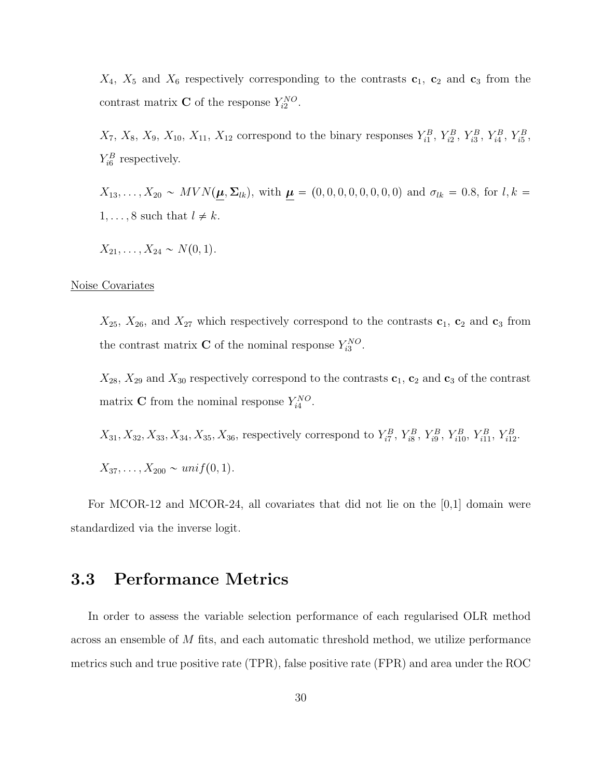$X_4$ ,  $X_5$  and  $X_6$  respectively corresponding to the contrasts  $c_1$ ,  $c_2$  and  $c_3$  from the contrast matrix **C** of the response  $Y_{i2}^{NO}$ .

 $X_7, X_8, X_9, X_{10}, X_{11}, X_{12}$  correspond to the binary responses  $Y_{i1}^B, Y_{i2}^B, Y_{i3}^B, Y_{i4}^B, Y_{i5}^B,$  $Y_{i6}^B$  respectively.

 $X_{13}, \ldots, X_{20} \sim MVN(\mu, \Sigma_{lk}),$  with  $\mu=(0, 0, 0, 0, 0, 0, 0, 0)$  and  $\sigma_{lk} = 0.8$ , for  $l, k =$  $1, \ldots, 8$  such that  $l \neq k$ .

 $X_{21}, \ldots, X_{24} \sim N(0, 1).$ 

### Noise Covariates

 $X_{25}$ ,  $X_{26}$ , and  $X_{27}$  which respectively correspond to the contrasts  $c_1$ ,  $c_2$  and  $c_3$  from the contrast matrix **C** of the nominal response  $Y_{i3}^{NO}$ .

 $X_{28}$ ,  $X_{29}$  and  $X_{30}$  respectively correspond to the contrasts  $c_1$ ,  $c_2$  and  $c_3$  of the contrast matrix **C** from the nominal response  $Y_{i4}^{NO}$ .

 $X_{31}, X_{32}, X_{33}, X_{34}, X_{35}, X_{36}$ , respectively correspond to  $Y_{i7}^B$ ,  $Y_{i8}^B$ ,  $Y_{i9}^B$ ,  $Y_{i10}^B$ ,  $Y_{i11}^B$ ,  $Y_{i12}^B$ .

 $X_{37}, \ldots, X_{200} \sim unif(0, 1).$ 

For MCOR-12 and MCOR-24, all covariates that did not lie on the [0,1] domain were standardized via the inverse logit.

## 3.3 Performance Metrics

In order to assess the variable selection performance of each regularised OLR method across an ensemble of M fits, and each automatic threshold method, we utilize performance metrics such and true positive rate (TPR), false positive rate (FPR) and area under the ROC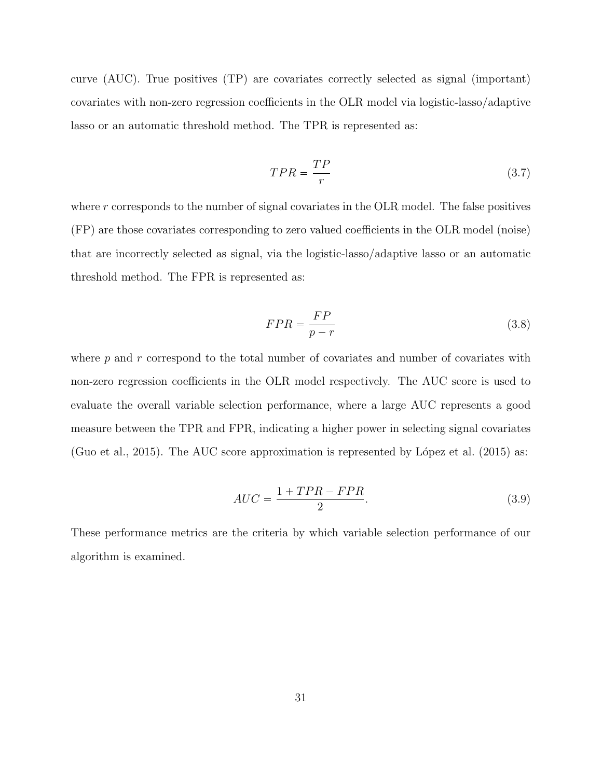curve (AUC). True positives (TP) are covariates correctly selected as signal (important) covariates with non-zero regression coefficients in the OLR model via logistic-lasso/adaptive lasso or an automatic threshold method. The TPR is represented as:

$$
TPR = \frac{TP}{r} \tag{3.7}
$$

where  $r$  corresponds to the number of signal covariates in the OLR model. The false positives (FP) are those covariates corresponding to zero valued coefficients in the OLR model (noise) that are incorrectly selected as signal, via the logistic-lasso/adaptive lasso or an automatic threshold method. The FPR is represented as:

$$
FPR = \frac{FP}{p - r} \tag{3.8}
$$

where  $p$  and  $r$  correspond to the total number of covariates and number of covariates with non-zero regression coefficients in the OLR model respectively. The AUC score is used to evaluate the overall variable selection performance, where a large AUC represents a good measure between the TPR and FPR, indicating a higher power in selecting signal covariates (Guo et al., 2015). The AUC score approximation is represented by López et al. (2015) as:

$$
AUC = \frac{1 + TPR - FPR}{2}.\tag{3.9}
$$

These performance metrics are the criteria by which variable selection performance of our algorithm is examined.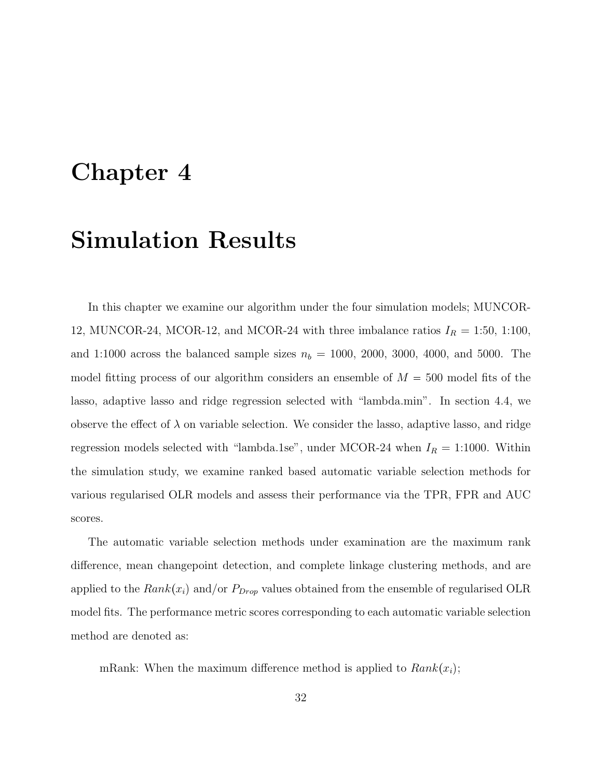## Chapter 4

## Simulation Results

In this chapter we examine our algorithm under the four simulation models; MUNCOR-12, MUNCOR-24, MCOR-12, and MCOR-24 with three imbalance ratios  $I_R = 1:50, 1:100$ , and 1:1000 across the balanced sample sizes  $n_b = 1000, 2000, 3000, 4000,$  and 5000. The model fitting process of our algorithm considers an ensemble of  $M = 500$  model fits of the lasso, adaptive lasso and ridge regression selected with "lambda.min". In section 4.4, we observe the effect of  $\lambda$  on variable selection. We consider the lasso, adaptive lasso, and ridge regression models selected with "lambda.1se", under MCOR-24 when  $I_R = 1:1000$ . Within the simulation study, we examine ranked based automatic variable selection methods for various regularised OLR models and assess their performance via the TPR, FPR and AUC scores.

The automatic variable selection methods under examination are the maximum rank difference, mean changepoint detection, and complete linkage clustering methods, and are applied to the  $Rank(x_i)$  and/or  $P_{Drop}$  values obtained from the ensemble of regularised OLR model fits. The performance metric scores corresponding to each automatic variable selection method are denoted as:

mRank: When the maximum difference method is applied to  $Rank(x_i)$ ;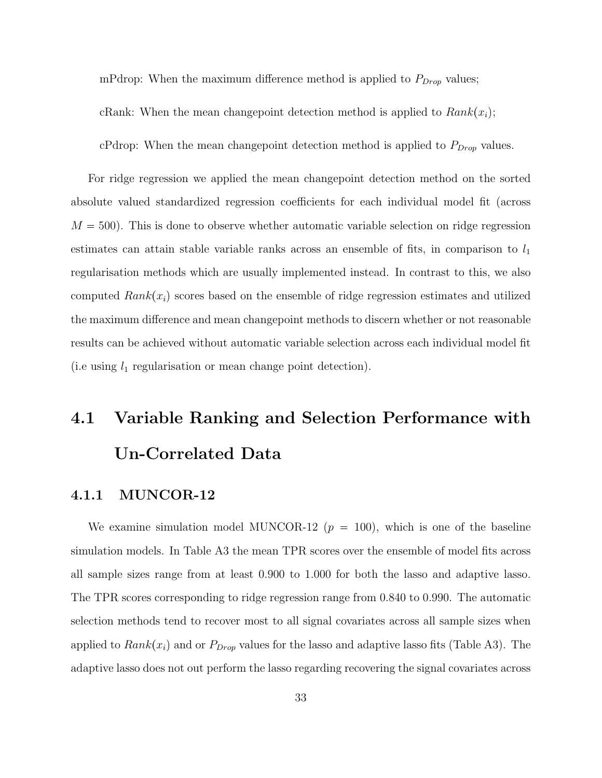mPdrop: When the maximum difference method is applied to  $P_{Drop}$  values;

cRank: When the mean changepoint detection method is applied to  $Rank(x_i)$ ;

cPdrop: When the mean changepoint detection method is applied to  $P_{Drop}$  values.

For ridge regression we applied the mean changepoint detection method on the sorted absolute valued standardized regression coefficients for each individual model fit (across  $M = 500$ . This is done to observe whether automatic variable selection on ridge regression estimates can attain stable variable ranks across an ensemble of fits, in comparison to  $l_1$ regularisation methods which are usually implemented instead. In contrast to this, we also computed  $Rank(x_i)$  scores based on the ensemble of ridge regression estimates and utilized the maximum difference and mean changepoint methods to discern whether or not reasonable results can be achieved without automatic variable selection across each individual model fit (i.e using  $l_1$  regularisation or mean change point detection).

# 4.1 Variable Ranking and Selection Performance with Un-Correlated Data

### 4.1.1 MUNCOR-12

We examine simulation model MUNCOR-12  $(p = 100)$ , which is one of the baseline simulation models. In Table A3 the mean TPR scores over the ensemble of model fits across all sample sizes range from at least 0.900 to 1.000 for both the lasso and adaptive lasso. The TPR scores corresponding to ridge regression range from 0.840 to 0.990. The automatic selection methods tend to recover most to all signal covariates across all sample sizes when applied to  $Rank(x_i)$  and or  $P_{Drop}$  values for the lasso and adaptive lasso fits (Table A3). The adaptive lasso does not out perform the lasso regarding recovering the signal covariates across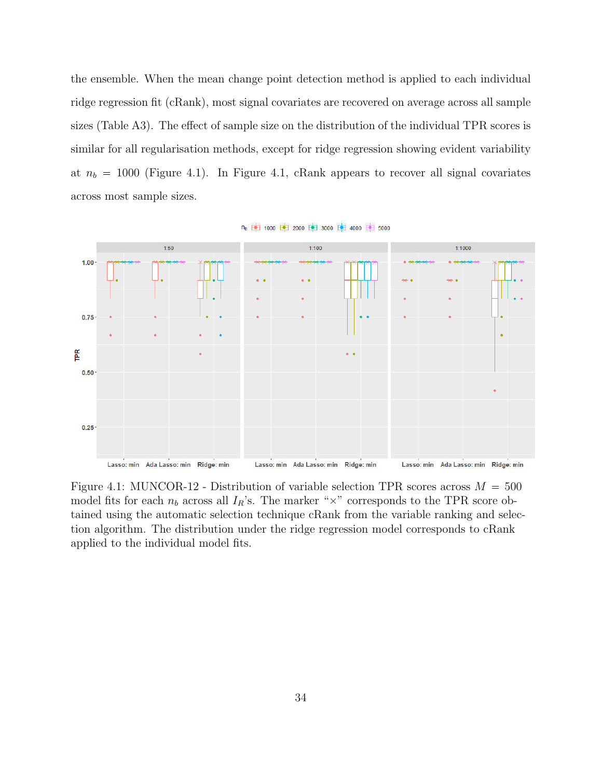the ensemble. When the mean change point detection method is applied to each individual ridge regression fit (cRank), most signal covariates are recovered on average across all sample sizes (Table A3). The effect of sample size on the distribution of the individual TPR scores is similar for all regularisation methods, except for ridge regression showing evident variability at  $n_b = 1000$  (Figure 4.1). In Figure 4.1, cRank appears to recover all signal covariates across most sample sizes.



n<sub>b</sub> 中 1000 中 2000 中 3000 中 4000 中 5000

Figure 4.1: MUNCOR-12 - Distribution of variable selection TPR scores across  $M = 500$ model fits for each  $n_b$  across all  $I_R$ 's. The marker " $\times$ " corresponds to the TPR score obtained using the automatic selection technique cRank from the variable ranking and selection algorithm. The distribution under the ridge regression model corresponds to cRank applied to the individual model fits.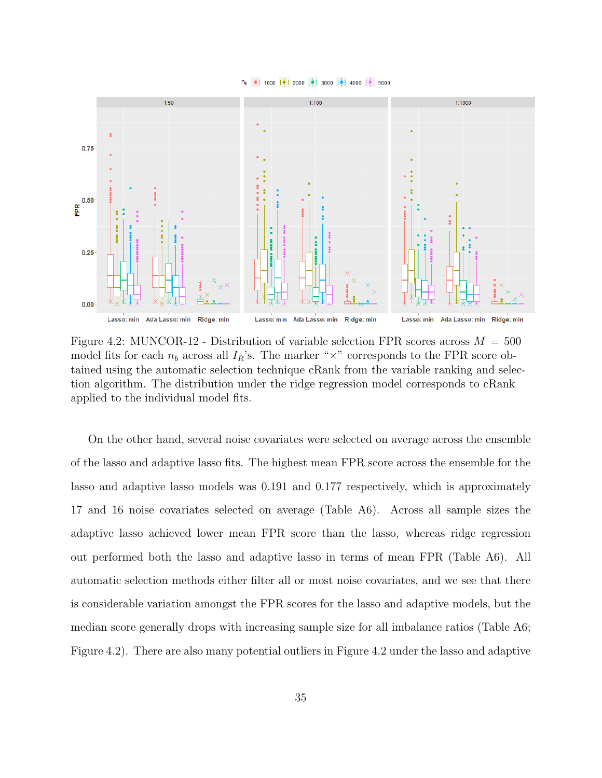



Figure 4.2: MUNCOR-12 - Distribution of variable selection FPR scores across  $M = 500$ model fits for each  $n_b$  across all  $I_R$ 's. The marker " $\times$ " corresponds to the FPR score obtained using the automatic selection technique cRank from the variable ranking and selection algorithm. The distribution under the ridge regression model corresponds to cRank applied to the individual model fits.

On the other hand, several noise covariates were selected on average across the ensemble of the lasso and adaptive lasso fits. The highest mean FPR score across the ensemble for the lasso and adaptive lasso models was 0.191 and 0.177 respectively, which is approximately 17 and 16 noise covariates selected on average (Table A6). Across all sample sizes the adaptive lasso achieved lower mean FPR score than the lasso, whereas ridge regression out performed both the lasso and adaptive lasso in terms of mean FPR (Table A6). All automatic selection methods either filter all or most noise covariates, and we see that there is considerable variation amongst the FPR scores for the lasso and adaptive models, but the median score generally drops with increasing sample size for all imbalance ratios (Table A6; Figure 4.2). There are also many potential outliers in Figure 4.2 under the lasso and adaptive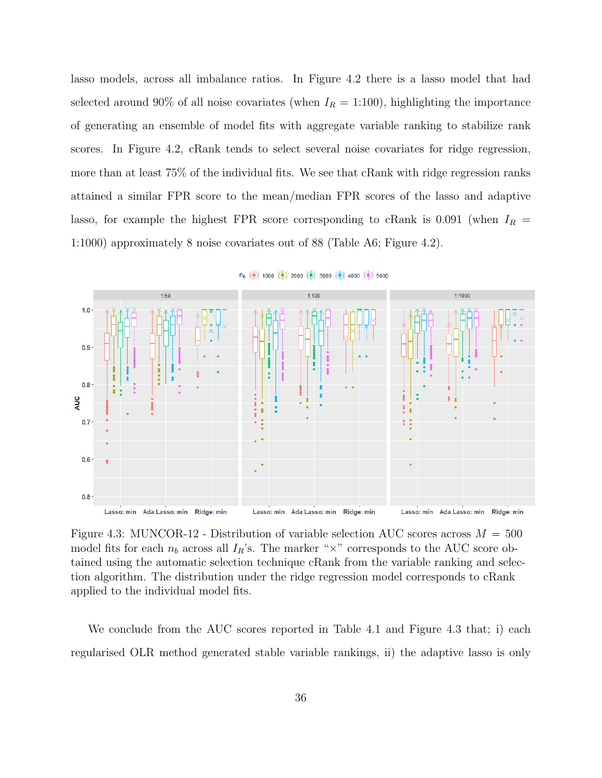lasso models, across all imbalance ratios. In Figure 4.2 there is a lasso model that had selected around 90% of all noise covariates (when  $I_R = 1:100$ ), highlighting the importance of generating an ensemble of model fits with aggregate variable ranking to stabilize rank scores. In Figure 4.2, cRank tends to select several noise covariates for ridge regression, more than at least 75% of the individual fits. We see that cRank with ridge regression ranks attained a similar FPR score to the mean/median FPR scores of the lasso and adaptive lasso, for example the highest FPR score corresponding to cRank is 0.091 (when  $I_R$  = 1:1000) approximately 8 noise covariates out of 88 (Table A6; Figure 4.2).



n<sub>b</sub> 中 1000 中 2000 中 3000 中 4000 中 5000

Figure 4.3: MUNCOR-12 - Distribution of variable selection AUC scores across  $M = 500$ model fits for each  $n_b$  across all  $I_R$ 's. The marker " $\times$ " corresponds to the AUC score obtained using the automatic selection technique cRank from the variable ranking and selection algorithm. The distribution under the ridge regression model corresponds to cRank applied to the individual model fits.

We conclude from the AUC scores reported in Table 4.1 and Figure 4.3 that; i) each regularised OLR method generated stable variable rankings, ii) the adaptive lasso is only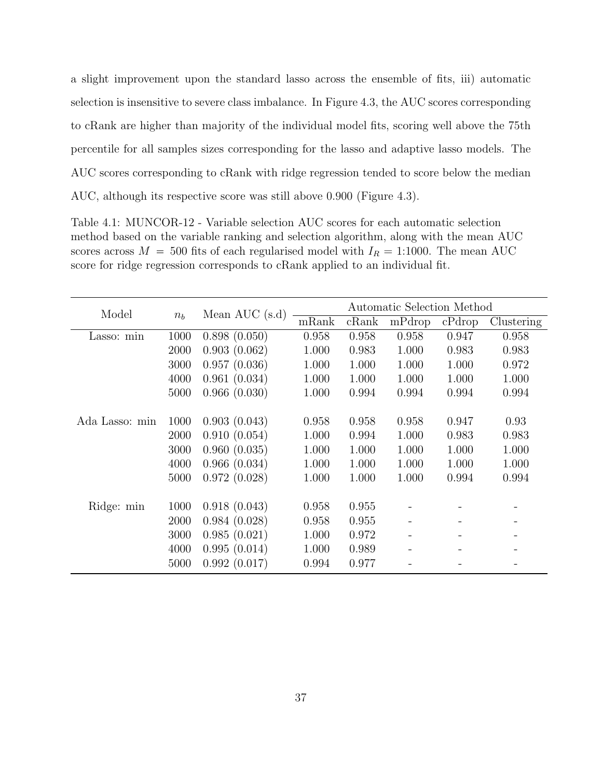a slight improvement upon the standard lasso across the ensemble of fits, iii) automatic selection is insensitive to severe class imbalance. In Figure 4.3, the AUC scores corresponding to cRank are higher than majority of the individual model fits, scoring well above the 75th percentile for all samples sizes corresponding for the lasso and adaptive lasso models. The AUC scores corresponding to cRank with ridge regression tended to score below the median AUC, although its respective score was still above 0.900 (Figure 4.3).

Table 4.1: MUNCOR-12 - Variable selection AUC scores for each automatic selection method based on the variable ranking and selection algorithm, along with the mean AUC scores across  $M = 500$  fits of each regularised model with  $I_R = 1:1000$ . The mean AUC score for ridge regression corresponds to cRank applied to an individual fit.

| Model          | $n_b$ | Mean AUC $(s.d)$ | Automatic Selection Method |       |        |        |            |
|----------------|-------|------------------|----------------------------|-------|--------|--------|------------|
|                |       |                  | mRank                      | cRank | mPdrop | cPdrop | Clustering |
| Lasso: min     | 1000  | 0.898(0.050)     | 0.958                      | 0.958 | 0.958  | 0.947  | 0.958      |
|                | 2000  | 0.903(0.062)     | 1.000                      | 0.983 | 1.000  | 0.983  | 0.983      |
|                | 3000  | 0.957(0.036)     | 1.000                      | 1.000 | 1.000  | 1.000  | 0.972      |
|                | 4000  | 0.961(0.034)     | 1.000                      | 1.000 | 1.000  | 1.000  | 1.000      |
|                | 5000  | 0.966(0.030)     | 1.000                      | 0.994 | 0.994  | 0.994  | 0.994      |
|                |       |                  |                            |       |        |        |            |
| Ada Lasso: min | 1000  | 0.903(0.043)     | 0.958                      | 0.958 | 0.958  | 0.947  | 0.93       |
|                | 2000  | 0.910(0.054)     | 1.000                      | 0.994 | 1.000  | 0.983  | 0.983      |
|                | 3000  | 0.960(0.035)     | 1.000                      | 1.000 | 1.000  | 1.000  | 1.000      |
|                | 4000  | 0.966(0.034)     | 1.000                      | 1.000 | 1.000  | 1.000  | 1.000      |
|                | 5000  | 0.972(0.028)     | 1.000                      | 1.000 | 1.000  | 0.994  | 0.994      |
|                |       |                  |                            |       |        |        |            |
| Ridge: min     | 1000  | 0.918(0.043)     | 0.958                      | 0.955 |        |        |            |
|                | 2000  | 0.984(0.028)     | 0.958                      | 0.955 |        |        |            |
|                | 3000  | 0.985(0.021)     | 1.000                      | 0.972 |        |        |            |
|                | 4000  | 0.995(0.014)     | 1.000                      | 0.989 |        |        |            |
|                | 5000  | 0.992(0.017)     | 0.994                      | 0.977 |        |        |            |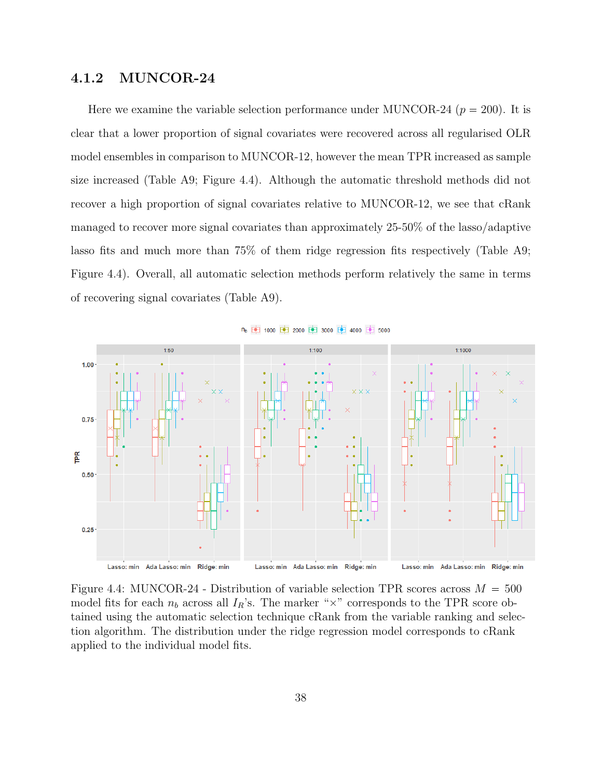### 4.1.2 MUNCOR-24

Here we examine the variable selection performance under MUNCOR-24 ( $p = 200$ ). It is clear that a lower proportion of signal covariates were recovered across all regularised OLR model ensembles in comparison to MUNCOR-12, however the mean TPR increased as sample size increased (Table A9; Figure 4.4). Although the automatic threshold methods did not recover a high proportion of signal covariates relative to MUNCOR-12, we see that cRank managed to recover more signal covariates than approximately 25-50% of the lasso/adaptive lasso fits and much more than 75% of them ridge regression fits respectively (Table A9; Figure 4.4). Overall, all automatic selection methods perform relatively the same in terms of recovering signal covariates (Table A9).



n<sub>b</sub> 中 1000 中 2000 中 3000 中 4000 中 5000

Figure 4.4: MUNCOR-24 - Distribution of variable selection TPR scores across  $M = 500$ model fits for each  $n_b$  across all  $I_R$ 's. The marker " $\times$ " corresponds to the TPR score obtained using the automatic selection technique cRank from the variable ranking and selection algorithm. The distribution under the ridge regression model corresponds to cRank applied to the individual model fits.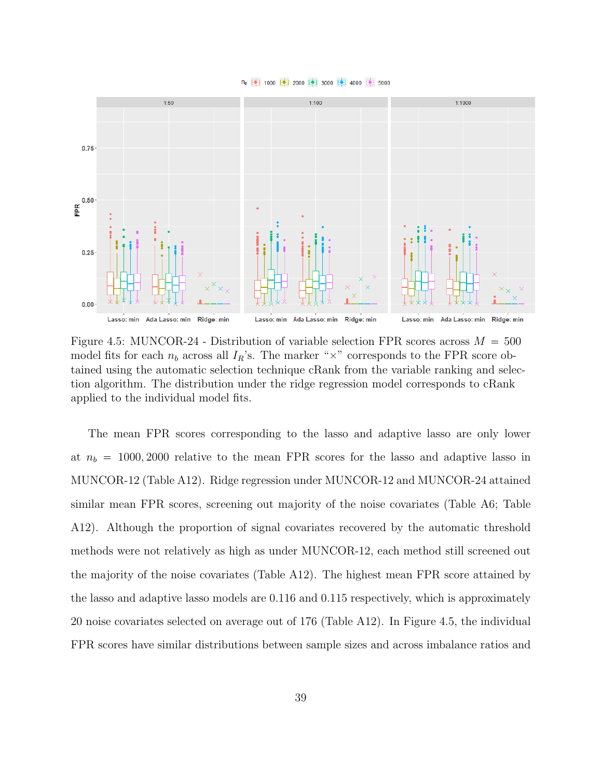



Figure 4.5: MUNCOR-24 - Distribution of variable selection FPR scores across  $M = 500$ model fits for each  $n_b$  across all  $I_R$ 's. The marker " $\times$ " corresponds to the FPR score obtained using the automatic selection technique cRank from the variable ranking and selection algorithm. The distribution under the ridge regression model corresponds to cRank applied to the individual model fits.

The mean FPR scores corresponding to the lasso and adaptive lasso are only lower at  $n_b = 1000, 2000$  relative to the mean FPR scores for the lasso and adaptive lasso in MUNCOR-12 (Table A12). Ridge regression under MUNCOR-12 and MUNCOR-24 attained similar mean FPR scores, screening out majority of the noise covariates (Table A6; Table A12). Although the proportion of signal covariates recovered by the automatic threshold methods were not relatively as high as under MUNCOR-12, each method still screened out the majority of the noise covariates (Table A12). The highest mean FPR score attained by the lasso and adaptive lasso models are 0.116 and 0.115 respectively, which is approximately 20 noise covariates selected on average out of 176 (Table A12). In Figure 4.5, the individual FPR scores have similar distributions between sample sizes and across imbalance ratios and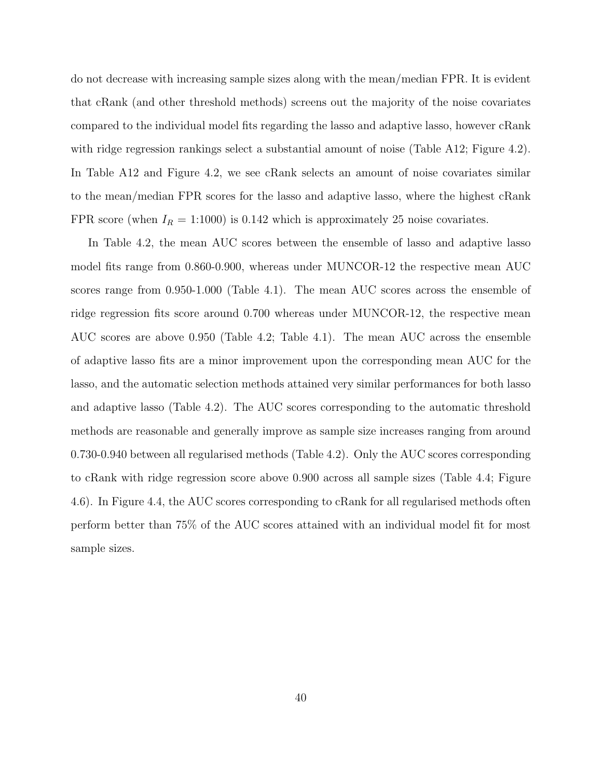do not decrease with increasing sample sizes along with the mean/median FPR. It is evident that cRank (and other threshold methods) screens out the majority of the noise covariates compared to the individual model fits regarding the lasso and adaptive lasso, however cRank with ridge regression rankings select a substantial amount of noise (Table A12; Figure 4.2). In Table A12 and Figure 4.2, we see cRank selects an amount of noise covariates similar to the mean/median FPR scores for the lasso and adaptive lasso, where the highest cRank FPR score (when  $I_R = 1:1000$ ) is 0.142 which is approximately 25 noise covariates.

In Table 4.2, the mean AUC scores between the ensemble of lasso and adaptive lasso model fits range from 0.860-0.900, whereas under MUNCOR-12 the respective mean AUC scores range from 0.950-1.000 (Table 4.1). The mean AUC scores across the ensemble of ridge regression fits score around 0.700 whereas under MUNCOR-12, the respective mean AUC scores are above 0.950 (Table 4.2; Table 4.1). The mean AUC across the ensemble of adaptive lasso fits are a minor improvement upon the corresponding mean AUC for the lasso, and the automatic selection methods attained very similar performances for both lasso and adaptive lasso (Table 4.2). The AUC scores corresponding to the automatic threshold methods are reasonable and generally improve as sample size increases ranging from around 0.730-0.940 between all regularised methods (Table 4.2). Only the AUC scores corresponding to cRank with ridge regression score above 0.900 across all sample sizes (Table 4.4; Figure 4.6). In Figure 4.4, the AUC scores corresponding to cRank for all regularised methods often perform better than 75% of the AUC scores attained with an individual model fit for most sample sizes.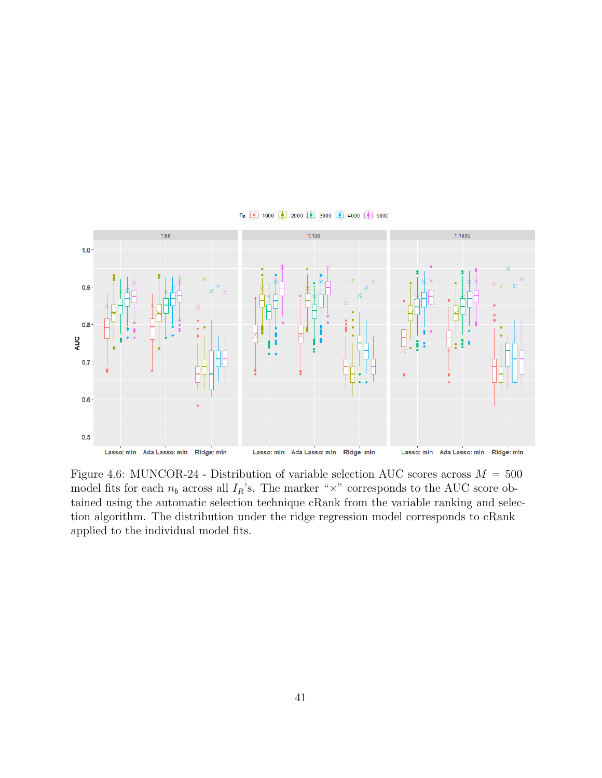

n<sub>b</sub> 中 1000 中 2000 中 3000 中 4000 中 5000

Figure 4.6: MUNCOR-24 - Distribution of variable selection AUC scores across  $M = 500$ model fits for each  $n_b$  across all  $I_R$ 's. The marker " $\times$ " corresponds to the AUC score obtained using the automatic selection technique cRank from the variable ranking and selection algorithm. The distribution under the ridge regression model corresponds to cRank applied to the individual model fits.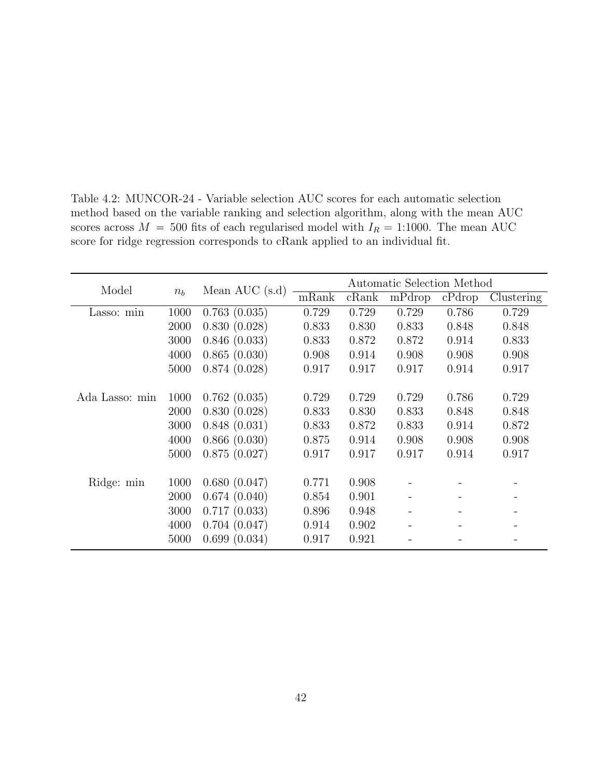| Model          | $n_b$ | Mean AUC $(s.d)$ | Automatic Selection Method |       |        |        |            |
|----------------|-------|------------------|----------------------------|-------|--------|--------|------------|
|                |       |                  | mRank                      | cRank | mPdrop | cPdrop | Clustering |
| Lasso: min     | 1000  | 0.763(0.035)     | 0.729                      | 0.729 | 0.729  | 0.786  | 0.729      |
|                | 2000  | 0.830(0.028)     | 0.833                      | 0.830 | 0.833  | 0.848  | 0.848      |
|                | 3000  | 0.846(0.033)     | 0.833                      | 0.872 | 0.872  | 0.914  | 0.833      |
|                | 4000  | 0.865(0.030)     | 0.908                      | 0.914 | 0.908  | 0.908  | 0.908      |
|                | 5000  | 0.874(0.028)     | 0.917                      | 0.917 | 0.917  | 0.914  | 0.917      |
|                |       |                  |                            |       |        |        |            |
| Ada Lasso: min | 1000  | 0.762(0.035)     | 0.729                      | 0.729 | 0.729  | 0.786  | 0.729      |
|                | 2000  | 0.830(0.028)     | 0.833                      | 0.830 | 0.833  | 0.848  | 0.848      |
|                | 3000  | 0.848(0.031)     | 0.833                      | 0.872 | 0.833  | 0.914  | 0.872      |
|                | 4000  | 0.866(0.030)     | 0.875                      | 0.914 | 0.908  | 0.908  | 0.908      |
|                | 5000  | 0.875(0.027)     | 0.917                      | 0.917 | 0.917  | 0.914  | 0.917      |
|                |       |                  |                            |       |        |        |            |
| Ridge: min     | 1000  | 0.680(0.047)     | 0.771                      | 0.908 |        |        |            |
|                | 2000  | 0.674(0.040)     | 0.854                      | 0.901 |        |        |            |
|                | 3000  | 0.717(0.033)     | 0.896                      | 0.948 |        |        |            |
|                | 4000  | 0.704(0.047)     | 0.914                      | 0.902 |        |        |            |
|                | 5000  | 0.699(0.034)     | 0.917                      | 0.921 |        |        |            |

Table 4.2: MUNCOR-24 - Variable selection AUC scores for each automatic selection method based on the variable ranking and selection algorithm, along with the mean AUC scores across  $M = 500$  fits of each regularised model with  $I_R = 1:1000$ . The mean AUC score for ridge regression corresponds to cRank applied to an individual fit.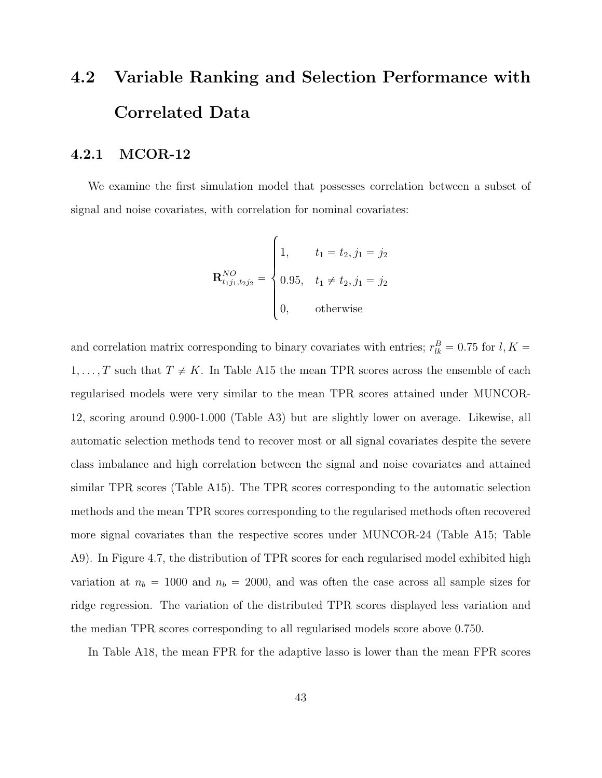# 4.2 Variable Ranking and Selection Performance with Correlated Data

### 4.2.1 MCOR-12

We examine the first simulation model that possesses correlation between a subset of signal and noise covariates, with correlation for nominal covariates:

$$
\mathbf{R}_{t_1 j_1, t_2 j_2}^{NO} = \begin{cases} 1, & t_1 = t_2, j_1 = j_2 \\ 0.95, & t_1 \neq t_2, j_1 = j_2 \\ 0, & \text{otherwise} \end{cases}
$$

and correlation matrix corresponding to binary covariates with entries;  $r_{lk}^B = 0.75$  for  $l, K =$  $1, \ldots, T$  such that  $T \neq K$ . In Table A15 the mean TPR scores across the ensemble of each regularised models were very similar to the mean TPR scores attained under MUNCOR-12, scoring around 0.900-1.000 (Table A3) but are slightly lower on average. Likewise, all automatic selection methods tend to recover most or all signal covariates despite the severe class imbalance and high correlation between the signal and noise covariates and attained similar TPR scores (Table A15). The TPR scores corresponding to the automatic selection methods and the mean TPR scores corresponding to the regularised methods often recovered more signal covariates than the respective scores under MUNCOR-24 (Table A15; Table A9). In Figure 4.7, the distribution of TPR scores for each regularised model exhibited high variation at  $n_b = 1000$  and  $n_b = 2000$ , and was often the case across all sample sizes for ridge regression. The variation of the distributed TPR scores displayed less variation and the median TPR scores corresponding to all regularised models score above 0.750.

In Table A18, the mean FPR for the adaptive lasso is lower than the mean FPR scores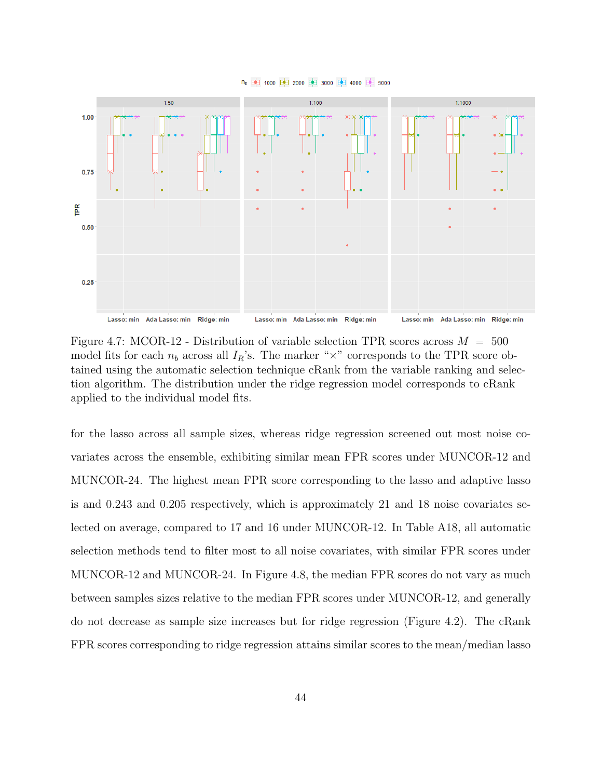



Figure 4.7: MCOR-12 - Distribution of variable selection TPR scores across  $M = 500$ model fits for each  $n_b$  across all  $I_R$ 's. The marker " $\times$ " corresponds to the TPR score obtained using the automatic selection technique cRank from the variable ranking and selection algorithm. The distribution under the ridge regression model corresponds to cRank applied to the individual model fits.

for the lasso across all sample sizes, whereas ridge regression screened out most noise covariates across the ensemble, exhibiting similar mean FPR scores under MUNCOR-12 and MUNCOR-24. The highest mean FPR score corresponding to the lasso and adaptive lasso is and 0.243 and 0.205 respectively, which is approximately 21 and 18 noise covariates selected on average, compared to 17 and 16 under MUNCOR-12. In Table A18, all automatic selection methods tend to filter most to all noise covariates, with similar FPR scores under MUNCOR-12 and MUNCOR-24. In Figure 4.8, the median FPR scores do not vary as much between samples sizes relative to the median FPR scores under MUNCOR-12, and generally do not decrease as sample size increases but for ridge regression (Figure 4.2). The cRank FPR scores corresponding to ridge regression attains similar scores to the mean/median lasso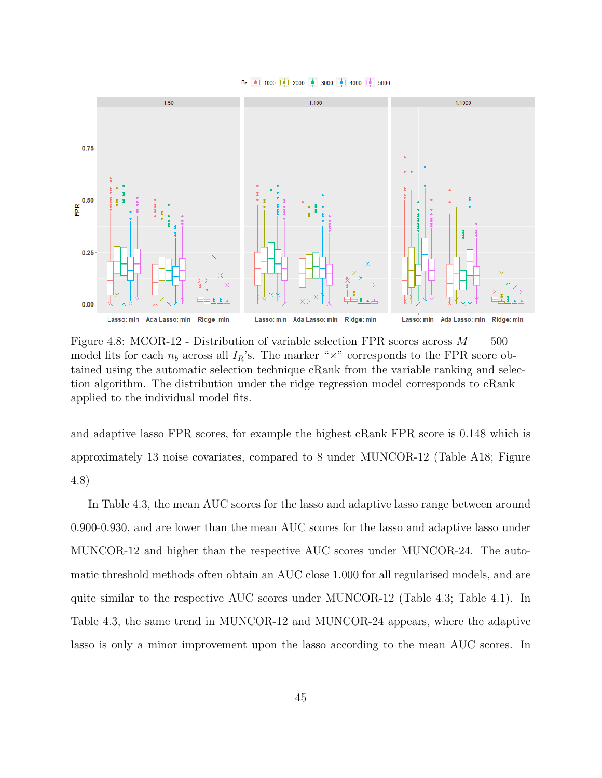



Figure 4.8: MCOR-12 - Distribution of variable selection FPR scores across  $M = 500$ model fits for each  $n_b$  across all  $I_R$ 's. The marker " $\times$ " corresponds to the FPR score obtained using the automatic selection technique cRank from the variable ranking and selection algorithm. The distribution under the ridge regression model corresponds to cRank applied to the individual model fits.

and adaptive lasso FPR scores, for example the highest cRank FPR score is 0.148 which is approximately 13 noise covariates, compared to 8 under MUNCOR-12 (Table A18; Figure 4.8)

In Table 4.3, the mean AUC scores for the lasso and adaptive lasso range between around 0.900-0.930, and are lower than the mean AUC scores for the lasso and adaptive lasso under MUNCOR-12 and higher than the respective AUC scores under MUNCOR-24. The automatic threshold methods often obtain an AUC close 1.000 for all regularised models, and are quite similar to the respective AUC scores under MUNCOR-12 (Table 4.3; Table 4.1). In Table 4.3, the same trend in MUNCOR-12 and MUNCOR-24 appears, where the adaptive lasso is only a minor improvement upon the lasso according to the mean AUC scores. In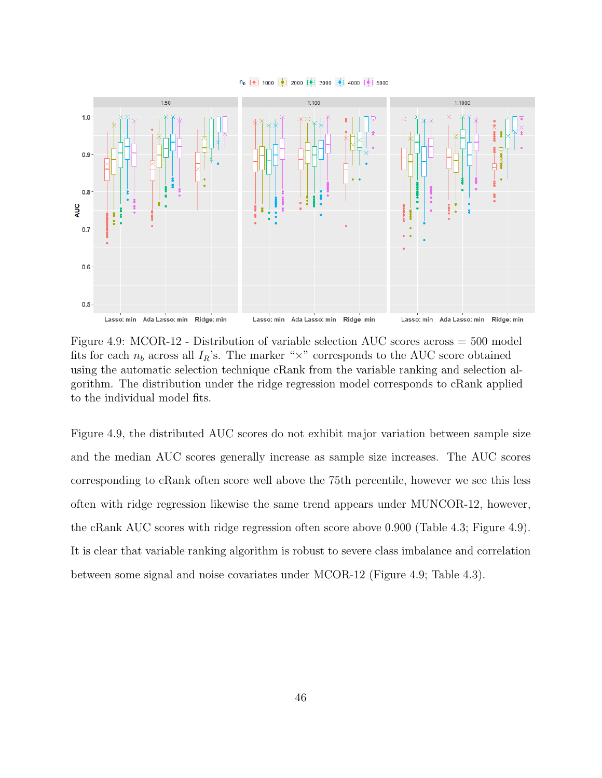



Figure 4.9: MCOR-12 - Distribution of variable selection AUC scores across = 500 model fits for each  $n_b$  across all  $I_R$ 's. The marker " $\times$ " corresponds to the AUC score obtained using the automatic selection technique cRank from the variable ranking and selection algorithm. The distribution under the ridge regression model corresponds to cRank applied to the individual model fits.

Figure 4.9, the distributed AUC scores do not exhibit major variation between sample size and the median AUC scores generally increase as sample size increases. The AUC scores corresponding to cRank often score well above the 75th percentile, however we see this less often with ridge regression likewise the same trend appears under MUNCOR-12, however, the cRank AUC scores with ridge regression often score above 0.900 (Table 4.3; Figure 4.9). It is clear that variable ranking algorithm is robust to severe class imbalance and correlation between some signal and noise covariates under MCOR-12 (Figure 4.9; Table 4.3).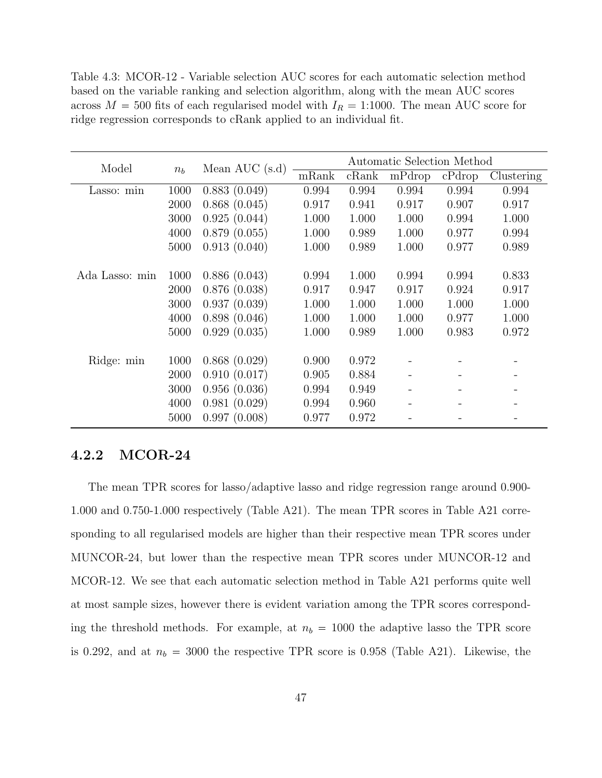Table 4.3: MCOR-12 - Variable selection AUC scores for each automatic selection method based on the variable ranking and selection algorithm, along with the mean AUC scores across  $M = 500$  fits of each regularised model with  $I_R = 1:1000$ . The mean AUC score for ridge regression corresponds to cRank applied to an individual fit.

| Model          | $n_b$ | Mean AUC $(s.d)$ | Automatic Selection Method |       |        |        |            |
|----------------|-------|------------------|----------------------------|-------|--------|--------|------------|
|                |       |                  | mRank                      | cRank | mPdrop | cPdrop | Clustering |
| Lasso: min     | 1000  | 0.883(0.049)     | 0.994                      | 0.994 | 0.994  | 0.994  | 0.994      |
|                | 2000  | 0.868(0.045)     | 0.917                      | 0.941 | 0.917  | 0.907  | 0.917      |
|                | 3000  | 0.925(0.044)     | 1.000                      | 1.000 | 1.000  | 0.994  | 1.000      |
|                | 4000  | 0.879(0.055)     | 1.000                      | 0.989 | 1.000  | 0.977  | 0.994      |
|                | 5000  | 0.913(0.040)     | 1.000                      | 0.989 | 1.000  | 0.977  | 0.989      |
|                |       |                  |                            |       |        |        |            |
| Ada Lasso: min | 1000  | 0.886(0.043)     | 0.994                      | 1.000 | 0.994  | 0.994  | 0.833      |
|                | 2000  | 0.876(0.038)     | 0.917                      | 0.947 | 0.917  | 0.924  | 0.917      |
|                | 3000  | 0.937(0.039)     | 1.000                      | 1.000 | 1.000  | 1.000  | 1.000      |
|                | 4000  | 0.898(0.046)     | 1.000                      | 1.000 | 1.000  | 0.977  | 1.000      |
|                | 5000  | 0.929(0.035)     | 1.000                      | 0.989 | 1.000  | 0.983  | 0.972      |
|                |       |                  |                            |       |        |        |            |
| Ridge: min     | 1000  | 0.868(0.029)     | 0.900                      | 0.972 |        |        |            |
|                | 2000  | 0.910(0.017)     | 0.905                      | 0.884 |        |        |            |
|                | 3000  | 0.956(0.036)     | 0.994                      | 0.949 |        |        |            |
|                | 4000  | 0.981(0.029)     | 0.994                      | 0.960 |        |        |            |
|                | 5000  | 0.997(0.008)     | 0.977                      | 0.972 |        |        |            |

### 4.2.2 MCOR-24

The mean TPR scores for lasso/adaptive lasso and ridge regression range around 0.900- 1.000 and 0.750-1.000 respectively (Table A21). The mean TPR scores in Table A21 corresponding to all regularised models are higher than their respective mean TPR scores under MUNCOR-24, but lower than the respective mean TPR scores under MUNCOR-12 and MCOR-12. We see that each automatic selection method in Table A21 performs quite well at most sample sizes, however there is evident variation among the TPR scores corresponding the threshold methods. For example, at  $n_b = 1000$  the adaptive lasso the TPR score is 0.292, and at  $n_b = 3000$  the respective TPR score is 0.958 (Table A21). Likewise, the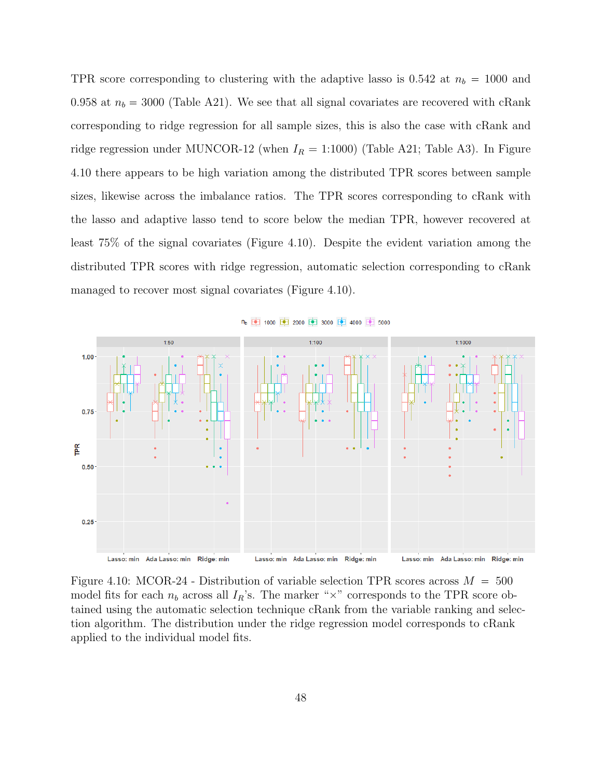TPR score corresponding to clustering with the adaptive lasso is 0.542 at  $n_b = 1000$  and 0.958 at  $n_b = 3000$  (Table A21). We see that all signal covariates are recovered with cRank corresponding to ridge regression for all sample sizes, this is also the case with cRank and ridge regression under MUNCOR-12 (when  $I_R = 1:1000$ ) (Table A21; Table A3). In Figure 4.10 there appears to be high variation among the distributed TPR scores between sample sizes, likewise across the imbalance ratios. The TPR scores corresponding to cRank with the lasso and adaptive lasso tend to score below the median TPR, however recovered at least 75% of the signal covariates (Figure 4.10). Despite the evident variation among the distributed TPR scores with ridge regression, automatic selection corresponding to cRank managed to recover most signal covariates (Figure 4.10).



n<sub>b</sub> 中 1000 中 2000 中 3000 中 4000 中 5000

Figure 4.10: MCOR-24 - Distribution of variable selection TPR scores across  $M = 500$ model fits for each  $n_b$  across all  $I_R$ 's. The marker " $\times$ " corresponds to the TPR score obtained using the automatic selection technique cRank from the variable ranking and selection algorithm. The distribution under the ridge regression model corresponds to cRank applied to the individual model fits.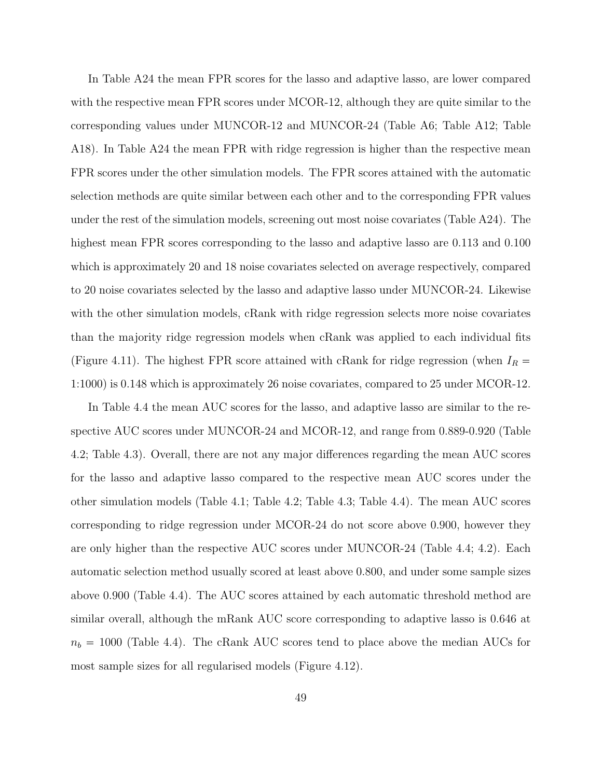In Table A24 the mean FPR scores for the lasso and adaptive lasso, are lower compared with the respective mean FPR scores under MCOR-12, although they are quite similar to the corresponding values under MUNCOR-12 and MUNCOR-24 (Table A6; Table A12; Table A18). In Table A24 the mean FPR with ridge regression is higher than the respective mean FPR scores under the other simulation models. The FPR scores attained with the automatic selection methods are quite similar between each other and to the corresponding FPR values under the rest of the simulation models, screening out most noise covariates (Table A24). The highest mean FPR scores corresponding to the lasso and adaptive lasso are 0.113 and 0.100 which is approximately 20 and 18 noise covariates selected on average respectively, compared to 20 noise covariates selected by the lasso and adaptive lasso under MUNCOR-24. Likewise with the other simulation models, cRank with ridge regression selects more noise covariates than the majority ridge regression models when cRank was applied to each individual fits (Figure 4.11). The highest FPR score attained with cRank for ridge regression (when  $I_R =$ 1:1000) is 0.148 which is approximately 26 noise covariates, compared to 25 under MCOR-12.

In Table 4.4 the mean AUC scores for the lasso, and adaptive lasso are similar to the respective AUC scores under MUNCOR-24 and MCOR-12, and range from 0.889-0.920 (Table 4.2; Table 4.3). Overall, there are not any major differences regarding the mean AUC scores for the lasso and adaptive lasso compared to the respective mean AUC scores under the other simulation models (Table 4.1; Table 4.2; Table 4.3; Table 4.4). The mean AUC scores corresponding to ridge regression under MCOR-24 do not score above 0.900, however they are only higher than the respective AUC scores under MUNCOR-24 (Table 4.4; 4.2). Each automatic selection method usually scored at least above 0.800, and under some sample sizes above 0.900 (Table 4.4). The AUC scores attained by each automatic threshold method are similar overall, although the mRank AUC score corresponding to adaptive lasso is 0.646 at  $n_b = 1000$  (Table 4.4). The cRank AUC scores tend to place above the median AUCs for most sample sizes for all regularised models (Figure 4.12).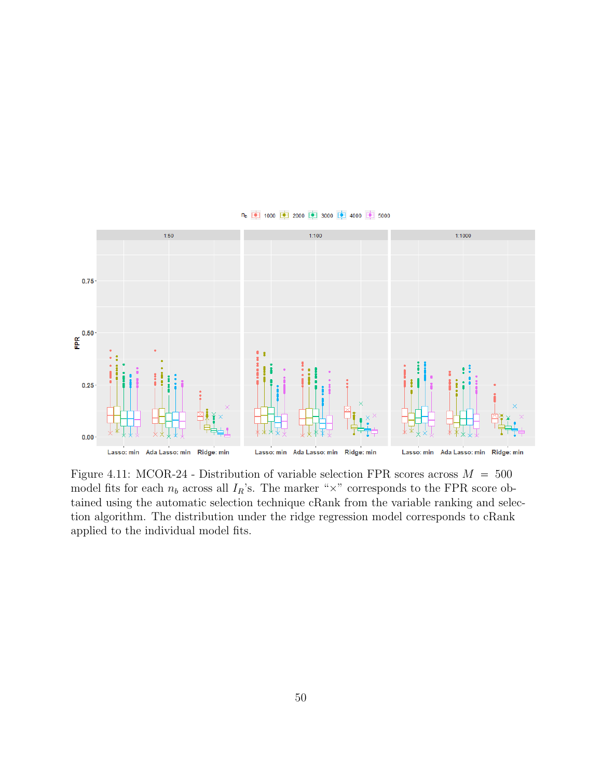

Figure 4.11: MCOR-24 - Distribution of variable selection FPR scores across  $M = 500$ model fits for each  $n_b$  across all  $I_R$ 's. The marker " $\times$ " corresponds to the FPR score obtained using the automatic selection technique cRank from the variable ranking and selection algorithm. The distribution under the ridge regression model corresponds to cRank applied to the individual model fits.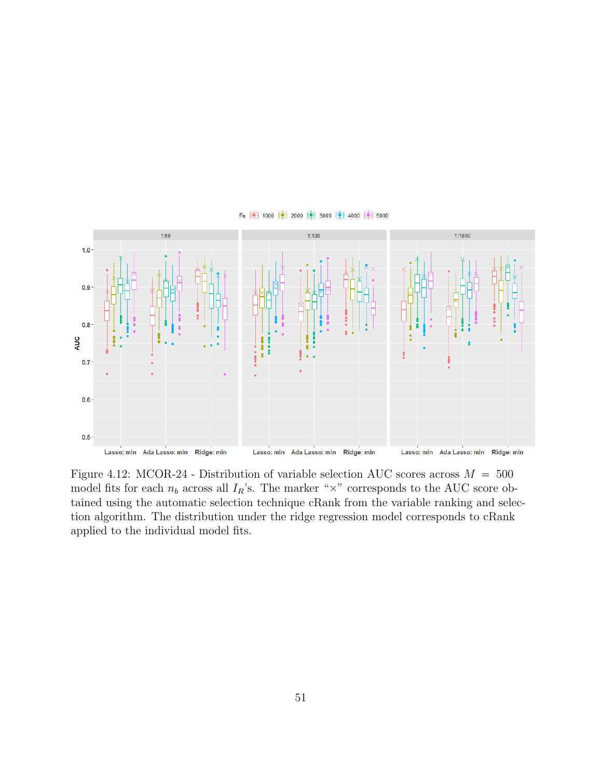



Figure 4.12: MCOR-24 - Distribution of variable selection AUC scores across  $M = 500$ model fits for each  $n_b$  across all  $I_R$ 's. The marker " $\times$ " corresponds to the AUC score obtained using the automatic selection technique cRank from the variable ranking and selection algorithm. The distribution under the ridge regression model corresponds to cRank applied to the individual model fits.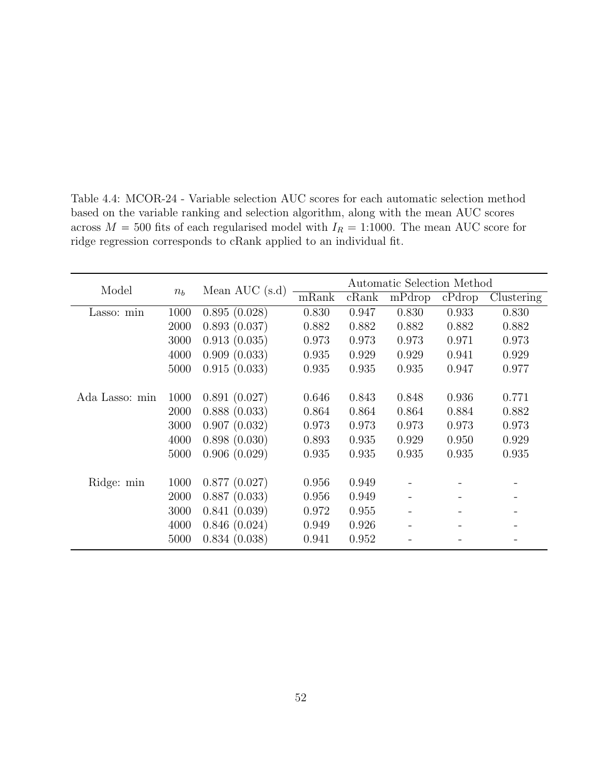| Model          | $n_b$ | Mean AUC $(s.d)$ | Automatic Selection Method |       |        |        |            |
|----------------|-------|------------------|----------------------------|-------|--------|--------|------------|
|                |       |                  | mRank                      | cRank | mPdrop | cPdrop | Clustering |
| Lasso: min     | 1000  | 0.895(0.028)     | 0.830                      | 0.947 | 0.830  | 0.933  | 0.830      |
|                | 2000  | 0.893(0.037)     | 0.882                      | 0.882 | 0.882  | 0.882  | 0.882      |
|                | 3000  | 0.913(0.035)     | 0.973                      | 0.973 | 0.973  | 0.971  | 0.973      |
|                | 4000  | 0.909(0.033)     | 0.935                      | 0.929 | 0.929  | 0.941  | 0.929      |
|                | 5000  | 0.915(0.033)     | 0.935                      | 0.935 | 0.935  | 0.947  | 0.977      |
|                |       |                  |                            |       |        |        |            |
| Ada Lasso: min | 1000  | 0.891(0.027)     | 0.646                      | 0.843 | 0.848  | 0.936  | 0.771      |
|                | 2000  | 0.888(0.033)     | 0.864                      | 0.864 | 0.864  | 0.884  | 0.882      |
|                | 3000  | 0.907(0.032)     | 0.973                      | 0.973 | 0.973  | 0.973  | 0.973      |
|                | 4000  | 0.898(0.030)     | 0.893                      | 0.935 | 0.929  | 0.950  | 0.929      |
|                | 5000  | 0.906(0.029)     | 0.935                      | 0.935 | 0.935  | 0.935  | 0.935      |
|                |       |                  |                            |       |        |        |            |
| Ridge: min     | 1000  | 0.877(0.027)     | 0.956                      | 0.949 |        |        |            |
|                | 2000  | 0.887(0.033)     | 0.956                      | 0.949 |        |        |            |
|                | 3000  | 0.841(0.039)     | 0.972                      | 0.955 |        |        |            |
|                | 4000  | 0.846(0.024)     | 0.949                      | 0.926 |        |        |            |
|                | 5000  | 0.834(0.038)     | 0.941                      | 0.952 |        |        |            |

Table 4.4: MCOR-24 - Variable selection AUC scores for each automatic selection method based on the variable ranking and selection algorithm, along with the mean AUC scores across  $M = 500$  fits of each regularised model with  $I_R = 1:1000$ . The mean AUC score for ridge regression corresponds to cRank applied to an individual fit.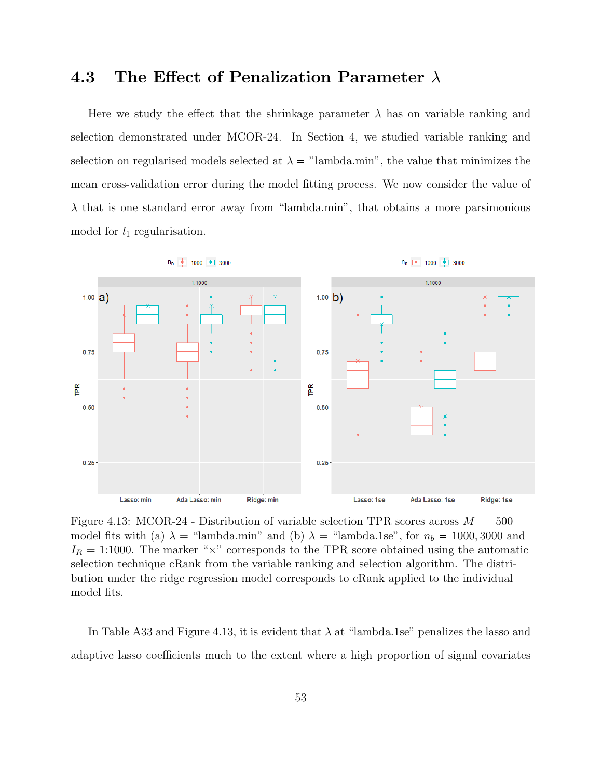## 4.3 The Effect of Penalization Parameter  $\lambda$

Here we study the effect that the shrinkage parameter  $\lambda$  has on variable ranking and selection demonstrated under MCOR-24. In Section 4, we studied variable ranking and selection on regularised models selected at  $\lambda =$  "lambda.min", the value that minimizes the mean cross-validation error during the model fitting process. We now consider the value of  $\lambda$  that is one standard error away from "lambda.min", that obtains a more parsimonious model for  $l_1$  regularisation.



Figure 4.13: MCOR-24 - Distribution of variable selection TPR scores across  $M = 500$ model fits with (a)  $\lambda$  = "lambda.min" and (b)  $\lambda$  = "lambda.1se", for  $n_b = 1000, 3000$  and  $I_R = 1.1000$ . The marker " $\times$ " corresponds to the TPR score obtained using the automatic selection technique cRank from the variable ranking and selection algorithm. The distribution under the ridge regression model corresponds to cRank applied to the individual model fits.

In Table A33 and Figure 4.13, it is evident that  $\lambda$  at "lambda.1se" penalizes the lasso and adaptive lasso coefficients much to the extent where a high proportion of signal covariates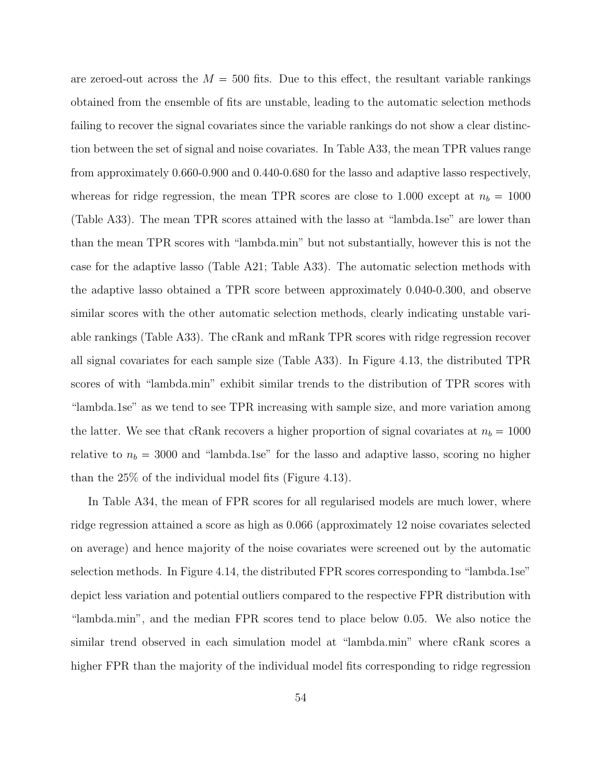are zeroed-out across the  $M = 500$  fits. Due to this effect, the resultant variable rankings obtained from the ensemble of fits are unstable, leading to the automatic selection methods failing to recover the signal covariates since the variable rankings do not show a clear distinction between the set of signal and noise covariates. In Table A33, the mean TPR values range from approximately 0.660-0.900 and 0.440-0.680 for the lasso and adaptive lasso respectively, whereas for ridge regression, the mean TPR scores are close to 1.000 except at  $n_b = 1000$ (Table A33). The mean TPR scores attained with the lasso at "lambda.1se" are lower than than the mean TPR scores with "lambda.min" but not substantially, however this is not the case for the adaptive lasso (Table A21; Table A33). The automatic selection methods with the adaptive lasso obtained a TPR score between approximately 0.040-0.300, and observe similar scores with the other automatic selection methods, clearly indicating unstable variable rankings (Table A33). The cRank and mRank TPR scores with ridge regression recover all signal covariates for each sample size (Table A33). In Figure 4.13, the distributed TPR scores of with "lambda.min" exhibit similar trends to the distribution of TPR scores with "lambda.1se" as we tend to see TPR increasing with sample size, and more variation among the latter. We see that cRank recovers a higher proportion of signal covariates at  $n_b = 1000$ relative to  $n_b = 3000$  and "lambda.1se" for the lasso and adaptive lasso, scoring no higher than the 25% of the individual model fits (Figure 4.13).

In Table A34, the mean of FPR scores for all regularised models are much lower, where ridge regression attained a score as high as 0.066 (approximately 12 noise covariates selected on average) and hence majority of the noise covariates were screened out by the automatic selection methods. In Figure 4.14, the distributed FPR scores corresponding to "lambda.1se" depict less variation and potential outliers compared to the respective FPR distribution with "lambda.min", and the median FPR scores tend to place below 0.05. We also notice the similar trend observed in each simulation model at "lambda.min" where cRank scores a higher FPR than the majority of the individual model fits corresponding to ridge regression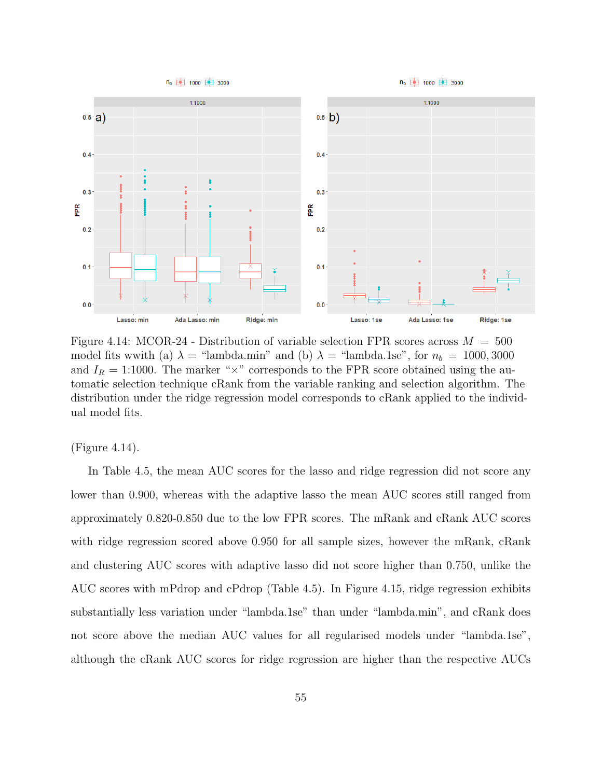

Figure 4.14: MCOR-24 - Distribution of variable selection FPR scores across  $M = 500$ model fits wwith (a)  $\lambda$  = "lambda.min" and (b)  $\lambda$  = "lambda.1se", for  $n_b$  = 1000, 3000 and  $I_R = 1:1000$ . The marker " $\times$ " corresponds to the FPR score obtained using the automatic selection technique cRank from the variable ranking and selection algorithm. The distribution under the ridge regression model corresponds to cRank applied to the individual model fits.

(Figure 4.14).

In Table 4.5, the mean AUC scores for the lasso and ridge regression did not score any lower than 0.900, whereas with the adaptive lasso the mean AUC scores still ranged from approximately 0.820-0.850 due to the low FPR scores. The mRank and cRank AUC scores with ridge regression scored above 0.950 for all sample sizes, however the mRank, cRank and clustering AUC scores with adaptive lasso did not score higher than 0.750, unlike the AUC scores with mPdrop and cPdrop (Table 4.5). In Figure 4.15, ridge regression exhibits substantially less variation under "lambda.1se" than under "lambda.min", and cRank does not score above the median AUC values for all regularised models under "lambda.1se", although the cRank AUC scores for ridge regression are higher than the respective AUCs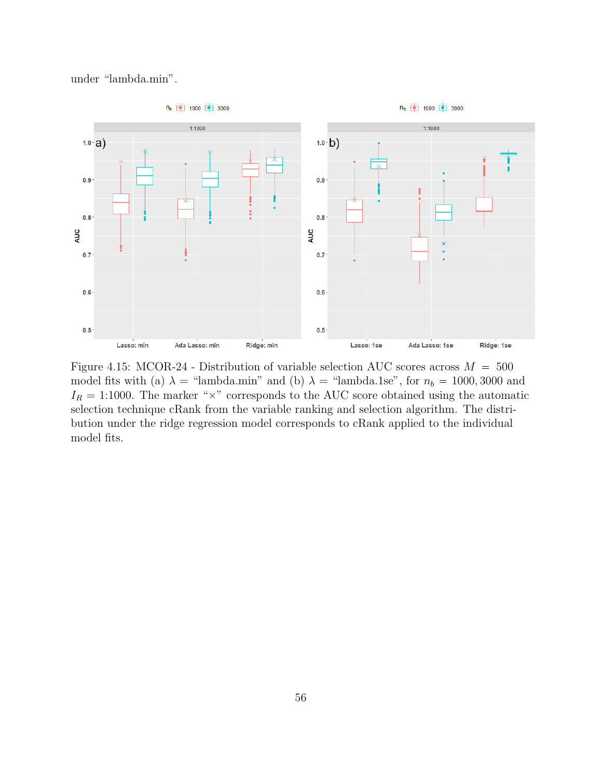



Figure 4.15: MCOR-24 - Distribution of variable selection AUC scores across  $M = 500$ model fits with (a)  $\lambda$  = "lambda.min" and (b)  $\lambda$  = "lambda.1se", for  $n_b = 1000, 3000$  and  $I_R = 1:1000$ . The marker " $\times$ " corresponds to the AUC score obtained using the automatic selection technique cRank from the variable ranking and selection algorithm. The distribution under the ridge regression model corresponds to cRank applied to the individual model fits.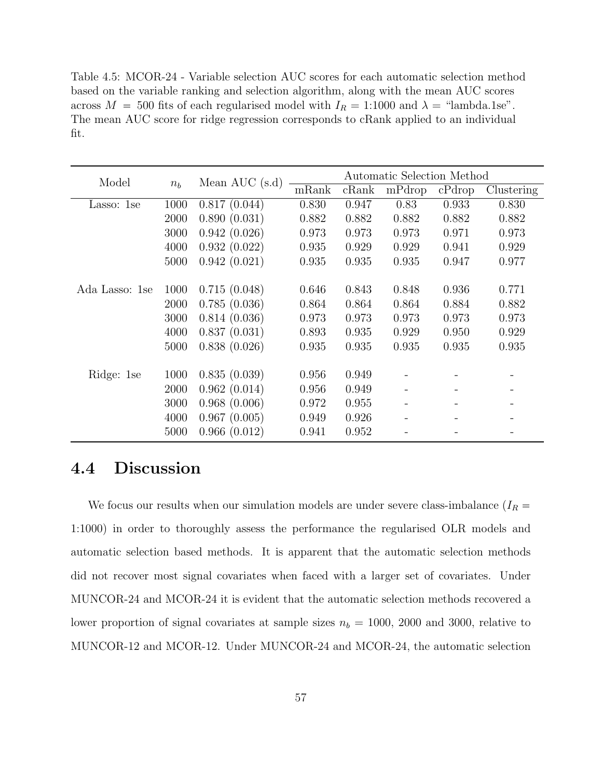Table 4.5: MCOR-24 - Variable selection AUC scores for each automatic selection method based on the variable ranking and selection algorithm, along with the mean AUC scores across  $M = 500$  fits of each regularised model with  $I_R = 1:1000$  and  $\lambda =$  "lambda.1se". The mean AUC score for ridge regression corresponds to cRank applied to an individual fit.

| Model          |       | Mean AUC $(s.d)$ | Automatic Selection Method |       |        |        |            |  |
|----------------|-------|------------------|----------------------------|-------|--------|--------|------------|--|
|                | $n_b$ |                  | mRank                      | cRank | mPdrop | cPdrop | Clustering |  |
| Lasso: 1se     | 1000  | 0.817(0.044)     | 0.830                      | 0.947 | 0.83   | 0.933  | 0.830      |  |
|                | 2000  | 0.890(0.031)     | 0.882                      | 0.882 | 0.882  | 0.882  | 0.882      |  |
|                | 3000  | 0.942(0.026)     | 0.973                      | 0.973 | 0.973  | 0.971  | 0.973      |  |
|                | 4000  | 0.932(0.022)     | 0.935                      | 0.929 | 0.929  | 0.941  | 0.929      |  |
|                | 5000  | 0.942(0.021)     | 0.935                      | 0.935 | 0.935  | 0.947  | 0.977      |  |
|                |       |                  |                            |       |        |        |            |  |
| Ada Lasso: 1se | 1000  | 0.715(0.048)     | 0.646                      | 0.843 | 0.848  | 0.936  | 0.771      |  |
|                | 2000  | 0.785(0.036)     | 0.864                      | 0.864 | 0.864  | 0.884  | 0.882      |  |
|                | 3000  | 0.814(0.036)     | 0.973                      | 0.973 | 0.973  | 0.973  | 0.973      |  |
|                | 4000  | 0.837(0.031)     | 0.893                      | 0.935 | 0.929  | 0.950  | 0.929      |  |
|                | 5000  | 0.838(0.026)     | 0.935                      | 0.935 | 0.935  | 0.935  | 0.935      |  |
|                |       |                  |                            |       |        |        |            |  |
| Ridge: 1se     | 1000  | 0.835(0.039)     | 0.956                      | 0.949 |        |        |            |  |
|                | 2000  | 0.962(0.014)     | 0.956                      | 0.949 |        |        |            |  |
|                | 3000  | 0.968(0.006)     | 0.972                      | 0.955 |        |        |            |  |
|                | 4000  | 0.967(0.005)     | 0.949                      | 0.926 |        |        |            |  |
|                | 5000  | 0.966(0.012)     | 0.941                      | 0.952 |        |        |            |  |

#### 4.4 Discussion

We focus our results when our simulation models are under severe class-imbalance ( $I_R$  = 1:1000) in order to thoroughly assess the performance the regularised OLR models and automatic selection based methods. It is apparent that the automatic selection methods did not recover most signal covariates when faced with a larger set of covariates. Under MUNCOR-24 and MCOR-24 it is evident that the automatic selection methods recovered a lower proportion of signal covariates at sample sizes  $n_b = 1000$ , 2000 and 3000, relative to MUNCOR-12 and MCOR-12. Under MUNCOR-24 and MCOR-24, the automatic selection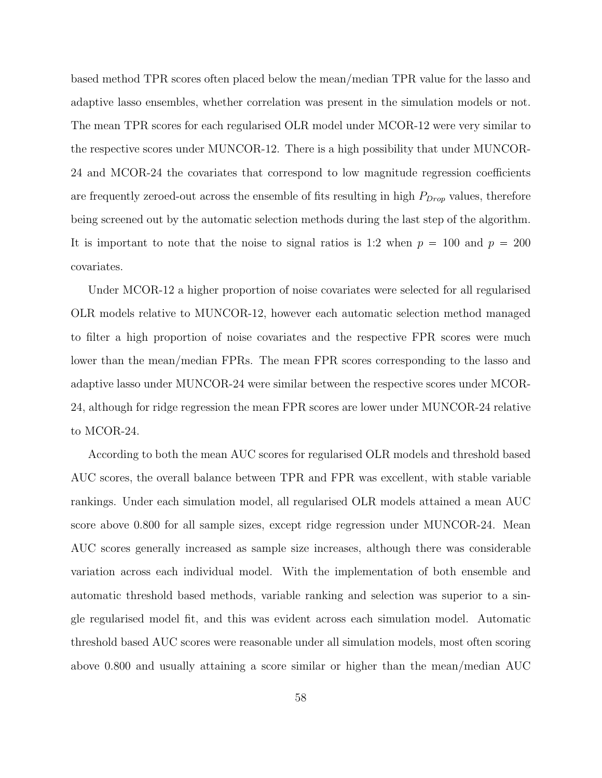based method TPR scores often placed below the mean/median TPR value for the lasso and adaptive lasso ensembles, whether correlation was present in the simulation models or not. The mean TPR scores for each regularised OLR model under MCOR-12 were very similar to the respective scores under MUNCOR-12. There is a high possibility that under MUNCOR-24 and MCOR-24 the covariates that correspond to low magnitude regression coefficients are frequently zeroed-out across the ensemble of fits resulting in high  $P_{Drop}$  values, therefore being screened out by the automatic selection methods during the last step of the algorithm. It is important to note that the noise to signal ratios is 1:2 when  $p = 100$  and  $p = 200$ covariates.

Under MCOR-12 a higher proportion of noise covariates were selected for all regularised OLR models relative to MUNCOR-12, however each automatic selection method managed to filter a high proportion of noise covariates and the respective FPR scores were much lower than the mean/median FPRs. The mean FPR scores corresponding to the lasso and adaptive lasso under MUNCOR-24 were similar between the respective scores under MCOR-24, although for ridge regression the mean FPR scores are lower under MUNCOR-24 relative to MCOR-24.

According to both the mean AUC scores for regularised OLR models and threshold based AUC scores, the overall balance between TPR and FPR was excellent, with stable variable rankings. Under each simulation model, all regularised OLR models attained a mean AUC score above 0.800 for all sample sizes, except ridge regression under MUNCOR-24. Mean AUC scores generally increased as sample size increases, although there was considerable variation across each individual model. With the implementation of both ensemble and automatic threshold based methods, variable ranking and selection was superior to a single regularised model fit, and this was evident across each simulation model. Automatic threshold based AUC scores were reasonable under all simulation models, most often scoring above 0.800 and usually attaining a score similar or higher than the mean/median AUC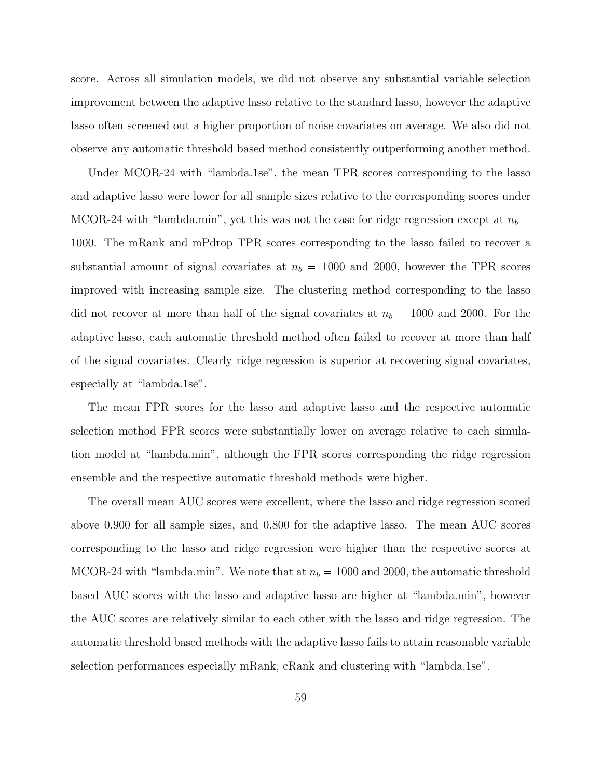score. Across all simulation models, we did not observe any substantial variable selection improvement between the adaptive lasso relative to the standard lasso, however the adaptive lasso often screened out a higher proportion of noise covariates on average. We also did not observe any automatic threshold based method consistently outperforming another method.

Under MCOR-24 with "lambda.1se", the mean TPR scores corresponding to the lasso and adaptive lasso were lower for all sample sizes relative to the corresponding scores under MCOR-24 with "lambda.min", yet this was not the case for ridge regression except at  $n_b =$ 1000. The mRank and mPdrop TPR scores corresponding to the lasso failed to recover a substantial amount of signal covariates at  $n_b = 1000$  and 2000, however the TPR scores improved with increasing sample size. The clustering method corresponding to the lasso did not recover at more than half of the signal covariates at  $n_b = 1000$  and 2000. For the adaptive lasso, each automatic threshold method often failed to recover at more than half of the signal covariates. Clearly ridge regression is superior at recovering signal covariates, especially at "lambda.1se".

The mean FPR scores for the lasso and adaptive lasso and the respective automatic selection method FPR scores were substantially lower on average relative to each simulation model at "lambda.min", although the FPR scores corresponding the ridge regression ensemble and the respective automatic threshold methods were higher.

The overall mean AUC scores were excellent, where the lasso and ridge regression scored above 0.900 for all sample sizes, and 0.800 for the adaptive lasso. The mean AUC scores corresponding to the lasso and ridge regression were higher than the respective scores at MCOR-24 with "lambda.min". We note that at  $n_b = 1000$  and 2000, the automatic threshold based AUC scores with the lasso and adaptive lasso are higher at "lambda.min", however the AUC scores are relatively similar to each other with the lasso and ridge regression. The automatic threshold based methods with the adaptive lasso fails to attain reasonable variable selection performances especially mRank, cRank and clustering with "lambda.1se".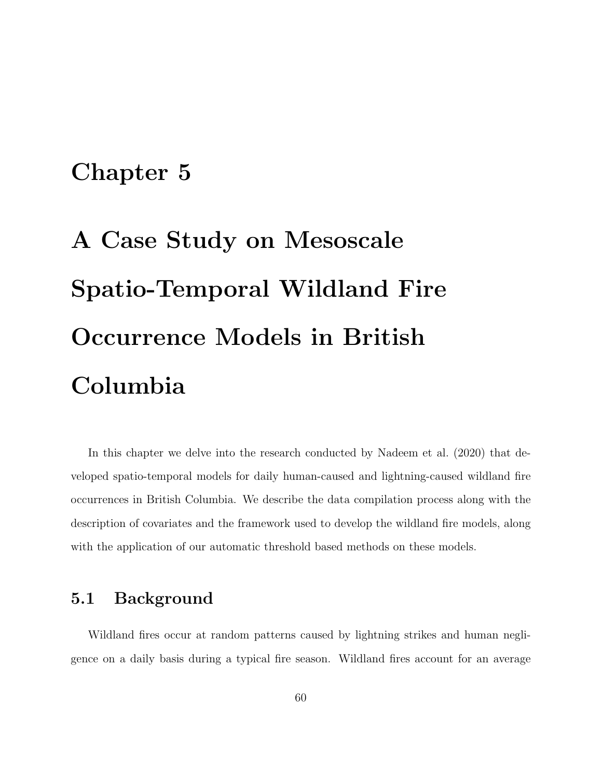### Chapter 5

# A Case Study on Mesoscale Spatio-Temporal Wildland Fire Occurrence Models in British Columbia

In this chapter we delve into the research conducted by Nadeem et al. (2020) that developed spatio-temporal models for daily human-caused and lightning-caused wildland fire occurrences in British Columbia. We describe the data compilation process along with the description of covariates and the framework used to develop the wildland fire models, along with the application of our automatic threshold based methods on these models.

#### 5.1 Background

Wildland fires occur at random patterns caused by lightning strikes and human negligence on a daily basis during a typical fire season. Wildland fires account for an average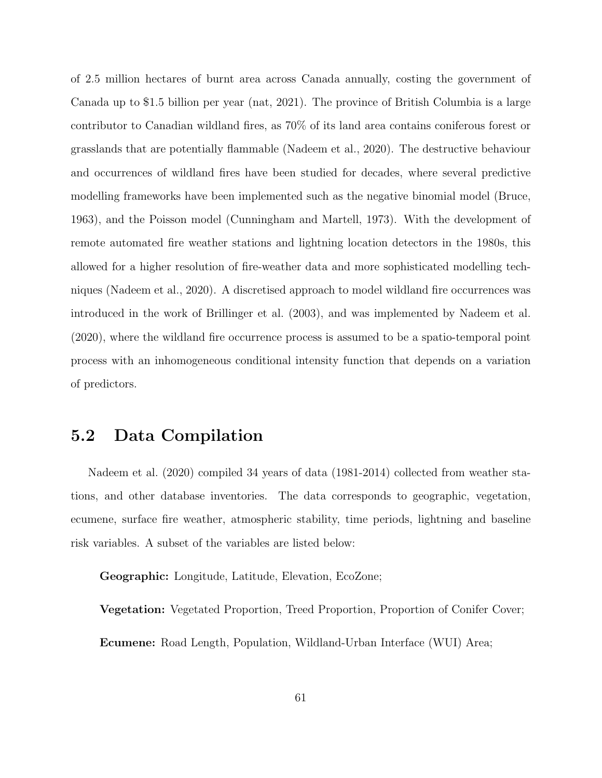of 2.5 million hectares of burnt area across Canada annually, costing the government of Canada up to \$1.5 billion per year (nat, 2021). The province of British Columbia is a large contributor to Canadian wildland fires, as 70% of its land area contains coniferous forest or grasslands that are potentially flammable (Nadeem et al., 2020). The destructive behaviour and occurrences of wildland fires have been studied for decades, where several predictive modelling frameworks have been implemented such as the negative binomial model (Bruce, 1963), and the Poisson model (Cunningham and Martell, 1973). With the development of remote automated fire weather stations and lightning location detectors in the 1980s, this allowed for a higher resolution of fire-weather data and more sophisticated modelling techniques (Nadeem et al., 2020). A discretised approach to model wildland fire occurrences was introduced in the work of Brillinger et al. (2003), and was implemented by Nadeem et al. (2020), where the wildland fire occurrence process is assumed to be a spatio-temporal point process with an inhomogeneous conditional intensity function that depends on a variation of predictors.

#### 5.2 Data Compilation

Nadeem et al. (2020) compiled 34 years of data (1981-2014) collected from weather stations, and other database inventories. The data corresponds to geographic, vegetation, ecumene, surface fire weather, atmospheric stability, time periods, lightning and baseline risk variables. A subset of the variables are listed below:

Geographic: Longitude, Latitude, Elevation, EcoZone;

Vegetation: Vegetated Proportion, Treed Proportion, Proportion of Conifer Cover; Ecumene: Road Length, Population, Wildland-Urban Interface (WUI) Area;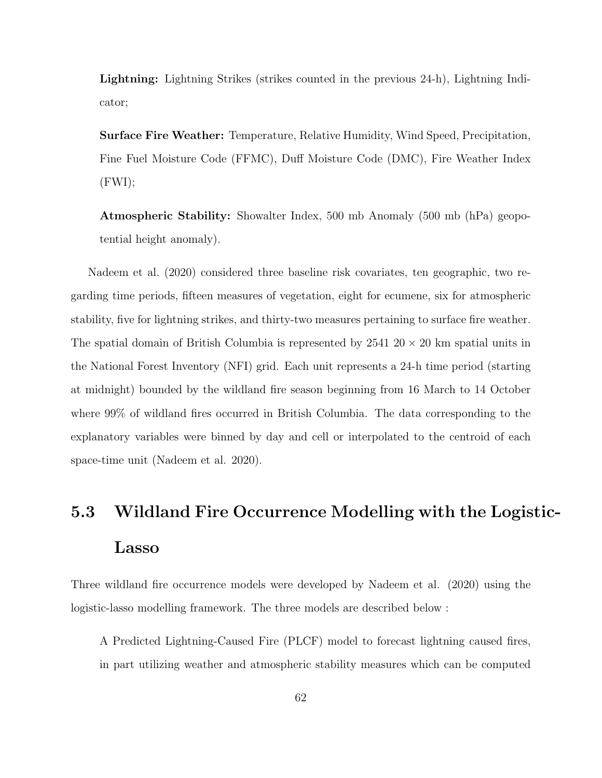Lightning: Lightning Strikes (strikes counted in the previous 24-h), Lightning Indicator;

Surface Fire Weather: Temperature, Relative Humidity, Wind Speed, Precipitation, Fine Fuel Moisture Code (FFMC), Duff Moisture Code (DMC), Fire Weather Index (FWI);

Atmospheric Stability: Showalter Index, 500 mb Anomaly (500 mb (hPa) geopotential height anomaly).

Nadeem et al. (2020) considered three baseline risk covariates, ten geographic, two regarding time periods, fifteen measures of vegetation, eight for ecumene, six for atmospheric stability, five for lightning strikes, and thirty-two measures pertaining to surface fire weather. The spatial domain of British Columbia is represented by  $2541\ 20 \times 20$  km spatial units in the National Forest Inventory (NFI) grid. Each unit represents a 24-h time period (starting at midnight) bounded by the wildland fire season beginning from 16 March to 14 October where 99% of wildland fires occurred in British Columbia. The data corresponding to the explanatory variables were binned by day and cell or interpolated to the centroid of each space-time unit (Nadeem et al. 2020).

# 5.3 Wildland Fire Occurrence Modelling with the Logistic-Lasso

Three wildland fire occurrence models were developed by Nadeem et al. (2020) using the logistic-lasso modelling framework. The three models are described below :

A Predicted Lightning-Caused Fire (PLCF) model to forecast lightning caused fires, in part utilizing weather and atmospheric stability measures which can be computed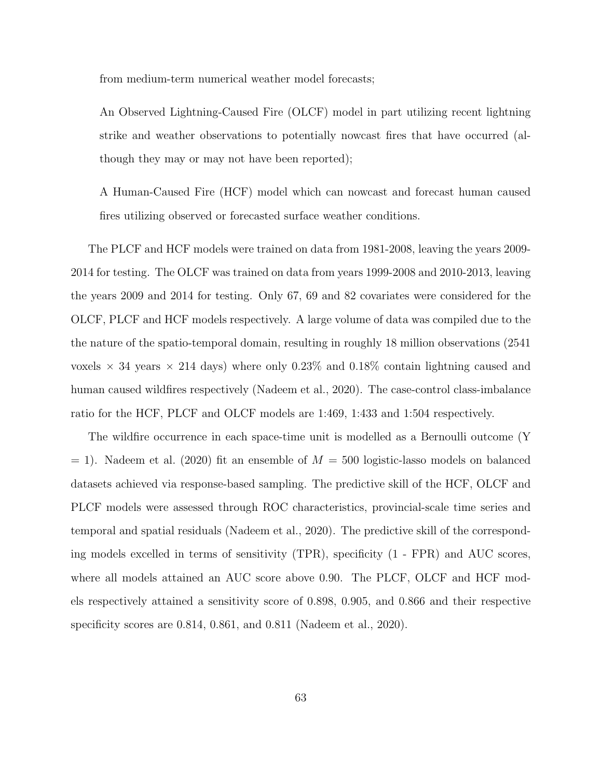from medium-term numerical weather model forecasts;

An Observed Lightning-Caused Fire (OLCF) model in part utilizing recent lightning strike and weather observations to potentially nowcast fires that have occurred (although they may or may not have been reported);

A Human-Caused Fire (HCF) model which can nowcast and forecast human caused fires utilizing observed or forecasted surface weather conditions.

The PLCF and HCF models were trained on data from 1981-2008, leaving the years 2009- 2014 for testing. The OLCF was trained on data from years 1999-2008 and 2010-2013, leaving the years 2009 and 2014 for testing. Only 67, 69 and 82 covariates were considered for the OLCF, PLCF and HCF models respectively. A large volume of data was compiled due to the the nature of the spatio-temporal domain, resulting in roughly 18 million observations (2541 voxels  $\times$  34 years  $\times$  214 days) where only 0.23% and 0.18% contain lightning caused and human caused wildfires respectively (Nadeem et al., 2020). The case-control class-imbalance ratio for the HCF, PLCF and OLCF models are 1:469, 1:433 and 1:504 respectively.

The wildfire occurrence in each space-time unit is modelled as a Bernoulli outcome (Y  $= 1$ ). Nadeem et al. (2020) fit an ensemble of  $M = 500$  logistic-lasso models on balanced datasets achieved via response-based sampling. The predictive skill of the HCF, OLCF and PLCF models were assessed through ROC characteristics, provincial-scale time series and temporal and spatial residuals (Nadeem et al., 2020). The predictive skill of the corresponding models excelled in terms of sensitivity (TPR), specificity (1 - FPR) and AUC scores, where all models attained an AUC score above 0.90. The PLCF, OLCF and HCF models respectively attained a sensitivity score of 0.898, 0.905, and 0.866 and their respective specificity scores are 0.814, 0.861, and 0.811 (Nadeem et al., 2020).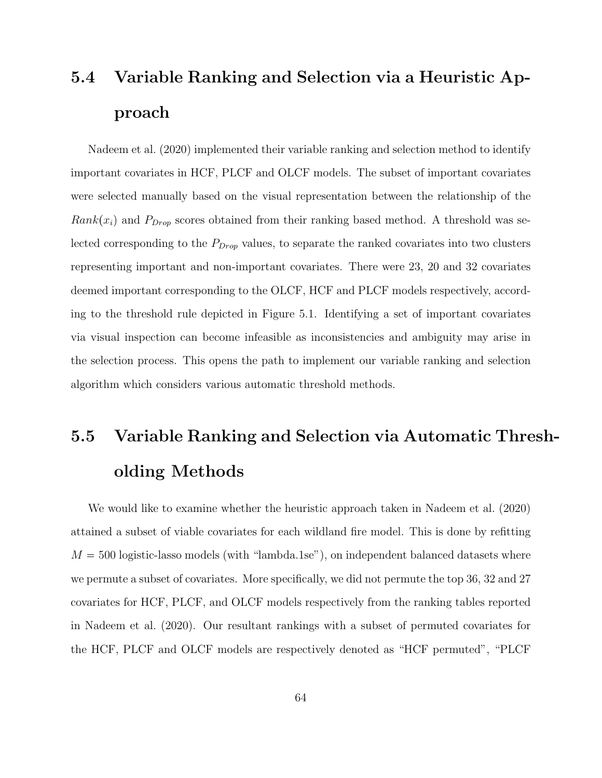### 5.4 Variable Ranking and Selection via a Heuristic Approach

Nadeem et al. (2020) implemented their variable ranking and selection method to identify important covariates in HCF, PLCF and OLCF models. The subset of important covariates were selected manually based on the visual representation between the relationship of the  $Rank(x_i)$  and  $P_{Drop}$  scores obtained from their ranking based method. A threshold was selected corresponding to the  $P_{Drop}$  values, to separate the ranked covariates into two clusters representing important and non-important covariates. There were 23, 20 and 32 covariates deemed important corresponding to the OLCF, HCF and PLCF models respectively, according to the threshold rule depicted in Figure 5.1. Identifying a set of important covariates via visual inspection can become infeasible as inconsistencies and ambiguity may arise in the selection process. This opens the path to implement our variable ranking and selection algorithm which considers various automatic threshold methods.

## 5.5 Variable Ranking and Selection via Automatic Thresholding Methods

We would like to examine whether the heuristic approach taken in Nadeem et al. (2020) attained a subset of viable covariates for each wildland fire model. This is done by refitting  $M = 500$  logistic-lasso models (with "lambda.1se"), on independent balanced datasets where we permute a subset of covariates. More specifically, we did not permute the top 36, 32 and 27 covariates for HCF, PLCF, and OLCF models respectively from the ranking tables reported in Nadeem et al. (2020). Our resultant rankings with a subset of permuted covariates for the HCF, PLCF and OLCF models are respectively denoted as "HCF permuted", "PLCF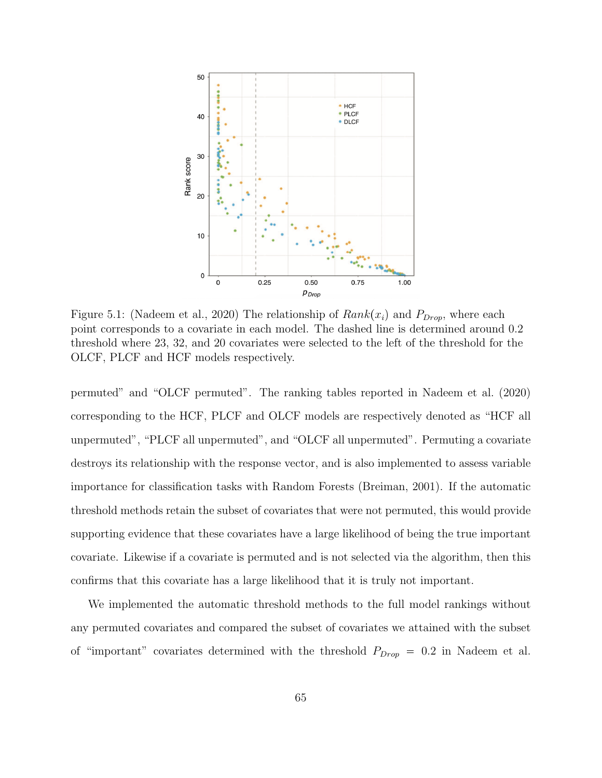

Figure 5.1: (Nadeem et al., 2020) The relationship of  $Rank(x_i)$  and  $P_{Drop}$ , where each point corresponds to a covariate in each model. The dashed line is determined around 0.2 threshold where 23, 32, and 20 covariates were selected to the left of the threshold for the OLCF, PLCF and HCF models respectively.

permuted" and "OLCF permuted". The ranking tables reported in Nadeem et al. (2020) corresponding to the HCF, PLCF and OLCF models are respectively denoted as "HCF all unpermuted", "PLCF all unpermuted", and "OLCF all unpermuted". Permuting a covariate destroys its relationship with the response vector, and is also implemented to assess variable importance for classification tasks with Random Forests (Breiman, 2001). If the automatic threshold methods retain the subset of covariates that were not permuted, this would provide supporting evidence that these covariates have a large likelihood of being the true important covariate. Likewise if a covariate is permuted and is not selected via the algorithm, then this confirms that this covariate has a large likelihood that it is truly not important.

We implemented the automatic threshold methods to the full model rankings without any permuted covariates and compared the subset of covariates we attained with the subset of "important" covariates determined with the threshold  $P_{Drop} = 0.2$  in Nadeem et al.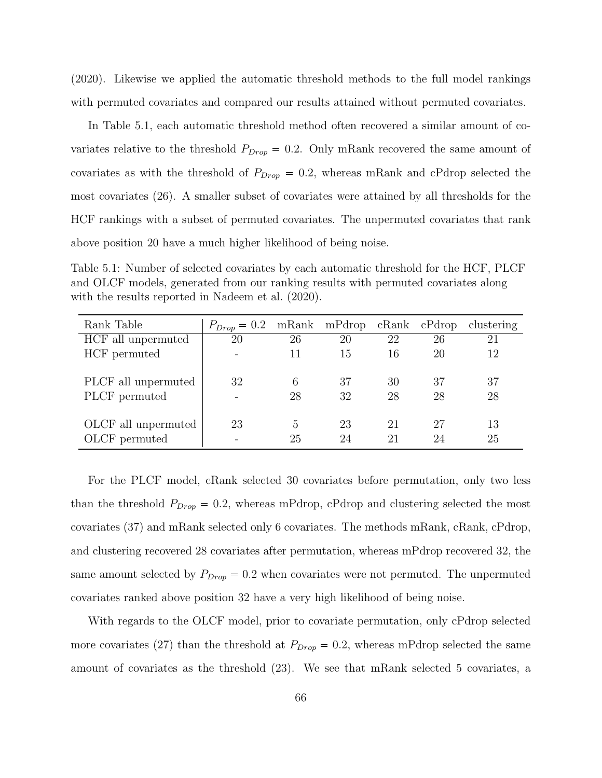(2020). Likewise we applied the automatic threshold methods to the full model rankings with permuted covariates and compared our results attained without permuted covariates.

In Table 5.1, each automatic threshold method often recovered a similar amount of covariates relative to the threshold  $P_{Drop} = 0.2$ . Only mRank recovered the same amount of covariates as with the threshold of  $P_{Drop} = 0.2$ , whereas mRank and cPdrop selected the most covariates (26). A smaller subset of covariates were attained by all thresholds for the HCF rankings with a subset of permuted covariates. The unpermuted covariates that rank above position 20 have a much higher likelihood of being noise.

Table 5.1: Number of selected covariates by each automatic threshold for the HCF, PLCF and OLCF models, generated from our ranking results with permuted covariates along with the results reported in Nadeem et al. (2020).

| Rank Table          | $P_{Drop} = 0.2$ mRank mPdrop cRank cPdrop |                         |    |    |    | clustering |
|---------------------|--------------------------------------------|-------------------------|----|----|----|------------|
| HCF all unpermuted  | 20                                         | 26                      | 20 | 22 | 26 | 21         |
| HCF permuted        |                                            | 11                      | 15 | 16 | 20 | 12         |
|                     |                                            |                         |    |    |    |            |
| PLCF all unpermuted | 32                                         | 6                       | 37 | 30 | 37 | 37         |
| PLCF permuted       | $\overline{\phantom{0}}$                   | 28                      | 32 | 28 | 28 | 28         |
|                     |                                            |                         |    |    |    |            |
| OLCF all unpermuted | 23                                         | $\overline{\mathbf{a}}$ | 23 | 21 | 27 | 13         |
| OLCF permuted       |                                            | 25                      | 24 | 21 | 24 | 25         |

For the PLCF model, cRank selected 30 covariates before permutation, only two less than the threshold  $P_{Drop} = 0.2$ , whereas mPdrop, cPdrop and clustering selected the most covariates (37) and mRank selected only 6 covariates. The methods mRank, cRank, cPdrop, and clustering recovered 28 covariates after permutation, whereas mPdrop recovered 32, the same amount selected by  $P_{Drop} = 0.2$  when covariates were not permuted. The unpermuted covariates ranked above position 32 have a very high likelihood of being noise.

With regards to the OLCF model, prior to covariate permutation, only cPdrop selected more covariates (27) than the threshold at  $P_{Drop} = 0.2$ , whereas mPdrop selected the same amount of covariates as the threshold (23). We see that mRank selected 5 covariates, a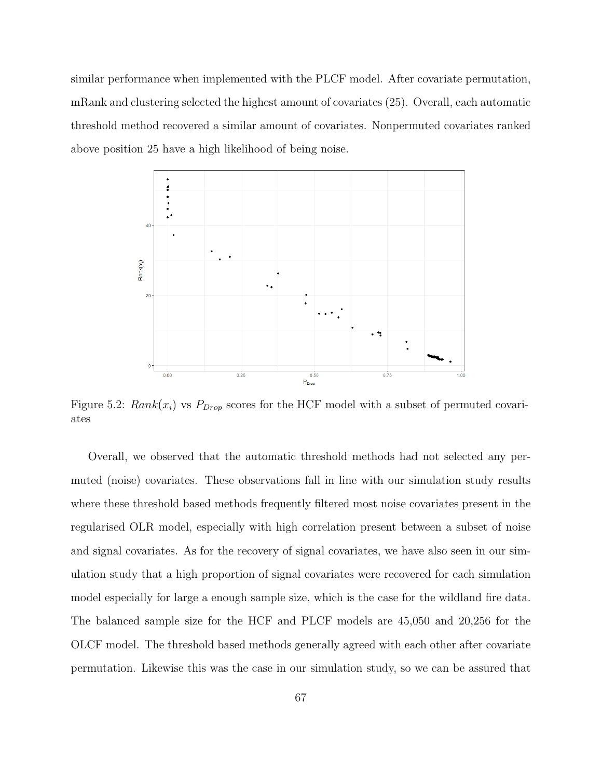similar performance when implemented with the PLCF model. After covariate permutation, mRank and clustering selected the highest amount of covariates (25). Overall, each automatic threshold method recovered a similar amount of covariates. Nonpermuted covariates ranked above position 25 have a high likelihood of being noise.



Figure 5.2:  $Rank(x_i)$  vs  $P_{Drop}$  scores for the HCF model with a subset of permuted covariates

Overall, we observed that the automatic threshold methods had not selected any permuted (noise) covariates. These observations fall in line with our simulation study results where these threshold based methods frequently filtered most noise covariates present in the regularised OLR model, especially with high correlation present between a subset of noise and signal covariates. As for the recovery of signal covariates, we have also seen in our simulation study that a high proportion of signal covariates were recovered for each simulation model especially for large a enough sample size, which is the case for the wildland fire data. The balanced sample size for the HCF and PLCF models are 45,050 and 20,256 for the OLCF model. The threshold based methods generally agreed with each other after covariate permutation. Likewise this was the case in our simulation study, so we can be assured that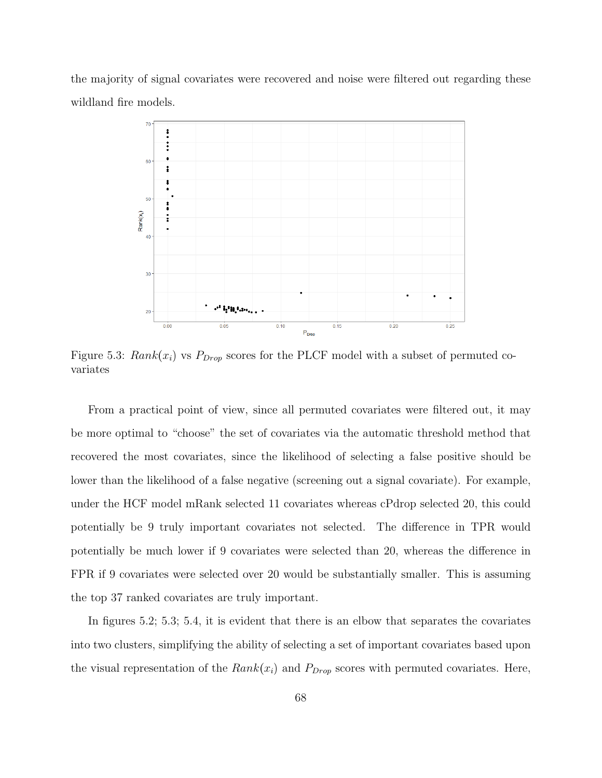the majority of signal covariates were recovered and noise were filtered out regarding these wildland fire models.



Figure 5.3:  $Rank(x_i)$  vs  $P_{Drop}$  scores for the PLCF model with a subset of permuted covariates

From a practical point of view, since all permuted covariates were filtered out, it may be more optimal to "choose" the set of covariates via the automatic threshold method that recovered the most covariates, since the likelihood of selecting a false positive should be lower than the likelihood of a false negative (screening out a signal covariate). For example, under the HCF model mRank selected 11 covariates whereas cPdrop selected 20, this could potentially be 9 truly important covariates not selected. The difference in TPR would potentially be much lower if 9 covariates were selected than 20, whereas the difference in FPR if 9 covariates were selected over 20 would be substantially smaller. This is assuming the top 37 ranked covariates are truly important.

In figures 5.2; 5.3; 5.4, it is evident that there is an elbow that separates the covariates into two clusters, simplifying the ability of selecting a set of important covariates based upon the visual representation of the  $Rank(x_i)$  and  $P_{Drop}$  scores with permuted covariates. Here,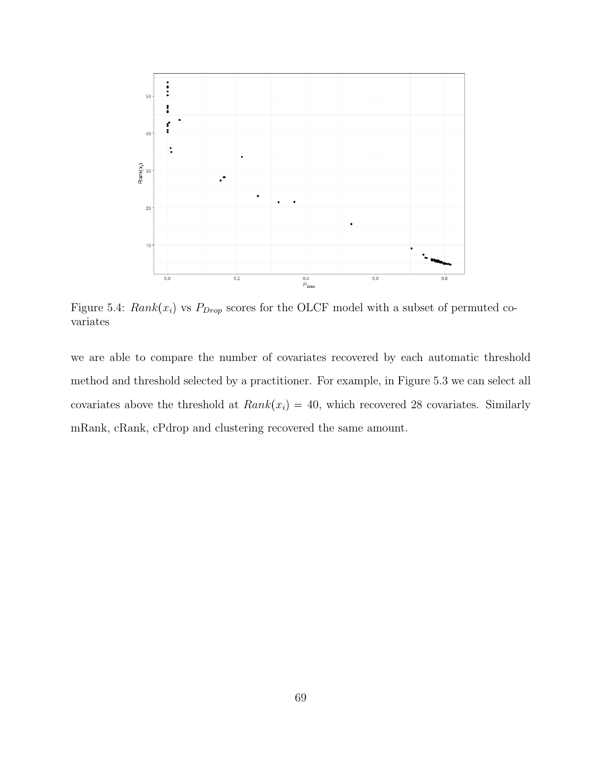

Figure 5.4:  $Rank(x_i)$  vs  $P_{Drop}$  scores for the OLCF model with a subset of permuted covariates

we are able to compare the number of covariates recovered by each automatic threshold method and threshold selected by a practitioner. For example, in Figure 5.3 we can select all covariates above the threshold at  $Rank(x_i) = 40$ , which recovered 28 covariates. Similarly mRank, cRank, cPdrop and clustering recovered the same amount.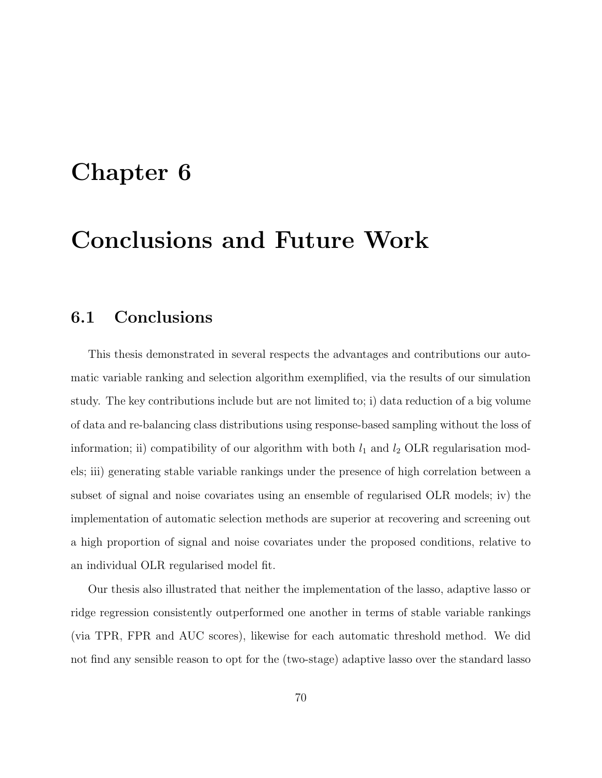### Chapter 6

### Conclusions and Future Work

### 6.1 Conclusions

This thesis demonstrated in several respects the advantages and contributions our automatic variable ranking and selection algorithm exemplified, via the results of our simulation study. The key contributions include but are not limited to; i) data reduction of a big volume of data and re-balancing class distributions using response-based sampling without the loss of information; ii) compatibility of our algorithm with both  $l_1$  and  $l_2$  OLR regularisation models; iii) generating stable variable rankings under the presence of high correlation between a subset of signal and noise covariates using an ensemble of regularised OLR models; iv) the implementation of automatic selection methods are superior at recovering and screening out a high proportion of signal and noise covariates under the proposed conditions, relative to an individual OLR regularised model fit.

Our thesis also illustrated that neither the implementation of the lasso, adaptive lasso or ridge regression consistently outperformed one another in terms of stable variable rankings (via TPR, FPR and AUC scores), likewise for each automatic threshold method. We did not find any sensible reason to opt for the (two-stage) adaptive lasso over the standard lasso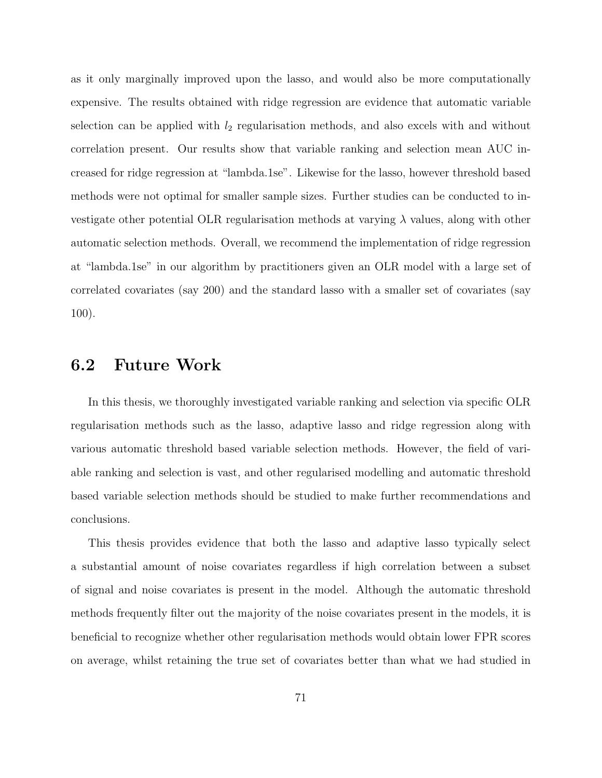as it only marginally improved upon the lasso, and would also be more computationally expensive. The results obtained with ridge regression are evidence that automatic variable selection can be applied with  $l_2$  regularisation methods, and also excels with and without correlation present. Our results show that variable ranking and selection mean AUC increased for ridge regression at "lambda.1se". Likewise for the lasso, however threshold based methods were not optimal for smaller sample sizes. Further studies can be conducted to investigate other potential OLR regularisation methods at varying  $\lambda$  values, along with other automatic selection methods. Overall, we recommend the implementation of ridge regression at "lambda.1se" in our algorithm by practitioners given an OLR model with a large set of correlated covariates (say 200) and the standard lasso with a smaller set of covariates (say 100).

#### 6.2 Future Work

In this thesis, we thoroughly investigated variable ranking and selection via specific OLR regularisation methods such as the lasso, adaptive lasso and ridge regression along with various automatic threshold based variable selection methods. However, the field of variable ranking and selection is vast, and other regularised modelling and automatic threshold based variable selection methods should be studied to make further recommendations and conclusions.

This thesis provides evidence that both the lasso and adaptive lasso typically select a substantial amount of noise covariates regardless if high correlation between a subset of signal and noise covariates is present in the model. Although the automatic threshold methods frequently filter out the majority of the noise covariates present in the models, it is beneficial to recognize whether other regularisation methods would obtain lower FPR scores on average, whilst retaining the true set of covariates better than what we had studied in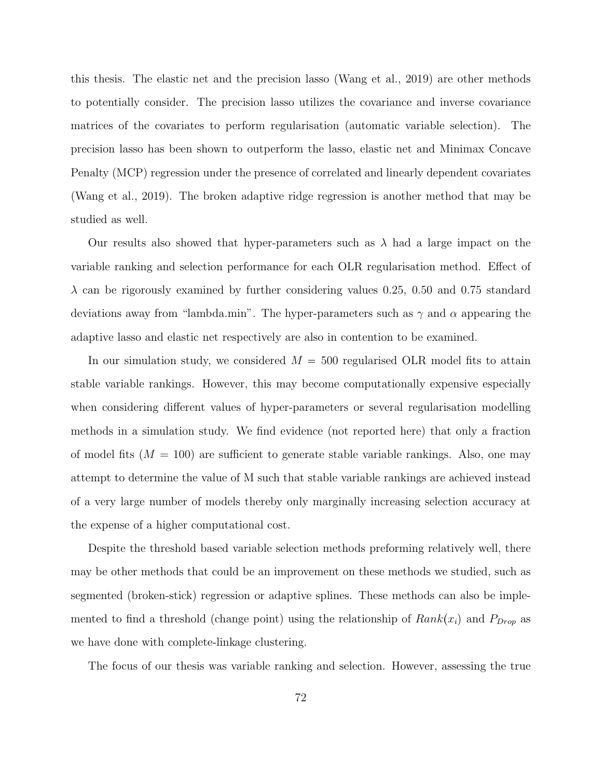this thesis. The elastic net and the precision lasso (Wang et al., 2019) are other methods to potentially consider. The precision lasso utilizes the covariance and inverse covariance matrices of the covariates to perform regularisation (automatic variable selection). The precision lasso has been shown to outperform the lasso, elastic net and Minimax Concave Penalty (MCP) regression under the presence of correlated and linearly dependent covariates (Wang et al., 2019). The broken adaptive ridge regression is another method that may be studied as well.

Our results also showed that hyper-parameters such as  $\lambda$  had a large impact on the variable ranking and selection performance for each OLR regularisation method. Effect of  $\lambda$  can be rigorously examined by further considering values 0.25, 0.50 and 0.75 standard deviations away from "lambda.min". The hyper-parameters such as  $\gamma$  and  $\alpha$  appearing the adaptive lasso and elastic net respectively are also in contention to be examined.

In our simulation study, we considered  $M = 500$  regularised OLR model fits to attain stable variable rankings. However, this may become computationally expensive especially when considering different values of hyper-parameters or several regularisation modelling methods in a simulation study. We find evidence (not reported here) that only a fraction of model fits  $(M = 100)$  are sufficient to generate stable variable rankings. Also, one may attempt to determine the value of M such that stable variable rankings are achieved instead of a very large number of models thereby only marginally increasing selection accuracy at the expense of a higher computational cost.

Despite the threshold based variable selection methods preforming relatively well, there may be other methods that could be an improvement on these methods we studied, such as segmented (broken-stick) regression or adaptive splines. These methods can also be implemented to find a threshold (change point) using the relationship of  $Rank(x_i)$  and  $P_{Drop}$  as we have done with complete-linkage clustering.

The focus of our thesis was variable ranking and selection. However, assessing the true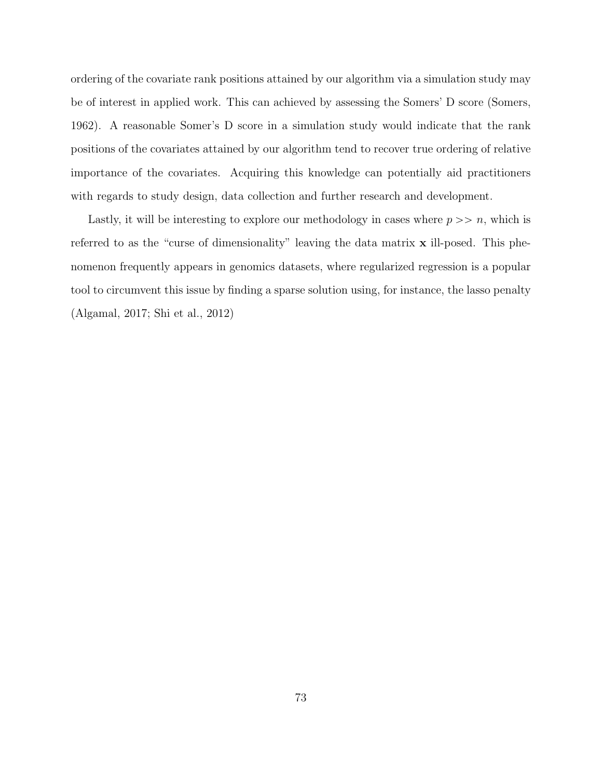ordering of the covariate rank positions attained by our algorithm via a simulation study may be of interest in applied work. This can achieved by assessing the Somers' D score (Somers, 1962). A reasonable Somer's D score in a simulation study would indicate that the rank positions of the covariates attained by our algorithm tend to recover true ordering of relative importance of the covariates. Acquiring this knowledge can potentially aid practitioners with regards to study design, data collection and further research and development.

Lastly, it will be interesting to explore our methodology in cases where  $p \gg n$ , which is referred to as the "curse of dimensionality" leaving the data matrix x ill-posed. This phenomenon frequently appears in genomics datasets, where regularized regression is a popular tool to circumvent this issue by finding a sparse solution using, for instance, the lasso penalty (Algamal, 2017; Shi et al., 2012)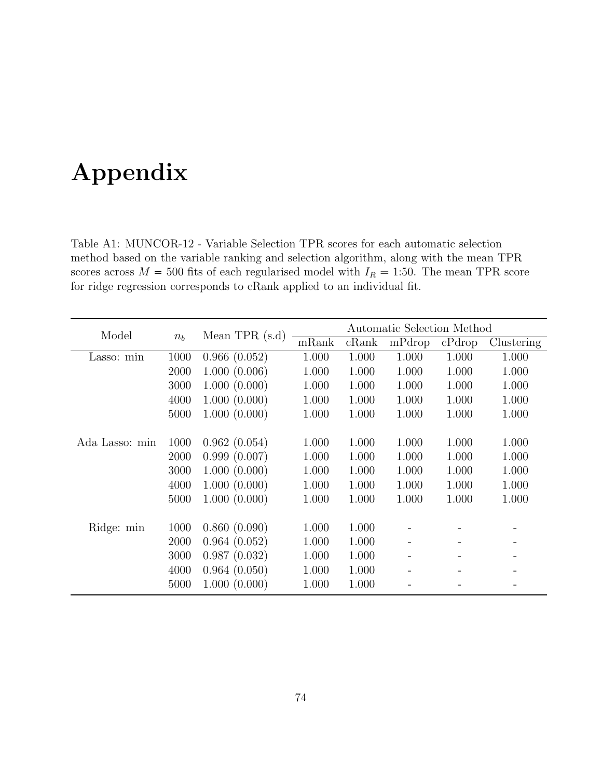# Appendix

Table A1: MUNCOR-12 - Variable Selection TPR scores for each automatic selection method based on the variable ranking and selection algorithm, along with the mean TPR scores across  $M = 500$  fits of each regularised model with  $I_R = 1:50$ . The mean TPR score for ridge regression corresponds to cRank applied to an individual fit.

| Model          |       | Mean TPR $(s.d)$ | Automatic Selection Method |       |                          |        |            |  |
|----------------|-------|------------------|----------------------------|-------|--------------------------|--------|------------|--|
|                | $n_b$ |                  | mRank                      | cRank | mPdrop                   | cPdrop | Clustering |  |
| Lasso: min     | 1000  | 0.966(0.052)     | 1.000                      | 1.000 | 1.000                    | 1.000  | 1.000      |  |
|                | 2000  | 1.000(0.006)     | 1.000                      | 1.000 | 1.000                    | 1.000  | 1.000      |  |
|                | 3000  | 1.000(0.000)     | 1.000                      | 1.000 | 1.000                    | 1.000  | 1.000      |  |
|                | 4000  | 1.000(0.000)     | 1.000                      | 1.000 | 1.000                    | 1.000  | 1.000      |  |
|                | 5000  | 1.000(0.000)     | 1.000                      | 1.000 | 1.000                    | 1.000  | 1.000      |  |
|                |       |                  |                            |       |                          |        |            |  |
| Ada Lasso: min | 1000  | 0.962(0.054)     | 1.000                      | 1.000 | 1.000                    | 1.000  | 1.000      |  |
|                | 2000  | 0.999(0.007)     | 1.000                      | 1.000 | 1.000                    | 1.000  | 1.000      |  |
|                | 3000  | 1.000(0.000)     | 1.000                      | 1.000 | 1.000                    | 1.000  | 1.000      |  |
|                | 4000  | 1.000(0.000)     | 1.000                      | 1.000 | 1.000                    | 1.000  | 1.000      |  |
|                | 5000  | 1.000(0.000)     | 1.000                      | 1.000 | 1.000                    | 1.000  | 1.000      |  |
|                |       |                  |                            |       |                          |        |            |  |
| Ridge: min     | 1000  | 0.860(0.090)     | 1.000                      | 1.000 |                          |        |            |  |
|                | 2000  | 0.964(0.052)     | 1.000                      | 1.000 |                          |        |            |  |
|                | 3000  | 0.987(0.032)     | 1.000                      | 1.000 | $\overline{\phantom{a}}$ |        |            |  |
|                | 4000  | 0.964(0.050)     | 1.000                      | 1.000 |                          |        |            |  |
|                | 5000  | 1.000(0.000)     | 1.000                      | 1.000 |                          |        |            |  |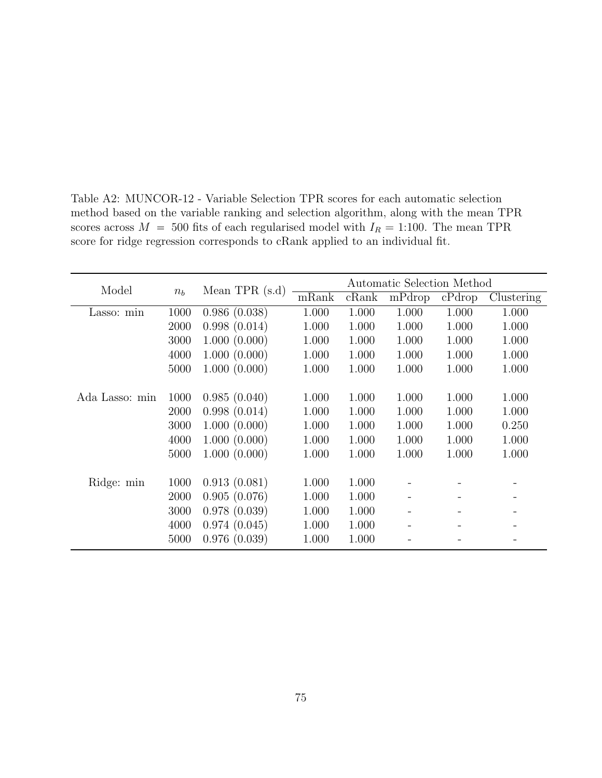| Model          |       | Mean TPR $(s.d)$ |       |       | Automatic Selection Method |        |            |
|----------------|-------|------------------|-------|-------|----------------------------|--------|------------|
|                | $n_b$ |                  | mRank | cRank | mPdrop                     | cPdrop | Clustering |
| Lasso: min     | 1000  | 0.986(0.038)     | 1.000 | 1.000 | 1.000                      | 1.000  | 1.000      |
|                | 2000  | 0.998(0.014)     | 1.000 | 1.000 | 1.000                      | 1.000  | 1.000      |
|                | 3000  | 1.000(0.000)     | 1.000 | 1.000 | 1.000                      | 1.000  | 1.000      |
|                | 4000  | 1.000(0.000)     | 1.000 | 1.000 | 1.000                      | 1.000  | 1.000      |
|                | 5000  | 1.000(0.000)     | 1.000 | 1.000 | 1.000                      | 1.000  | 1.000      |
|                |       |                  |       |       |                            |        |            |
| Ada Lasso: min | 1000  | 0.985(0.040)     | 1.000 | 1.000 | 1.000                      | 1.000  | 1.000      |
|                | 2000  | 0.998(0.014)     | 1.000 | 1.000 | 1.000                      | 1.000  | 1.000      |
|                | 3000  | 1.000(0.000)     | 1.000 | 1.000 | 1.000                      | 1.000  | 0.250      |
|                | 4000  | 1.000(0.000)     | 1.000 | 1.000 | 1.000                      | 1.000  | 1.000      |
|                | 5000  | 1.000(0.000)     | 1.000 | 1.000 | 1.000                      | 1.000  | 1.000      |
|                |       |                  |       |       |                            |        |            |
| Ridge: min     | 1000  | 0.913(0.081)     | 1.000 | 1.000 |                            |        |            |
|                | 2000  | 0.905(0.076)     | 1.000 | 1.000 |                            |        |            |
|                | 3000  | 0.978(0.039)     | 1.000 | 1.000 |                            |        |            |
|                | 4000  | 0.974(0.045)     | 1.000 | 1.000 |                            |        |            |
|                | 5000  | 0.976(0.039)     | 1.000 | 1.000 |                            |        |            |

Table A2: MUNCOR-12 - Variable Selection TPR scores for each automatic selection method based on the variable ranking and selection algorithm, along with the mean TPR scores across  $M = 500$  fits of each regularised model with  $I_R = 1:100$ . The mean TPR score for ridge regression corresponds to cRank applied to an individual fit.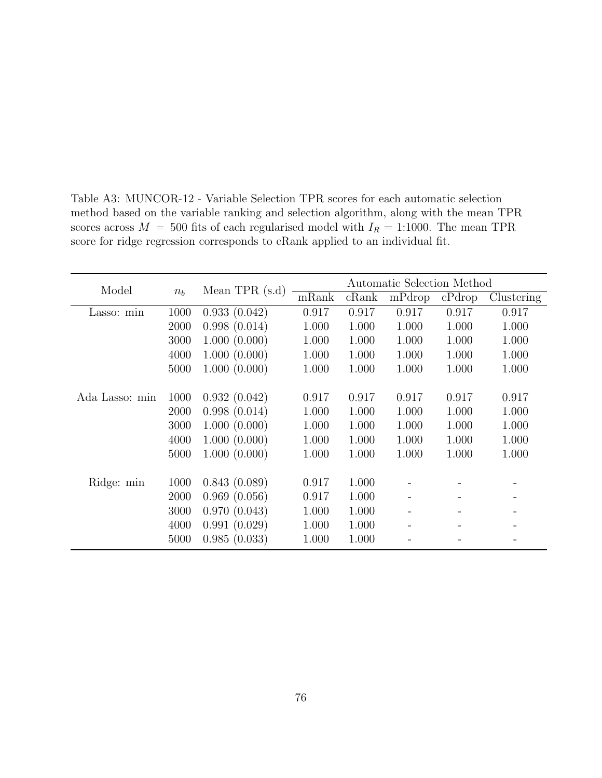| Model          |         | Mean TPR $(s.d)$ |       |       | Automatic Selection Method |        |            |
|----------------|---------|------------------|-------|-------|----------------------------|--------|------------|
|                | $n_{h}$ |                  | mRank | cRank | mPdrop                     | cPdrop | Clustering |
| Lasso: min     | 1000    | 0.933(0.042)     | 0.917 | 0.917 | 0.917                      | 0.917  | 0.917      |
|                | 2000    | 0.998(0.014)     | 1.000 | 1.000 | 1.000                      | 1.000  | 1.000      |
|                | 3000    | 1.000(0.000)     | 1.000 | 1.000 | 1.000                      | 1.000  | 1.000      |
|                | 4000    | 1.000(0.000)     | 1.000 | 1.000 | 1.000                      | 1.000  | 1.000      |
|                | 5000    | 1.000(0.000)     | 1.000 | 1.000 | 1.000                      | 1.000  | 1.000      |
|                |         |                  |       |       |                            |        |            |
| Ada Lasso: min | 1000    | 0.932(0.042)     | 0.917 | 0.917 | 0.917                      | 0.917  | 0.917      |
|                | 2000    | 0.998(0.014)     | 1.000 | 1.000 | 1.000                      | 1.000  | 1.000      |
|                | 3000    | 1.000(0.000)     | 1.000 | 1.000 | 1.000                      | 1.000  | 1.000      |
|                | 4000    | 1.000(0.000)     | 1.000 | 1.000 | 1.000                      | 1.000  | 1.000      |
|                | 5000    | 1.000(0.000)     | 1.000 | 1.000 | 1.000                      | 1.000  | 1.000      |
|                |         |                  |       |       |                            |        |            |
| Ridge: min     | 1000    | 0.843(0.089)     | 0.917 | 1.000 |                            |        |            |
|                | 2000    | 0.969(0.056)     | 0.917 | 1.000 |                            |        |            |
|                | 3000    | 0.970(0.043)     | 1.000 | 1.000 |                            |        |            |
|                | 4000    | 0.991(0.029)     | 1.000 | 1.000 |                            |        |            |
|                | 5000    | 0.985(0.033)     | 1.000 | 1.000 |                            |        |            |

Table A3: MUNCOR-12 - Variable Selection TPR scores for each automatic selection method based on the variable ranking and selection algorithm, along with the mean TPR scores across  $M = 500$  fits of each regularised model with  $I_R = 1:1000$ . The mean TPR score for ridge regression corresponds to cRank applied to an individual fit.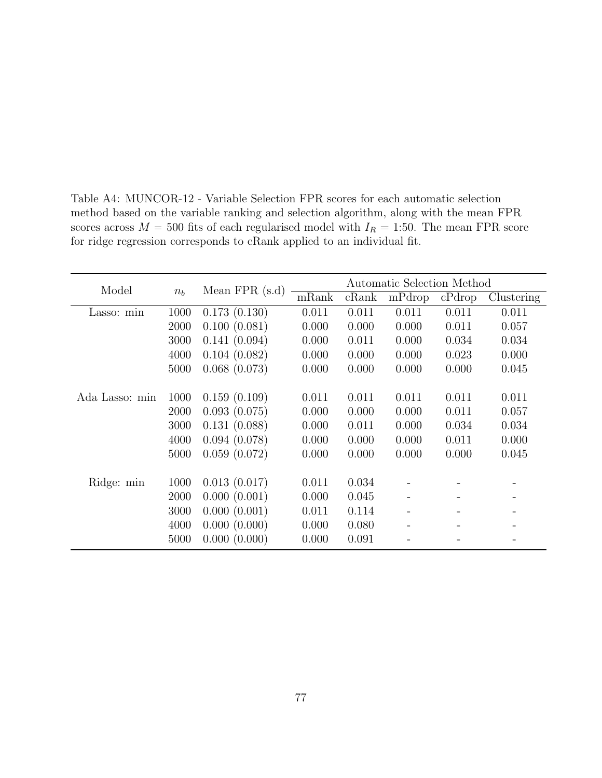| Model          |       |                 |       |       | Automatic Selection Method |        |            |
|----------------|-------|-----------------|-------|-------|----------------------------|--------|------------|
|                | $n_b$ | Mean $FPR(s.d)$ | mRank | cRank | mPdrop                     | cPdrop | Clustering |
| Lasso: min     | 1000  | 0.173(0.130)    | 0.011 | 0.011 | 0.011                      | 0.011  | 0.011      |
|                | 2000  | 0.100(0.081)    | 0.000 | 0.000 | 0.000                      | 0.011  | 0.057      |
|                | 3000  | 0.141(0.094)    | 0.000 | 0.011 | 0.000                      | 0.034  | 0.034      |
|                | 4000  | 0.104(0.082)    | 0.000 | 0.000 | 0.000                      | 0.023  | 0.000      |
|                | 5000  | 0.068(0.073)    | 0.000 | 0.000 | 0.000                      | 0.000  | 0.045      |
|                |       |                 |       |       |                            |        |            |
| Ada Lasso: min | 1000  | 0.159(0.109)    | 0.011 | 0.011 | 0.011                      | 0.011  | 0.011      |
|                | 2000  | 0.093(0.075)    | 0.000 | 0.000 | 0.000                      | 0.011  | 0.057      |
|                | 3000  | 0.131(0.088)    | 0.000 | 0.011 | 0.000                      | 0.034  | 0.034      |
|                | 4000  | 0.094(0.078)    | 0.000 | 0.000 | 0.000                      | 0.011  | 0.000      |
|                | 5000  | 0.059(0.072)    | 0.000 | 0.000 | 0.000                      | 0.000  | 0.045      |
|                |       |                 |       |       |                            |        |            |
| Ridge: min     | 1000  | 0.013(0.017)    | 0.011 | 0.034 |                            |        |            |
|                | 2000  | 0.000(0.001)    | 0.000 | 0.045 |                            |        |            |
|                | 3000  | 0.000(0.001)    | 0.011 | 0.114 |                            |        |            |
|                | 4000  | 0.000(0.000)    | 0.000 | 0.080 |                            |        |            |
|                | 5000  | 0.000(0.000)    | 0.000 | 0.091 |                            |        |            |

Table A4: MUNCOR-12 - Variable Selection FPR scores for each automatic selection method based on the variable ranking and selection algorithm, along with the mean FPR scores across  $M = 500$  fits of each regularised model with  $I_R = 1:50$ . The mean FPR score for ridge regression corresponds to cRank applied to an individual fit.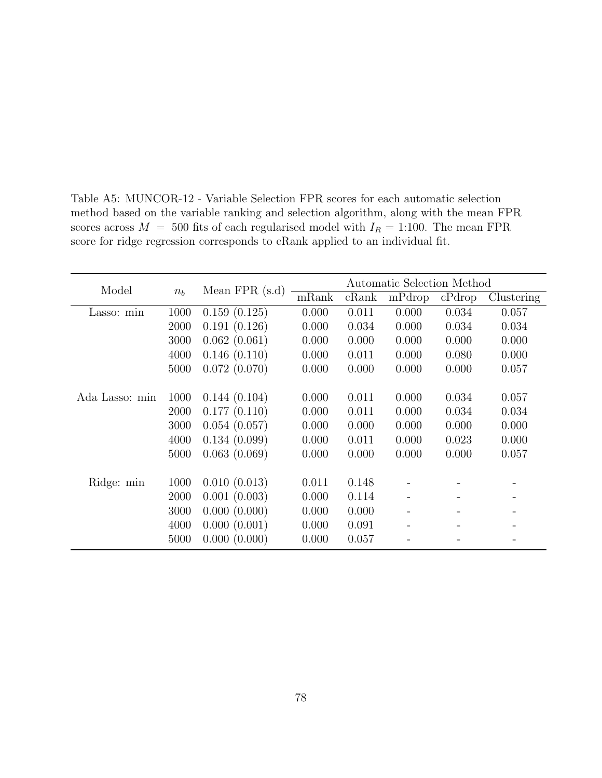Model  $n_b$  Mean FPR (s.d)  $\frac{\text{Automatic Selection Method}}{\text{mRank} \cdot \text{cRank} \cdot \text{mPdrop} \cdot \text{cPdrop}}$ Clustering Lasso: min 1000 0.159 (0.125) 0.000 0.011 0.000 0.034 0.057 2000 0.191 (0.126) 0.000 0.034 0.000 0.034 0.034 3000 0.062 (0.061) 0.000 0.000 0.000 0.000 0.000 4000 0.146 (0.110) 0.000 0.011 0.000 0.080 0.000 5000 0.072 (0.070) 0.000 0.000 0.000 0.000 0.057 Ada Lasso: min 1000 0.144 (0.104) 0.000 0.011 0.000 0.034 0.057 2000 0.177 (0.110) 0.000 0.011 0.000 0.034 0.034 3000 0.054 (0.057) 0.000 0.000 0.000 0.000 0.000 4000 0.134 (0.099) 0.000 0.011 0.000 0.023 0.000 5000 0.063 (0.069) 0.000 0.000 0.000 0.000 0.057 Ridge: min 1000 0.010 (0.013) 0.011 0.148 - - - -2000 0.001 (0.003) 0.000 0.114 - -3000 0.000 (0.000) 0.000 0.000 - - - - - -4000 0.000 (0.001) 0.000 0.091 - - - 5000 0.000 (0.000) 0.000 0.057 - - - - -

Table A5: MUNCOR-12 - Variable Selection FPR scores for each automatic selection method based on the variable ranking and selection algorithm, along with the mean FPR scores across  $M = 500$  fits of each regularised model with  $I_R = 1:100$ . The mean FPR score for ridge regression corresponds to cRank applied to an individual fit.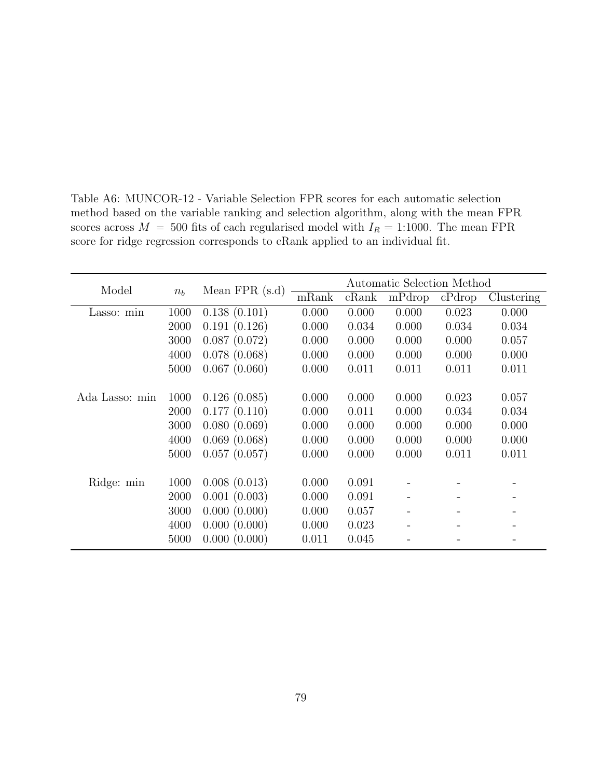| Model          |       |                 |       |       | Automatic Selection Method |        |            |
|----------------|-------|-----------------|-------|-------|----------------------------|--------|------------|
|                | $n_b$ | Mean $FPR(s.d)$ | mRank | cRank | mPdrop                     | cPdrop | Clustering |
| Lasso: min     | 1000  | 0.138(0.101)    | 0.000 | 0.000 | 0.000                      | 0.023  | 0.000      |
|                | 2000  | 0.191(0.126)    | 0.000 | 0.034 | 0.000                      | 0.034  | 0.034      |
|                | 3000  | 0.087(0.072)    | 0.000 | 0.000 | 0.000                      | 0.000  | 0.057      |
|                | 4000  | 0.078(0.068)    | 0.000 | 0.000 | 0.000                      | 0.000  | 0.000      |
|                | 5000  | 0.067(0.060)    | 0.000 | 0.011 | 0.011                      | 0.011  | 0.011      |
|                |       |                 |       |       |                            |        |            |
| Ada Lasso: min | 1000  | 0.126(0.085)    | 0.000 | 0.000 | 0.000                      | 0.023  | 0.057      |
|                | 2000  | 0.177(0.110)    | 0.000 | 0.011 | 0.000                      | 0.034  | 0.034      |
|                | 3000  | 0.080(0.069)    | 0.000 | 0.000 | 0.000                      | 0.000  | 0.000      |
|                | 4000  | 0.069(0.068)    | 0.000 | 0.000 | 0.000                      | 0.000  | 0.000      |
|                | 5000  | 0.057(0.057)    | 0.000 | 0.000 | 0.000                      | 0.011  | 0.011      |
|                |       |                 |       |       |                            |        |            |
| Ridge: min     | 1000  | 0.008(0.013)    | 0.000 | 0.091 |                            |        |            |
|                | 2000  | 0.001(0.003)    | 0.000 | 0.091 |                            |        |            |
|                | 3000  | 0.000(0.000)    | 0.000 | 0.057 |                            |        |            |
|                | 4000  | 0.000(0.000)    | 0.000 | 0.023 |                            |        |            |
|                | 5000  | 0.000(0.000)    | 0.011 | 0.045 |                            |        |            |

Table A6: MUNCOR-12 - Variable Selection FPR scores for each automatic selection method based on the variable ranking and selection algorithm, along with the mean FPR scores across  $M = 500$  fits of each regularised model with  $I_R = 1:1000$ . The mean FPR score for ridge regression corresponds to cRank applied to an individual fit.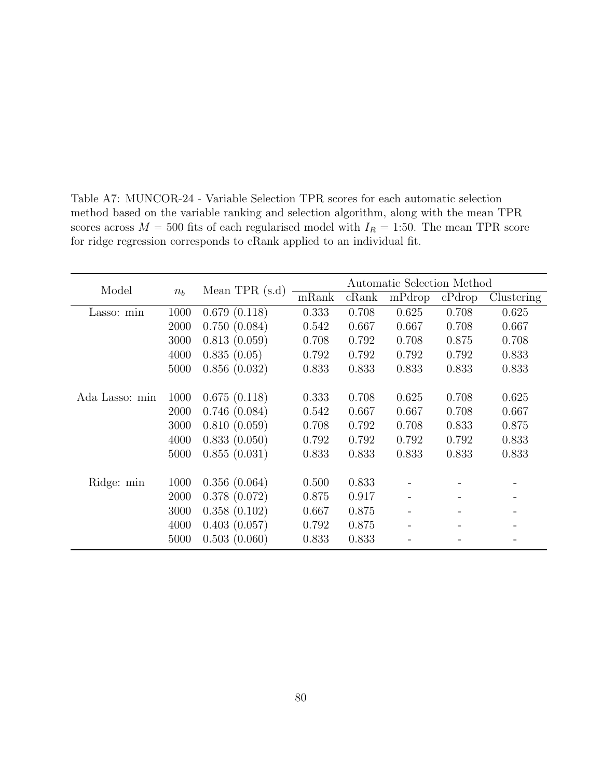| Model          |       |                  |       |       | Automatic Selection Method |        |            |
|----------------|-------|------------------|-------|-------|----------------------------|--------|------------|
|                | $n_b$ | Mean TPR $(s.d)$ | mRank | cRank | mPdrop                     | cPdrop | Clustering |
| Lasso: min     | 1000  | 0.679(0.118)     | 0.333 | 0.708 | 0.625                      | 0.708  | 0.625      |
|                | 2000  | 0.750(0.084)     | 0.542 | 0.667 | 0.667                      | 0.708  | 0.667      |
|                | 3000  | 0.813(0.059)     | 0.708 | 0.792 | 0.708                      | 0.875  | 0.708      |
|                | 4000  | 0.835(0.05)      | 0.792 | 0.792 | 0.792                      | 0.792  | 0.833      |
|                | 5000  | 0.856(0.032)     | 0.833 | 0.833 | 0.833                      | 0.833  | 0.833      |
|                |       |                  |       |       |                            |        |            |
| Ada Lasso: min | 1000  | 0.675(0.118)     | 0.333 | 0.708 | 0.625                      | 0.708  | 0.625      |
|                | 2000  | 0.746(0.084)     | 0.542 | 0.667 | 0.667                      | 0.708  | 0.667      |
|                | 3000  | 0.810(0.059)     | 0.708 | 0.792 | 0.708                      | 0.833  | 0.875      |
|                | 4000  | 0.833(0.050)     | 0.792 | 0.792 | 0.792                      | 0.792  | 0.833      |
|                | 5000  | 0.855(0.031)     | 0.833 | 0.833 | 0.833                      | 0.833  | 0.833      |
|                |       |                  |       |       |                            |        |            |
| Ridge: min     | 1000  | 0.356(0.064)     | 0.500 | 0.833 |                            |        |            |
|                | 2000  | 0.378(0.072)     | 0.875 | 0.917 |                            |        |            |
|                | 3000  | 0.358(0.102)     | 0.667 | 0.875 |                            |        |            |
|                | 4000  | 0.403(0.057)     | 0.792 | 0.875 |                            |        |            |
|                | 5000  | 0.503(0.060)     | 0.833 | 0.833 |                            |        |            |

Table A7: MUNCOR-24 - Variable Selection TPR scores for each automatic selection method based on the variable ranking and selection algorithm, along with the mean TPR scores across  $M = 500$  fits of each regularised model with  $I_R = 1:50$ . The mean TPR score for ridge regression corresponds to cRank applied to an individual fit.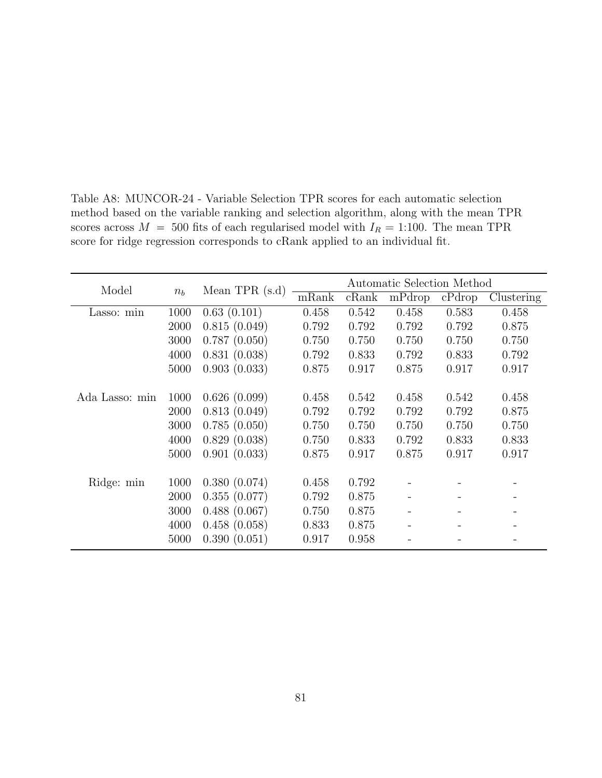| Model          |       |                  |       |       | Automatic Selection Method |        |            |
|----------------|-------|------------------|-------|-------|----------------------------|--------|------------|
|                | $n_b$ | Mean TPR $(s.d)$ | mRank | cRank | mPdrop                     | cPdrop | Clustering |
| Lasso: min     | 1000  | 0.63(0.101)      | 0.458 | 0.542 | 0.458                      | 0.583  | 0.458      |
|                | 2000  | 0.815(0.049)     | 0.792 | 0.792 | 0.792                      | 0.792  | 0.875      |
|                | 3000  | 0.787(0.050)     | 0.750 | 0.750 | 0.750                      | 0.750  | 0.750      |
|                | 4000  | 0.831(0.038)     | 0.792 | 0.833 | 0.792                      | 0.833  | 0.792      |
|                | 5000  | 0.903(0.033)     | 0.875 | 0.917 | 0.875                      | 0.917  | 0.917      |
|                |       |                  |       |       |                            |        |            |
| Ada Lasso: min | 1000  | 0.626(0.099)     | 0.458 | 0.542 | 0.458                      | 0.542  | 0.458      |
|                | 2000  | 0.813(0.049)     | 0.792 | 0.792 | 0.792                      | 0.792  | 0.875      |
|                | 3000  | 0.785(0.050)     | 0.750 | 0.750 | 0.750                      | 0.750  | 0.750      |
|                | 4000  | 0.829(0.038)     | 0.750 | 0.833 | 0.792                      | 0.833  | 0.833      |
|                | 5000  | 0.901(0.033)     | 0.875 | 0.917 | 0.875                      | 0.917  | 0.917      |
|                |       |                  |       |       |                            |        |            |
| Ridge: min     | 1000  | 0.380(0.074)     | 0.458 | 0.792 |                            |        |            |
|                | 2000  | 0.355(0.077)     | 0.792 | 0.875 |                            |        |            |
|                | 3000  | 0.488(0.067)     | 0.750 | 0.875 |                            |        |            |
|                | 4000  | 0.458(0.058)     | 0.833 | 0.875 |                            |        |            |
|                | 5000  | 0.390(0.051)     | 0.917 | 0.958 |                            |        |            |

Table A8: MUNCOR-24 - Variable Selection TPR scores for each automatic selection method based on the variable ranking and selection algorithm, along with the mean TPR scores across  $M = 500$  fits of each regularised model with  $I_R = 1:100$ . The mean TPR score for ridge regression corresponds to cRank applied to an individual fit.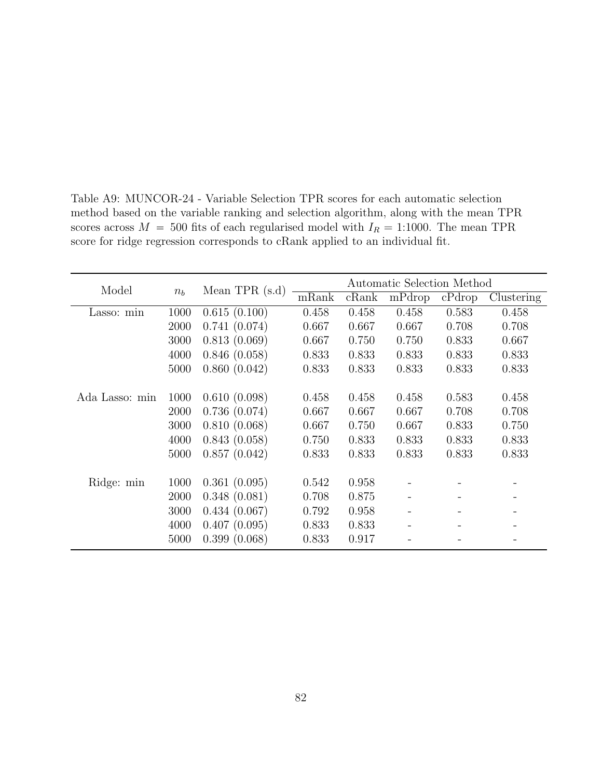| Model          |       |                  |       |       | Automatic Selection Method |        |            |
|----------------|-------|------------------|-------|-------|----------------------------|--------|------------|
|                | $n_b$ | Mean TPR $(s.d)$ | mRank | cRank | mPdrop                     | cPdrop | Clustering |
| Lasso: min     | 1000  | 0.615(0.100)     | 0.458 | 0.458 | 0.458                      | 0.583  | 0.458      |
|                | 2000  | 0.741(0.074)     | 0.667 | 0.667 | 0.667                      | 0.708  | 0.708      |
|                | 3000  | 0.813(0.069)     | 0.667 | 0.750 | 0.750                      | 0.833  | 0.667      |
|                | 4000  | 0.846(0.058)     | 0.833 | 0.833 | 0.833                      | 0.833  | 0.833      |
|                | 5000  | 0.860(0.042)     | 0.833 | 0.833 | 0.833                      | 0.833  | 0.833      |
|                |       |                  |       |       |                            |        |            |
| Ada Lasso: min | 1000  | 0.610(0.098)     | 0.458 | 0.458 | 0.458                      | 0.583  | 0.458      |
|                | 2000  | 0.736(0.074)     | 0.667 | 0.667 | 0.667                      | 0.708  | 0.708      |
|                | 3000  | 0.810(0.068)     | 0.667 | 0.750 | 0.667                      | 0.833  | 0.750      |
|                | 4000  | 0.843(0.058)     | 0.750 | 0.833 | 0.833                      | 0.833  | 0.833      |
|                | 5000  | 0.857(0.042)     | 0.833 | 0.833 | 0.833                      | 0.833  | 0.833      |
|                |       |                  |       |       |                            |        |            |
| Ridge: min     | 1000  | 0.361(0.095)     | 0.542 | 0.958 |                            |        |            |
|                | 2000  | 0.348(0.081)     | 0.708 | 0.875 |                            |        |            |
|                | 3000  | 0.434(0.067)     | 0.792 | 0.958 |                            |        |            |
|                | 4000  | 0.407(0.095)     | 0.833 | 0.833 |                            |        |            |
|                | 5000  | 0.399(0.068)     | 0.833 | 0.917 |                            |        |            |

Table A9: MUNCOR-24 - Variable Selection TPR scores for each automatic selection method based on the variable ranking and selection algorithm, along with the mean TPR scores across  $M = 500$  fits of each regularised model with  $I_R = 1:1000$ . The mean TPR score for ridge regression corresponds to cRank applied to an individual fit.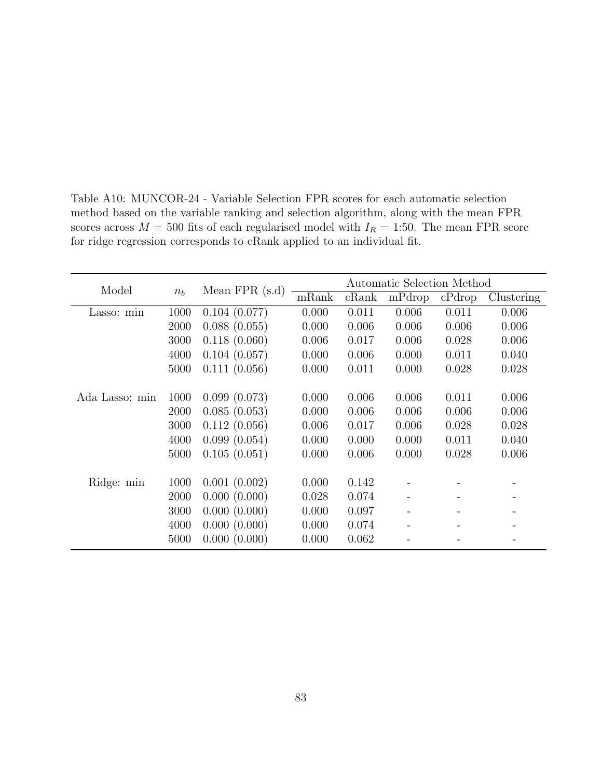| Model          |       |                 |       |       | Automatic Selection Method |        |            |
|----------------|-------|-----------------|-------|-------|----------------------------|--------|------------|
|                | $n_b$ | Mean $FPR(s.d)$ | mRank | cRank | mPdrop                     | cPdrop | Clustering |
| Lasso: min     | 1000  | 0.104(0.077)    | 0.000 | 0.011 | 0.006                      | 0.011  | 0.006      |
|                | 2000  | 0.088(0.055)    | 0.000 | 0.006 | 0.006                      | 0.006  | 0.006      |
|                | 3000  | 0.118(0.060)    | 0.006 | 0.017 | 0.006                      | 0.028  | 0.006      |
|                | 4000  | 0.104(0.057)    | 0.000 | 0.006 | 0.000                      | 0.011  | 0.040      |
|                | 5000  | 0.111(0.056)    | 0.000 | 0.011 | 0.000                      | 0.028  | 0.028      |
|                |       |                 |       |       |                            |        |            |
| Ada Lasso: min | 1000  | 0.099(0.073)    | 0.000 | 0.006 | 0.006                      | 0.011  | 0.006      |
|                | 2000  | 0.085(0.053)    | 0.000 | 0.006 | 0.006                      | 0.006  | 0.006      |
|                | 3000  | 0.112(0.056)    | 0.006 | 0.017 | 0.006                      | 0.028  | 0.028      |
|                | 4000  | 0.099(0.054)    | 0.000 | 0.000 | 0.000                      | 0.011  | 0.040      |
|                | 5000  | 0.105(0.051)    | 0.000 | 0.006 | 0.000                      | 0.028  | 0.006      |
|                |       |                 |       |       |                            |        |            |
| Ridge: min     | 1000  | 0.001(0.002)    | 0.000 | 0.142 |                            |        |            |
|                | 2000  | 0.000(0.000)    | 0.028 | 0.074 |                            |        |            |
|                | 3000  | 0.000(0.000)    | 0.000 | 0.097 |                            |        |            |
|                | 4000  | 0.000(0.000)    | 0.000 | 0.074 |                            |        |            |
|                | 5000  | 0.000(0.000)    | 0.000 | 0.062 |                            |        |            |

Table A10: MUNCOR-24 - Variable Selection FPR scores for each automatic selection method based on the variable ranking and selection algorithm, along with the mean FPR scores across  $M = 500$  fits of each regularised model with  $I_R = 1:50$ . The mean FPR score for ridge regression corresponds to cRank applied to an individual fit.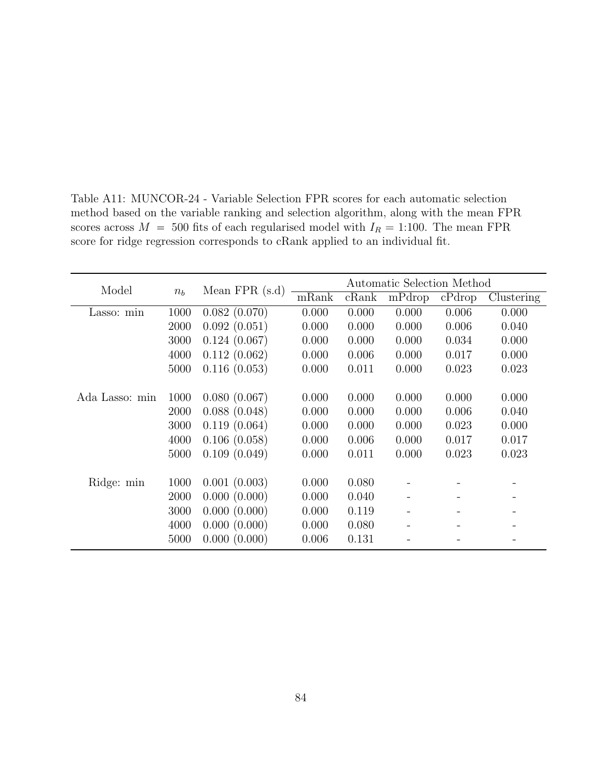| Model          |       | Mean $FPR(s.d)$ | Automatic Selection Method |       |        |        |            |  |
|----------------|-------|-----------------|----------------------------|-------|--------|--------|------------|--|
|                | $n_b$ |                 | mRank                      | cRank | mPdrop | cPdrop | Clustering |  |
| Lasso: min     | 1000  | 0.082(0.070)    | 0.000                      | 0.000 | 0.000  | 0.006  | 0.000      |  |
|                | 2000  | 0.092(0.051)    | 0.000                      | 0.000 | 0.000  | 0.006  | 0.040      |  |
|                | 3000  | 0.124(0.067)    | 0.000                      | 0.000 | 0.000  | 0.034  | 0.000      |  |
|                | 4000  | 0.112(0.062)    | 0.000                      | 0.006 | 0.000  | 0.017  | 0.000      |  |
|                | 5000  | 0.116(0.053)    | 0.000                      | 0.011 | 0.000  | 0.023  | 0.023      |  |
|                |       |                 |                            |       |        |        |            |  |
| Ada Lasso: min | 1000  | 0.080(0.067)    | 0.000                      | 0.000 | 0.000  | 0.000  | 0.000      |  |
|                | 2000  | 0.088(0.048)    | 0.000                      | 0.000 | 0.000  | 0.006  | 0.040      |  |
|                | 3000  | 0.119(0.064)    | 0.000                      | 0.000 | 0.000  | 0.023  | 0.000      |  |
|                | 4000  | 0.106(0.058)    | 0.000                      | 0.006 | 0.000  | 0.017  | 0.017      |  |
|                | 5000  | 0.109(0.049)    | 0.000                      | 0.011 | 0.000  | 0.023  | 0.023      |  |
|                |       |                 |                            |       |        |        |            |  |
| Ridge: min     | 1000  | 0.001(0.003)    | 0.000                      | 0.080 |        |        |            |  |
|                | 2000  | 0.000(0.000)    | 0.000                      | 0.040 |        |        |            |  |
|                | 3000  | 0.000(0.000)    | 0.000                      | 0.119 |        |        |            |  |
|                | 4000  | 0.000(0.000)    | 0.000                      | 0.080 |        |        |            |  |
|                | 5000  | 0.000(0.000)    | 0.006                      | 0.131 |        |        |            |  |

Table A11: MUNCOR-24 - Variable Selection FPR scores for each automatic selection method based on the variable ranking and selection algorithm, along with the mean FPR scores across  $M = 500$  fits of each regularised model with  $I_R = 1:100$ . The mean FPR score for ridge regression corresponds to cRank applied to an individual fit.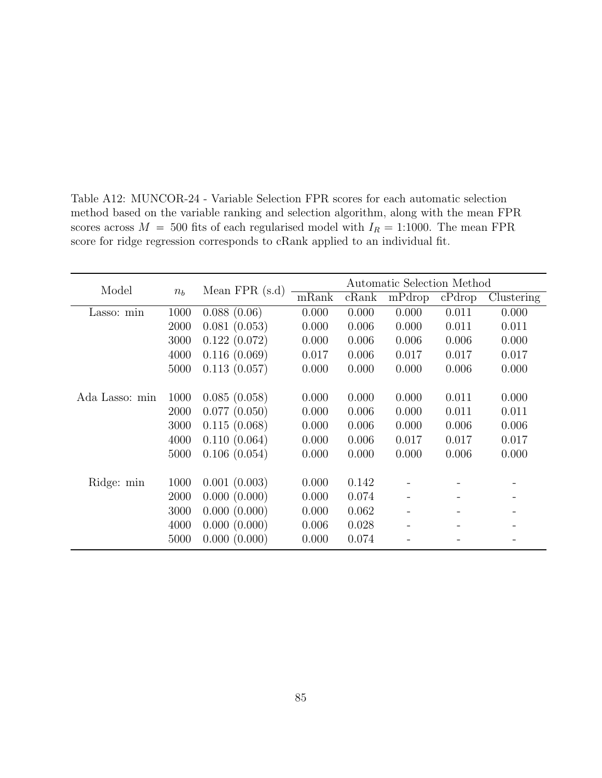| Model          |         | Mean $FPR(s.d)$ | Automatic Selection Method |       |        |           |            |  |
|----------------|---------|-----------------|----------------------------|-------|--------|-----------|------------|--|
|                | $n_{h}$ |                 | mRank                      | cRank | mPdrop | $c$ Pdrop | Clustering |  |
| Lasso: min     | 1000    | 0.088(0.06)     | 0.000                      | 0.000 | 0.000  | 0.011     | 0.000      |  |
|                | 2000    | 0.081(0.053)    | 0.000                      | 0.006 | 0.000  | 0.011     | 0.011      |  |
|                | 3000    | 0.122(0.072)    | 0.000                      | 0.006 | 0.006  | 0.006     | 0.000      |  |
|                | 4000    | 0.116(0.069)    | 0.017                      | 0.006 | 0.017  | 0.017     | 0.017      |  |
|                | 5000    | 0.113(0.057)    | 0.000                      | 0.000 | 0.000  | 0.006     | 0.000      |  |
|                |         |                 |                            |       |        |           |            |  |
| Ada Lasso: min | 1000    | 0.085(0.058)    | 0.000                      | 0.000 | 0.000  | 0.011     | 0.000      |  |
|                | 2000    | 0.077(0.050)    | 0.000                      | 0.006 | 0.000  | 0.011     | 0.011      |  |
|                | 3000    | 0.115(0.068)    | 0.000                      | 0.006 | 0.000  | 0.006     | 0.006      |  |
|                | 4000    | 0.110(0.064)    | 0.000                      | 0.006 | 0.017  | 0.017     | 0.017      |  |
|                | 5000    | 0.106(0.054)    | 0.000                      | 0.000 | 0.000  | 0.006     | 0.000      |  |
|                |         |                 |                            |       |        |           |            |  |
| Ridge: min     | 1000    | 0.001(0.003)    | 0.000                      | 0.142 |        |           |            |  |
|                | 2000    | 0.000(0.000)    | 0.000                      | 0.074 |        |           |            |  |
|                | 3000    | 0.000(0.000)    | 0.000                      | 0.062 |        |           |            |  |
|                | 4000    | 0.000(0.000)    | 0.006                      | 0.028 |        |           |            |  |
|                | 5000    | 0.000(0.000)    | 0.000                      | 0.074 |        |           |            |  |

Table A12: MUNCOR-24 - Variable Selection FPR scores for each automatic selection method based on the variable ranking and selection algorithm, along with the mean FPR scores across  $M = 500$  fits of each regularised model with  $I_R = 1:1000$ . The mean FPR score for ridge regression corresponds to cRank applied to an individual fit.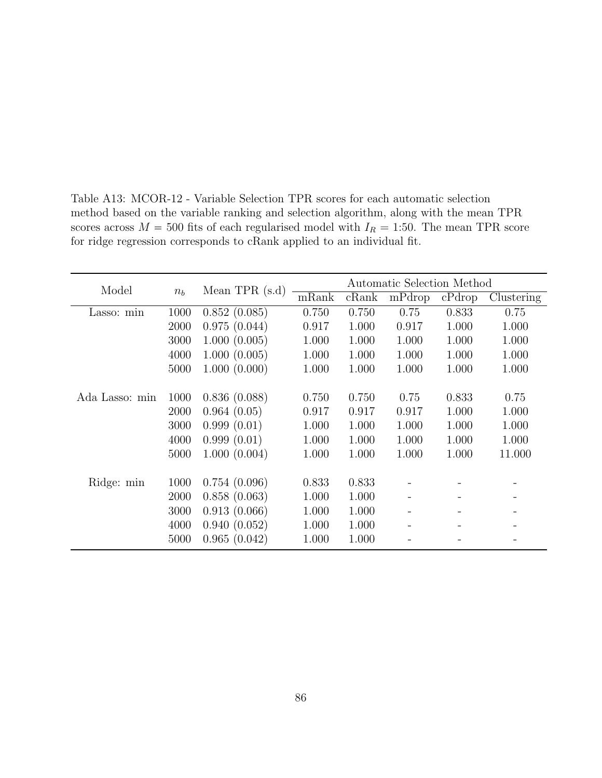| Model          |       | Mean TPR $(s.d)$ | Automatic Selection Method |       |        |        |            |  |
|----------------|-------|------------------|----------------------------|-------|--------|--------|------------|--|
|                | $n_b$ |                  | mRank                      | cRank | mPdrop | cPdrop | Clustering |  |
| Lasso: min     | 1000  | 0.852(0.085)     | 0.750                      | 0.750 | 0.75   | 0.833  | 0.75       |  |
|                | 2000  | 0.975(0.044)     | 0.917                      | 1.000 | 0.917  | 1.000  | 1.000      |  |
|                | 3000  | 1.000(0.005)     | 1.000                      | 1.000 | 1.000  | 1.000  | 1.000      |  |
|                | 4000  | 1.000(0.005)     | 1.000                      | 1.000 | 1.000  | 1.000  | 1.000      |  |
|                | 5000  | 1.000(0.000)     | 1.000                      | 1.000 | 1.000  | 1.000  | 1.000      |  |
|                |       |                  |                            |       |        |        |            |  |
| Ada Lasso: min | 1000  | 0.836(0.088)     | 0.750                      | 0.750 | 0.75   | 0.833  | 0.75       |  |
|                | 2000  | 0.964(0.05)      | 0.917                      | 0.917 | 0.917  | 1.000  | 1.000      |  |
|                | 3000  | 0.999(0.01)      | 1.000                      | 1.000 | 1.000  | 1.000  | 1.000      |  |
|                | 4000  | 0.999(0.01)      | 1.000                      | 1.000 | 1.000  | 1.000  | 1.000      |  |
|                | 5000  | 1.000(0.004)     | 1.000                      | 1.000 | 1.000  | 1.000  | 11.000     |  |
|                |       |                  |                            |       |        |        |            |  |
| Ridge: min     | 1000  | 0.754(0.096)     | 0.833                      | 0.833 |        |        |            |  |
|                | 2000  | 0.858(0.063)     | 1.000                      | 1.000 |        |        |            |  |
|                | 3000  | 0.913(0.066)     | 1.000                      | 1.000 |        |        |            |  |
|                | 4000  | 0.940(0.052)     | 1.000                      | 1.000 |        |        |            |  |
|                | 5000  | 0.965(0.042)     | 1.000                      | 1.000 |        |        |            |  |

Table A13: MCOR-12 - Variable Selection TPR scores for each automatic selection method based on the variable ranking and selection algorithm, along with the mean TPR scores across  $M = 500$  fits of each regularised model with  $I_R = 1:50$ . The mean TPR score for ridge regression corresponds to cRank applied to an individual fit.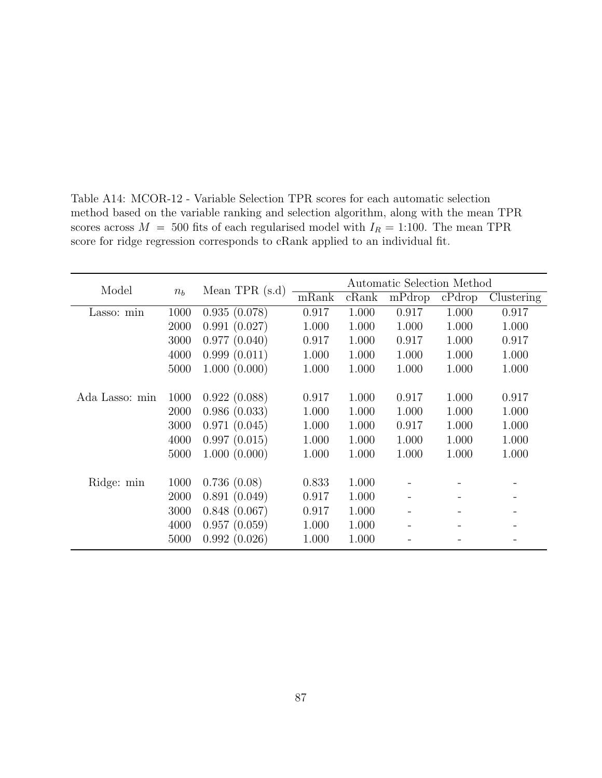| Model          |         | Mean TPR $(s.d)$ | Automatic Selection Method |       |        |        |            |  |
|----------------|---------|------------------|----------------------------|-------|--------|--------|------------|--|
|                | $n_{h}$ |                  | mRank                      | cRank | mPdrop | cPdrop | Clustering |  |
| Lasso: min     | 1000    | 0.935(0.078)     | 0.917                      | 1.000 | 0.917  | 1.000  | 0.917      |  |
|                | 2000    | 0.991(0.027)     | 1.000                      | 1.000 | 1.000  | 1.000  | 1.000      |  |
|                | 3000    | 0.977(0.040)     | 0.917                      | 1.000 | 0.917  | 1.000  | 0.917      |  |
|                | 4000    | 0.999(0.011)     | 1.000                      | 1.000 | 1.000  | 1.000  | 1.000      |  |
|                | 5000    | 1.000(0.000)     | 1.000                      | 1.000 | 1.000  | 1.000  | 1.000      |  |
|                |         |                  |                            |       |        |        |            |  |
| Ada Lasso: min | 1000    | 0.922(0.088)     | 0.917                      | 1.000 | 0.917  | 1.000  | 0.917      |  |
|                | 2000    | 0.986(0.033)     | 1.000                      | 1.000 | 1.000  | 1.000  | 1.000      |  |
|                | 3000    | 0.971(0.045)     | 1.000                      | 1.000 | 0.917  | 1.000  | 1.000      |  |
|                | 4000    | 0.997(0.015)     | 1.000                      | 1.000 | 1.000  | 1.000  | 1.000      |  |
|                | 5000    | 1.000(0.000)     | 1.000                      | 1.000 | 1.000  | 1.000  | 1.000      |  |
|                |         |                  |                            |       |        |        |            |  |
| Ridge: min     | 1000    | 0.736(0.08)      | 0.833                      | 1.000 |        |        |            |  |
|                | 2000    | 0.891(0.049)     | 0.917                      | 1.000 |        |        |            |  |
|                | 3000    | 0.848(0.067)     | 0.917                      | 1.000 |        |        |            |  |
|                | 4000    | 0.957(0.059)     | 1.000                      | 1.000 |        |        |            |  |
|                | 5000    | 0.992(0.026)     | 1.000                      | 1.000 |        |        |            |  |

Table A14: MCOR-12 - Variable Selection TPR scores for each automatic selection method based on the variable ranking and selection algorithm, along with the mean TPR scores across  $M = 500$  fits of each regularised model with  $I_R = 1:100$ . The mean TPR score for ridge regression corresponds to cRank applied to an individual fit.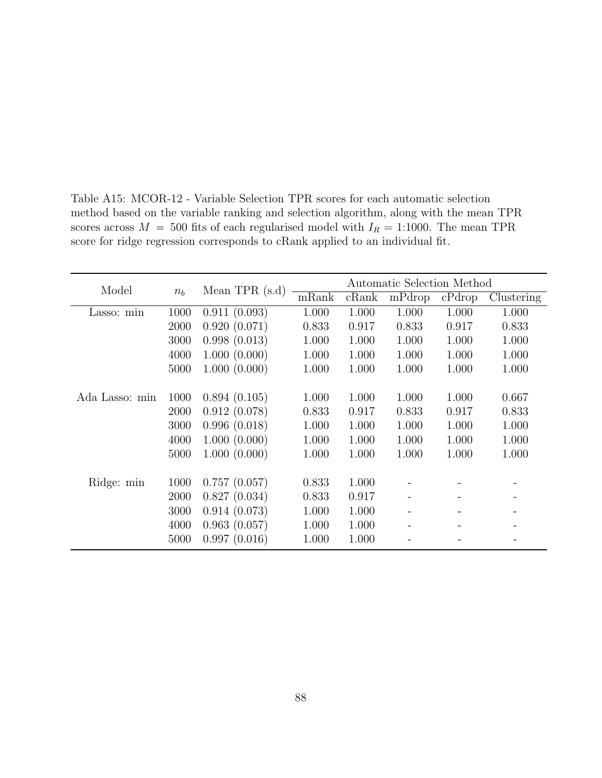| Model          |         | Mean TPR $(s.d)$ | Automatic Selection Method |       |        |        |            |  |
|----------------|---------|------------------|----------------------------|-------|--------|--------|------------|--|
|                | $n_{h}$ |                  | mRank                      | cRank | mPdrop | cPdrop | Clustering |  |
| Lasso: min     | 1000    | 0.911(0.093)     | 1.000                      | 1.000 | 1.000  | 1.000  | 1.000      |  |
|                | 2000    | 0.920(0.071)     | 0.833                      | 0.917 | 0.833  | 0.917  | 0.833      |  |
|                | 3000    | 0.998(0.013)     | 1.000                      | 1.000 | 1.000  | 1.000  | 1.000      |  |
|                | 4000    | 1.000(0.000)     | 1.000                      | 1.000 | 1.000  | 1.000  | 1.000      |  |
|                | 5000    | 1.000(0.000)     | 1.000                      | 1.000 | 1.000  | 1.000  | 1.000      |  |
|                |         |                  |                            |       |        |        |            |  |
| Ada Lasso: min | 1000    | 0.894(0.105)     | 1.000                      | 1.000 | 1.000  | 1.000  | 0.667      |  |
|                | 2000    | 0.912(0.078)     | 0.833                      | 0.917 | 0.833  | 0.917  | 0.833      |  |
|                | 3000    | 0.996(0.018)     | 1.000                      | 1.000 | 1.000  | 1.000  | 1.000      |  |
|                | 4000    | 1.000(0.000)     | 1.000                      | 1.000 | 1.000  | 1.000  | 1.000      |  |
|                | 5000    | 1.000(0.000)     | 1.000                      | 1.000 | 1.000  | 1.000  | 1.000      |  |
|                |         |                  |                            |       |        |        |            |  |
| Ridge: min     | 1000    | 0.757(0.057)     | 0.833                      | 1.000 |        |        |            |  |
|                | 2000    | 0.827(0.034)     | 0.833                      | 0.917 |        |        |            |  |
|                | 3000    | 0.914(0.073)     | 1.000                      | 1.000 |        |        |            |  |
|                | 4000    | 0.963(0.057)     | 1.000                      | 1.000 |        |        |            |  |
|                | 5000    | 0.997(0.016)     | 1.000                      | 1.000 |        |        |            |  |

Table A15: MCOR-12 - Variable Selection TPR scores for each automatic selection method based on the variable ranking and selection algorithm, along with the mean TPR scores across  $M = 500$  fits of each regularised model with  $I_R = 1:1000$ . The mean TPR score for ridge regression corresponds to cRank applied to an individual fit.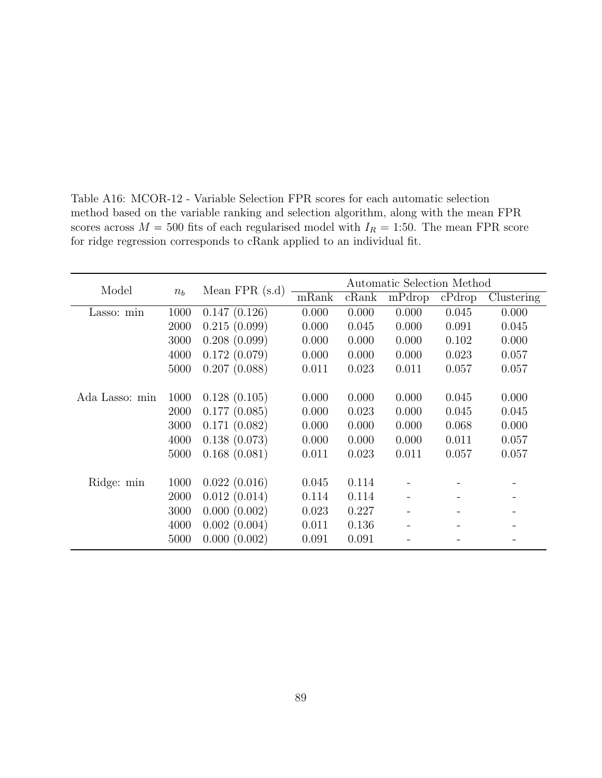| Model          |       |                 | Automatic Selection Method |       |        |        |            |  |
|----------------|-------|-----------------|----------------------------|-------|--------|--------|------------|--|
|                | $n_b$ | Mean $FPR(s.d)$ | mRank                      | cRank | mPdrop | cPdrop | Clustering |  |
| Lasso: min     | 1000  | 0.147(0.126)    | 0.000                      | 0.000 | 0.000  | 0.045  | 0.000      |  |
|                | 2000  | 0.215(0.099)    | 0.000                      | 0.045 | 0.000  | 0.091  | 0.045      |  |
|                | 3000  | 0.208(0.099)    | 0.000                      | 0.000 | 0.000  | 0.102  | 0.000      |  |
|                | 4000  | 0.172(0.079)    | 0.000                      | 0.000 | 0.000  | 0.023  | 0.057      |  |
|                | 5000  | 0.207(0.088)    | 0.011                      | 0.023 | 0.011  | 0.057  | 0.057      |  |
|                |       |                 |                            |       |        |        |            |  |
| Ada Lasso: min | 1000  | 0.128(0.105)    | 0.000                      | 0.000 | 0.000  | 0.045  | 0.000      |  |
|                | 2000  | 0.177(0.085)    | 0.000                      | 0.023 | 0.000  | 0.045  | 0.045      |  |
|                | 3000  | 0.171(0.082)    | 0.000                      | 0.000 | 0.000  | 0.068  | 0.000      |  |
|                | 4000  | 0.138(0.073)    | 0.000                      | 0.000 | 0.000  | 0.011  | 0.057      |  |
|                | 5000  | 0.168(0.081)    | 0.011                      | 0.023 | 0.011  | 0.057  | 0.057      |  |
|                |       |                 |                            |       |        |        |            |  |
| Ridge: min     | 1000  | 0.022(0.016)    | 0.045                      | 0.114 |        |        |            |  |
|                | 2000  | 0.012(0.014)    | 0.114                      | 0.114 |        |        |            |  |
|                | 3000  | 0.000(0.002)    | 0.023                      | 0.227 |        |        |            |  |
|                | 4000  | 0.002(0.004)    | 0.011                      | 0.136 |        |        |            |  |
|                | 5000  | 0.000(0.002)    | 0.091                      | 0.091 |        |        |            |  |

Table A16: MCOR-12 - Variable Selection FPR scores for each automatic selection method based on the variable ranking and selection algorithm, along with the mean FPR scores across  $M = 500$  fits of each regularised model with  $I_R = 1:50$ . The mean FPR score for ridge regression corresponds to cRank applied to an individual fit.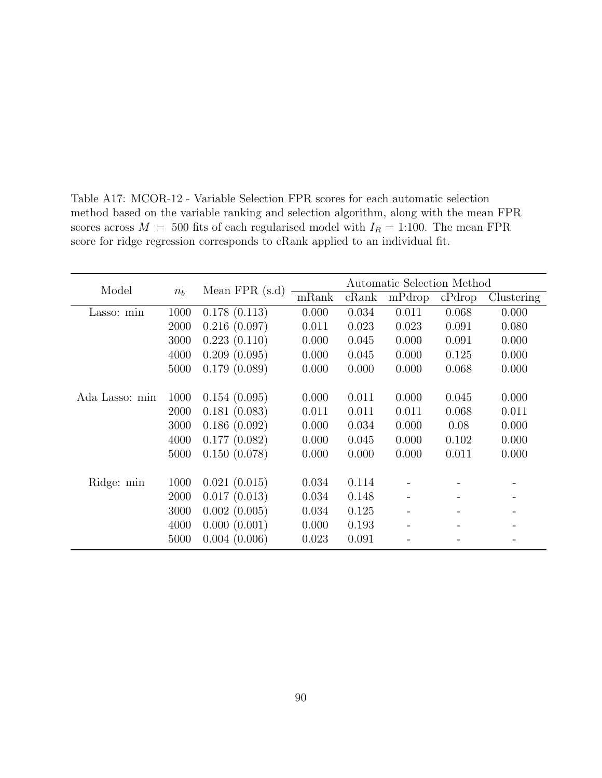| Model          |       |                 | Automatic Selection Method |       |        |        |            |  |
|----------------|-------|-----------------|----------------------------|-------|--------|--------|------------|--|
|                | $n_b$ | Mean $FPR(s.d)$ | mRank                      | cRank | mPdrop | cPdrop | Clustering |  |
| Lasso: min     | 1000  | 0.178(0.113)    | 0.000                      | 0.034 | 0.011  | 0.068  | 0.000      |  |
|                | 2000  | 0.216(0.097)    | 0.011                      | 0.023 | 0.023  | 0.091  | 0.080      |  |
|                | 3000  | 0.223(0.110)    | 0.000                      | 0.045 | 0.000  | 0.091  | 0.000      |  |
|                | 4000  | 0.209(0.095)    | 0.000                      | 0.045 | 0.000  | 0.125  | 0.000      |  |
|                | 5000  | 0.179(0.089)    | 0.000                      | 0.000 | 0.000  | 0.068  | 0.000      |  |
|                |       |                 |                            |       |        |        |            |  |
| Ada Lasso: min | 1000  | 0.154(0.095)    | 0.000                      | 0.011 | 0.000  | 0.045  | 0.000      |  |
|                | 2000  | 0.181(0.083)    | 0.011                      | 0.011 | 0.011  | 0.068  | 0.011      |  |
|                | 3000  | 0.186(0.092)    | 0.000                      | 0.034 | 0.000  | 0.08   | 0.000      |  |
|                | 4000  | 0.177(0.082)    | 0.000                      | 0.045 | 0.000  | 0.102  | 0.000      |  |
|                | 5000  | 0.150(0.078)    | 0.000                      | 0.000 | 0.000  | 0.011  | 0.000      |  |
|                |       |                 |                            |       |        |        |            |  |
| Ridge: min     | 1000  | 0.021(0.015)    | 0.034                      | 0.114 |        |        |            |  |
|                | 2000  | 0.017(0.013)    | 0.034                      | 0.148 |        |        |            |  |
|                | 3000  | 0.002(0.005)    | 0.034                      | 0.125 |        |        |            |  |
|                | 4000  | 0.000(0.001)    | 0.000                      | 0.193 |        |        |            |  |
|                | 5000  | 0.004(0.006)    | 0.023                      | 0.091 |        |        |            |  |

Table A17: MCOR-12 - Variable Selection FPR scores for each automatic selection method based on the variable ranking and selection algorithm, along with the mean FPR scores across  $M = 500$  fits of each regularised model with  $I_R = 1:100$ . The mean FPR score for ridge regression corresponds to cRank applied to an individual fit.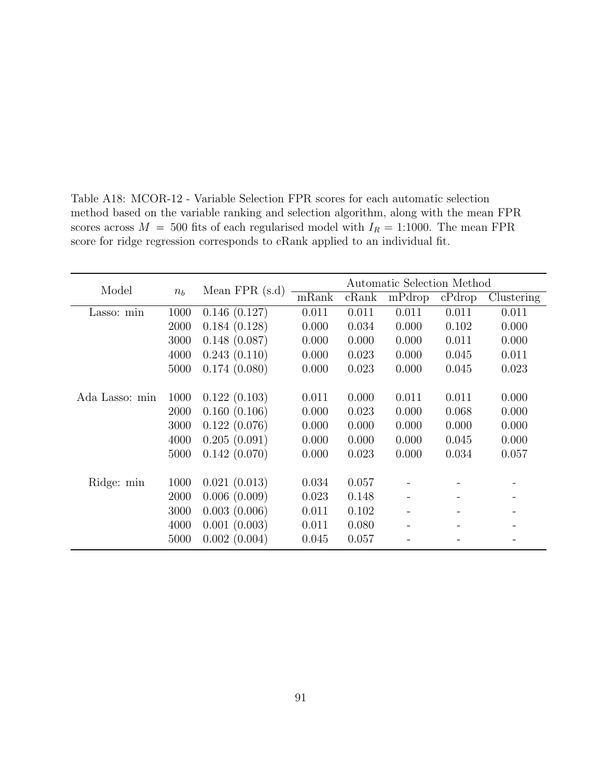| Model          |         | Mean $FPR(s.d)$ | Automatic Selection Method |       |        |        |            |  |
|----------------|---------|-----------------|----------------------------|-------|--------|--------|------------|--|
|                | $n_{h}$ |                 | mRank                      | cRank | mPdrop | cPdrop | Clustering |  |
| Lasso: min     | 1000    | 0.146(0.127)    | 0.011                      | 0.011 | 0.011  | 0.011  | 0.011      |  |
|                | 2000    | 0.184(0.128)    | 0.000                      | 0.034 | 0.000  | 0.102  | 0.000      |  |
|                | 3000    | 0.148(0.087)    | 0.000                      | 0.000 | 0.000  | 0.011  | 0.000      |  |
|                | 4000    | 0.243(0.110)    | 0.000                      | 0.023 | 0.000  | 0.045  | 0.011      |  |
|                | 5000    | 0.174(0.080)    | 0.000                      | 0.023 | 0.000  | 0.045  | 0.023      |  |
|                |         |                 |                            |       |        |        |            |  |
| Ada Lasso: min | 1000    | 0.122(0.103)    | 0.011                      | 0.000 | 0.011  | 0.011  | 0.000      |  |
|                | 2000    | 0.160(0.106)    | 0.000                      | 0.023 | 0.000  | 0.068  | 0.000      |  |
|                | 3000    | 0.122(0.076)    | 0.000                      | 0.000 | 0.000  | 0.000  | 0.000      |  |
|                | 4000    | 0.205(0.091)    | 0.000                      | 0.000 | 0.000  | 0.045  | 0.000      |  |
|                | 5000    | 0.142(0.070)    | 0.000                      | 0.023 | 0.000  | 0.034  | 0.057      |  |
|                |         |                 |                            |       |        |        |            |  |
| Ridge: min     | 1000    | 0.021(0.013)    | 0.034                      | 0.057 |        |        |            |  |
|                | 2000    | 0.006(0.009)    | 0.023                      | 0.148 |        |        |            |  |
|                | 3000    | 0.003(0.006)    | 0.011                      | 0.102 |        |        |            |  |
|                | 4000    | 0.001(0.003)    | 0.011                      | 0.080 |        |        |            |  |
|                | 5000    | 0.002(0.004)    | 0.045                      | 0.057 |        |        |            |  |

Table A18: MCOR-12 - Variable Selection FPR scores for each automatic selection method based on the variable ranking and selection algorithm, along with the mean FPR scores across  $M = 500$  fits of each regularised model with  $I_R = 1:1000$ . The mean FPR score for ridge regression corresponds to cRank applied to an individual fit.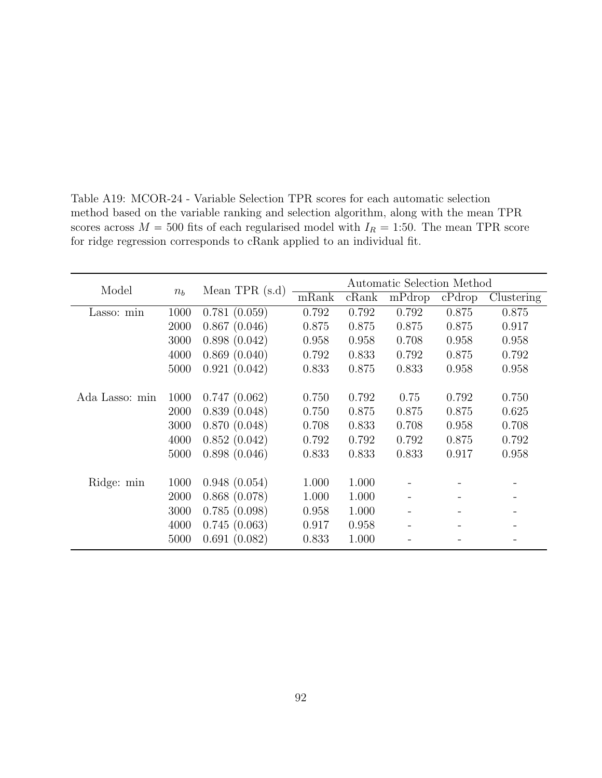| Model          |       |                  | Automatic Selection Method |       |        |        |            |  |
|----------------|-------|------------------|----------------------------|-------|--------|--------|------------|--|
|                | $n_b$ | Mean TPR $(s.d)$ | mRank                      | cRank | mPdrop | cPdrop | Clustering |  |
| Lasso: min     | 1000  | 0.781(0.059)     | 0.792                      | 0.792 | 0.792  | 0.875  | 0.875      |  |
|                | 2000  | 0.867(0.046)     | 0.875                      | 0.875 | 0.875  | 0.875  | 0.917      |  |
|                | 3000  | 0.898(0.042)     | 0.958                      | 0.958 | 0.708  | 0.958  | 0.958      |  |
|                | 4000  | 0.869(0.040)     | 0.792                      | 0.833 | 0.792  | 0.875  | 0.792      |  |
|                | 5000  | 0.921(0.042)     | 0.833                      | 0.875 | 0.833  | 0.958  | 0.958      |  |
|                |       |                  |                            |       |        |        |            |  |
| Ada Lasso: min | 1000  | 0.747(0.062)     | 0.750                      | 0.792 | 0.75   | 0.792  | 0.750      |  |
|                | 2000  | 0.839(0.048)     | 0.750                      | 0.875 | 0.875  | 0.875  | 0.625      |  |
|                | 3000  | 0.870(0.048)     | 0.708                      | 0.833 | 0.708  | 0.958  | 0.708      |  |
|                | 4000  | 0.852(0.042)     | 0.792                      | 0.792 | 0.792  | 0.875  | 0.792      |  |
|                | 5000  | 0.898(0.046)     | 0.833                      | 0.833 | 0.833  | 0.917  | 0.958      |  |
|                |       |                  |                            |       |        |        |            |  |
| Ridge: min     | 1000  | 0.948(0.054)     | 1.000                      | 1.000 |        |        |            |  |
|                | 2000  | 0.868(0.078)     | 1.000                      | 1.000 |        |        |            |  |
|                | 3000  | 0.785(0.098)     | 0.958                      | 1.000 |        |        |            |  |
|                | 4000  | 0.745(0.063)     | 0.917                      | 0.958 |        |        |            |  |
|                | 5000  | 0.691(0.082)     | 0.833                      | 1.000 |        |        |            |  |

Table A19: MCOR-24 - Variable Selection TPR scores for each automatic selection method based on the variable ranking and selection algorithm, along with the mean TPR scores across  $M = 500$  fits of each regularised model with  $I_R = 1:50$ . The mean TPR score for ridge regression corresponds to cRank applied to an individual fit.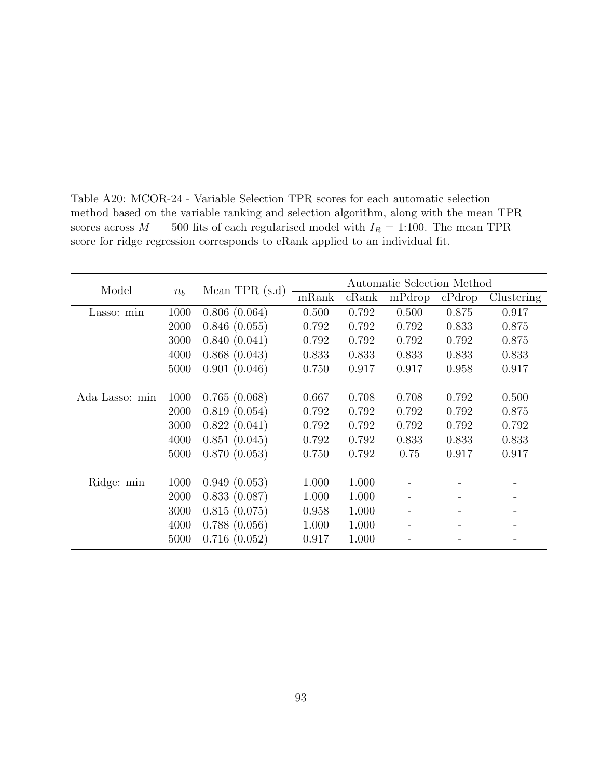| Model          |         | Mean TPR $(s.d)$ |       |       | Automatic Selection Method |        |            |
|----------------|---------|------------------|-------|-------|----------------------------|--------|------------|
|                | $n_{h}$ |                  | mRank | cRank | mPdrop                     | cPdrop | Clustering |
| Lasso: min     | 1000    | 0.806(0.064)     | 0.500 | 0.792 | 0.500                      | 0.875  | 0.917      |
|                | 2000    | 0.846(0.055)     | 0.792 | 0.792 | 0.792                      | 0.833  | 0.875      |
|                | 3000    | 0.840(0.041)     | 0.792 | 0.792 | 0.792                      | 0.792  | 0.875      |
|                | 4000    | 0.868(0.043)     | 0.833 | 0.833 | 0.833                      | 0.833  | 0.833      |
|                | 5000    | 0.901(0.046)     | 0.750 | 0.917 | 0.917                      | 0.958  | 0.917      |
|                |         |                  |       |       |                            |        |            |
| Ada Lasso: min | 1000    | 0.765(0.068)     | 0.667 | 0.708 | 0.708                      | 0.792  | 0.500      |
|                | 2000    | 0.819(0.054)     | 0.792 | 0.792 | 0.792                      | 0.792  | 0.875      |
|                | 3000    | 0.822(0.041)     | 0.792 | 0.792 | 0.792                      | 0.792  | 0.792      |
|                | 4000    | 0.851(0.045)     | 0.792 | 0.792 | 0.833                      | 0.833  | 0.833      |
|                | 5000    | 0.870(0.053)     | 0.750 | 0.792 | 0.75                       | 0.917  | 0.917      |
|                |         |                  |       |       |                            |        |            |
| Ridge: min     | 1000    | 0.949(0.053)     | 1.000 | 1.000 |                            |        |            |
|                | 2000    | 0.833(0.087)     | 1.000 | 1.000 |                            |        |            |
|                | 3000    | 0.815(0.075)     | 0.958 | 1.000 |                            |        |            |
|                | 4000    | 0.788(0.056)     | 1.000 | 1.000 |                            |        |            |
|                | 5000    | 0.716(0.052)     | 0.917 | 1.000 |                            |        |            |

Table A20: MCOR-24 - Variable Selection TPR scores for each automatic selection method based on the variable ranking and selection algorithm, along with the mean TPR scores across  $M = 500$  fits of each regularised model with  $I_R = 1:100$ . The mean TPR score for ridge regression corresponds to cRank applied to an individual fit.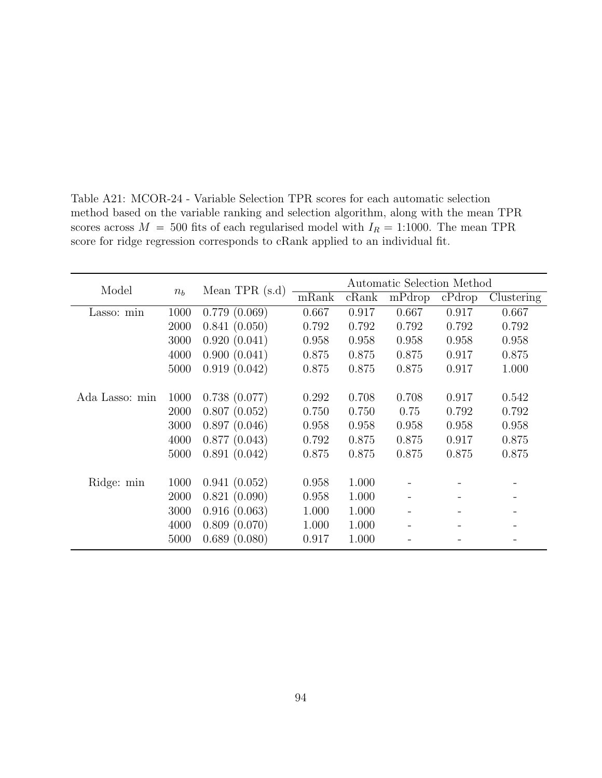| Model          |       | Mean TPR $(s.d)$ |       |       | Automatic Selection Method |        |            |
|----------------|-------|------------------|-------|-------|----------------------------|--------|------------|
|                | $n_b$ |                  | mRank | cRank | mPdrop                     | cPdrop | Clustering |
| Lasso: min     | 1000  | 0.779(0.069)     | 0.667 | 0.917 | 0.667                      | 0.917  | 0.667      |
|                | 2000  | 0.841(0.050)     | 0.792 | 0.792 | 0.792                      | 0.792  | 0.792      |
|                | 3000  | 0.920(0.041)     | 0.958 | 0.958 | 0.958                      | 0.958  | 0.958      |
|                | 4000  | 0.900(0.041)     | 0.875 | 0.875 | 0.875                      | 0.917  | 0.875      |
|                | 5000  | 0.919(0.042)     | 0.875 | 0.875 | 0.875                      | 0.917  | 1.000      |
|                |       |                  |       |       |                            |        |            |
| Ada Lasso: min | 1000  | 0.738(0.077)     | 0.292 | 0.708 | 0.708                      | 0.917  | 0.542      |
|                | 2000  | 0.807(0.052)     | 0.750 | 0.750 | 0.75                       | 0.792  | 0.792      |
|                | 3000  | 0.897(0.046)     | 0.958 | 0.958 | 0.958                      | 0.958  | 0.958      |
|                | 4000  | 0.877(0.043)     | 0.792 | 0.875 | 0.875                      | 0.917  | 0.875      |
|                | 5000  | 0.891(0.042)     | 0.875 | 0.875 | 0.875                      | 0.875  | 0.875      |
|                |       |                  |       |       |                            |        |            |
| Ridge: min     | 1000  | 0.941(0.052)     | 0.958 | 1.000 |                            |        |            |
|                | 2000  | 0.821(0.090)     | 0.958 | 1.000 |                            |        |            |
|                | 3000  | 0.916(0.063)     | 1.000 | 1.000 |                            |        |            |
|                | 4000  | 0.809(0.070)     | 1.000 | 1.000 |                            |        |            |
|                | 5000  | 0.689(0.080)     | 0.917 | 1.000 |                            |        |            |

Table A21: MCOR-24 - Variable Selection TPR scores for each automatic selection method based on the variable ranking and selection algorithm, along with the mean TPR scores across  $M = 500$  fits of each regularised model with  $I_R = 1:1000$ . The mean TPR score for ridge regression corresponds to cRank applied to an individual fit.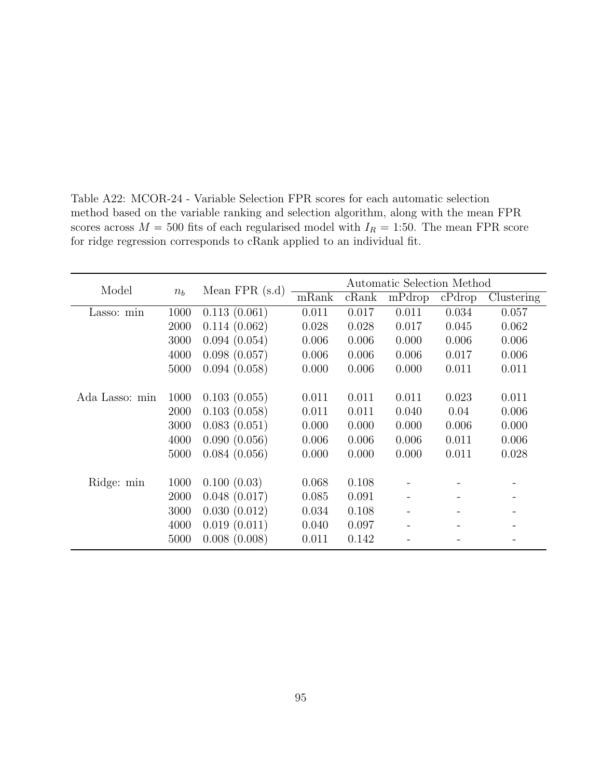| Model          |       |                 |       |       | Automatic Selection Method |        |            |
|----------------|-------|-----------------|-------|-------|----------------------------|--------|------------|
|                | $n_b$ | Mean $FPR(s.d)$ | mRank | cRank | mPdrop                     | cPdrop | Clustering |
| Lasso: min     | 1000  | 0.113(0.061)    | 0.011 | 0.017 | 0.011                      | 0.034  | 0.057      |
|                | 2000  | 0.114(0.062)    | 0.028 | 0.028 | 0.017                      | 0.045  | 0.062      |
|                | 3000  | 0.094(0.054)    | 0.006 | 0.006 | 0.000                      | 0.006  | 0.006      |
|                | 4000  | 0.098(0.057)    | 0.006 | 0.006 | 0.006                      | 0.017  | 0.006      |
|                | 5000  | 0.094(0.058)    | 0.000 | 0.006 | 0.000                      | 0.011  | 0.011      |
|                |       |                 |       |       |                            |        |            |
| Ada Lasso: min | 1000  | 0.103(0.055)    | 0.011 | 0.011 | 0.011                      | 0.023  | 0.011      |
|                | 2000  | 0.103(0.058)    | 0.011 | 0.011 | 0.040                      | 0.04   | 0.006      |
|                | 3000  | 0.083(0.051)    | 0.000 | 0.000 | 0.000                      | 0.006  | 0.000      |
|                | 4000  | 0.090(0.056)    | 0.006 | 0.006 | 0.006                      | 0.011  | 0.006      |
|                | 5000  | 0.084(0.056)    | 0.000 | 0.000 | 0.000                      | 0.011  | 0.028      |
|                |       |                 |       |       |                            |        |            |
| Ridge: min     | 1000  | 0.100(0.03)     | 0.068 | 0.108 |                            |        |            |
|                | 2000  | 0.048(0.017)    | 0.085 | 0.091 |                            |        |            |
|                | 3000  | 0.030(0.012)    | 0.034 | 0.108 |                            |        |            |
|                | 4000  | 0.019(0.011)    | 0.040 | 0.097 |                            |        |            |
|                | 5000  | 0.008(0.008)    | 0.011 | 0.142 |                            |        |            |

Table A22: MCOR-24 - Variable Selection FPR scores for each automatic selection method based on the variable ranking and selection algorithm, along with the mean FPR scores across  $M = 500$  fits of each regularised model with  $I_R = 1:50$ . The mean FPR score for ridge regression corresponds to cRank applied to an individual fit.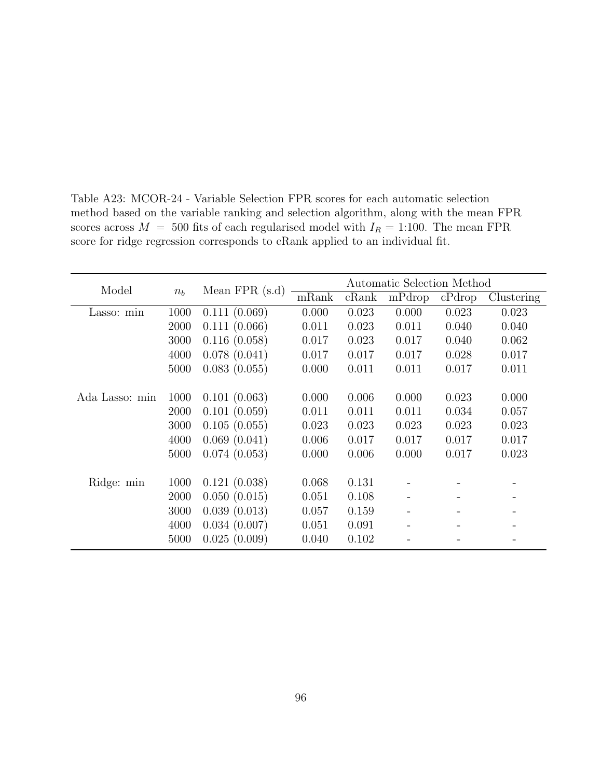| Model          |       | Mean $FPR(s.d)$ |       |       | Automatic Selection Method |        |            |
|----------------|-------|-----------------|-------|-------|----------------------------|--------|------------|
|                | $n_b$ |                 | mRank | cRank | mPdrop                     | cPdrop | Clustering |
| Lasso: min     | 1000  | 0.111(0.069)    | 0.000 | 0.023 | 0.000                      | 0.023  | 0.023      |
|                | 2000  | 0.111(0.066)    | 0.011 | 0.023 | 0.011                      | 0.040  | 0.040      |
|                | 3000  | 0.116(0.058)    | 0.017 | 0.023 | 0.017                      | 0.040  | 0.062      |
|                | 4000  | 0.078(0.041)    | 0.017 | 0.017 | 0.017                      | 0.028  | 0.017      |
|                | 5000  | 0.083(0.055)    | 0.000 | 0.011 | 0.011                      | 0.017  | 0.011      |
|                |       |                 |       |       |                            |        |            |
| Ada Lasso: min | 1000  | 0.101(0.063)    | 0.000 | 0.006 | 0.000                      | 0.023  | 0.000      |
|                | 2000  | 0.101(0.059)    | 0.011 | 0.011 | 0.011                      | 0.034  | 0.057      |
|                | 3000  | 0.105(0.055)    | 0.023 | 0.023 | 0.023                      | 0.023  | 0.023      |
|                | 4000  | 0.069(0.041)    | 0.006 | 0.017 | 0.017                      | 0.017  | 0.017      |
|                | 5000  | 0.074(0.053)    | 0.000 | 0.006 | 0.000                      | 0.017  | 0.023      |
|                |       |                 |       |       |                            |        |            |
| Ridge: min     | 1000  | 0.121(0.038)    | 0.068 | 0.131 |                            |        |            |
|                | 2000  | 0.050(0.015)    | 0.051 | 0.108 |                            |        |            |
|                | 3000  | 0.039(0.013)    | 0.057 | 0.159 |                            |        |            |
|                | 4000  | 0.034(0.007)    | 0.051 | 0.091 |                            |        |            |
|                | 5000  | 0.025(0.009)    | 0.040 | 0.102 |                            |        |            |

Table A23: MCOR-24 - Variable Selection FPR scores for each automatic selection method based on the variable ranking and selection algorithm, along with the mean FPR scores across  $M = 500$  fits of each regularised model with  $I_R = 1:100$ . The mean FPR score for ridge regression corresponds to cRank applied to an individual fit.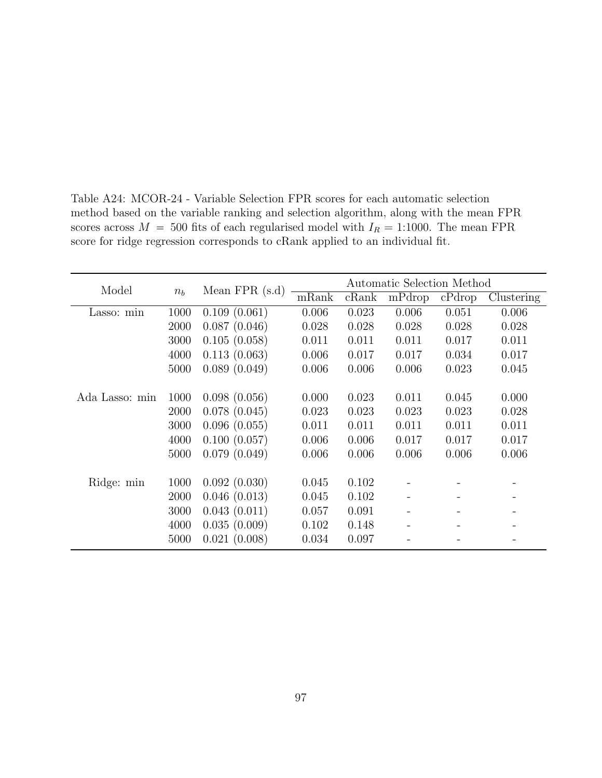| Model          |       | Mean $FPR(s.d)$ |       |       | Automatic Selection Method |        |            |
|----------------|-------|-----------------|-------|-------|----------------------------|--------|------------|
|                | $n_b$ |                 | mRank | cRank | mPdrop                     | cPdrop | Clustering |
| Lasso: min     | 1000  | 0.109(0.061)    | 0.006 | 0.023 | 0.006                      | 0.051  | 0.006      |
|                | 2000  | 0.087(0.046)    | 0.028 | 0.028 | 0.028                      | 0.028  | 0.028      |
|                | 3000  | 0.105(0.058)    | 0.011 | 0.011 | 0.011                      | 0.017  | 0.011      |
|                | 4000  | 0.113(0.063)    | 0.006 | 0.017 | 0.017                      | 0.034  | 0.017      |
|                | 5000  | 0.089(0.049)    | 0.006 | 0.006 | 0.006                      | 0.023  | 0.045      |
|                |       |                 |       |       |                            |        |            |
| Ada Lasso: min | 1000  | 0.098(0.056)    | 0.000 | 0.023 | 0.011                      | 0.045  | 0.000      |
|                | 2000  | 0.078(0.045)    | 0.023 | 0.023 | 0.023                      | 0.023  | 0.028      |
|                | 3000  | 0.096(0.055)    | 0.011 | 0.011 | 0.011                      | 0.011  | 0.011      |
|                | 4000  | 0.100(0.057)    | 0.006 | 0.006 | 0.017                      | 0.017  | 0.017      |
|                | 5000  | 0.079(0.049)    | 0.006 | 0.006 | 0.006                      | 0.006  | 0.006      |
|                |       |                 |       |       |                            |        |            |
| Ridge: min     | 1000  | 0.092(0.030)    | 0.045 | 0.102 |                            |        |            |
|                | 2000  | 0.046(0.013)    | 0.045 | 0.102 |                            |        |            |
|                | 3000  | 0.043(0.011)    | 0.057 | 0.091 |                            |        |            |
|                | 4000  | 0.035(0.009)    | 0.102 | 0.148 |                            |        |            |
|                | 5000  | 0.021(0.008)    | 0.034 | 0.097 |                            |        |            |

Table A24: MCOR-24 - Variable Selection FPR scores for each automatic selection method based on the variable ranking and selection algorithm, along with the mean FPR scores across  $M = 500$  fits of each regularised model with  $I_R = 1:1000$ . The mean FPR score for ridge regression corresponds to cRank applied to an individual fit.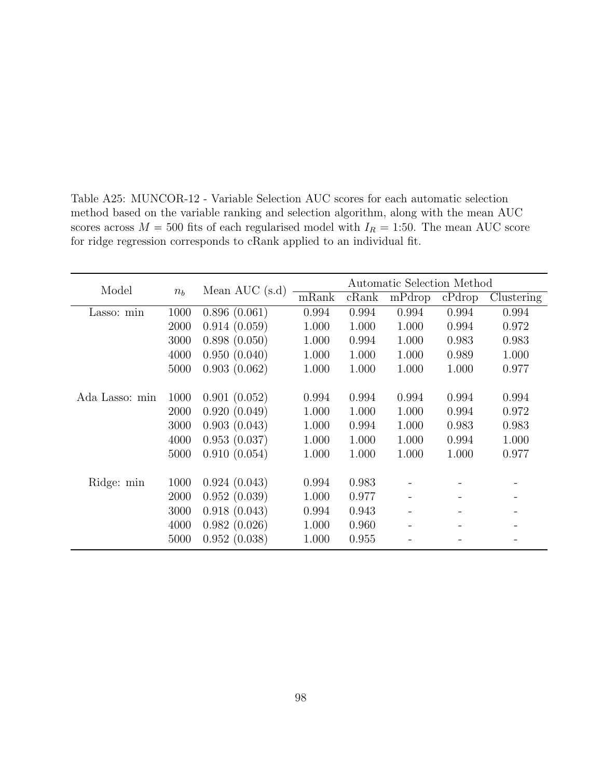| Model          |       | Mean AUC $(s.d)$ |       |       | Automatic Selection Method |        |            |
|----------------|-------|------------------|-------|-------|----------------------------|--------|------------|
|                | $n_b$ |                  | mRank | cRank | mPdrop                     | cPdrop | Clustering |
| Lasso: min     | 1000  | 0.896(0.061)     | 0.994 | 0.994 | 0.994                      | 0.994  | 0.994      |
|                | 2000  | 0.914(0.059)     | 1.000 | 1.000 | 1.000                      | 0.994  | 0.972      |
|                | 3000  | 0.898(0.050)     | 1.000 | 0.994 | 1.000                      | 0.983  | 0.983      |
|                | 4000  | 0.950(0.040)     | 1.000 | 1.000 | 1.000                      | 0.989  | 1.000      |
|                | 5000  | 0.903(0.062)     | 1.000 | 1.000 | 1.000                      | 1.000  | 0.977      |
|                |       |                  |       |       |                            |        |            |
| Ada Lasso: min | 1000  | 0.901(0.052)     | 0.994 | 0.994 | 0.994                      | 0.994  | 0.994      |
|                | 2000  | 0.920(0.049)     | 1.000 | 1.000 | 1.000                      | 0.994  | 0.972      |
|                | 3000  | 0.903(0.043)     | 1.000 | 0.994 | 1.000                      | 0.983  | 0.983      |
|                | 4000  | 0.953(0.037)     | 1.000 | 1.000 | 1.000                      | 0.994  | 1.000      |
|                | 5000  | 0.910(0.054)     | 1.000 | 1.000 | 1.000                      | 1.000  | 0.977      |
|                |       |                  |       |       |                            |        |            |
| Ridge: min     | 1000  | 0.924(0.043)     | 0.994 | 0.983 |                            |        |            |
|                | 2000  | 0.952(0.039)     | 1.000 | 0.977 |                            |        |            |
|                | 3000  | 0.918(0.043)     | 0.994 | 0.943 |                            |        |            |
|                | 4000  | 0.982(0.026)     | 1.000 | 0.960 |                            |        |            |
|                | 5000  | 0.952(0.038)     | 1.000 | 0.955 |                            |        |            |

Table A25: MUNCOR-12 - Variable Selection AUC scores for each automatic selection method based on the variable ranking and selection algorithm, along with the mean AUC scores across  $M = 500$  fits of each regularised model with  $I_R = 1:50$ . The mean AUC score for ridge regression corresponds to cRank applied to an individual fit.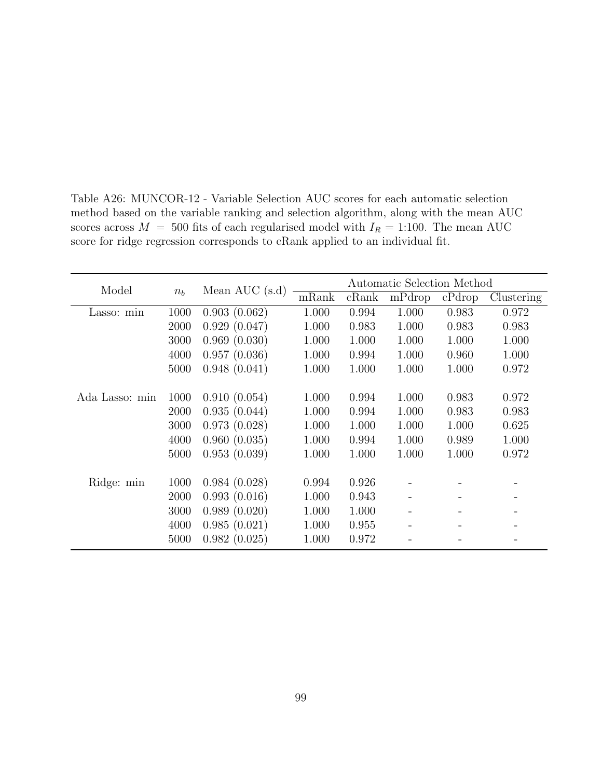| Model          |       |                  |       |       | Automatic Selection Method |        |            |
|----------------|-------|------------------|-------|-------|----------------------------|--------|------------|
|                | $n_b$ | Mean AUC $(s.d)$ | mRank | cRank | mPdrop                     | cPdrop | Clustering |
| Lasso: min     | 1000  | 0.903(0.062)     | 1.000 | 0.994 | 1.000                      | 0.983  | 0.972      |
|                | 2000  | 0.929(0.047)     | 1.000 | 0.983 | 1.000                      | 0.983  | 0.983      |
|                | 3000  | 0.969(0.030)     | 1.000 | 1.000 | 1.000                      | 1.000  | 1.000      |
|                | 4000  | 0.957(0.036)     | 1.000 | 0.994 | 1.000                      | 0.960  | 1.000      |
|                | 5000  | 0.948(0.041)     | 1.000 | 1.000 | 1.000                      | 1.000  | 0.972      |
|                |       |                  |       |       |                            |        |            |
| Ada Lasso: min | 1000  | 0.910(0.054)     | 1.000 | 0.994 | 1.000                      | 0.983  | 0.972      |
|                | 2000  | 0.935(0.044)     | 1.000 | 0.994 | 1.000                      | 0.983  | 0.983      |
|                | 3000  | 0.973(0.028)     | 1.000 | 1.000 | 1.000                      | 1.000  | 0.625      |
|                | 4000  | 0.960(0.035)     | 1.000 | 0.994 | 1.000                      | 0.989  | 1.000      |
|                | 5000  | 0.953(0.039)     | 1.000 | 1.000 | 1.000                      | 1.000  | 0.972      |
|                |       |                  |       |       |                            |        |            |
| Ridge: min     | 1000  | 0.984(0.028)     | 0.994 | 0.926 |                            |        |            |
|                | 2000  | 0.993(0.016)     | 1.000 | 0.943 |                            |        |            |
|                | 3000  | 0.989(0.020)     | 1.000 | 1.000 |                            |        |            |
|                | 4000  | 0.985(0.021)     | 1.000 | 0.955 |                            |        |            |
|                | 5000  | 0.982(0.025)     | 1.000 | 0.972 |                            |        |            |

Table A26: MUNCOR-12 - Variable Selection AUC scores for each automatic selection method based on the variable ranking and selection algorithm, along with the mean AUC scores across  $M = 500$  fits of each regularised model with  $I_R = 1:100$ . The mean AUC score for ridge regression corresponds to cRank applied to an individual fit.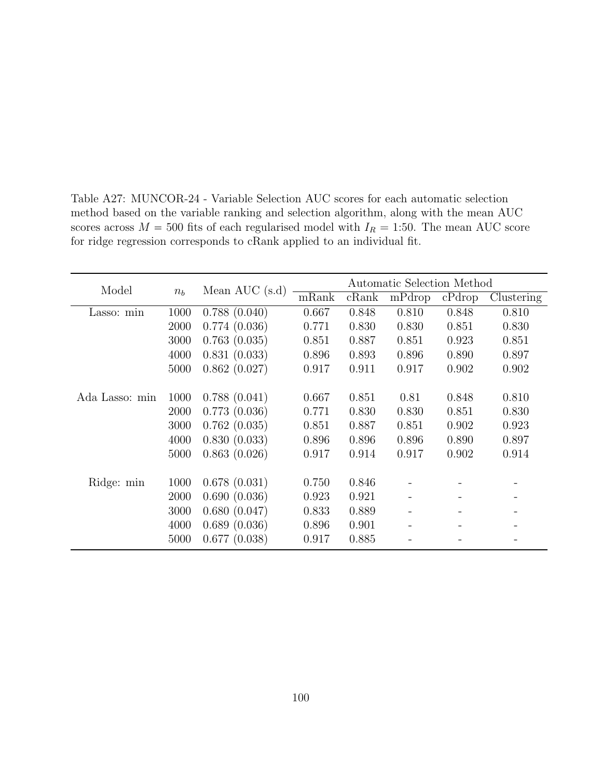| Model          |       | Mean AUC $(s.d)$ |       |       | Automatic Selection Method |        |            |
|----------------|-------|------------------|-------|-------|----------------------------|--------|------------|
|                | $n_b$ |                  | mRank | cRank | mPdrop                     | cPdrop | Clustering |
| Lasso: min     | 1000  | 0.788(0.040)     | 0.667 | 0.848 | 0.810                      | 0.848  | 0.810      |
|                | 2000  | 0.774(0.036)     | 0.771 | 0.830 | 0.830                      | 0.851  | 0.830      |
|                | 3000  | 0.763(0.035)     | 0.851 | 0.887 | 0.851                      | 0.923  | 0.851      |
|                | 4000  | 0.831(0.033)     | 0.896 | 0.893 | 0.896                      | 0.890  | 0.897      |
|                | 5000  | 0.862(0.027)     | 0.917 | 0.911 | 0.917                      | 0.902  | 0.902      |
|                |       |                  |       |       |                            |        |            |
| Ada Lasso: min | 1000  | 0.788(0.041)     | 0.667 | 0.851 | 0.81                       | 0.848  | 0.810      |
|                | 2000  | 0.773(0.036)     | 0.771 | 0.830 | 0.830                      | 0.851  | 0.830      |
|                | 3000  | 0.762(0.035)     | 0.851 | 0.887 | 0.851                      | 0.902  | 0.923      |
|                | 4000  | 0.830(0.033)     | 0.896 | 0.896 | 0.896                      | 0.890  | 0.897      |
|                | 5000  | 0.863(0.026)     | 0.917 | 0.914 | 0.917                      | 0.902  | 0.914      |
|                |       |                  |       |       |                            |        |            |
| Ridge: min     | 1000  | 0.678(0.031)     | 0.750 | 0.846 |                            |        |            |
|                | 2000  | 0.690(0.036)     | 0.923 | 0.921 |                            |        |            |
|                | 3000  | 0.680(0.047)     | 0.833 | 0.889 |                            |        |            |
|                | 4000  | 0.689(0.036)     | 0.896 | 0.901 |                            |        |            |
|                | 5000  | 0.677(0.038)     | 0.917 | 0.885 |                            |        |            |

Table A27: MUNCOR-24 - Variable Selection AUC scores for each automatic selection method based on the variable ranking and selection algorithm, along with the mean AUC scores across  $M = 500$  fits of each regularised model with  $I_R = 1:50$ . The mean AUC score for ridge regression corresponds to cRank applied to an individual fit.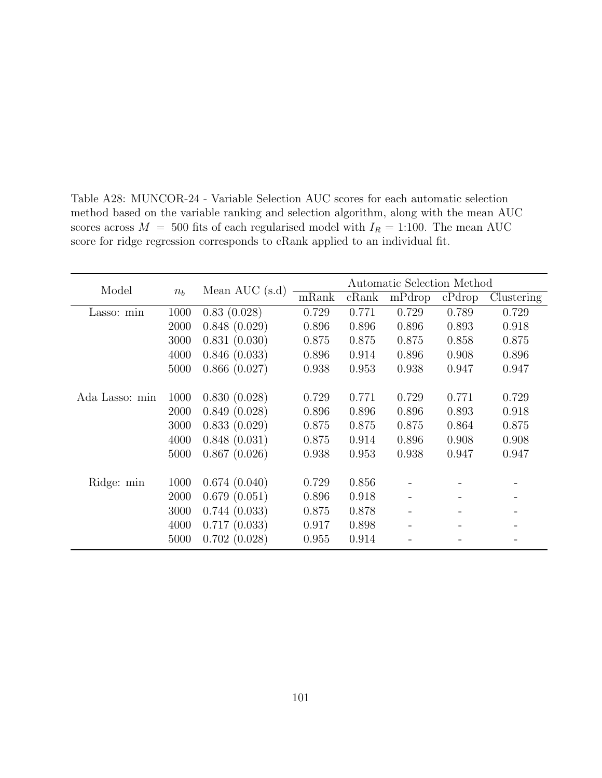|                |       |                  |       |       | Automatic Selection Method |        |            |
|----------------|-------|------------------|-------|-------|----------------------------|--------|------------|
| Model          | $n_b$ | Mean AUC $(s.d)$ | mRank | cRank | mPdrop                     | cPdrop | Clustering |
| Lasso: min     | 1000  | 0.83(0.028)      | 0.729 | 0.771 | 0.729                      | 0.789  | 0.729      |
|                | 2000  | 0.848(0.029)     | 0.896 | 0.896 | 0.896                      | 0.893  | 0.918      |
|                | 3000  | 0.831(0.030)     | 0.875 | 0.875 | 0.875                      | 0.858  | 0.875      |
|                | 4000  | 0.846(0.033)     | 0.896 | 0.914 | 0.896                      | 0.908  | 0.896      |
|                | 5000  | 0.866(0.027)     | 0.938 | 0.953 | 0.938                      | 0.947  | 0.947      |
|                |       |                  |       |       |                            |        |            |
| Ada Lasso: min | 1000  | 0.830(0.028)     | 0.729 | 0.771 | 0.729                      | 0.771  | 0.729      |
|                | 2000  | 0.849(0.028)     | 0.896 | 0.896 | 0.896                      | 0.893  | 0.918      |
|                | 3000  | 0.833(0.029)     | 0.875 | 0.875 | 0.875                      | 0.864  | 0.875      |
|                | 4000  | 0.848(0.031)     | 0.875 | 0.914 | 0.896                      | 0.908  | 0.908      |
|                | 5000  | 0.867(0.026)     | 0.938 | 0.953 | 0.938                      | 0.947  | 0.947      |
|                |       |                  |       |       |                            |        |            |
| Ridge: min     | 1000  | 0.674(0.040)     | 0.729 | 0.856 |                            |        |            |
|                | 2000  | 0.679(0.051)     | 0.896 | 0.918 |                            |        |            |
|                | 3000  | 0.744(0.033)     | 0.875 | 0.878 |                            |        |            |
|                | 4000  | 0.717(0.033)     | 0.917 | 0.898 |                            |        |            |
|                | 5000  | 0.702(0.028)     | 0.955 | 0.914 |                            |        |            |

Table A28: MUNCOR-24 - Variable Selection AUC scores for each automatic selection method based on the variable ranking and selection algorithm, along with the mean AUC scores across  $M = 500$  fits of each regularised model with  $I_R = 1:100$ . The mean AUC score for ridge regression corresponds to cRank applied to an individual fit.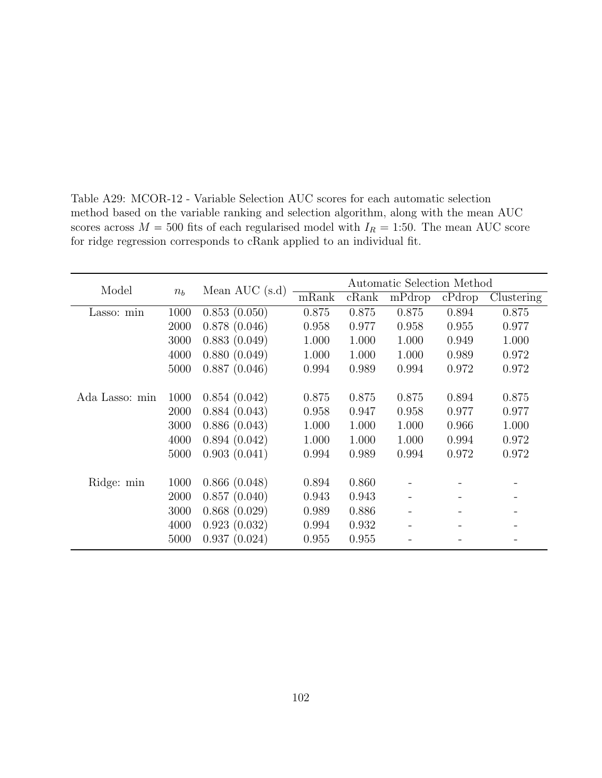| Model          |       |                  |       |       | Automatic Selection Method |        |            |
|----------------|-------|------------------|-------|-------|----------------------------|--------|------------|
|                | $n_b$ | Mean AUC $(s.d)$ | mRank | cRank | mPdrop                     | cPdrop | Clustering |
| Lasso: min     | 1000  | 0.853(0.050)     | 0.875 | 0.875 | 0.875                      | 0.894  | 0.875      |
|                | 2000  | 0.878(0.046)     | 0.958 | 0.977 | 0.958                      | 0.955  | 0.977      |
|                | 3000  | 0.883(0.049)     | 1.000 | 1.000 | 1.000                      | 0.949  | 1.000      |
|                | 4000  | 0.880(0.049)     | 1.000 | 1.000 | 1.000                      | 0.989  | 0.972      |
|                | 5000  | 0.887(0.046)     | 0.994 | 0.989 | 0.994                      | 0.972  | 0.972      |
|                |       |                  |       |       |                            |        |            |
| Ada Lasso: min | 1000  | 0.854(0.042)     | 0.875 | 0.875 | 0.875                      | 0.894  | 0.875      |
|                | 2000  | 0.884(0.043)     | 0.958 | 0.947 | 0.958                      | 0.977  | 0.977      |
|                | 3000  | 0.886(0.043)     | 1.000 | 1.000 | 1.000                      | 0.966  | 1.000      |
|                | 4000  | 0.894(0.042)     | 1.000 | 1.000 | 1.000                      | 0.994  | 0.972      |
|                | 5000  | 0.903(0.041)     | 0.994 | 0.989 | 0.994                      | 0.972  | 0.972      |
|                |       |                  |       |       |                            |        |            |
| Ridge: min     | 1000  | 0.866(0.048)     | 0.894 | 0.860 |                            |        |            |
|                | 2000  | 0.857(0.040)     | 0.943 | 0.943 |                            |        |            |
|                | 3000  | 0.868(0.029)     | 0.989 | 0.886 |                            |        |            |
|                | 4000  | 0.923(0.032)     | 0.994 | 0.932 |                            |        |            |
|                | 5000  | 0.937(0.024)     | 0.955 | 0.955 |                            |        |            |

Table A29: MCOR-12 - Variable Selection AUC scores for each automatic selection method based on the variable ranking and selection algorithm, along with the mean AUC scores across  $M = 500$  fits of each regularised model with  $I_R = 1:50$ . The mean AUC score for ridge regression corresponds to cRank applied to an individual fit.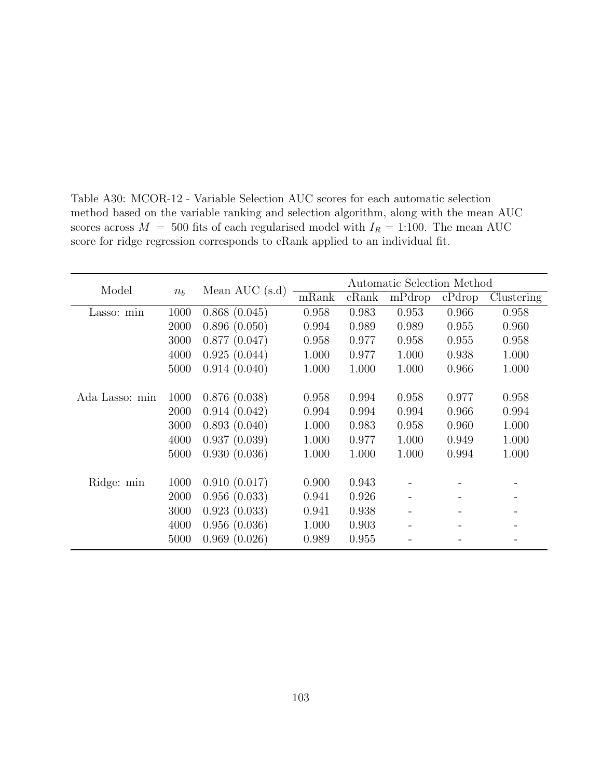| Model          |         | Mean AUC $(s.d)$ |       |       | Automatic Selection Method |        |            |
|----------------|---------|------------------|-------|-------|----------------------------|--------|------------|
|                | $n_{h}$ |                  | mRank | cRank | mPdrop                     | cPdrop | Clustering |
| Lasso: min     | 1000    | 0.868(0.045)     | 0.958 | 0.983 | 0.953                      | 0.966  | 0.958      |
|                | 2000    | 0.896(0.050)     | 0.994 | 0.989 | 0.989                      | 0.955  | 0.960      |
|                | 3000    | 0.877(0.047)     | 0.958 | 0.977 | 0.958                      | 0.955  | 0.958      |
|                | 4000    | 0.925(0.044)     | 1.000 | 0.977 | 1.000                      | 0.938  | 1.000      |
|                | 5000    | 0.914(0.040)     | 1.000 | 1.000 | 1.000                      | 0.966  | 1.000      |
|                |         |                  |       |       |                            |        |            |
| Ada Lasso: min | 1000    | 0.876(0.038)     | 0.958 | 0.994 | 0.958                      | 0.977  | 0.958      |
|                | 2000    | 0.914(0.042)     | 0.994 | 0.994 | 0.994                      | 0.966  | 0.994      |
|                | 3000    | 0.893(0.040)     | 1.000 | 0.983 | 0.958                      | 0.960  | 1.000      |
|                | 4000    | 0.937(0.039)     | 1.000 | 0.977 | 1.000                      | 0.949  | 1.000      |
|                | 5000    | 0.930(0.036)     | 1.000 | 1.000 | 1.000                      | 0.994  | 1.000      |
|                |         |                  |       |       |                            |        |            |
| Ridge: min     | 1000    | 0.910(0.017)     | 0.900 | 0.943 |                            |        |            |
|                | 2000    | 0.956(0.033)     | 0.941 | 0.926 |                            |        |            |
|                | 3000    | 0.923(0.033)     | 0.941 | 0.938 |                            |        |            |
|                | 4000    | 0.956(0.036)     | 1.000 | 0.903 |                            |        |            |
|                | 5000    | 0.969(0.026)     | 0.989 | 0.955 |                            |        |            |

Table A30: MCOR-12 - Variable Selection AUC scores for each automatic selection method based on the variable ranking and selection algorithm, along with the mean AUC scores across  $M = 500$  fits of each regularised model with  $I_R = 1:100$ . The mean AUC score for ridge regression corresponds to cRank applied to an individual fit.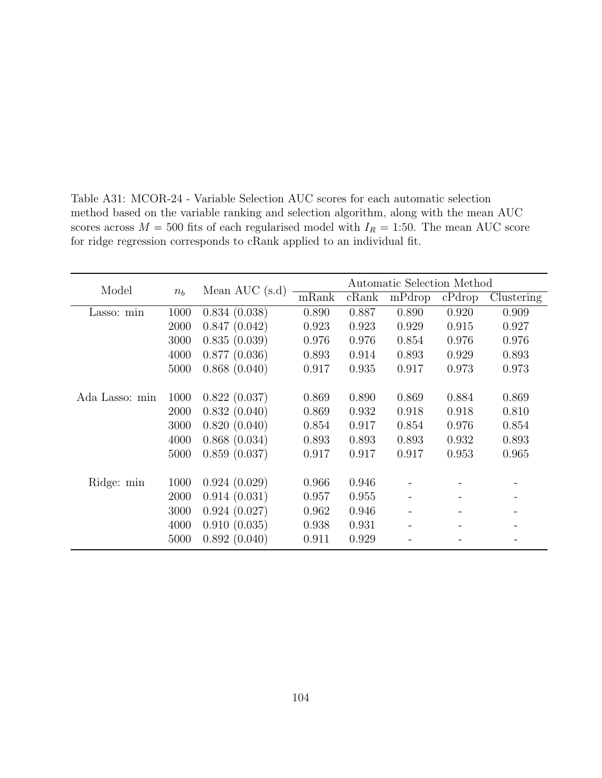| Model          |       |                  |       |       | Automatic Selection Method |        |            |
|----------------|-------|------------------|-------|-------|----------------------------|--------|------------|
|                | $n_b$ | Mean AUC $(s.d)$ | mRank | cRank | mPdrop                     | cPdrop | Clustering |
| Lasso: min     | 1000  | 0.834(0.038)     | 0.890 | 0.887 | 0.890                      | 0.920  | 0.909      |
|                | 2000  | 0.847(0.042)     | 0.923 | 0.923 | 0.929                      | 0.915  | 0.927      |
|                | 3000  | 0.835(0.039)     | 0.976 | 0.976 | 0.854                      | 0.976  | 0.976      |
|                | 4000  | 0.877(0.036)     | 0.893 | 0.914 | 0.893                      | 0.929  | 0.893      |
|                | 5000  | 0.868(0.040)     | 0.917 | 0.935 | 0.917                      | 0.973  | 0.973      |
|                |       |                  |       |       |                            |        |            |
| Ada Lasso: min | 1000  | 0.822(0.037)     | 0.869 | 0.890 | 0.869                      | 0.884  | 0.869      |
|                | 2000  | 0.832(0.040)     | 0.869 | 0.932 | 0.918                      | 0.918  | 0.810      |
|                | 3000  | 0.820(0.040)     | 0.854 | 0.917 | 0.854                      | 0.976  | 0.854      |
|                | 4000  | 0.868(0.034)     | 0.893 | 0.893 | 0.893                      | 0.932  | 0.893      |
|                | 5000  | 0.859(0.037)     | 0.917 | 0.917 | 0.917                      | 0.953  | 0.965      |
|                |       |                  |       |       |                            |        |            |
| Ridge: min     | 1000  | 0.924(0.029)     | 0.966 | 0.946 |                            |        |            |
|                | 2000  | 0.914(0.031)     | 0.957 | 0.955 |                            |        |            |
|                | 3000  | 0.924(0.027)     | 0.962 | 0.946 |                            |        |            |
|                | 4000  | 0.910(0.035)     | 0.938 | 0.931 |                            |        |            |
|                | 5000  | 0.892(0.040)     | 0.911 | 0.929 |                            |        |            |

Table A31: MCOR-24 - Variable Selection AUC scores for each automatic selection method based on the variable ranking and selection algorithm, along with the mean AUC scores across  $M = 500$  fits of each regularised model with  $I_R = 1:50$ . The mean AUC score for ridge regression corresponds to cRank applied to an individual fit.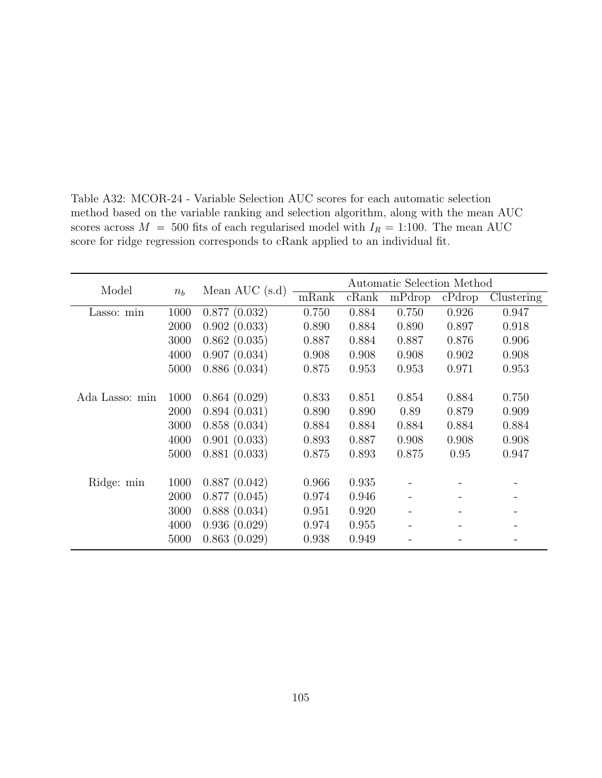| Model          | $n_b$ | Mean AUC $(s.d)$ | Automatic Selection Method |       |        |        |            |
|----------------|-------|------------------|----------------------------|-------|--------|--------|------------|
|                |       |                  | mRank                      | cRank | mPdrop | cPdrop | Clustering |
| Lasso: min     | 1000  | 0.877(0.032)     | 0.750                      | 0.884 | 0.750  | 0.926  | 0.947      |
|                | 2000  | 0.902(0.033)     | 0.890                      | 0.884 | 0.890  | 0.897  | 0.918      |
|                | 3000  | 0.862(0.035)     | 0.887                      | 0.884 | 0.887  | 0.876  | 0.906      |
|                | 4000  | 0.907(0.034)     | 0.908                      | 0.908 | 0.908  | 0.902  | 0.908      |
|                | 5000  | 0.886(0.034)     | 0.875                      | 0.953 | 0.953  | 0.971  | 0.953      |
|                |       |                  |                            |       |        |        |            |
| Ada Lasso: min | 1000  | 0.864(0.029)     | 0.833                      | 0.851 | 0.854  | 0.884  | 0.750      |
|                | 2000  | 0.894(0.031)     | 0.890                      | 0.890 | 0.89   | 0.879  | 0.909      |
|                | 3000  | 0.858(0.034)     | 0.884                      | 0.884 | 0.884  | 0.884  | 0.884      |
|                | 4000  | 0.901(0.033)     | 0.893                      | 0.887 | 0.908  | 0.908  | 0.908      |
|                | 5000  | 0.881(0.033)     | 0.875                      | 0.893 | 0.875  | 0.95   | 0.947      |
|                |       |                  |                            |       |        |        |            |
| Ridge: min     | 1000  | 0.887(0.042)     | 0.966                      | 0.935 |        |        |            |
|                | 2000  | 0.877(0.045)     | 0.974                      | 0.946 |        |        |            |
|                | 3000  | 0.888(0.034)     | 0.951                      | 0.920 |        |        |            |
|                | 4000  | 0.936(0.029)     | 0.974                      | 0.955 |        |        |            |
|                | 5000  | 0.863(0.029)     | 0.938                      | 0.949 |        |        |            |

Table A32: MCOR-24 - Variable Selection AUC scores for each automatic selection method based on the variable ranking and selection algorithm, along with the mean AUC scores across  $M = 500$  fits of each regularised model with  $I_R = 1:100$ . The mean AUC score for ridge regression corresponds to cRank applied to an individual fit.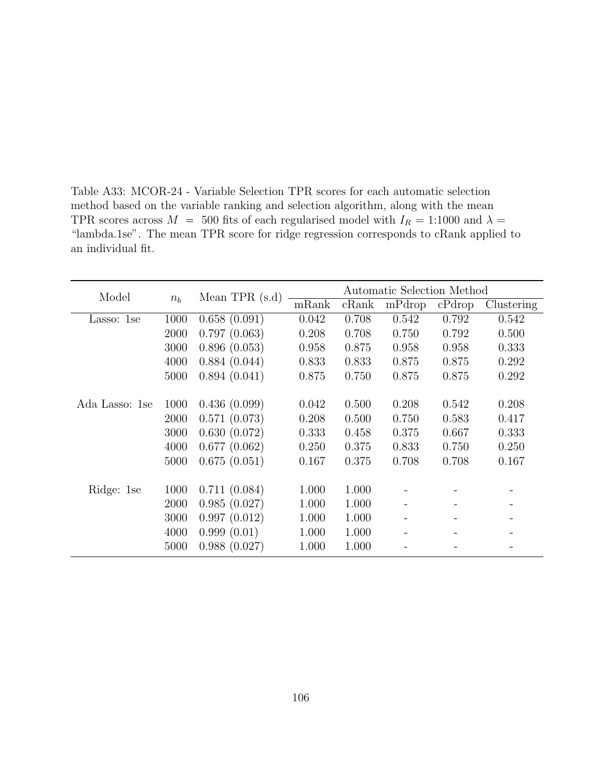Table A33: MCOR-24 - Variable Selection TPR scores for each automatic selection method based on the variable ranking and selection algorithm, along with the mean TPR scores across  $M = 500$  fits of each regularised model with  $I_R = 1:1000$  and  $\lambda =$ "lambda.1se". The mean TPR score for ridge regression corresponds to cRank applied to an individual fit.

| Model          | $n_b$ | Mean TPR $(s.d)$ | Automatic Selection Method |       |        |        |            |
|----------------|-------|------------------|----------------------------|-------|--------|--------|------------|
|                |       |                  | mRank                      | cRank | mPdrop | cPdrop | Clustering |
| Lasso: 1se     | 1000  | 0.658(0.091)     | 0.042                      | 0.708 | 0.542  | 0.792  | 0.542      |
|                | 2000  | 0.797(0.063)     | 0.208                      | 0.708 | 0.750  | 0.792  | 0.500      |
|                | 3000  | 0.896(0.053)     | 0.958                      | 0.875 | 0.958  | 0.958  | 0.333      |
|                | 4000  | 0.884(0.044)     | 0.833                      | 0.833 | 0.875  | 0.875  | 0.292      |
|                | 5000  | 0.894(0.041)     | 0.875                      | 0.750 | 0.875  | 0.875  | 0.292      |
|                |       |                  |                            |       |        |        |            |
| Ada Lasso: 1se | 1000  | 0.436(0.099)     | 0.042                      | 0.500 | 0.208  | 0.542  | 0.208      |
|                | 2000  | 0.571(0.073)     | 0.208                      | 0.500 | 0.750  | 0.583  | 0.417      |
|                | 3000  | 0.630(0.072)     | 0.333                      | 0.458 | 0.375  | 0.667  | 0.333      |
|                | 4000  | 0.677(0.062)     | 0.250                      | 0.375 | 0.833  | 0.750  | 0.250      |
|                | 5000  | 0.675(0.051)     | 0.167                      | 0.375 | 0.708  | 0.708  | 0.167      |
|                |       |                  |                            |       |        |        |            |
| Ridge: 1se     | 1000  | 0.711(0.084)     | 1.000                      | 1.000 |        |        |            |
|                | 2000  | 0.985(0.027)     | 1.000                      | 1.000 |        |        |            |
|                | 3000  | 0.997(0.012)     | 1.000                      | 1.000 |        |        |            |
|                | 4000  | 0.999(0.01)      | 1.000                      | 1.000 |        |        |            |
|                | 5000  | 0.988(0.027)     | 1.000                      | 1.000 |        |        |            |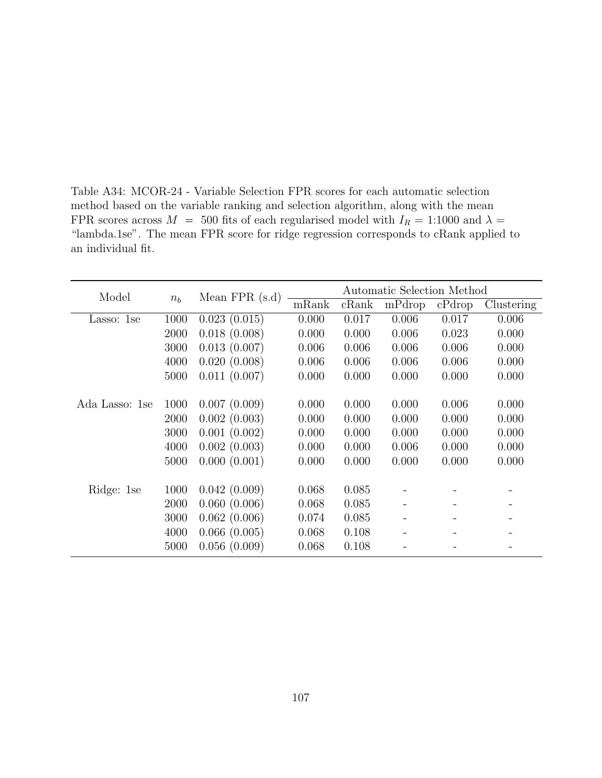Table A34: MCOR-24 - Variable Selection FPR scores for each automatic selection method based on the variable ranking and selection algorithm, along with the mean FPR scores across  $M = 500$  fits of each regularised model with  $I_R = 1:1000$  and  $\lambda =$ "lambda.1se". The mean FPR score for ridge regression corresponds to cRank applied to an individual fit.

| Model          | $n_b$ | Mean $FPR(s.d)$ | Automatic Selection Method |       |        |        |            |
|----------------|-------|-----------------|----------------------------|-------|--------|--------|------------|
|                |       |                 | mRank                      | cRank | mPdrop | cPdrop | Clustering |
| Lasso: 1se     | 1000  | 0.023(0.015)    | 0.000                      | 0.017 | 0.006  | 0.017  | 0.006      |
|                | 2000  | 0.018(0.008)    | 0.000                      | 0.000 | 0.006  | 0.023  | 0.000      |
|                | 3000  | 0.013(0.007)    | 0.006                      | 0.006 | 0.006  | 0.006  | 0.000      |
|                | 4000  | 0.020(0.008)    | 0.006                      | 0.006 | 0.006  | 0.006  | 0.000      |
|                | 5000  | 0.011(0.007)    | 0.000                      | 0.000 | 0.000  | 0.000  | 0.000      |
|                |       |                 |                            |       |        |        |            |
| Ada Lasso: 1se | 1000  | 0.007(0.009)    | 0.000                      | 0.000 | 0.000  | 0.006  | 0.000      |
|                | 2000  | 0.002(0.003)    | 0.000                      | 0.000 | 0.000  | 0.000  | 0.000      |
|                | 3000  | 0.001(0.002)    | 0.000                      | 0.000 | 0.000  | 0.000  | 0.000      |
|                | 4000  | 0.002(0.003)    | 0.000                      | 0.000 | 0.006  | 0.000  | 0.000      |
|                | 5000  | 0.000(0.001)    | 0.000                      | 0.000 | 0.000  | 0.000  | 0.000      |
|                |       |                 |                            |       |        |        |            |
| Ridge: 1se     | 1000  | 0.042(0.009)    | 0.068                      | 0.085 |        |        |            |
|                | 2000  | 0.060(0.006)    | 0.068                      | 0.085 |        |        |            |
|                | 3000  | 0.062(0.006)    | 0.074                      | 0.085 |        |        |            |
|                | 4000  | 0.066(0.005)    | 0.068                      | 0.108 |        |        |            |
|                | 5000  | 0.056(0.009)    | 0.068                      | 0.108 |        |        |            |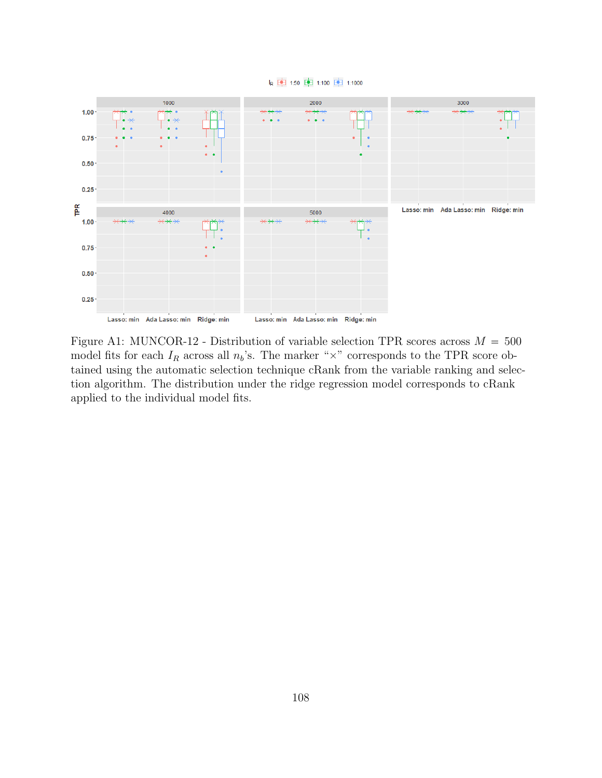

k 中 1:50 中 1:100 中 1:1000

Figure A1: MUNCOR-12 - Distribution of variable selection TPR scores across  $M = 500$ model fits for each  $I_R$  across all  $n_b$ 's. The marker " $\times$ " corresponds to the TPR score obtained using the automatic selection technique cRank from the variable ranking and selection algorithm. The distribution under the ridge regression model corresponds to cRank applied to the individual model fits.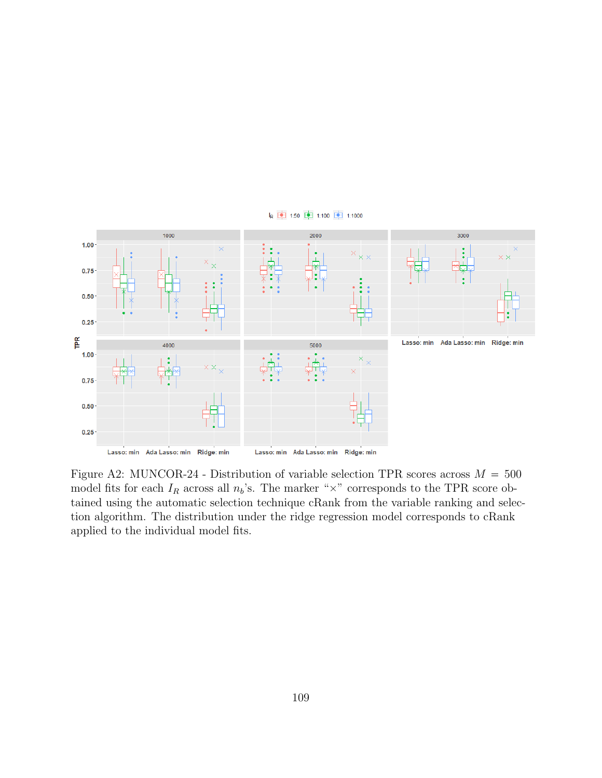

k 中 1:50 中 1:100 中 1:1000

Figure A2: MUNCOR-24 - Distribution of variable selection TPR scores across  $M = 500$ model fits for each  $I_R$  across all  $n_b$ 's. The marker " $\times$ " corresponds to the TPR score obtained using the automatic selection technique cRank from the variable ranking and selection algorithm. The distribution under the ridge regression model corresponds to cRank applied to the individual model fits.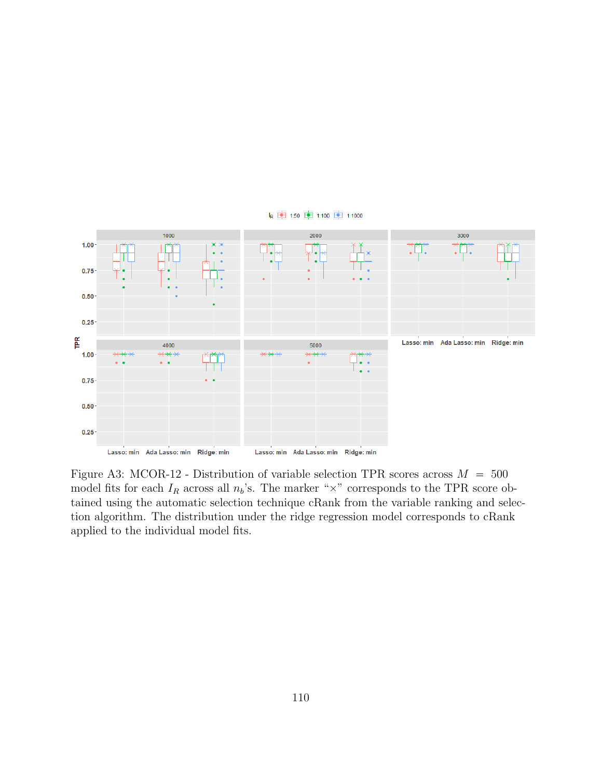

k 中 1:50 中 1:100 中 1:1000

Figure A3: MCOR-12 - Distribution of variable selection TPR scores across  $M = 500$ model fits for each  $I_R$  across all  $n_b$ 's. The marker " $\times$ " corresponds to the TPR score obtained using the automatic selection technique cRank from the variable ranking and selection algorithm. The distribution under the ridge regression model corresponds to cRank applied to the individual model fits.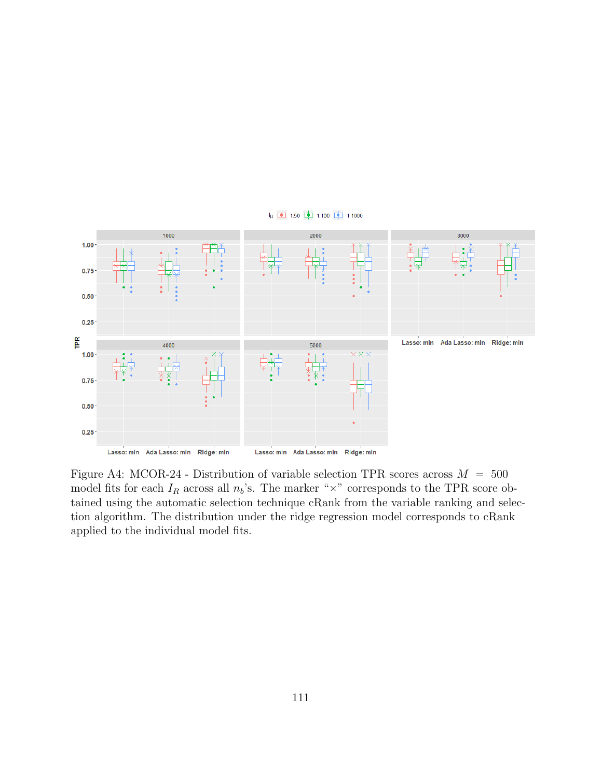

k 中 1:50 中 1:100 中 1:1000

Figure A4: MCOR-24 - Distribution of variable selection TPR scores across  $M = 500$ model fits for each  $I_R$  across all  $n_b$ 's. The marker " $\times$ " corresponds to the TPR score obtained using the automatic selection technique cRank from the variable ranking and selection algorithm. The distribution under the ridge regression model corresponds to cRank applied to the individual model fits.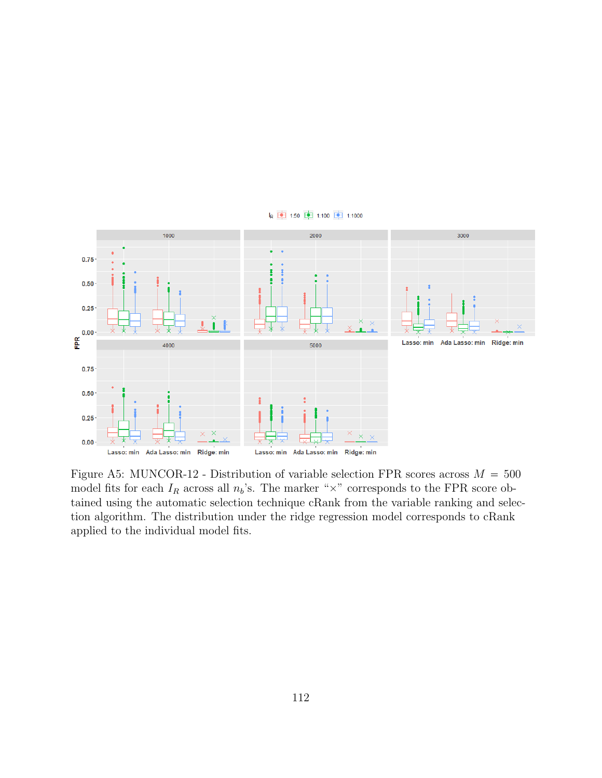

k 中 1:50 中 1:100 中 1:1000

Figure A5: MUNCOR-12 - Distribution of variable selection FPR scores across  $M = 500$ model fits for each  $I_R$  across all  $n_b$ 's. The marker " $\times$ " corresponds to the FPR score obtained using the automatic selection technique cRank from the variable ranking and selection algorithm. The distribution under the ridge regression model corresponds to cRank applied to the individual model fits.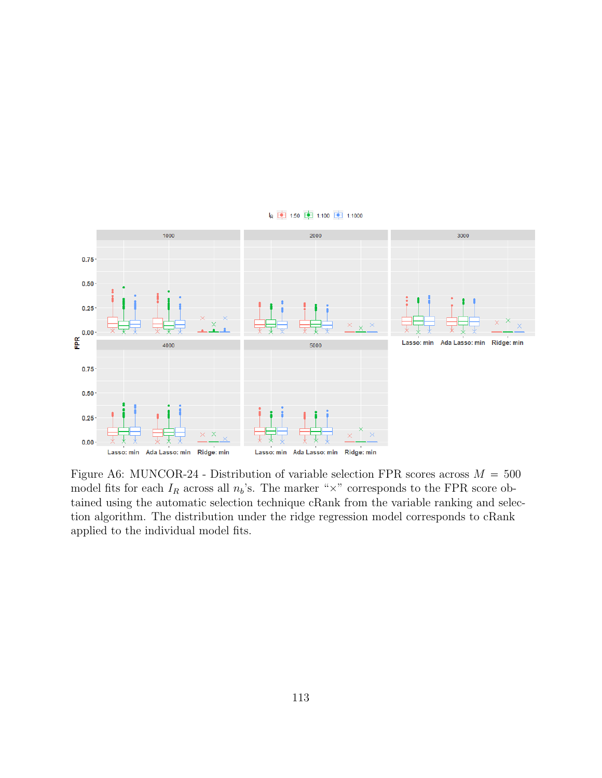

k 中 1:50 中 1:100 中 1:1000

Figure A6: MUNCOR-24 - Distribution of variable selection FPR scores across  $M = 500$ model fits for each  $I_R$  across all  $n_b$ 's. The marker " $\times$ " corresponds to the FPR score obtained using the automatic selection technique cRank from the variable ranking and selection algorithm. The distribution under the ridge regression model corresponds to cRank applied to the individual model fits.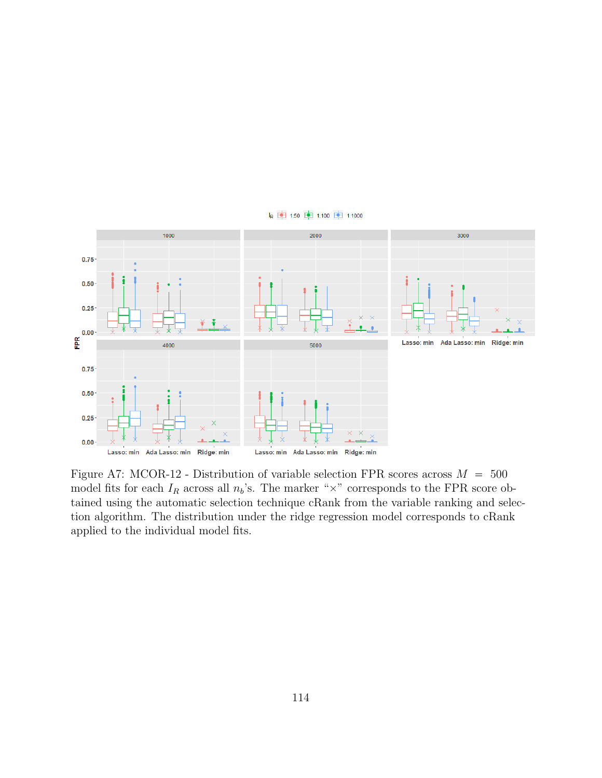

k 中 1:50 中 1:100 中 1:1000

Figure A7: MCOR-12 - Distribution of variable selection FPR scores across  $M = 500$ 

model fits for each  $I_R$  across all  $n_b$ 's. The marker " $\times$ " corresponds to the FPR score obtained using the automatic selection technique cRank from the variable ranking and selection algorithm. The distribution under the ridge regression model corresponds to cRank applied to the individual model fits.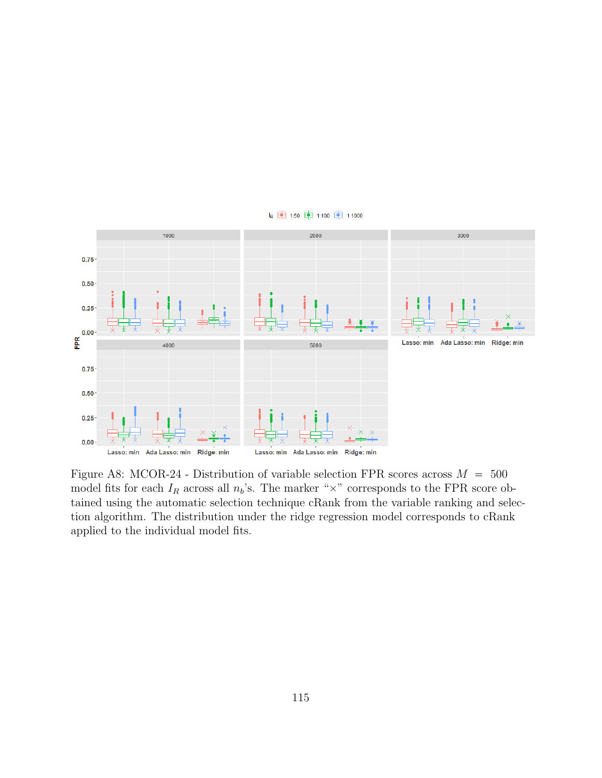

k 中 1:50 中 1:100 中 1:1000

Figure A8: MCOR-24 - Distribution of variable selection FPR scores across  $M = 500$ model fits for each  $I_R$  across all  $n_b$ 's. The marker " $\times$ " corresponds to the FPR score obtained using the automatic selection technique cRank from the variable ranking and selection algorithm. The distribution under the ridge regression model corresponds to cRank applied to the individual model fits.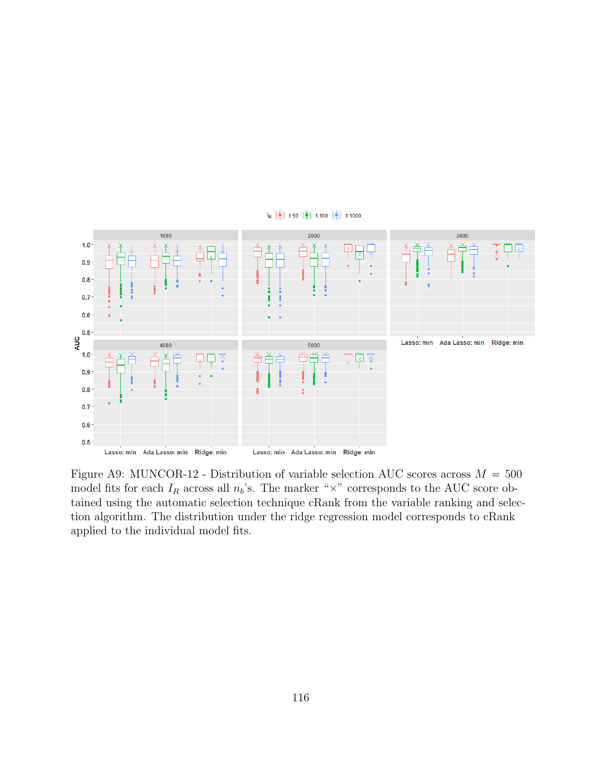

Figure A9: MUNCOR-12 - Distribution of variable selection AUC scores across  $M = 500$ model fits for each  $I_R$  across all  $n_b$ 's. The marker " $\times$ " corresponds to the AUC score obtained using the automatic selection technique cRank from the variable ranking and selection algorithm. The distribution under the ridge regression model corresponds to cRank applied to the individual model fits.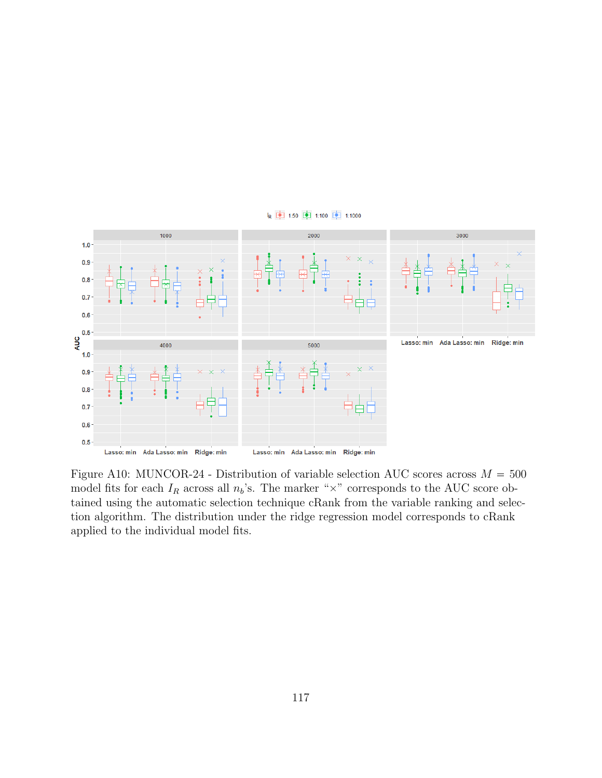

k 中 1:50 中 1:100 中 1:1000

Figure A10: MUNCOR-24 - Distribution of variable selection AUC scores across  $M = 500$ model fits for each  $I_R$  across all  $n_b$ 's. The marker " $\times$ " corresponds to the AUC score obtained using the automatic selection technique cRank from the variable ranking and selection algorithm. The distribution under the ridge regression model corresponds to cRank applied to the individual model fits.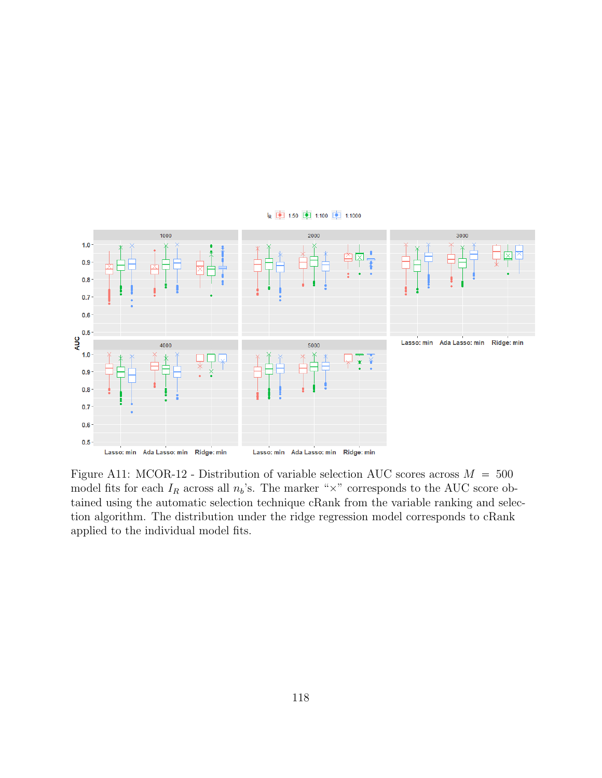

Figure A11: MCOR-12 - Distribution of variable selection AUC scores across  $M = 500$ model fits for each  $I_R$  across all  $n_b$ 's. The marker " $\times$ " corresponds to the AUC score obtained using the automatic selection technique cRank from the variable ranking and selection algorithm. The distribution under the ridge regression model corresponds to cRank applied to the individual model fits.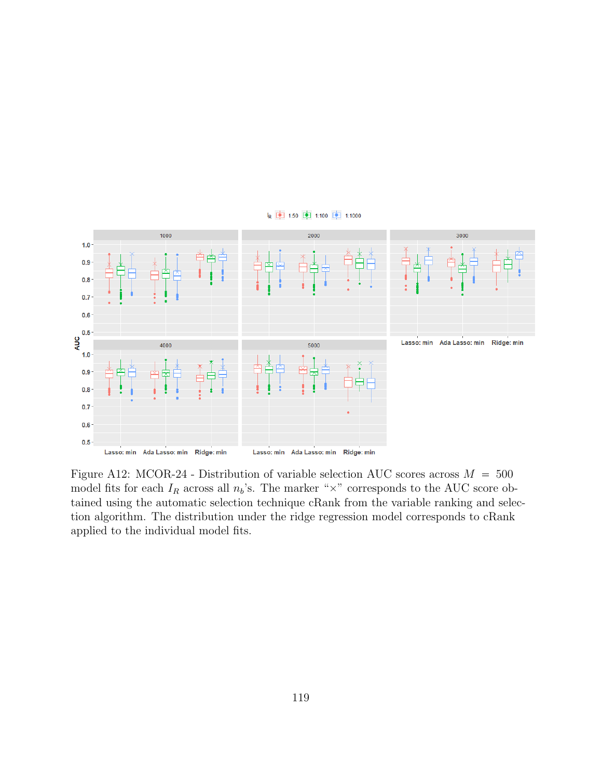

Figure A12: MCOR-24 - Distribution of variable selection AUC scores across  $M = 500$ model fits for each  $I_R$  across all  $n_b$ 's. The marker " $\times$ " corresponds to the AUC score obtained using the automatic selection technique cRank from the variable ranking and selection algorithm. The distribution under the ridge regression model corresponds to cRank applied to the individual model fits.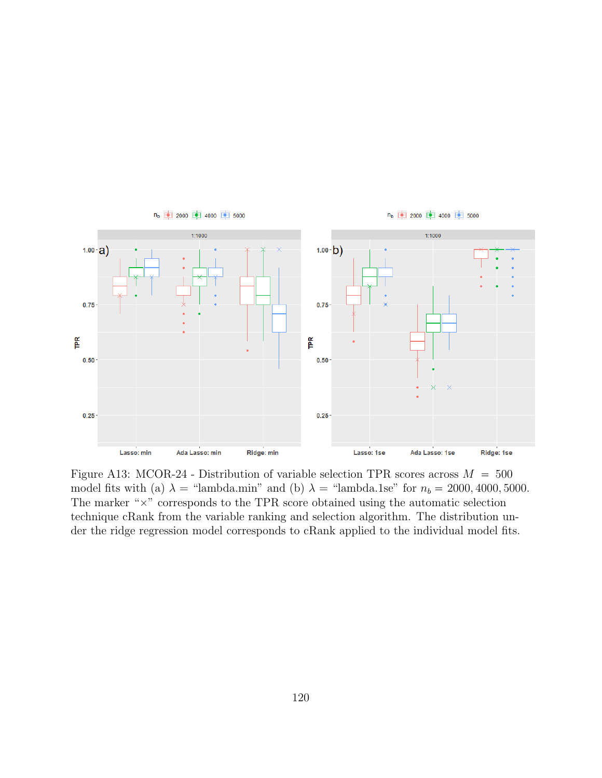

Figure A13: MCOR-24 - Distribution of variable selection TPR scores across  $M = 500$ model fits with (a)  $\lambda$  = "lambda.min" and (b)  $\lambda$  = "lambda.1se" for  $n_b$  = 2000, 4000, 5000. The marker " $\times$ " corresponds to the TPR score obtained using the automatic selection technique cRank from the variable ranking and selection algorithm. The distribution under the ridge regression model corresponds to cRank applied to the individual model fits.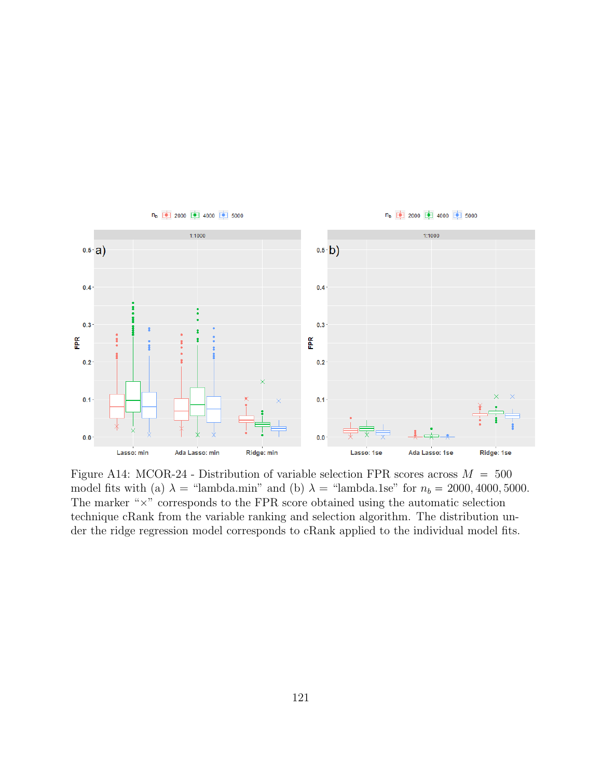

Figure A14: MCOR-24 - Distribution of variable selection FPR scores across  $M = 500$ model fits with (a)  $\lambda$  = "lambda.min" and (b)  $\lambda$  = "lambda.1se" for  $n_b$  = 2000, 4000, 5000. The marker " $\times$ " corresponds to the FPR score obtained using the automatic selection technique cRank from the variable ranking and selection algorithm. The distribution under the ridge regression model corresponds to cRank applied to the individual model fits.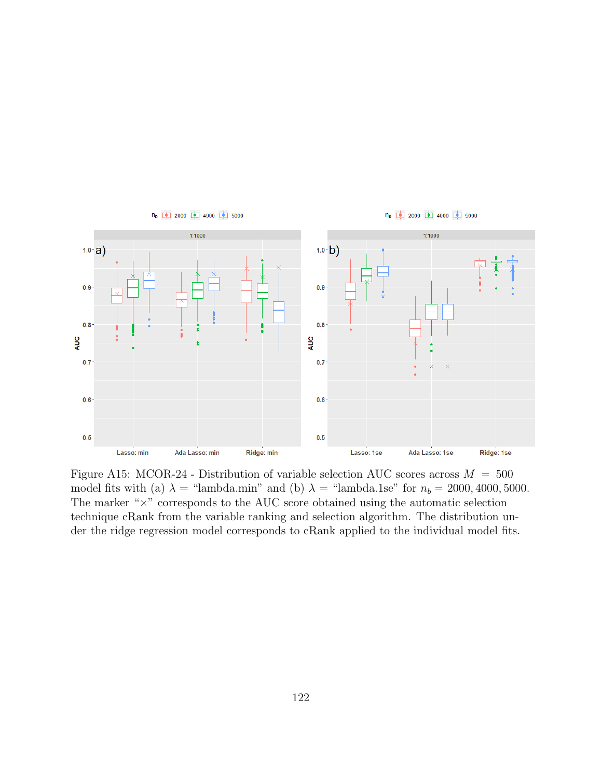

Figure A15: MCOR-24 - Distribution of variable selection AUC scores across  $M = 500$ model fits with (a)  $\lambda$  = "lambda.min" and (b)  $\lambda$  = "lambda.1se" for  $n_b$  = 2000, 4000, 5000. The marker " $\times$ " corresponds to the AUC score obtained using the automatic selection technique cRank from the variable ranking and selection algorithm. The distribution under the ridge regression model corresponds to cRank applied to the individual model fits.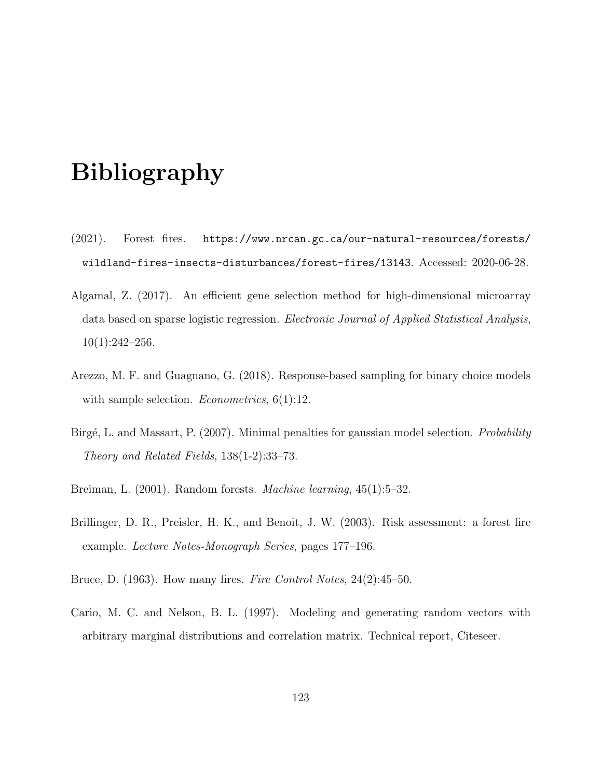## Bibliography

- (2021). Forest fires. https://www.nrcan.gc.ca/our-natural-resources/forests/ wildland-fires-insects-disturbances/forest-fires/13143. Accessed: 2020-06-28.
- Algamal, Z. (2017). An efficient gene selection method for high-dimensional microarray data based on sparse logistic regression. *Electronic Journal of Applied Statistical Analysis*,  $10(1):242-256.$
- Arezzo, M. F. and Guagnano, G. (2018). Response-based sampling for binary choice models with sample selection. *Econometrics*,  $6(1):12$ .
- Birgé, L. and Massart, P. (2007). Minimal penalties for gaussian model selection. *Probability* Theory and Related Fields, 138(1-2):33–73.
- Breiman, L. (2001). Random forests. Machine learning, 45(1):5–32.
- Brillinger, D. R., Preisler, H. K., and Benoit, J. W. (2003). Risk assessment: a forest fire example. Lecture Notes-Monograph Series, pages 177–196.
- Bruce, D. (1963). How many fires. Fire Control Notes, 24(2):45–50.
- Cario, M. C. and Nelson, B. L. (1997). Modeling and generating random vectors with arbitrary marginal distributions and correlation matrix. Technical report, Citeseer.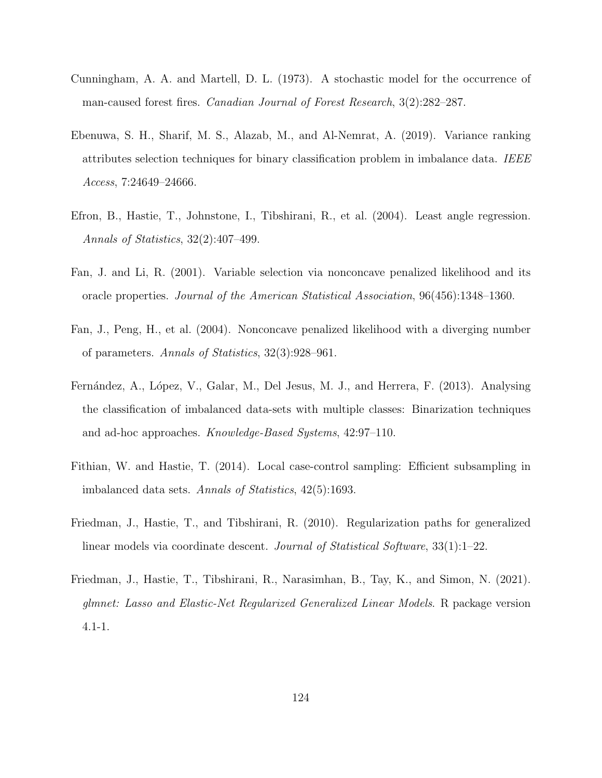- Cunningham, A. A. and Martell, D. L. (1973). A stochastic model for the occurrence of man-caused forest fires. *Canadian Journal of Forest Research*,  $3(2):282-287$ .
- Ebenuwa, S. H., Sharif, M. S., Alazab, M., and Al-Nemrat, A. (2019). Variance ranking attributes selection techniques for binary classification problem in imbalance data. IEEE Access, 7:24649–24666.
- Efron, B., Hastie, T., Johnstone, I., Tibshirani, R., et al. (2004). Least angle regression. Annals of Statistics, 32(2):407–499.
- Fan, J. and Li, R. (2001). Variable selection via nonconcave penalized likelihood and its oracle properties. Journal of the American Statistical Association, 96(456):1348–1360.
- Fan, J., Peng, H., et al. (2004). Nonconcave penalized likelihood with a diverging number of parameters. Annals of Statistics, 32(3):928–961.
- Fernández, A., López, V., Galar, M., Del Jesus, M. J., and Herrera, F. (2013). Analysing the classification of imbalanced data-sets with multiple classes: Binarization techniques and ad-hoc approaches. Knowledge-Based Systems, 42:97–110.
- Fithian, W. and Hastie, T. (2014). Local case-control sampling: Efficient subsampling in imbalanced data sets. Annals of Statistics, 42(5):1693.
- Friedman, J., Hastie, T., and Tibshirani, R. (2010). Regularization paths for generalized linear models via coordinate descent. *Journal of Statistical Software*,  $33(1):1-22$ .
- Friedman, J., Hastie, T., Tibshirani, R., Narasimhan, B., Tay, K., and Simon, N. (2021). glmnet: Lasso and Elastic-Net Regularized Generalized Linear Models. R package version 4.1-1.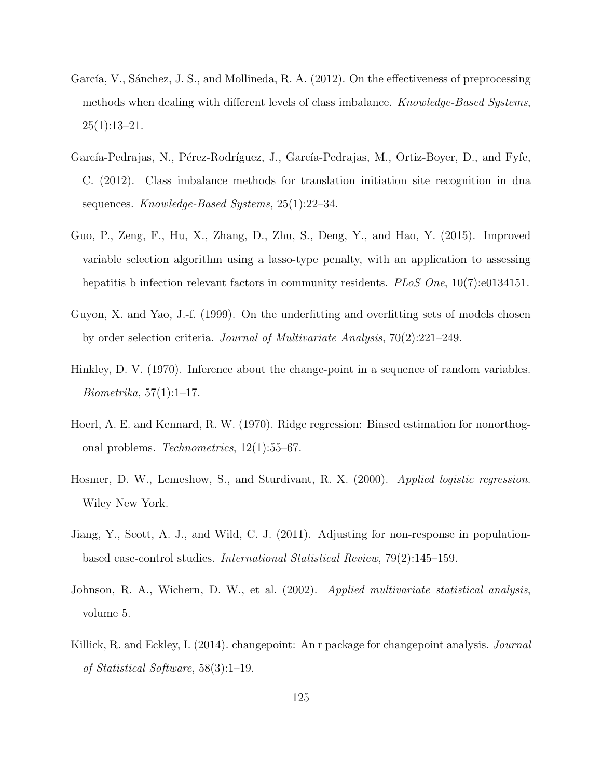- García, V., Sánchez, J. S., and Mollineda, R. A. (2012). On the effectiveness of preprocessing methods when dealing with different levels of class imbalance. Knowledge-Based Systems,  $25(1):13-21.$
- García-Pedrajas, N., Pérez-Rodríguez, J., García-Pedrajas, M., Ortiz-Boyer, D., and Fyfe, C. (2012). Class imbalance methods for translation initiation site recognition in dna sequences. Knowledge-Based Systems, 25(1):22–34.
- Guo, P., Zeng, F., Hu, X., Zhang, D., Zhu, S., Deng, Y., and Hao, Y. (2015). Improved variable selection algorithm using a lasso-type penalty, with an application to assessing hepatitis b infection relevant factors in community residents. PLoS One, 10(7):e0134151.
- Guyon, X. and Yao, J.-f. (1999). On the underfitting and overfitting sets of models chosen by order selection criteria. Journal of Multivariate Analysis, 70(2):221–249.
- Hinkley, D. V. (1970). Inference about the change-point in a sequence of random variables. Biometrika, 57(1):1–17.
- Hoerl, A. E. and Kennard, R. W. (1970). Ridge regression: Biased estimation for nonorthogonal problems. Technometrics, 12(1):55–67.
- Hosmer, D. W., Lemeshow, S., and Sturdivant, R. X. (2000). Applied logistic regression. Wiley New York.
- Jiang, Y., Scott, A. J., and Wild, C. J. (2011). Adjusting for non-response in populationbased case-control studies. International Statistical Review, 79(2):145–159.
- Johnson, R. A., Wichern, D. W., et al. (2002). Applied multivariate statistical analysis, volume 5.
- Killick, R. and Eckley, I. (2014). changepoint: An r package for changepoint analysis. Journal of Statistical Software, 58(3):1–19.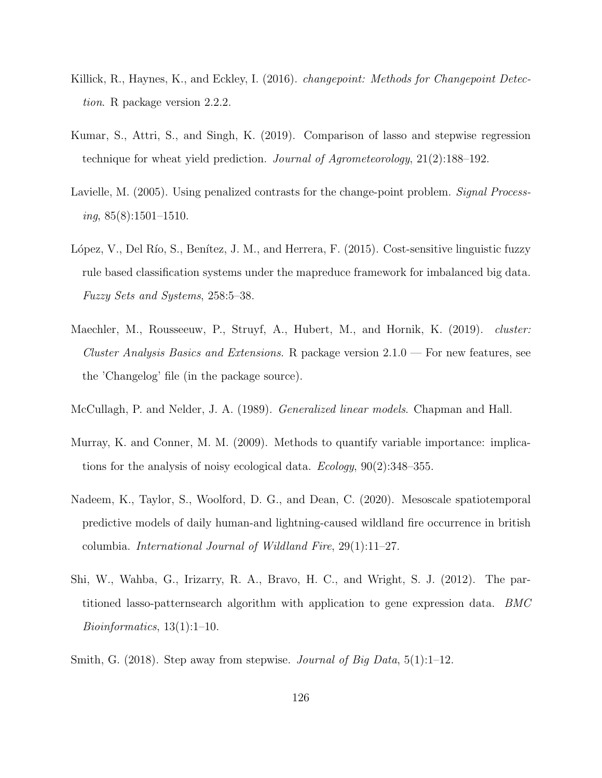- Killick, R., Haynes, K., and Eckley, I. (2016). *changepoint: Methods for Changepoint Detec*tion. R package version 2.2.2.
- Kumar, S., Attri, S., and Singh, K. (2019). Comparison of lasso and stepwise regression technique for wheat yield prediction. Journal of Agrometeorology, 21(2):188–192.
- Lavielle, M. (2005). Using penalized contrasts for the change-point problem. Signal Process $ing, 85(8):1501-1510.$
- López, V., Del Río, S., Benítez, J. M., and Herrera, F. (2015). Cost-sensitive linguistic fuzzy rule based classification systems under the mapreduce framework for imbalanced big data. Fuzzy Sets and Systems, 258:5–38.
- Maechler, M., Rousseeuw, P., Struyf, A., Hubert, M., and Hornik, K. (2019). *cluster:* Cluster Analysis Basics and Extensions. R package version  $2.1.0$  — For new features, see the 'Changelog' file (in the package source).
- McCullagh, P. and Nelder, J. A. (1989). Generalized linear models. Chapman and Hall.
- Murray, K. and Conner, M. M. (2009). Methods to quantify variable importance: implications for the analysis of noisy ecological data. Ecology, 90(2):348–355.
- Nadeem, K., Taylor, S., Woolford, D. G., and Dean, C. (2020). Mesoscale spatiotemporal predictive models of daily human-and lightning-caused wildland fire occurrence in british columbia. International Journal of Wildland Fire, 29(1):11–27.
- Shi, W., Wahba, G., Irizarry, R. A., Bravo, H. C., and Wright, S. J. (2012). The partitioned lasso-patternsearch algorithm with application to gene expression data. BMC Bioinformatics, 13(1):1–10.
- Smith, G. (2018). Step away from stepwise. Journal of Big Data,  $5(1)$ :1-12.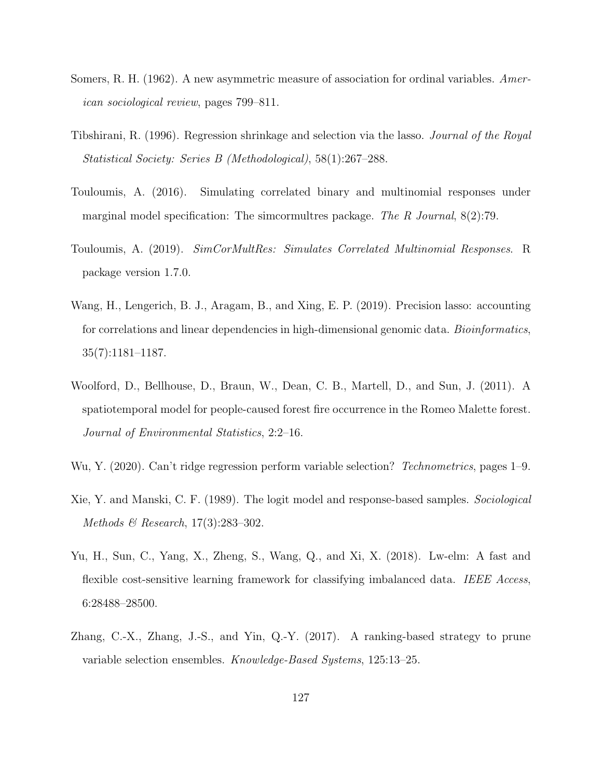- Somers, R. H. (1962). A new asymmetric measure of association for ordinal variables. American sociological review, pages 799–811.
- Tibshirani, R. (1996). Regression shrinkage and selection via the lasso. Journal of the Royal Statistical Society: Series B (Methodological), 58(1):267–288.
- Touloumis, A. (2016). Simulating correlated binary and multinomial responses under marginal model specification: The simcormultres package. The R Journal,  $8(2)$ :79.
- Touloumis, A. (2019). SimCorMultRes: Simulates Correlated Multinomial Responses. R package version 1.7.0.
- Wang, H., Lengerich, B. J., Aragam, B., and Xing, E. P. (2019). Precision lasso: accounting for correlations and linear dependencies in high-dimensional genomic data. *Bioinformatics*, 35(7):1181–1187.
- Woolford, D., Bellhouse, D., Braun, W., Dean, C. B., Martell, D., and Sun, J. (2011). A spatiotemporal model for people-caused forest fire occurrence in the Romeo Malette forest. Journal of Environmental Statistics, 2:2–16.
- Wu, Y. (2020). Can't ridge regression perform variable selection? Technometrics, pages 1–9.
- Xie, Y. and Manski, C. F. (1989). The logit model and response-based samples. Sociological Methods & Research, 17(3):283–302.
- Yu, H., Sun, C., Yang, X., Zheng, S., Wang, Q., and Xi, X. (2018). Lw-elm: A fast and flexible cost-sensitive learning framework for classifying imbalanced data. IEEE Access, 6:28488–28500.
- Zhang, C.-X., Zhang, J.-S., and Yin, Q.-Y. (2017). A ranking-based strategy to prune variable selection ensembles. Knowledge-Based Systems, 125:13–25.